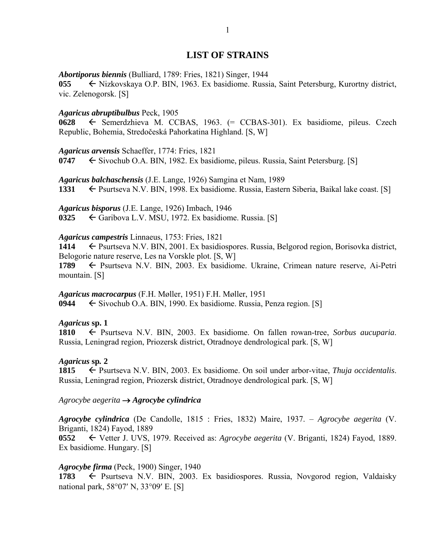# **LIST OF STRAINS**

### *Abortiporus biennis* (Bulliard, 1789: Fries, 1821) Singer, 1944

055 ← Nizkovskaya O.P. BIN, 1963. Ex basidiome. Russia, Saint Petersburg, Kurortny district, vic. Zelenogorsk. [S]

### *Agaricus abruptibulbus* Peck, 1905

**0628** ← Semerdzhieva M. CCBAS, 1963. (= CCBAS-301). Ex basidiome, pileus. Czech Republic, Bohemia, Stredočeská Pahorkatina Highland. [S, W]

*Agaricus arvensis* Schaeffer, 1774: Fries, 1821

**0747** Sivochub O.A. BIN, 1982. Ex basidiome, pileus. Russia, Saint Petersburg. [S]

*Agaricus balchaschensis* (J.E. Lange, 1926) Samgina et Nam, 1989 1331 **External External External External External Extern** Siberia, Baikal lake coast. [S]

*Agaricus bisporus* (J.E. Lange, 1926) Imbach, 1946 0325  $\leftarrow$  Garibova L.V. MSU, 1972. Ex basidiome. Russia. [S]

### *Agaricus campestris* Linnaeus, 1753: Fries, 1821

1414 Psurtseva N.V. BIN, 2001. Ex basidiospores. Russia, Belgorod region, Borisovka district, Belogorie nature reserve, Les na Vorskle plot. [S, W]

**1789** ← Psurtseva N.V. BIN, 2003. Ex basidiome. Ukraine, Crimean nature reserve, Ai-Petri mountain. [S]

*Agaricus macrocarpus* (F.H. Møller, 1951) F.H. Møller, 1951 **0944** Sivochub O.A. BIN, 1990. Ex basidiome. Russia, Penza region. [S]

### *Agaricus* **sp. 1**

**1810** Psurtseva N.V. BIN, 2003. Ex basidiome. On fallen rowan-tree, *Sorbus aucuparia*. Russia, Leningrad region, Priozersk district, Otradnoye dendrological park. [S, W]

### *Agaricus* **sp***.* **2**

1815 <del>C</del> Psurtseva N.V. BIN, 2003. Ex basidiome. On soil under arbor-vitae, *Thuja occidentalis*. Russia, Leningrad region, Priozersk district, Otradnoye dendrological park. [S, W]

### *Agrocybe aegerita Agrocybe cylindrica*

*Agrocybe cylindrica* (De Candolle, 1815 : Fries, 1832) Maire, 1937. – *Agrocybe aegerita* (V. Briganti, 1824) Fayod, 1889

**0552** Vetter J. UVS, 1979. Received as: *Agrocybe aegerita* (V. Briganti, 1824) Fayod, 1889. Ex basidiome. Hungary. [S]

### *Agrocybe firma* (Peck, 1900) Singer, 1940

**1783**  $\leftarrow$  Psurtseva N.V. BIN, 2003. Ex basidiospores. Russia, Novgorod region, Valdaisky national park,  $58^{\circ}07'$  N,  $33^{\circ}09'$  E. [S]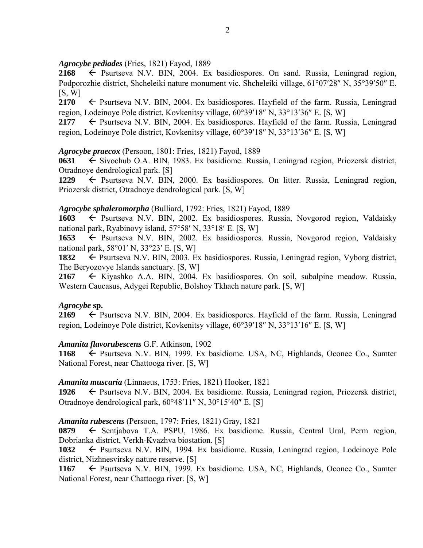### *Agrocybe pediades* (Fries, 1821) Fayod, 1889

2168  $\leftarrow$  Psurtseva N.V. BIN, 2004. Ex basidiospores. On sand. Russia, Leningrad region, Podporozhie district, Shcheleiki nature monument vic. Shcheleiki village, 61°07'28" N, 35°39'50" E.  $[S, W]$ 

**2170**  $\leftarrow$  Psurtseva N.V. BIN, 2004. Ex basidiospores. Hayfield of the farm. Russia, Leningrad region, Lodeinoye Pole district, Kovkenitsy village,  $60^{\circ}39'18''$  N,  $33^{\circ}13'36''$  E. [S, W]

**2177**  $\leftarrow$  Psurtseva N.V. BIN, 2004. Ex basidiospores. Hayfield of the farm. Russia, Leningrad region, Lodeinoye Pole district, Kovkenitsy village, 60°39'18" N, 33°13'36" E. [S, W]

# *Agrocybe praecox* (Persoon, 1801: Fries, 1821) Fayod, 1889

**0631** Sivochub O.A. BIN, 1983. Ex basidiome. Russia, Leningrad region, Priozersk district, Otradnoye dendrological park. [S]

1229  $\leftarrow$  Psurtseva N.V. BIN, 2000. Ex basidiospores. On litter. Russia, Leningrad region, Priozersk district, Otradnoye dendrological park. [S, W]

### *Agrocybe sphaleromorpha* (Bulliard, 1792: Fries, 1821) Fayod, 1889

**1603** Psurtseva N.V. BIN, 2002. Ex basidiospores. Russia, Novgorod region, Valdaisky national park, Ryabinovy island,  $57^{\circ}58'$  N,  $33^{\circ}18'$  E. [S, W]

**1653** Psurtseva N.V. BIN, 2002. Ex basidiospores. Russia, Novgorod region, Valdaisky national park,  $58^{\circ}01'$  N,  $33^{\circ}23'$  E. [S, W]

1832 Psurtseva N.V. BIN, 2003. Ex basidiospores. Russia, Leningrad region, Vyborg district, The Beryozovye Islands sanctuary. [S, W]

**2167**  Kiyashko A.A. BIN, 2004. Ex basidiospores. On soil, subalpine meadow. Russia, Western Caucasus, Adygei Republic, Bolshoy Tkhach nature park. [S, W]

### *Agrocybe* **sp.**

**2169**  $\leftarrow$  Psurtseva N.V. BIN, 2004. Ex basidiospores. Hayfield of the farm. Russia, Leningrad region, Lodeinoye Pole district, Kovkenitsy village,  $60^{\circ}39'18''$  N,  $33^{\circ}13'16''$  E. [S, W]

# *Amanita flavorubescens* G.F. Atkinson, 1902

1168 ← Psurtseva N.V. BIN, 1999. Ex basidiome. USA, NC, Highlands, Oconee Co., Sumter National Forest, near Chattooga river. [S, W]

### *Amanita muscaria* (Linnaeus, 1753: Fries, 1821) Hooker, 1821

1926 – Psurtseva N.V. BIN, 2004. Ex basidiome. Russia, Leningrad region, Priozersk district, Otradnoye dendrological park,  $60^{\circ}48'11''$  N,  $30^{\circ}15'40''$  E. [S]

### *Amanita rubescens* (Persoon, 1797: Fries, 1821) Gray, 1821

0879 Sentjabova T.A. PSPU, 1986. Ex basidiome. Russia, Central Ural, Perm region, Dobrianka district, Verkh-Kvazhva biostation. [S]

1032 
Ex basidiome. Russia, Leningrad region, Lodeinoye Pole district, Nizhnesvirsky nature reserve. [S]

1167  $\leftarrow$  Psurtseva N.V. BIN, 1999. Ex basidiome. USA, NC, Highlands, Oconee Co., Sumter National Forest, near Chattooga river. [S, W]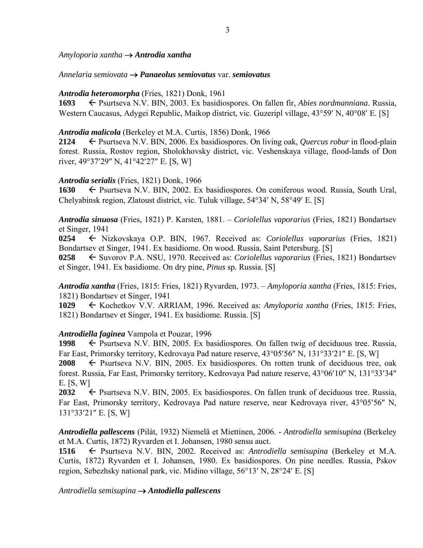*Amyloporia xantha Antrodia xantha*

*Annelaria semiovata Panaeolus semiovatus* var. *semiovatus* 

### *Antrodia heteromorpha* (Fries, 1821) Donk, 1961

**1693** ← Psurtseva N.V. BIN, 2003. Ex basidiospores. On fallen fir, *Abies nordmanniana*. Russia, Western Caucasus, Adygei Republic, Maikop district, vic. Guzeripl village, 43°59' N, 40°08' E. [S]

### *Antrodia malicola* (Berkeley et M.A. Curtis, 1856) Donk, 1966

2124 Psurtseva N.V. BIN, 2006. Ex basidiospores. On living oak, *Quercus robur* in flood-plain forest. Russia, Rostov region, Sholokhovsky district, vic. Veshenskaya village, flood-lands of Don river,  $49^{\circ}37'29''$  N,  $41^{\circ}42'27''$  E. [S, W]

# *Antrodia serialis* (Fries, 1821) Donk, 1966

**1630** ← Psurtseva N.V. BIN, 2002. Ex basidiospores. On coniferous wood. Russia, South Ural, Chelyabinsk region, Zlatoust district, vic. Tuluk village, 54°34' N, 58°49' E. [S]

*Antrodia sinuosa* (Fries, 1821) P. Karsten, 1881. – *Coriolellus vaporarius* (Fries, 1821) Bondartsev et Singer, 1941

**0254** Nizkovskaya O.P. BIN, 1967. Received as: *Coriolellus vaporarius* (Fries, 1821) Bondartsev et Singer, 1941. Ex basidiome. On wood. Russia, Saint Petersburg. [S]

**0258** ← Suvorov P.A. NSU, 1970. Received as: *Coriolellus vaporarius* (Fries, 1821) Bondartsev et Singer, 1941. Ex basidiome. On dry pine, *Pinus* sp*.* Russia. [S]

*Antrodia xantha* (Fries, 1815: Fries, 1821) Ryvarden, 1973. – *Amyloporia xantha* (Fries, 1815: Fries, 1821) Bondartsev et Singer, 1941

**1029** Kochetkov V.V. ARRIAM, 1996. Received as: *Amyloporia xantha* (Fries, 1815: Fries, 1821) Bondartsev et Singer, 1941. Ex basidiome. Russia. [S]

# *Antrodiella faginea* Vampola et Pouzar, 1996

1998 Psurtseva N.V. BIN, 2005. Ex basidiospores. On fallen twig of deciduous tree. Russia, Far East, Primorsky territory, Kedrovaya Pad nature reserve, 43°05'56" N, 131°33'21" E. [S, W]

**2008**  $\leftarrow$  Psurtseva N.V. BIN, 2005. Ex basidiospores. On rotten trunk of deciduous tree, oak forest. Russia, Far East, Primorsky territory, Kedrovaya Pad nature reserve, 43°06'10" N, 131°33'34" E. [S, W]

**2032**  $\leftarrow$  Psurtseva N.V. BIN, 2005. Ex basidiospores. On fallen trunk of deciduous tree. Russia, Far East, Primorsky territory, Kedrovaya Pad nature reserve, near Kedrovaya river, 43°05'56" N,  $131°33'21''$  E. [S, W]

*Antrodiella pallescens* (Pilát, 1932) Niemelä et Miettinen, 2006. - *Antrodiella semisupina* (Berkeley et M.A. Curtis, 1872) Ryvarden et I. Johansen, 1980 sensu auct.

**1516** Psurtseva N.V. BIN, 2002. Received as: *Antrodiella semisupina* (Berkeley et M.A. Curtis, 1872) Ryvarden et I. Johansen, 1980. Ex basidiospores. On pine needles. Russia, Pskov region, Sebezhsky national park, vic. Midino village, 56°13′ N, 28°24′ E. [S]

### *Antrodiella semisupina Antodiella pallescens*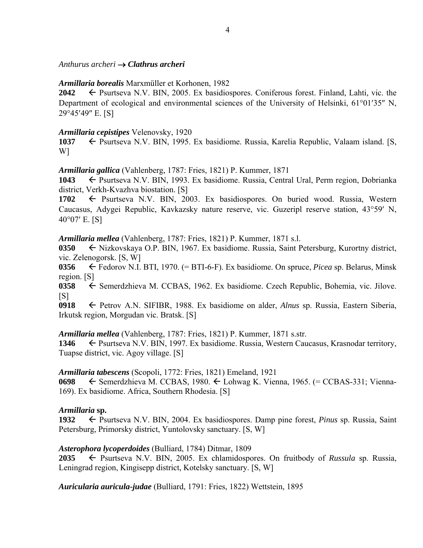### *Anthurus archeri Clathrus archeri*

### *Armillaria borealis* Marxmüller et Korhonen, 1982

**2042** ← Psurtseva N.V. BIN, 2005. Ex basidiospores. Coniferous forest. Finland, Lahti, vic. the Department of ecological and environmental sciences of the University of Helsinki,  $61^{\circ}01'35''$  N, 29°45'49" E. [S]

### *Armillaria cepistipes* Velenovsky, 1920

1037 – Psurtseva N.V. BIN, 1995. Ex basidiome. Russia, Karelia Republic, Valaam island. [S, W]

### *Armillaria gallica* (Vahlenberg, 1787: Fries, 1821) P. Kummer, 1871

1043 **F** Psurtseva N.V. BIN, 1993. Ex basidiome. Russia, Central Ural, Perm region, Dobrianka district, Verkh-Kvazhva biostation. [S]

**1702** Psurtseva N.V. BIN, 2003. Ex basidiospores. On buried wood. Russia, Western Caucasus, Adygei Republic, Kavkazsky nature reserve, vic. Guzeripl reserve station, 43°59' N,  $40^{\circ}07'$  E. [S]

### *Armillaria mellea* (Vahlenberg, 1787: Fries, 1821) P. Kummer, 1871 s.l.

0350  $\leftarrow$  Nizkovskaya O.P. BIN, 1967. Ex basidiome. Russia, Saint Petersburg, Kurortny district, vic. Zelenogorsk. [S, W]

**0356** Fedorov N.I. BTI, 1970. (= BTI-6-F). Ex basidiome. On spruce, *Picea* sp. Belarus, Minsk region. [S]

**0358** ← Semerdzhieva M. CCBAS, 1962. Ex basidiome. Czech Republic, Bohemia, vic. Jilove.  $[S]$ 

**0918** Petrov A.N. SIFIBR, 1988. Ex basidiome on alder, *Alnus* sp. Russia, Eastern Siberia, Irkutsk region, Morgudan vic. Bratsk. [S]

*Armillaria mellea* (Vahlenberg, 1787: Fries, 1821) P. Kummer, 1871 s.str.

1346  $\leftarrow$  Psurtseva N.V. BIN, 1997. Ex basidiome. Russia, Western Caucasus, Krasnodar territory, Tuapse district, vic. Agoy village. [S]

### *Armillaria tabescens* (Scopoli, 1772: Fries, 1821) Emeland, 1921

**0698** Semerdzhieva M. CCBAS, 1980. Lohwag K. Vienna, 1965. (= CCBAS-331; Vienna-169). Ex basidiome. Africa, Southern Rhodesia. [S]

### *Armillaria* **sp.**

**1932** ← Psurtseva N.V. BIN, 2004. Ex basidiospores. Damp pine forest, *Pinus* sp. Russia, Saint Petersburg, Primorsky district, Yuntolovsky sanctuary. [S, W]

### *Asterophora lycoperdoides* (Bulliard, 1784) Ditmar, 1809

**2035** Psurtseva N.V. BIN, 2005. Ex chlamidospores. On fruitbody of *Russula* sp. Russia, Leningrad region, Kingisepp district, Kotelsky sanctuary. [S, W]

*Auricularia auricula-judae* (Bulliard, 1791: Fries, 1822) Wettstein, 1895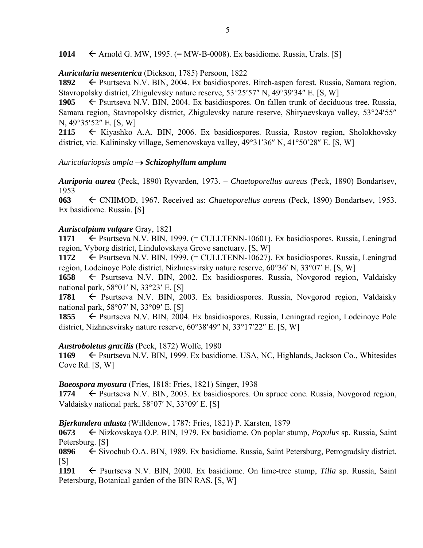1014  $\leftarrow$  Arnold G. MW, 1995. (= MW-B-0008). Ex basidiome. Russia, Urals. [S]

### *Auricularia mesenterica* (Dickson, 1785) Persoon, 1822

1892 Psurtseva N.V. BIN, 2004. Ex basidiospores. Birch-aspen forest. Russia, Samara region, Stavropolsky district, Zhigulevsky nature reserve, 53°25′57″ N, 49°39′34″ E. [S, W]

1905  $\leftarrow$  Psurtseva N.V. BIN, 2004. Ex basidiospores. On fallen trunk of deciduous tree. Russia, Samara region, Stavropolsky district, Zhigulevsky nature reserve, Shiryaevskaya valley, 53°24′55″  $N, 49^{\circ}35'52''$  E. [S, W]

**2115** Kiyashko A.A. BIN, 2006. Ex basidiospores. Russia, Rostov region, Sholokhovsky district, vic. Kalininsky village, Semenovskaya valley,  $49^{\circ}31'36''$  N,  $41^{\circ}50'28''$  E. [S, W]

### *Auriculariopsis ampla Schizophyllum amplum*

*Auriporia aurea* (Peck, 1890) Ryvarden, 1973. – *Chaetoporellus aureus* (Peck, 1890) Bondartsev, 1953

**063** CNIIMOD, 1967. Received as: *Chaetoporellus aureus* (Peck, 1890) Bondartsev, 1953. Ex basidiome. Russia. [S]

### *Auriscalpium vulgare* Gray, 1821

1171  $\leftarrow$  Psurtseva N.V. BIN, 1999. (= CULLTENN-10601). Ex basidiospores. Russia, Leningrad region, Vyborg district, Lindulovskaya Grove sanctuary. [S, W]

**1172** ← Psurtseva N.V. BIN, 1999. (= CULLTENN-10627). Ex basidiospores. Russia, Leningrad region, Lodeinove Pole district, Nizhnesvirsky nature reserve,  $60^{\circ}36'$  N,  $33^{\circ}07'$  E. [S, W]

**1658** ← Psurtseva N.V. BIN, 2002. Ex basidiospores. Russia, Novgorod region, Valdaisky national park,  $58^{\circ}01'$  N,  $33^{\circ}23'$  E. [S]

**1781** ← Psurtseva N.V. BIN, 2003. Ex basidiospores. Russia, Novgorod region, Valdaisky national park,  $58^{\circ}07'$  N,  $33^{\circ}09'$  E. [S]

**1855** ← Psurtseva N.V. BIN, 2004. Ex basidiospores. Russia, Leningrad region, Lodeinoye Pole district, Nizhnesvirsky nature reserve,  $60^{\circ}38'49''$  N,  $33^{\circ}17'22''$  E. [S, W]

### *Austroboletus gracilis* (Peck, 1872) Wolfe, 1980

**1169** ← Psurtseva N.V. BIN, 1999. Ex basidiome. USA, NC, Highlands, Jackson Co., Whitesides Cove Rd. [S, W]

### *Baeospora myosura* (Fries, 1818: Fries, 1821) Singer, 1938

**1774** ← Psurtseva N.V. BIN, 2003. Ex basidiospores. On spruce cone. Russia, Novgorod region, Valdaisky national park,  $58^{\circ}07'$  N,  $33^{\circ}09'$  E. [S]

### *Bjerkandera adusta* (Willdenow, 1787: Fries, 1821) P. Karsten, 1879

**0673** ← Nizkovskaya O.P. BIN, 1979. Ex basidiome. On poplar stump, *Populus* sp. Russia, Saint Petersburg. [S]

**0896** ← Sivochub O.A. BIN, 1989. Ex basidiome. Russia, Saint Petersburg, Petrogradsky district.  $[S]$ 

1191 **G** Psurtseva N.V. BIN, 2000. Ex basidiome. On lime-tree stump, *Tilia* sp. Russia, Saint Petersburg, Botanical garden of the BIN RAS. [S, W]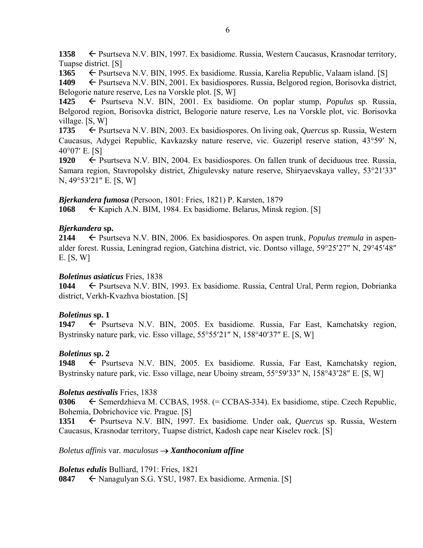1358  $\leftarrow$  Psurtseva N.V. BIN, 1997. Ex basidiome. Russia, Western Caucasus, Krasnodar territory, Tuapse district. [S]

1365  $\leftarrow$  Psurtseva N.V. BIN, 1995. Ex basidiome. Russia, Karelia Republic, Valaam island. [S]

**1409** ← Psurtseva N.V. BIN, 2001. Ex basidiospores. Russia, Belgorod region, Borisovka district, Belogorie nature reserve, Les na Vorskle plot. [S, W]

**1425** Psurtseva N.V. BIN, 2001. Ex basidiome. On poplar stump, *Populus* sp. Russia, Belgorod region, Borisovka district, Belogorie nature reserve, Les na Vorskle plot, vic. Borisovka village. [S, W]

**1735** ← Psurtseva N.V. BIN, 2003. Ex basidiospores. On living oak, *Quercus* sp. Russia, Western Caucasus, Adygei Republic, Kavkazsky nature reserve, vic. Guzeripl reserve station, 43°59' N,  $40^{\circ}07'$  E. [S]

1920 Psurtseva N.V. BIN, 2004. Ex basidiospores. On fallen trunk of deciduous tree. Russia, Samara region, Stavropolsky district, Zhigulevsky nature reserve, Shiryaevskaya valley, 53°21'33"  $N, 49^{\circ}53'21''$  E. [S, W]

*Bjerkandera fumosa* (Persoon, 1801: Fries, 1821) P. Karsten, 1879

**1068** Kapich A.N. BIM, 1984. Ex basidiome. Belarus, Minsk region. [S]

# *Bjerkandera* **sp.**

**2144**  $\leftarrow$  Psurtseva N.V. BIN, 2006. Ex basidiospores. On aspen trunk, *Populus tremula* in aspenalder forest. Russia, Leningrad region, Gatchina district, vic. Dontso village, 59°25'27" N, 29°45'48" E. [S, W]

## *Boletinus asiaticus* Fries, 1838

**1044** ← Psurtseva N.V. BIN, 1993. Ex basidiome. Russia, Central Ural, Perm region, Dobrianka district, Verkh-Kvazhva biostation. [S]

# *Boletinus* **sp. 1**

1947 – Psurtseva N.V. BIN, 2005. Ex basidiome. Russia, Far East, Kamchatsky region, Bystrinsky nature park, vic. Esso village, 55°55'21" N, 158°40'37" E. [S, W]

# *Boletinus* **sp. 2**

1948 **F** Psurtseva N.V. BIN, 2005. Ex basidiome. Russia, Far East, Kamchatsky region, Bystrinsky nature park, vic. Esso village, near Uboiny stream, 55°59′33″ N, 158°43′28″ E. [S, W]

# *Boletus aestivalis* Fries, 1838

**0306** ← Semerdzhieva M. CCBAS, 1958. (= CCBAS-334). Ex basidiome, stipe. Czech Republic, Bohemia, Dobrichovice vic. Prague. [S]

1351  $\leftarrow$  Psurtseva N.V. BIN, 1997. Ex basidiome. Under oak, *Quercus* sp. Russia, Western Caucasus, Krasnodar territory, Tuapse district, Kadosh cape near Kiselev rock. [S]

*Boletus affinis* var*. maculosus Xanthoconium affine* 

*Boletus edulis* Bulliard, 1791: Fries, 1821 **0847** ← Nanagulyan S.G. YSU, 1987. Ex basidiome. Armenia. [S]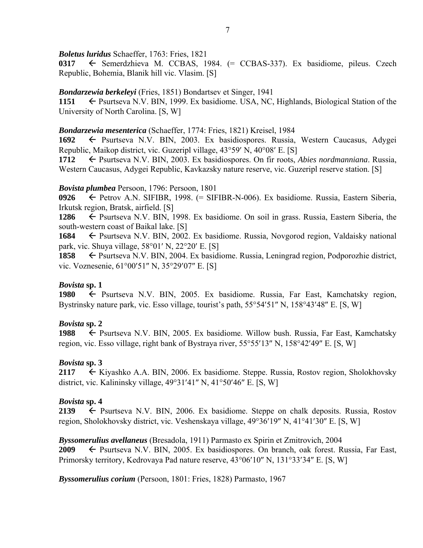*Boletus luridus* Schaeffer, 1763: Fries, 1821

**0317** Semerdzhieva M. CCBAS, 1984. (= CCBAS-337). Ex basidiome, pileus. Czech Republic, Bohemia, Blanik hill vic. Vlasim. [S]

# *Bondarzewia berkeleyi* (Fries, 1851) Bondartsev et Singer, 1941

**1151** ► Psurtseva N.V. BIN, 1999. Ex basidiome. USA, NC, Highlands, Biological Station of the University of North Carolina. [S, W]

## *Bondarzewia mesenterica* (Schaeffer, 1774: Fries, 1821) Kreisel, 1984

**1692** ← Psurtseva N.V. BIN, 2003. Ex basidiospores. Russia, Western Caucasus, Adygei Republic, Maikop district, vic. Guzeripl village,  $43^{\circ}59'$  N,  $40^{\circ}08'$  E. [S]

**1712** ← Psurtseva N.V. BIN, 2003. Ex basidiospores. On fir roots, *Abies nordmanniana*. Russia, Western Caucasus, Adygei Republic, Kavkazsky nature reserve, vic. Guzeripl reserve station. [S]

# *Bovista plumbea* Persoon, 1796: Persoon, 1801

**0926** Petrov A.N. SIFIBR, 1998. (= SIFIBR-N-006). Ex basidiome. Russia, Eastern Siberia, Irkutsk region, Bratsk, airfield. [S]

**1286** ← Psurtseva N.V. BIN, 1998. Ex basidiome. On soil in grass. Russia, Eastern Siberia, the south-western coast of Baikal lake. [S]

**1684** ► Psurtseva N.V. BIN, 2002. Ex basidiome. Russia, Novgorod region, Valdaisky national park, vic. Shuya village,  $58^{\circ}01'$  N,  $22^{\circ}20'$  E. [S]

**1858** ← Psurtseva N.V. BIN, 2004. Ex basidiome. Russia, Leningrad region, Podporozhie district, vic. Voznesenie,  $61^{\circ}00'51''$  N,  $35^{\circ}29'07''$  E. [S]

# *Bovista* **sp. 1**

1980 **F** Psurtseva N.V. BIN, 2005. Ex basidiome. Russia, Far East, Kamchatsky region, Bystrinsky nature park, vic. Esso village, tourist's path,  $55^{\circ}54'51''$  N,  $158^{\circ}43'48''$  E. [S, W]

# *Bovista* **sp. 2**

**1988** ← Psurtseva N.V. BIN, 2005. Ex basidiome. Willow bush. Russia, Far East, Kamchatsky region, vic. Esso village, right bank of Bystraya river,  $55^{\circ}55'13''$  N,  $158^{\circ}42'49''$  E. [S, W]

# *Bovista* **sp. 3**

**2117** ← Kiyashko A.A. BIN, 2006. Ex basidiome. Steppe. Russia, Rostov region, Sholokhovsky district, vic. Kalininsky village,  $49^{\circ}31'41''$  N,  $41^{\circ}50'46''$  E. [S, W]

# *Bovista* **sp. 4**

**2139**  $\leftarrow$  Psurtseva N.V. BIN, 2006. Ex basidiome. Steppe on chalk deposits. Russia, Rostov region, Sholokhovsky district, vic. Veshenskaya village,  $49^{\circ}36'19''$  N,  $41^{\circ}41'30''$  E. [S, W]

# *Byssomerulius avellaneus* (Bresadola, 1911) Parmasto ex Spirin et Zmitrovich, 2004

2009 Psurtseva N.V. BIN, 2005. Ex basidiospores. On branch, oak forest. Russia, Far East, Primorsky territory, Kedrovaya Pad nature reserve, 43°06'10" N, 131°33'34" E. [S, W]

*Byssomerulius corium* (Persoon, 1801: Fries, 1828) Parmasto, 1967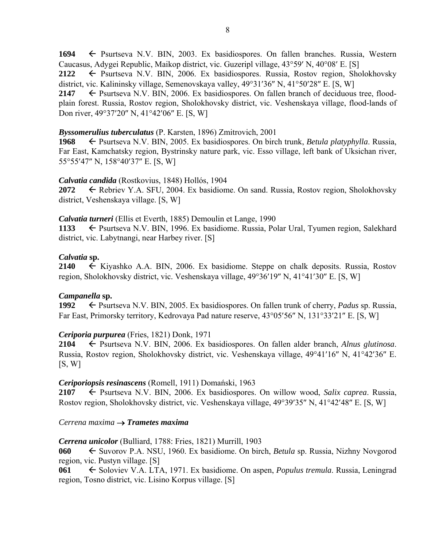1694  $\leftarrow$  Psurtseva N.V. BIN, 2003. Ex basidiospores. On fallen branches. Russia, Western Caucasus, Adygei Republic, Maikop district, vic. Guzeripl village,  $43^{\circ}59'$  N,  $40^{\circ}08'$  E. [S]

**2122** ← Psurtseva N.V. BIN, 2006. Ex basidiospores. Russia, Rostov region, Sholokhovsky district, vic. Kalininsky village, Semenovskaya valley,  $49^{\circ}31'36''$  N,  $41^{\circ}50'28''$  E. [S, W]

2147  $\leftarrow$  Psurtseva N.V. BIN, 2006. Ex basidiospores. On fallen branch of deciduous tree, floodplain forest. Russia, Rostov region, Sholokhovsky district, vic. Veshenskaya village, flood-lands of Don river,  $49^{\circ}37'20''$  N,  $41^{\circ}42'06''$  E. [S, W]

## *Byssomerulius tuberculatus* (P. Karsten, 1896) Zmitrovich, 2001

**1968** ← Psurtseva N.V. BIN, 2005. Ex basidiospores. On birch trunk, *Betula platyphylla*. Russia, Far East, Kamchatsky region, Bystrinsky nature park, vic. Esso village, left bank of Uksichan river, 55°55′47″ N, 158°40′37″ E. [S, W]

### *Calvatia candida* (Rostkovius, 1848) Hollós, 1904

**2072** <del>←</del> Rebriev Y.A. SFU, 2004. Ex basidiome. On sand. Russia, Rostov region, Sholokhovsky district, Veshenskaya village. [S, W]

### *Calvatia turneri* (Ellis et Everth, 1885) Demoulin et Lange, 1990

**1133** ← Psurtseva N.V. BIN, 1996. Ex basidiome. Russia, Polar Ural, Tyumen region, Salekhard district, vic. Labytnangi, near Harbey river. [S]

### *Calvatia* **sp.**

**2140**  $\leftarrow$  Kiyashko A.A. BIN, 2006. Ex basidiome. Steppe on chalk deposits. Russia, Rostov region, Sholokhovsky district, vic. Veshenskaya village, 49°36'19" N, 41°41'30" E. [S, W]

# *Campanella* **sp.**

**1992** ► Psurtseva N.V. BIN, 2005. Ex basidiospores. On fallen trunk of cherry, *Padus* sp. Russia, Far East, Primorsky territory, Kedrovaya Pad nature reserve, 43°05'56" N, 131°33'21" E. [S, W]

# *Ceriporia purpurea* (Fries, 1821) Donk, 1971

**2104** Psurtseva N.V. BIN, 2006. Ex basidiospores. On fallen alder branch, *Alnus glutinosa*. Russia, Rostov region, Sholokhovsky district, vic. Veshenskaya village, 49°41'16" N, 41°42'36" E.  $[S, W]$ 

# *Ceriporiopsis resinascens* (Romell, 1911) Domański, 1963

**2107** Psurtseva N.V. BIN, 2006. Ex basidiospores. On willow wood, *Salix caprea*. Russia, Rostov region, Sholokhovsky district, vic. Veshenskaya village, 49°39′35″ N, 41°42′48″ E. [S, W]

# *Cerrena maxima Trametes maxima*

# *Cerrena unicolor* (Bulliard, 1788: Fries, 1821) Murrill, 1903

**060** ← Suvorov P.A. NSU, 1960. Ex basidiome. On birch, *Betula* sp. Russia, Nizhny Novgorod region, vic. Pustyn village. [S]

**061** ← Soloviev V.A. LTA, 1971. Ex basidiome. On aspen, *Populus tremula*. Russia, Leningrad region, Tosno district, vic. Lisino Korpus village. [S]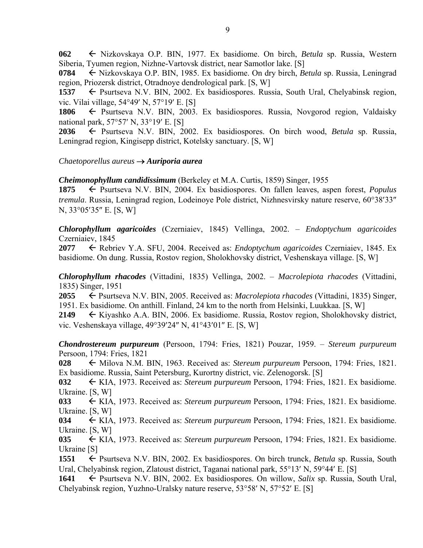**062** Nizkovskaya O.P. BIN, 1977. Ex basidiome. On birch, *Betula* sp. Russia, Western Siberia, Tyumen region, Nizhne-Vartovsk district, near Samotlor lake. [S]

**0784** ← Nizkovskaya O.P. BIN, 1985. Ex basidiome. On dry birch, *Betula* sp. Russia, Leningrad region, Priozersk district, Otradnoye dendrological park. [S, W]

1537  $\leftarrow$  Psurtseva N.V. BIN, 2002. Ex basidiospores. Russia, South Ural, Chelyabinsk region, vic. Vilai village, 54°49' N, 57°19' E. [S]

1806  $\leftarrow$  Psurtseva N.V. BIN, 2003. Ex basidiospores. Russia, Novgorod region, Valdaisky national park,  $57°57'$  N,  $33°19'$  E. [S]

**2036** Psurtseva N.V. BIN, 2002. Ex basidiospores. On birch wood, *Betula* sp. Russia, Leningrad region, Kingisepp district, Kotelsky sanctuary. [S, W]

*Chaetoporellus aureus Auriporia aurea*

*Cheimonophyllum candidissimum* (Berkeley et M.A. Curtis, 1859) Singer, 1955

**1875** ← Psurtseva N.V. BIN, 2004. Ex basidiospores. On fallen leaves, aspen forest, *Populus tremula*. Russia, Leningrad region, Lodeinoye Pole district, Nizhnesvirsky nature reserve, 60°38′33″ N, 33°05'35" E. [S, W]

*Chlorophyllum agaricoides* (Czerniaiev, 1845) Vellinga, 2002. – *Endoptychum agaricoides* Czerniaiev, 1845

**2077** Rebriev Y.A. SFU, 2004. Received as: *Endoptychum agaricoides* Czerniaiev, 1845. Ex basidiome. On dung. Russia, Rostov region, Sholokhovsky district, Veshenskaya village. [S, W]

*Chlorophyllum rhacodes* (Vittadini, 1835) Vellinga, 2002. – *Macrolepiota rhacodes* (Vittadini, 1835) Singer, 1951

**2055** <del>←</del> Psurtseva N.V. BIN, 2005. Received as: *Macrolepiota rhacodes* (Vittadini, 1835) Singer, 1951. Ex basidiome. On anthill. Finland, 24 km to the north from Helsinki, Luukkaa. [S, W]

**2149** Kiyashko A.A. BIN, 2006. Ex basidiome. Russia, Rostov region, Sholokhovsky district, vic. Veshenskaya village,  $49^{\circ}39'24''$  N,  $41^{\circ}43'01''$  E. [S, W]

*Chondrostereum purpureum* (Persoon, 1794: Fries, 1821) Pouzar, 1959. – *Stereum purpureum* Persoon, 1794: Fries, 1821

**028** ← Milova N.M. BIN, 1963. Received as: *Stereum purpureum* Persoon, 1794: Fries, 1821. Ex basidiome. Russia, Saint Petersburg, Kurortny district, vic. Zelenogorsk. [S]

**032** KIA, 1973. Received as: *Stereum purpureum* Persoon, 1794: Fries, 1821. Ex basidiome. Ukraine. [S, W]

**033** KIA, 1973. Received as: *Stereum purpureum* Persoon, 1794: Fries, 1821. Ex basidiome. Ukraine. [S, W]

**034** KIA, 1973. Received as: *Stereum purpureum* Persoon, 1794: Fries, 1821. Ex basidiome. Ukraine. [S, W]

**035** KIA, 1973. Received as: *Stereum purpureum* Persoon, 1794: Fries, 1821. Ex basidiome. Ukraine [S]

**1551** ← Psurtseva N.V. BIN, 2002. Ex basidiospores. On birch trunck, *Betula* sp. Russia, South Ural, Chelyabinsk region, Zlatoust district, Taganai national park, 55°13' N, 59°44' E. [S]

**1641** ← Psurtseva N.V. BIN, 2002. Ex basidiospores. On willow, *Salix* sp. Russia, South Ural, Chelyabinsk region, Yuzhno-Uralsky nature reserve,  $53^{\circ}58'$  N,  $57^{\circ}52'$  E. [S]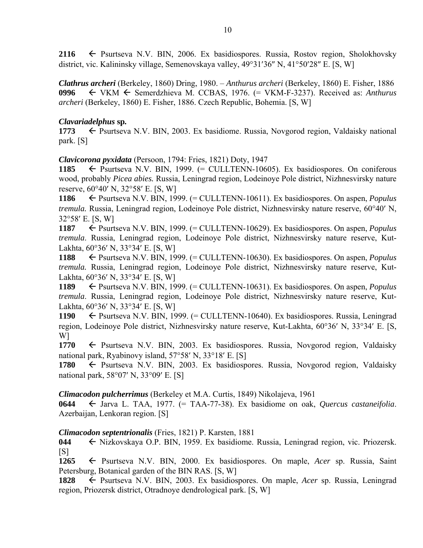**2116**  $\leftarrow$  Psurtseva N.V. BIN, 2006. Ex basidiospores. Russia, Rostov region, Sholokhovsky district, vic. Kalininsky village, Semenovskaya valley,  $49^{\circ}31'36''$  N,  $41^{\circ}50'28''$  E. [S, W]

*Clathrus archeri* (Berkeley, 1860) Dring, 1980. – *Anthurus archeri* (Berkeley, 1860) E. Fisher, 1886 **0996** VKM Semerdzhieva M. CCBAS, 1976. (= VKM-F-3237). Received as: *Anthurus archeri* (Berkeley, 1860) E. Fisher, 1886. Czech Republic, Bohemia. [S, W]

# *Clavariadelphus* **sp***.*

**1773**  $\leftarrow$  Psurtseva N.V. BIN, 2003. Ex basidiome. Russia, Novgorod region, Valdaisky national park. [S]

*Clavicorona pyxidata* (Persoon, 1794: Fries, 1821) Doty, 1947

**1185** ← Psurtseva N.V. BIN, 1999. (= CULLTENN-10605). Ex basidiospores. On coniferous wood, probably *Picea abies.* Russia, Leningrad region, Lodeinoye Pole district, Nizhnesvirsky nature reserve,  $60^{\circ}40'$  N,  $32^{\circ}58'$  E. [S, W]

**1186** Psurtseva N.V. BIN, 1999. (= CULLTENN-10611). Ex basidiospores. On aspen, *Populus tremula.* Russia, Leningrad region, Lodeinoye Pole district, Nizhnesvirsky nature reserve, 60°40' N, 32°58′ E. [S, W]

**1187** Psurtseva N.V. BIN, 1999. (= CULLTENN-10629). Ex basidiospores. On aspen, *Populus tremula*. Russia, Leningrad region, Lodeinoye Pole district, Nizhnesvirsky nature reserve, Kut-Lakhta,  $60^{\circ}36'$  N,  $33^{\circ}34'$  E. [S, W]

**1188** Psurtseva N.V. BIN, 1999. (= CULLTENN-10630). Ex basidiospores. On aspen, *Populus tremula.* Russia, Leningrad region, Lodeinoye Pole district, Nizhnesvirsky nature reserve, Kut-Lakhta,  $60^{\circ}36'$  N,  $33^{\circ}34'$  E. [S, W]

**1189** Psurtseva N.V. BIN, 1999. (= CULLTENN-10631). Ex basidiospores. On aspen, *Populus tremula*. Russia, Leningrad region, Lodeinoye Pole district, Nizhnesvirsky nature reserve, Kut-Lakhta,  $60^{\circ}36'$  N,  $33^{\circ}34'$  E, [S, W]

**1190** Psurtseva N.V. BIN, 1999. (= CULLTENN-10640). Ex basidiospores. Russia, Leningrad region, Lodeinoye Pole district, Nizhnesvirsky nature reserve, Kut-Lakhta, 60°36' N, 33°34' E. [S, W]

**1770** ← Psurtseva N.V. BIN, 2003. Ex basidiospores. Russia, Novgorod region, Valdaisky national park, Ryabinovy island,  $57°58'$  N,  $33°18'$  E. [S]

**1780** Psurtseva N.V. BIN, 2003. Ex basidiospores. Russia, Novgorod region, Valdaisky national park,  $58^{\circ}07'$  N,  $33^{\circ}09'$  E. [S]

*Climacodon pulcherrimus* (Berkeley et M.A. Curtis, 1849) Nikolajeva, 1961

**0644** Jarva L. TAA, 1977. (= TAA-77-38). Ex basidiome on oak, *Quercus castaneifolia*. Azerbaijan, Lenkoran region. [S]

# *Climacodon septentrionalis* (Fries, 1821) P. Karsten, 1881

**044** Nizkovskaya O.P. BIN, 1959. Ex basidiome. Russia, Leningrad region, vic. Priozersk.  $[S]$ 

**1265** Psurtseva N.V. BIN, 2000. Ex basidiospores. On maple, *Acer* sp. Russia, Saint Petersburg, Botanical garden of the BIN RAS. [S, W]

**1828** Psurtseva N.V. BIN, 2003. Ex basidiospores. On maple, *Acer* sp. Russia, Leningrad region, Priozersk district, Otradnoye dendrological park. [S, W]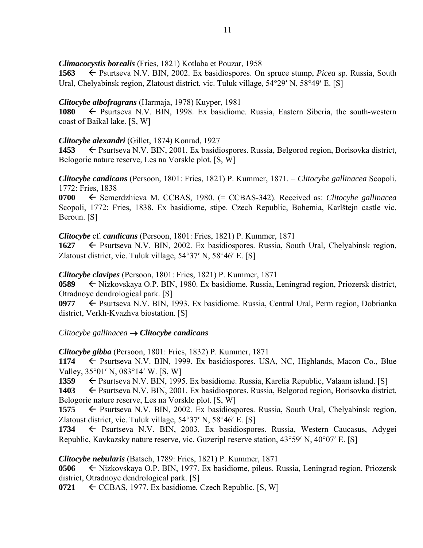*Climacocystis borealis* (Fries, 1821) Kotlaba et Pouzar, 1958

**1563** ← Psurtseva N.V. BIN, 2002. Ex basidiospores. On spruce stump, *Picea* sp. Russia, South Ural, Chelyabinsk region, Zlatoust district, vic. Tuluk village, 54°29' N, 58°49' E. [S]

# *Clitocybe albofragrans* (Harmaja, 1978) Kuyper, 1981

**1080** ← Psurtseva N.V. BIN, 1998. Ex basidiome. Russia, Eastern Siberia, the south-western coast of Baikal lake. [S, W]

# *Clitocybe alexandri* (Gillet, 1874) Konrad, 1927

1453  $\leftarrow$  Psurtseva N.V. BIN, 2001. Ex basidiospores. Russia, Belgorod region, Borisovka district, Belogorie nature reserve, Les na Vorskle plot. [S, W]

*Clitocybe candicans* (Persoon, 1801: Fries, 1821) P. Kummer, 1871. – *Clitocybe gallinacea* Scopoli, 1772: Fries, 1838

**0700** Semerdzhieva M. CCBAS, 1980. (= CCBAS-342). Received as: *Clitocybe gallinacea* Scopoli, 1772: Fries, 1838. Ex basidiome, stipe. Czech Republic, Bohemia, Karlštejn castle vic. Beroun. [S]

*Clitocybe* cf. *candicans* (Persoon, 1801: Fries, 1821) P. Kummer, 1871

**1627** ← Psurtseva N.V. BIN, 2002. Ex basidiospores. Russia, South Ural, Chelyabinsk region, Zlatoust district, vic. Tuluk village,  $54^{\circ}37'$  N,  $58^{\circ}46'$  E. [S]

*Clitocybe clavipes* (Persoon, 1801: Fries, 1821) P. Kummer, 1871

**0589** ← Nizkovskaya O.P. BIN, 1980. Ex basidiome. Russia, Leningrad region, Priozersk district, Otradnoye dendrological park. [S]

0977 **← Psurtseva N.V. BIN, 1993. Ex basidiome. Russia, Central Ural, Perm region, Dobrianka** district, Verkh-Kvazhva biostation. [S]

 $C$ litocybe gallinacea  $\rightarrow$  Clitocybe candicans

*Clitocybe gibba* (Persoon, 1801: Fries, 1832) P. Kummer, 1871

1174  $\leftarrow$  Psurtseva N.V. BIN, 1999. Ex basidiospores. USA, NC, Highlands, Macon Co., Blue Valley,  $35^{\circ}01'$  N,  $083^{\circ}14'$  W. [S, W]

1359  $\leftarrow$  Psurtseva N.V. BIN, 1995. Ex basidiome. Russia, Karelia Republic, Valaam island. [S]

1403 Psurtseva N.V. BIN, 2001. Ex basidiospores. Russia, Belgorod region, Borisovka district, Belogorie nature reserve, Les na Vorskle plot. [S, W]

1575  $\leftarrow$  Psurtseva N.V. BIN, 2002. Ex basidiospores. Russia, South Ural, Chelyabinsk region, Zlatoust district, vic. Tuluk village,  $54^{\circ}37'$  N,  $58^{\circ}46'$  E. [S]

1734 Psurtseva N.V. BIN, 2003. Ex basidiospores. Russia, Western Caucasus, Adygei Republic, Kavkazsky nature reserve, vic. Guzeripl reserve station,  $43^{\circ}59'$  N,  $40^{\circ}07'$  E. [S]

*Clitocybe nebularis* (Batsch, 1789: Fries, 1821) P. Kummer, 1871

**0506** Nizkovskaya O.P. BIN, 1977. Ex basidiome, pileus. Russia, Leningrad region, Priozersk district, Otradnoye dendrological park. [S]

**0721** ← CCBAS, 1977. Ex basidiome. Czech Republic. [S, W]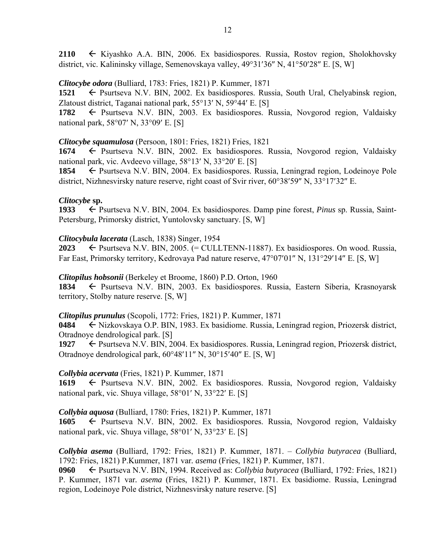**2110** Kiyashko A.A. BIN, 2006. Ex basidiospores. Russia, Rostov region, Sholokhovsky district, vic. Kalininsky village, Semenovskaya valley,  $49^{\circ}31'36''$  N,  $41^{\circ}50'28''$  E. [S, W]

# *Clitocybe odora* (Bulliard, 1783: Fries, 1821) P. Kummer, 1871

**1521** ← Psurtseva N.V. BIN, 2002. Ex basidiospores. Russia, South Ural, Chelyabinsk region, Zlatoust district, Taganai national park,  $55^{\circ}13'$  N,  $59^{\circ}44'$  E. [S]

**1782** ← Psurtseva N.V. BIN, 2003. Ex basidiospores. Russia, Novgorod region, Valdaisky national park,  $58^{\circ}07'$  N,  $33^{\circ}09'$  E. [S]

# *Clitocybe squamulosa* (Persoon, 1801: Fries, 1821) Fries, 1821

**1674** Psurtseva N.V. BIN, 2002. Ex basidiospores. Russia, Novgorod region, Valdaisky national park, vic. Avdeevo village,  $58^{\circ}13'$  N,  $33^{\circ}20'$  E. [S]

**1854** ← Psurtseva N.V. BIN, 2004. Ex basidiospores. Russia, Leningrad region, Lodeinoye Pole district, Nizhnesvirsky nature reserve, right coast of Svir river,  $60^{\circ}38'59''$  N,  $33^{\circ}17'32''$  E.

# *Clitocybe* **sp.**

**1933** ← Psurtseva N.V. BIN, 2004. Ex basidiospores. Damp pine forest, *Pinus* sp. Russia, Saint-Petersburg, Primorsky district, Yuntolovsky sanctuary. [S, W]

*Clitocybula lacerata* (Lasch, 1838) Singer, 1954

2023  $\leftarrow$  Psurtseva N.V. BIN, 2005. (= CULLTENN-11887). Ex basidiospores. On wood. Russia, Far East, Primorsky territory, Kedrovaya Pad nature reserve, 47°07'01" N, 131°29'14" E. [S, W]

# *Clitopilus hobsonii* (Berkeley et Broome, 1860) P.D. Orton, 1960

1834  $\leftarrow$  Psurtseva N.V. BIN, 2003. Ex basidiospores. Russia, Eastern Siberia, Krasnoyarsk territory, Stolby nature reserve. [S, W]

# *Clitopilus prunulus* (Scopoli, 1772: Fries, 1821) P. Kummer, 1871

**0484** ← Nizkovskaya O.P. BIN, 1983. Ex basidiome. Russia, Leningrad region, Priozersk district, Otradnoye dendrological park. [S]

1927 Psurtseva N.V. BIN, 2004. Ex basidiospores. Russia, Leningrad region, Priozersk district, Otradnove dendrological park,  $60^{\circ}48'11''$  N,  $30^{\circ}15'40''$  E. [S, W]

# *Collybia acervata* (Fries, 1821) P. Kummer, 1871

1619 – Psurtseva N.V. BIN, 2002. Ex basidiospores. Russia, Novgorod region, Valdaisky national park, vic. Shuya village,  $58^{\circ}01'$  N,  $33^{\circ}22'$  E. [S]

# *Collybia aquosa* (Bulliard, 1780: Fries, 1821) P. Kummer, 1871

**1605** ← Psurtseva N.V. BIN, 2002. Ex basidiospores. Russia, Novgorod region, Valdaisky national park, vic. Shuya village,  $58^{\circ}01'$  N,  $33^{\circ}23'$  E. [S]

*Collybia asema* (Bulliard, 1792: Fries, 1821) P. Kummer, 1871. – *Collybia butyracea* (Bulliard, 1792: Fries, 1821) P.Kummer, 1871 var*. asema* (Fries, 1821) P. Kummer, 1871.

**0960** Psurtseva N.V. BIN, 1994. Received as: *Collybia butyracea* (Bulliard, 1792: Fries, 1821) P. Kummer, 1871 var*. asema* (Fries, 1821) P. Kummer, 1871. Ex basidiome. Russia, Leningrad region, Lodeinoye Pole district, Nizhnesvirsky nature reserve. [S]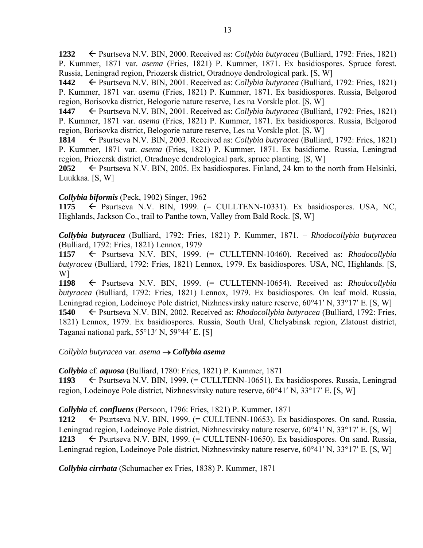**1232** Psurtseva N.V. BIN, 2000. Received as: *Collybia butyracea* (Bulliard, 1792: Fries, 1821) P. Kummer, 1871 var*. asema* (Fries, 1821) P. Kummer, 1871. Ex basidiospores. Spruce forest. Russia, Leningrad region, Priozersk district, Otradnoye dendrological park. [S, W]

**1442** ← Psurtseva N.V. BIN, 2001. Received as: *Collybia butyracea* (Bulliard, 1792: Fries, 1821) P. Kummer, 1871 var*. asema* (Fries, 1821) P. Kummer, 1871. Ex basidiospores. Russia, Belgorod region, Borisovka district, Belogorie nature reserve, Les na Vorskle plot. [S, W]

**1447** Psurtseva N.V. BIN, 2001. Received as: *Collybia butyracea* (Bulliard, 1792: Fries, 1821) P. Kummer, 1871 var*. asema* (Fries, 1821) P. Kummer, 1871. Ex basidiospores. Russia, Belgorod region, Borisovka district, Belogorie nature reserve, Les na Vorskle plot. [S, W]

**1814** Psurtseva N.V. BIN, 2003. Received as: *Collybia butyracea* (Bulliard, 1792: Fries, 1821) P. Kummer, 1871 var*. asema* (Fries, 1821) P. Kummer, 1871. Ex basidiome. Russia, Leningrad region, Priozersk district, Otradnoye dendrological park, spruce planting. [S, W]

2052  $\leftarrow$  Psurtseva N.V. BIN, 2005. Ex basidiospores. Finland, 24 km to the north from Helsinki, Luukkaa. [S, W]

### *Collybia biformis* (Peck, 1902) Singer, 1962

1175  $\leftarrow$  Psurtseva N.V. BIN, 1999.  $(=$  CULLTENN-10331). Ex basidiospores. USA, NC, Highlands, Jackson Co., trail to Panthe town, Valley from Bald Rock. [S, W]

*Collybia butyracea* (Bulliard, 1792: Fries, 1821) P. Kummer, 1871. – *Rhodocollybia butyracea* (Bulliard, 1792: Fries, 1821) Lennox, 1979

**1157** Psurtseva N.V. BIN, 1999. (= CULLTENN-10460). Received as: *Rhodocollybia butyracea* (Bulliard, 1792: Fries, 1821) Lennox, 1979. Ex basidiospores. USA, NC, Highlands. [S, W]

**1198** Psurtseva N.V. BIN, 1999. (= CULLTENN-10654). Received as: *Rhodocollybia butyracea* (Bulliard, 1792: Fries, 1821) Lennox, 1979. Ex basidiospores. On leaf mold. Russia, Leningrad region, Lodeinoye Pole district, Nizhnesvirsky nature reserve, 60°41' N, 33°17' E. [S, W] **1540** ← Psurtseva N.V. BIN, 2002. Received as: *Rhodocollybia butyracea* (Bulliard, 1792: Fries, 1821) Lennox, 1979. Ex basidiospores. Russia, South Ural, Chelyabinsk region, Zlatoust district, Taganai national park,  $55^{\circ}13'$  N,  $59^{\circ}44'$  E. [S]

### *Collybia butyracea* var*. asema Collybia asema*

*Collybia* cf. *aquosa* (Bulliard, 1780: Fries, 1821) P. Kummer, 1871

**1193** ← Psurtseva N.V. BIN, 1999. (= CULLTENN-10651). Ex basidiospores. Russia, Leningrad region, Lodeinoye Pole district, Nizhnesvirsky nature reserve,  $60^{\circ}41'$  N,  $33^{\circ}17'$  E. [S, W]

*Collybia* cf*. confluens* (Persoon, 1796: Fries, 1821) P. Kummer, 1871

1212  $\leftarrow$  Psurtseva N.V. BIN, 1999. (= CULLTENN-10653). Ex basidiospores. On sand. Russia, Leningrad region, Lodeinoye Pole district, Nizhnesvirsky nature reserve, 60°41' N, 33°17' E. [S, W] 1213  $\leftarrow$  Psurtseva N.V. BIN, 1999. (= CULLTENN-10650). Ex basidiospores. On sand. Russia, Leningrad region, Lodeinoye Pole district, Nizhnesvirsky nature reserve, 60°41' N, 33°17' E. [S, W]

*Collybia cirrhata* (Schumacher ex Fries, 1838) P. Kummer, 1871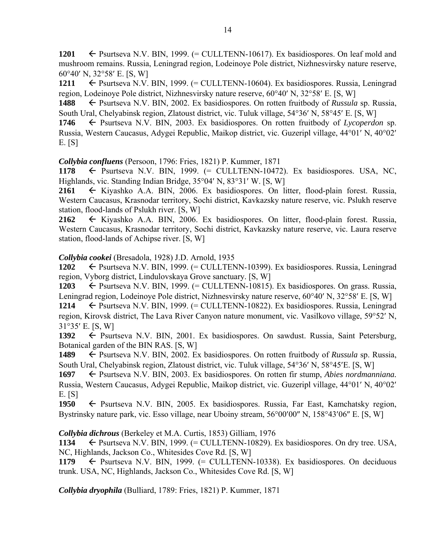**1201**  $\leftarrow$  Psurtseva N.V. BIN, 1999. (= CULLTENN-10617). Ex basidiospores. On leaf mold and mushroom remains. Russia, Leningrad region, Lodeinoye Pole district, Nizhnesvirsky nature reserve,  $60^{\circ}40'$  N,  $32^{\circ}58'$  E. [S, W]

**1211**  $\leftarrow$  Psurtseva N.V. BIN, 1999. (= CULLTENN-10604). Ex basidiospores. Russia, Leningrad region, Lodeinove Pole district, Nizhnesvirsky nature reserve,  $60^{\circ}40'$  N,  $32^{\circ}58'$  E. [S, W]

**1488** ← Psurtseva N.V. BIN, 2002. Ex basidiospores. On rotten fruitbody of *Russula* sp. Russia, South Ural, Chelyabinsk region, Zlatoust district, vic. Tuluk village, 54°36' N, 58°45' E. [S, W]

**1746** Psurtseva N.V. BIN, 2003. Ex basidiospores. On rotten fruitbody of *Lycoperdon* sp. Russia, Western Caucasus, Adygei Republic, Maikop district, vic. Guzeripl village, 44°01′ N, 40°02′ E. [S]

*Collybia confluens* (Persoon, 1796: Fries, 1821) P. Kummer, 1871

1178  $\leftarrow$  Psurtseva N.V. BIN, 1999.  $(=$  CULLTENN-10472). Ex basidiospores. USA, NC, Highlands, vic. Standing Indian Bridge,  $35^{\circ}04'$  N,  $83^{\circ}31'$  W. [S, W]

**2161** Kiyashko A.A. BIN, 2006. Ex basidiospores. On litter, flood-plain forest. Russia, Western Caucasus, Krasnodar territory, Sochi district, Kavkazsky nature reserve, vic. Pslukh reserve station, flood-lands of Pslukh river. [S, W]

**2162** Kiyashko A.A. BIN, 2006. Ex basidiospores. On litter, flood-plain forest. Russia, Western Caucasus, Krasnodar territory, Sochi district, Kavkazsky nature reserve, vic. Laura reserve station, flood-lands of Achipse river. [S, W]

# *Collybia cookei* (Bresadola, 1928) J.D. Arnold, 1935

**1202** ← Psurtseva N.V. BIN, 1999. (= CULLTENN-10399). Ex basidiospores. Russia, Leningrad region, Vyborg district, Lindulovskaya Grove sanctuary. [S, W]

1203  $\leftarrow$  Psurtseva N.V. BIN, 1999. (= CULLTENN-10815). Ex basidiospores. On grass. Russia, Leningrad region, Lodeinoye Pole district, Nizhnesvirsky nature reserve, 60°40′ N, 32°58′ E. [S, W]

**1214** ← Psurtseva N.V. BIN, 1999. (= CULLTENN-10822). Ex basidiospores. Russia, Leningrad region, Kirovsk district, The Lava River Canyon nature monument, vic. Vasilkovo village, 59°52' N, 31°35′ E. [S, W]<br>1392 ← Psurt

**1392** Psurtseva N.V. BIN, 2001. Ex basidiospores. On sawdust. Russia, Saint Petersburg, Botanical garden of the BIN RAS. [S, W]

**1489** ► Psurtseva N.V. BIN, 2002. Ex basidiospores. On rotten fruitbody of *Russula* sp. Russia, South Ural, Chelyabinsk region, Zlatoust district, vic. Tuluk village, 54°36' N, 58°45'E. [S, W]

**1697** ► Psurtseva N.V. BIN, 2003. Ex basidiospores. On rotten fir stump, *Abies nordmanniana*. Russia, Western Caucasus, Adygei Republic, Maikop district, vic. Guzeripl village, 44°01′ N, 40°02′ E. [S]

1950 – Psurtseva N.V. BIN, 2005. Ex basidiospores. Russia, Far East, Kamchatsky region, Bystrinsky nature park, vic. Esso village, near Uboiny stream,  $56^{\circ}00'00''$  N,  $158^{\circ}43'06''$  E. [S, W]

*Collybia dichrous* (Berkeley et M.A. Curtis, 1853) Gilliam, 1976

1134  $\leftarrow$  Psurtseva N.V. BIN, 1999. (= CULLTENN-10829). Ex basidiospores. On dry tree. USA, NC, Highlands, Jackson Co., Whitesides Cove Rd. [S, W]

1179  $\leftarrow$  Psurtseva N.V. BIN, 1999. (= CULLTENN-10338). Ex basidiospores. On deciduous trunk. USA, NC, Highlands, Jackson Co., Whitesides Cove Rd. [S, W]

*Collybia dryophila* (Bulliard, 1789: Fries, 1821) P. Kummer, 1871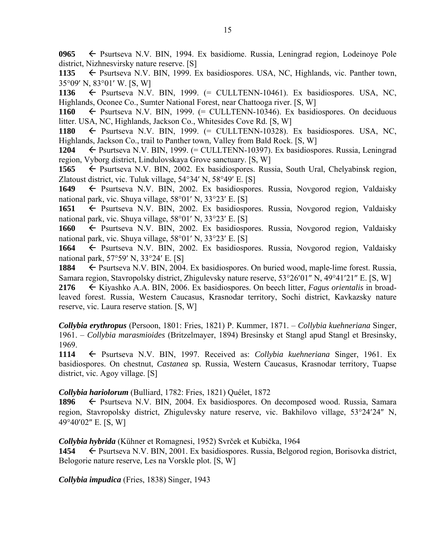**0965** Psurtseva N.V. BIN, 1994. Ex basidiome. Russia, Leningrad region, Lodeinoye Pole district, Nizhnesvirsky nature reserve. [S]

1135  $\leftarrow$  Psurtseva N.V. BIN, 1999. Ex basidiospores. USA, NC, Highlands, vic. Panther town,  $35^{\circ}09'$  N,  $83^{\circ}01'$  W. [S, W]

1136  $\leftarrow$  Psurtseva N.V. BIN, 1999. (= CULLTENN-10461). Ex basidiospores. USA, NC, Highlands, Oconee Co., Sumter National Forest, near Chattooga river. [S, W]

1160  $\leftarrow$  Psurtseva N.V. BIN, 1999. (= CULLTENN-10346). Ex basidiospores. On deciduous litter. USA, NC, Highlands, Jackson Co., Whitesides Cove Rd. [S, W]

1180  $\leftarrow$  Psurtseva N.V. BIN, 1999.  $(=$  CULLTENN-10328). Ex basidiospores. USA, NC, Highlands, Jackson Co., trail to Panther town, Valley from Bald Rock. [S, W]

**1204** Psurtseva N.V. BIN, 1999. (= CULLTENN-10397). Ex basidiospores. Russia, Leningrad region, Vyborg district, Lindulovskaya Grove sanctuary. [S, W]

1565  $\leftarrow$  Psurtseva N.V. BIN, 2002. Ex basidiospores. Russia, South Ural, Chelyabinsk region, Zlatoust district, vic. Tuluk village,  $54^{\circ}34'$  N,  $58^{\circ}49'$  E. [S]

**1649** ← Psurtseva N.V. BIN, 2002. Ex basidiospores. Russia, Novgorod region, Valdaisky national park, vic. Shuya village,  $58^{\circ}01'$  N,  $33^{\circ}23'$  E. [S]

**1651** Psurtseva N.V. BIN, 2002. Ex basidiospores. Russia, Novgorod region, Valdaisky national park, vic. Shuya village,  $58^{\circ}01'$  N,  $33^{\circ}23'$  E. [S]

**1660** ← Psurtseva N.V. BIN, 2002. Ex basidiospores. Russia, Novgorod region, Valdaisky national park, vic. Shuya village,  $58^{\circ}01'$  N,  $33^{\circ}23'$  E. [S]

**1664** ← Psurtseva N.V. BIN, 2002. Ex basidiospores. Russia, Novgorod region, Valdaisky national park,  $57°59'$  N,  $33°24'$  E. [S]

**1884** ► Psurtseva N.V. BIN, 2004. Ex basidiospores. On buried wood, maple-lime forest. Russia, Samara region, Stavropolsky district, Zhigulevsky nature reserve,  $53^{\circ}26'01''$  N,  $49^{\circ}41'21''$  E. [S, W]

**2176** Kiyashko A.A. BIN, 2006. Ex basidiospores. On beech litter, *Fagus orientalis* in broadleaved forest. Russia, Western Caucasus, Krasnodar territory, Sochi district, Kavkazsky nature reserve, vic. Laura reserve station. [S, W]

*Collybia erythropus* (Persoon, 1801: Fries, 1821) P. Kummer, 1871. – *Collybia kuehneriana* Singer, 1961. – *Collybia marasmioides* (Britzelmayer, 1894) Bresinsky et Stangl apud Stangl et Bresinsky, 1969.

**1114** Psurtseva N.V. BIN, 1997. Received as: *Collybia kuehneriana* Singer, 1961. Ex basidiospores. On chestnut, *Castanea* sp*.* Russia, Western Caucasus, Krasnodar territory, Tuapse district, vic. Agoy village. [S]

### *Collybia hariolorum* (Bulliard, 1782: Fries, 1821) Quélet, 1872

**1896** ← Psurtseva N.V. BIN, 2004. Ex basidiospores. On decomposed wood. Russia, Samara region, Stavropolsky district, Zhigulevsky nature reserve, vic. Bakhilovo village, 53°24'24" N, 49°40'02" E. [S, W]

*Collybia hybrida* (Kühner et Romagnesi, 1952) Svrček et Kubička, 1964

1454 **Exteries** Psurtseva N.V. BIN, 2001. Ex basidiospores. Russia, Belgorod region, Borisovka district, Belogorie nature reserve, Les na Vorskle plot. [S, W]

*Collybia impudica* (Fries, 1838) Singer, 1943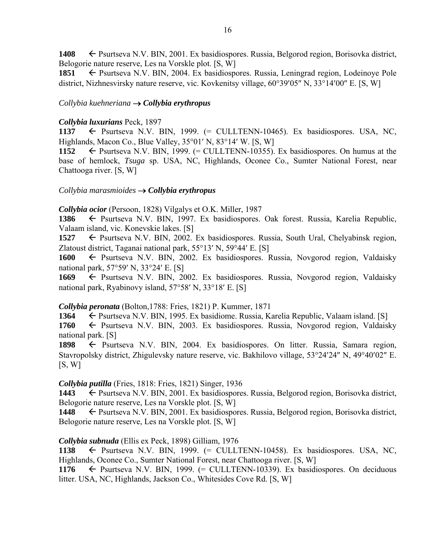1408 **F** Psurtseva N.V. BIN, 2001. Ex basidiospores. Russia, Belgorod region, Borisovka district, Belogorie nature reserve, Les na Vorskle plot. [S, W]

**1851** ← Psurtseva N.V. BIN, 2004. Ex basidiospores. Russia, Leningrad region, Lodeinoye Pole district, Nizhnesvirsky nature reserve, vic. Kovkenitsy village,  $60^{\circ}39'05''$  N,  $33^{\circ}14'00''$  E. [S, W]

### *Collybia kuehneriana Collybia erythropus*

### *Collybia luxurians* Peck, 1897

1137 Psurtseva N.V. BIN, 1999. (= CULLTENN-10465). Ex basidiospores. USA, NC, Highlands, Macon Co., Blue Valley,  $35^{\circ}01'$  N,  $83^{\circ}14'$  W. [S, W]

**1152**  $\leftarrow$  Psurtseva N.V. BIN, 1999. (= CULLTENN-10355). Ex basidiospores. On humus at the base of hemlock, *Tsuga* sp. USA, NC, Highlands, Oconee Co., Sumter National Forest, near Chattooga river. [S, W]

### *Collybia marasmioides Collybia erythropus*

*Collybia ocior* (Persoon, 1828) Vilgalys et O.K. Miller, 1987

1386  $\leftarrow$  Psurtseva N.V. BIN, 1997. Ex basidiospores. Oak forest. Russia, Karelia Republic, Valaam island, vic. Konevskie lakes. [S]

**1527** ► Psurtseva N.V. BIN, 2002. Ex basidiospores. Russia, South Ural, Chelyabinsk region, Zlatoust district, Taganai national park,  $55^{\circ}13'$  N,  $59^{\circ}44'$  E. [S]

1600  $\leftarrow$  Psurtseva N.V. BIN, 2002. Ex basidiospores. Russia, Novgorod region, Valdaisky national park,  $57°59'$  N,  $33°24'$  E. [S]

**1669** Psurtseva N.V. BIN, 2002. Ex basidiospores. Russia, Novgorod region, Valdaisky national park, Ryabinovy island,  $57^{\circ}58'$  N,  $33^{\circ}18'$  E. [S]

# *Collybia peronata* (Bolton,1788: Fries, 1821) P. Kummer, 1871

**1364** ← Psurtseva N.V. BIN, 1995. Ex basidiome. Russia, Karelia Republic, Valaam island. [S]

**1760** ← Psurtseva N.V. BIN, 2003. Ex basidiospores. Russia, Novgorod region, Valdaisky national park. [S]

1898 **F** Psurtseva N.V. BIN, 2004. Ex basidiospores. On litter. Russia, Samara region, Stavropolsky district, Zhigulevsky nature reserve, vic. Bakhilovo village, 53°24′24″ N, 49°40′02″ E.  $[S, W]$ 

# *Collybia putilla* (Fries, 1818: Fries, 1821) Singer, 1936

1443 **Exteries** Psurtseva N.V. BIN, 2001. Ex basidiospores. Russia, Belgorod region, Borisovka district, Belogorie nature reserve, Les na Vorskle plot. [S, W]

**1448** ← Psurtseva N.V. BIN, 2001. Ex basidiospores. Russia, Belgorod region, Borisovka district, Belogorie nature reserve, Les na Vorskle plot. [S, W]

# *Collybia subnuda* (Ellis ex Peck, 1898) Gilliam, 1976

1138  $\leftarrow$  Psurtseva N.V. BIN, 1999.  $(=$  CULLTENN-10458). Ex basidiospores. USA, NC, Highlands, Oconee Co., Sumter National Forest, near Chattooga river. [S, W]

1176  $\leftarrow$  Psurtseva N.V. BIN, 1999. (= CULLTENN-10339). Ex basidiospores. On deciduous litter. USA, NC, Highlands, Jackson Co., Whitesides Cove Rd. [S, W]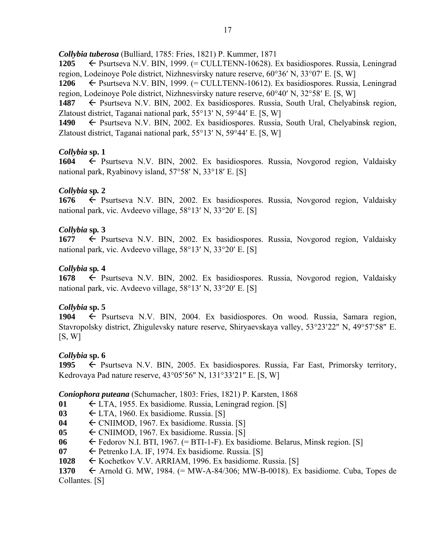*Collybia tuberosa* (Bulliard, 1785: Fries, 1821) P. Kummer, 1871

1205 ← Psurtseva N.V. BIN, 1999. (= CULLTENN-10628). Ex basidiospores. Russia, Leningrad region, Lodeinove Pole district, Nizhnesvirsky nature reserve,  $60^{\circ}36'$  N,  $33^{\circ}07'$  E. [S, W]

**1206** ← Psurtseva N.V. BIN, 1999. (= CULLTENN-10612). Ex basidiospores. Russia, Leningrad region, Lodeinove Pole district, Nizhnesvirsky nature reserve, 60°40' N, 32°58' E. [S, W]

1487 Psurtseva N.V. BIN, 2002. Ex basidiospores. Russia, South Ural, Chelyabinsk region, Zlatoust district, Taganai national park,  $55^{\circ}13'$  N,  $59^{\circ}44'$  E. [S, W]

1490  $\leftarrow$  Psurtseva N.V. BIN, 2002. Ex basidiospores. Russia, South Ural, Chelyabinsk region, Zlatoust district, Taganai national park,  $55^{\circ}13'$  N,  $59^{\circ}44'$  E. [S, W]

# *Collybia* **sp. 1**

**1604** ← Psurtseva N.V. BIN, 2002. Ex basidiospores. Russia, Novgorod region, Valdaisky national park, Ryabinovy island,  $57°58'$  N,  $33°18'$  E. [S]

# *Collybia* **sp***.* **2**

**1676** ← Psurtseva N.V. BIN, 2002. Ex basidiospores. Russia, Novgorod region, Valdaisky national park, vic. Avdeevo village,  $58^{\circ}13'$  N,  $33^{\circ}20'$  E. [S]

# *Collybia* **sp***.* **3**

**1677** ← Psurtseva N.V. BIN, 2002. Ex basidiospores. Russia, Novgorod region, Valdaisky national park, vic. Avdeevo village,  $58^{\circ}13'$  N,  $33^{\circ}20'$  E. [S]

# *Collybia* **sp***.* **4**

**1678** ← Psurtseva N.V. BIN, 2002. Ex basidiospores. Russia, Novgorod region, Valdaisky national park, vic. Avdeevo village,  $58^{\circ}13'$  N,  $33^{\circ}20'$  E. [S]

# *Collybia* **sp. 5**

1904 Psurtseva N.V. BIN, 2004. Ex basidiospores. On wood. Russia, Samara region, Stavropolsky district, Zhigulevsky nature reserve, Shiryaevskaya valley, 53°23′22″ N, 49°57′58″ E.  $[S, W]$ 

# *Collybia* **sp. 6**

1995  $\leftarrow$  Psurtseva N.V. BIN, 2005. Ex basidiospores. Russia, Far East, Primorsky territory, Kedrovaya Pad nature reserve,  $43^{\circ}05'56''$  N,  $131^{\circ}33'21''$  E. [S, W]

# *Coniophora puteana* (Schumacher, 1803: Fries, 1821) P. Karsten, 1868

- **01** LTA, 1955. Ex basidiome. Russia, Leningrad region. [S]
- $\theta$ 3  $\leftarrow$  LTA, 1960. Ex basidiome. Russia. [S]
- **04** CNIIMOD, 1967. Ex basidiome. Russia. [S]
- **05** ← CNIIMOD, 1967. Ex basidiome. Russia. [S]
- **06**  $\leftarrow$  Fedorov N.I. BTI, 1967. (= BTI-1-F). Ex basidiome. Belarus, Minsk region. [S]
- $\theta$ <sup>7</sup>  $\leftarrow$  Petrenko I.A. IF, 1974. Ex basidiome. Russia. [S]
- 1028 
Kochetkov V.V. ARRIAM, 1996. Ex basidiome. Russia. [S]

**1370**  $\leftarrow$  Arnold G. MW, 1984. (= MW-A-84/306; MW-B-0018). Ex basidiome. Cuba, Topes de Collantes. [S]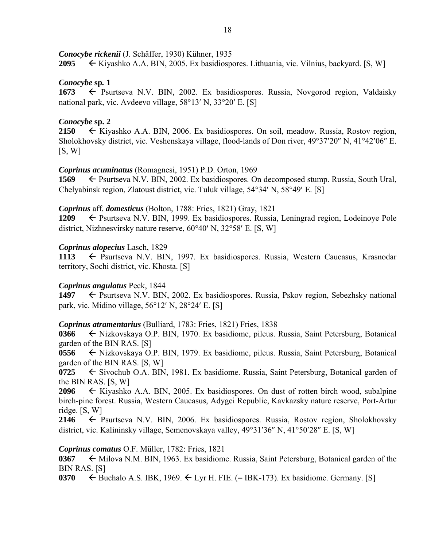*Conocybe rickenii* (J. Schäffer, 1930) Kühner, 1935

**2095**  $\leftarrow$  Kiyashko A.A. BIN, 2005. Ex basidiospores. Lithuania, vic. Vilnius, backyard. [S, W]

# *Conocybe* **sp***.* **1**

1673 **E** Psurtseva N.V. BIN, 2002. Ex basidiospores. Russia, Novgorod region, Valdaisky national park, vic. Avdeevo village,  $58^{\circ}13'$  N,  $33^{\circ}20'$  E. [S]

# *Conocybe* **sp. 2**

**2150**  $\leftarrow$  Kiyashko A.A. BIN, 2006. Ex basidiospores. On soil, meadow. Russia, Rostov region, Sholokhovsky district, vic. Veshenskaya village, flood-lands of Don river, 49°37'20" N, 41°42'06" E.  $[S, W]$ 

# *Coprinus acuminatus* (Romagnesi, 1951) P.D. Orton, 1969

**1569** ← Psurtseva N.V. BIN, 2002. Ex basidiospores. On decomposed stump. Russia, South Ural, Chelyabinsk region, Zlatoust district, vic. Tuluk village,  $54^{\circ}34'$  N,  $58^{\circ}49'$  E. [S]

# *Coprinus* aff*. domesticus* (Bolton, 1788: Fries, 1821) Gray, 1821

**1209** ← Psurtseva N.V. BIN, 1999. Ex basidiospores. Russia, Leningrad region, Lodeinoye Pole district, Nizhnesvirsky nature reserve,  $60^{\circ}40'$  N,  $32^{\circ}58'$  E. [S, W]

# *Coprinus alopecius* Lasch, 1829

1113  $\leftarrow$  **Psurtseva N.V. BIN, 1997. Ex basidiospores. Russia, Western Caucasus, Krasnodar** territory, Sochi district, vic. Khosta. [S]

# *Coprinus angulatus* Peck, 1844

**1497** ← Psurtseva N.V. BIN, 2002. Ex basidiospores. Russia, Pskov region, Sebezhsky national park, vic. Midino village,  $56^{\circ}12'$  N,  $28^{\circ}24'$  E. [S]

# *Coprinus atramentarius* (Bulliard, 1783: Fries, 1821) Fries, 1838

0366 ← Nizkovskaya O.P. BIN, 1970. Ex basidiome, pileus. Russia, Saint Petersburg, Botanical garden of the BIN RAS. [S]

**0556** ← Nizkovskaya O.P. BIN, 1979. Ex basidiome, pileus. Russia, Saint Petersburg, Botanical garden of the BIN RAS. [S, W]

0725 
Sivochub O.A. BIN, 1981. Ex basidiome. Russia, Saint Petersburg, Botanical garden of the BIN RAS. [S, W]

**2096**  $\leftarrow$  Kiyashko A.A. BIN, 2005. Ex basidiospores. On dust of rotten birch wood, subalpine birch-pine forest. Russia, Western Caucasus, Adygei Republic, Kavkazsky nature reserve, Port-Artur ridge. [S, W]

2146  $\leftarrow$  Psurtseva N.V. BIN, 2006. Ex basidiospores. Russia, Rostov region, Sholokhovsky district, vic. Kalininsky village, Semenovskaya valley, 49°31'36" N, 41°50'28" E. [S, W]

# *Coprinus comatus* O.F. Müller, 1782: Fries, 1821

**0367**  $\leftarrow$  Milova N.M. BIN, 1963. Ex basidiome. Russia, Saint Petersburg, Botanical garden of the BIN RAS. [S]

**0370**  $\leftarrow$  Buchalo A.S. IBK, 1969.  $\leftarrow$  Lyr H. FIE. (= IBK-173). Ex basidiome. Germany. [S]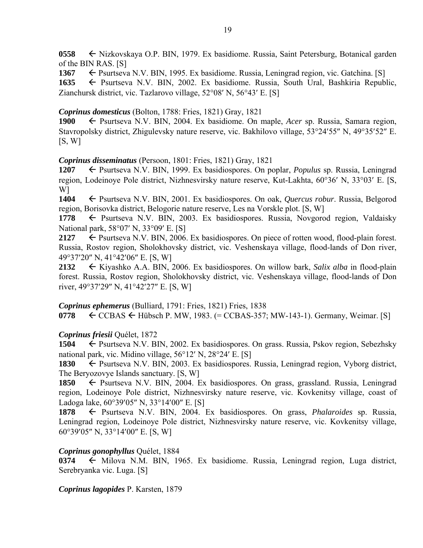**0558** ← Nizkovskaya O.P. BIN, 1979. Ex basidiome. Russia, Saint Petersburg, Botanical garden of the BIN RAS. [S]

1367 **Example 1367 Property Constructed A.V. BIN, 1995. Ex basidiome. Russia, Leningrad region, vic. Gatchina. [S]** 1635 
External Bashkiria Republic, 1635 

Feature Russia, South Ural, Bashkiria Republic, Zianchursk district, vic. Tazlarovo village,  $52^{\circ}08'$  N,  $56^{\circ}43'$  E, [S]

# *Coprinus domesticus* (Bolton, 1788: Fries, 1821) Gray, 1821

**1900** ← Psurtseva N.V. BIN, 2004. Ex basidiome. On maple, *Acer* sp. Russia, Samara region, Stavropolsky district, Zhigulevsky nature reserve, vic. Bakhilovo village, 53°24'55" N, 49°35'52" E.  $[S, W]$ 

# *Coprinus disseminatus* (Persoon, 1801: Fries, 1821) Gray, 1821

**1207** ← Psurtseva N.V. BIN, 1999. Ex basidiospores. On poplar, *Populus* sp. Russia, Leningrad region, Lodeinoye Pole district, Nizhnesvirsky nature reserve, Kut-Lakhta, 60°36' N, 33°03' E. [S, W]

**1404** Psurtseva N.V. BIN, 2001. Ex basidiospores. On oak, *Quercus robur*. Russia, Belgorod region, Borisovka district, Belogorie nature reserve, Les na Vorskle plot. [S, W]

1778 – Psurtseva N.V. BIN, 2003. Ex basidiospores. Russia, Novgorod region, Valdaisky National park,  $58^{\circ}07'$  N,  $33^{\circ}09'$  E. [S]

2127  $\leftarrow$  Psurtseva N.V. BIN, 2006. Ex basidiospores. On piece of rotten wood, flood-plain forest. Russia, Rostov region, Sholokhovsky district, vic. Veshenskaya village, flood-lands of Don river, 49°37'20" N, 41°42'06" E. [S, W]

**2132** Kiyashko A.A. BIN, 2006. Ex basidiospores. On willow bark, *Salix alba* in flood-plain forest. Russia, Rostov region, Sholokhovsky district, vic. Veshenskaya village, flood-lands of Don river,  $49^{\circ}37'29''$  N,  $41^{\circ}42'27''$  E. [S, W]

# *Coprinus ephemerus* (Bulliard, 1791: Fries, 1821) Fries, 1838

**0778**  $\leftarrow$  CCBAS  $\leftarrow$  Hübsch P. MW, 1983. (= CCBAS-357; MW-143-1). Germany, Weimar. [S]

# *Coprinus friesii* Quélet, 1872

**1504** ← Psurtseva N.V. BIN, 2002. Ex basidiospores. On grass. Russia, Pskov region, Sebezhsky national park, vic. Midino village,  $56^{\circ}12'$  N,  $28^{\circ}24'$  E. [S]

1830  $\leftarrow$  Psurtseva N.V. BIN, 2003. Ex basidiospores. Russia, Leningrad region, Vyborg district, The Beryozovye Islands sanctuary. [S, W]

**1850** ← Psurtseva N.V. BIN, 2004. Ex basidiospores. On grass, grassland. Russia, Leningrad region, Lodeinoye Pole district, Nizhnesvirsky nature reserve, vic. Kovkenitsy village, coast of Ladoga lake,  $60^{\circ}39'05''$  N,  $33^{\circ}14'00''$  E. [S]

1878 Psurtseva N.V. BIN, 2004. Ex basidiospores. On grass, *Phalaroides* sp. Russia, Leningrad region, Lodeinoye Pole district, Nizhnesvirsky nature reserve, vic. Kovkenitsy village, 60°39′05″ N, 33°14′00″ E. [S, W]

# *Coprinus gonophyllus* Quélet, 1884

 $0374 \leftarrow$  Milova N.M. BIN, 1965. Ex basidiome. Russia, Leningrad region, Luga district, Serebryanka vic. Luga. [S]

# *Coprinus lagopides* P. Karsten, 1879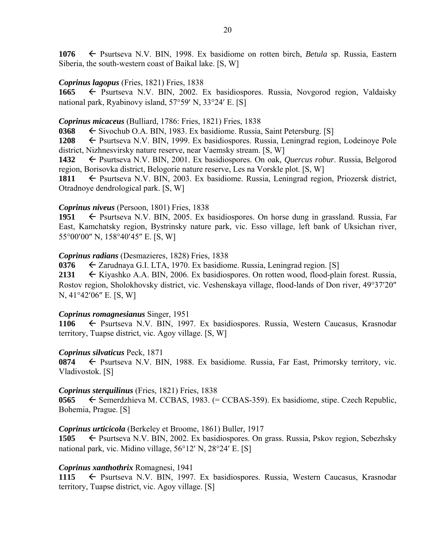**1076** Psurtseva N.V. BIN, 1998. Ex basidiome on rotten birch, *Betula* sp. Russia, Eastern Siberia, the south-western coast of Baikal lake. [S, W]

### *Coprinus lagopus* (Fries, 1821) Fries, 1838

**1665** ← Psurtseva N.V. BIN, 2002. Ex basidiospores. Russia, Novgorod region, Valdaisky national park, Ryabinovy island, 57°59' N, 33°24' E. [S]

## *Coprinus micaceus* (Bulliard, 1786: Fries, 1821) Fries, 1838

**0368**  $\leftarrow$  Sivochub O.A. BIN, 1983. Ex basidiome. Russia, Saint Petersburg. [S]

**1208** Psurtseva N.V. BIN, 1999. Ex basidiospores. Russia, Leningrad region, Lodeinoye Pole district, Nizhnesvirsky nature reserve, near Vaemsky stream. [S, W]

**1432** ► Psurtseva N.V. BIN, 2001. Ex basidiospores. On oak, *Quercus robur*. Russia, Belgorod region, Borisovka district, Belogorie nature reserve, Les na Vorskle plot. [S, W]

1811 – Psurtseva N.V. BIN, 2003. Ex basidiome. Russia, Leningrad region, Priozersk district, Otradnoye dendrological park. [S, W]

### *Coprinus niveus* (Persoon, 1801) Fries, 1838

1951 Psurtseva N.V. BIN, 2005. Ex basidiospores. On horse dung in grassland. Russia, Far East, Kamchatsky region, Bystrinsky nature park, vic. Esso village, left bank of Uksichan river, 55°00'00" N, 158°40'45" E. [S, W]

### *Coprinus radians* (Desmazieres, 1828) Fries, 1838

**0376** Zarudnaya G.I. LTA, 1970. Ex basidiome. Russia, Leningrad region. [S]

2131 
Kiyashko A.A. BIN, 2006. Ex basidiospores. On rotten wood, flood-plain forest. Russia, Rostov region, Sholokhovsky district, vic. Veshenskaya village, flood-lands of Don river, 49°37'20"  $N, 41^{\circ}42'06''$  E. [S, W]

# *Coprinus romagnesianus* Singer, 1951

1106  $\leftarrow$  Psurtseva N.V. BIN, 1997. Ex basidiospores. Russia, Western Caucasus, Krasnodar territory, Tuapse district, vic. Agoy village. [S, W]

### *Coprinus silvaticus* Peck, 1871

**0874** ← Psurtseva N.V. BIN, 1988. Ex basidiome. Russia, Far East, Primorsky territory, vic. Vladivostok. [S]

# *Coprinus sterquilinus* (Fries, 1821) Fries, 1838

0565  $\leftarrow$  Semerdzhieva M. CCBAS, 1983. (= CCBAS-359). Ex basidiome, stipe. Czech Republic, Bohemia, Prague. [S]

### *Coprinus urticicola* (Berkeley et Broome, 1861) Buller, 1917

**1505** ← Psurtseva N.V. BIN, 2002. Ex basidiospores. On grass. Russia, Pskov region, Sebezhsky national park, vic. Midino village,  $56^{\circ}12'$  N,  $28^{\circ}24'$  E. [S]

### *Coprinus xanthothrix* Romagnesi, 1941

1115 **F** Psurtseva N.V. BIN, 1997. Ex basidiospores. Russia, Western Caucasus, Krasnodar territory, Tuapse district, vic. Agoy village. [S]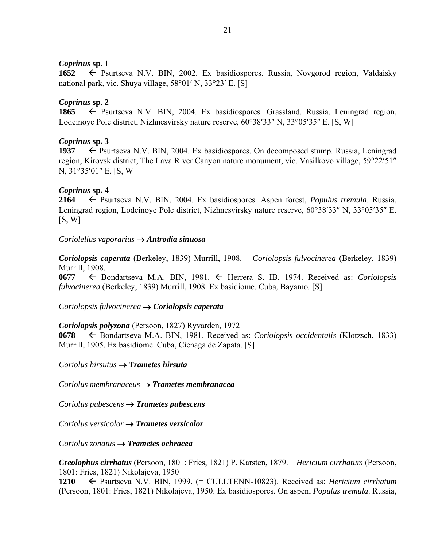### *Coprinus* **sp**. 1

**1652** ← Psurtseva N.V. BIN, 2002. Ex basidiospores. Russia, Novgorod region, Valdaisky national park, vic. Shuya village,  $58^{\circ}01'$  N,  $33^{\circ}23'$  E. [S]

### *Coprinus* **sp**. **2**

1865  $\leftarrow$  Psurtseva N.V. BIN, 2004. Ex basidiospores. Grassland. Russia, Leningrad region, Lodeinoye Pole district, Nizhnesvirsky nature reserve,  $60^{\circ}38'33''$  N,  $33^{\circ}05'35''$  E. [S, W]

### *Coprinus* **sp. 3**

**1937**  $\leftarrow$  Psurtseva N.V. BIN, 2004. Ex basidiospores. On decomposed stump. Russia, Leningrad region, Kirovsk district, The Lava River Canyon nature monument, vic. Vasilkovo village, 59°22′51″  $N$ , 31°35'01" E. [S, W]

### *Coprinus* **sp. 4**

**2164** Psurtseva N.V. BIN, 2004. Ex basidiospores. Aspen forest, *Populus tremula*. Russia, Leningrad region, Lodeinove Pole district, Nizhnesvirsky nature reserve, 60°38′33″ N, 33°05′35″ E.  $[S, W]$ 

### *Coriolellus vaporarius Antrodia sinuosa*

*Coriolopsis caperata* (Berkeley, 1839) Murrill, 1908. – *Coriolopsis fulvocinerea* (Berkeley, 1839) Murrill, 1908.

**0677** Bondartseva M.A. BIN, 1981. Herrera S. IB, 1974. Received as: *Coriolopsis fulvocinerea* (Berkeley, 1839) Murrill, 1908. Ex basidiome. Cuba, Bayamo. [S]

*Coriolopsis fulvocinerea Coriolopsis caperata*

### *Coriolopsis polyzona* (Persoon, 1827) Ryvarden, 1972

**0678** Bondartseva M.A. BIN, 1981. Received as: *Coriolopsis occidentalis* (Klotzsch, 1833) Murrill, 1905. Ex basidiome. Cuba, Cienaga de Zapata. [S]

*Coriolus hirsutus Trametes hirsuta* 

*Coriolus membranaceus Trametes membranacea* 

*Coriolus pubescens Trametes pubescens* 

*Coriolus versicolor Trametes versicolor* 

*Coriolus zonatus Trametes ochracea* 

*Creolophus cirrhatus* (Persoon, 1801: Fries, 1821) P. Karsten, 1879. – *Hericium cirrhatum* (Persoon, 1801: Fries, 1821) Nikolajeva, 1950

**1210** Psurtseva N.V. BIN, 1999. (= CULLTENN-10823). Received as: *Hericium cirrhatum* (Persoon, 1801: Fries, 1821) Nikolajeva, 1950. Ex basidiospores. On aspen, *Populus tremula*. Russia,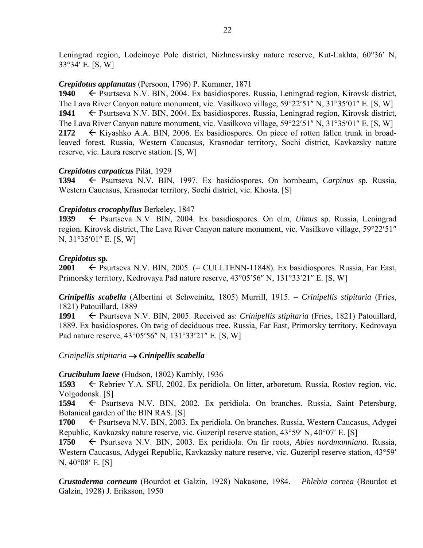Leningrad region, Lodeinoye Pole district, Nizhnesvirsky nature reserve, Kut-Lakhta, 60°36' N, 3334 E. [S, W]

### *Crepidotus applanatus* (Persoon, 1796) P. Kummer, 1871

1940 – Psurtseva N.V. BIN, 2004. Ex basidiospores. Russia, Leningrad region, Kirovsk district, The Lava River Canyon nature monument, vic. Vasilkovo village,  $59^{\circ}22'51''$  N,  $31^{\circ}35'01''$  E. [S, W] 1941 – Psurtseva N.V. BIN, 2004. Ex basidiospores. Russia, Leningrad region, Kirovsk district, The Lava River Canyon nature monument, vic. Vasilkovo village,  $59^{\circ}22'51''$  N,  $31^{\circ}35'01''$  E. [S, W] **2172**  $\leftarrow$  Kiyashko A.A. BIN, 2006. Ex basidiospores. On piece of rotten fallen trunk in broadleaved forest. Russia, Western Caucasus, Krasnodar territory, Sochi district, Kavkazsky nature reserve, vic. Laura reserve station. [S, W]

# *Crepidotus carpaticus* Pilát, 1929

**1394** Psurtseva N.V. BIN, 1997. Ex basidiospores. On hornbeam, *Carpinus* sp*.* Russia, Western Caucasus, Krasnodar territory, Sochi district, vic. Khosta. [S]

# *Crepidotus crocophyllus* Berkeley, 1847

**1939** Psurtseva N.V. BIN, 2004. Ex basidiospores. On elm, *Ulmus* sp. Russia, Leningrad region, Kirovsk district, The Lava River Canyon nature monument, vic. Vasilkovo village, 59°22′51″  $N, 31^{\circ}35'01''$  E. [S, W]

# *Crepidotus* **sp***.*

**2001**  $\leftarrow$  Psurtseva N.V. BIN, 2005. (= CULLTENN-11848). Ex basidiospores. Russia, Far East, Primorsky territory, Kedrovaya Pad nature reserve, 43°05'56" N, 131°33'21" E. [S, W]

*Crinipellis scabella* (Albertini et Schweinitz, 1805) Murrill, 1915. – *Crinipellis stipitaria* (Fries, 1821) Patouillard, 1889

1991 
E Psurtseva N.V. BIN, 2005. Received as: *Crinipellis stipitaria* (Fries, 1821) Patouillard, 1889. Ex basidiospores. On twig of deciduous tree. Russia, Far East, Primorsky territory, Kedrovaya Pad nature reserve, 43°05'56" N, 131°33'21" E. [S, W]

# *Crinipellis stipitaria*  $\rightarrow$  *Crinipellis scabella*

# *Crucibulum laeve* (Hudson, 1802) Kambly, 1936

**1593** ← Rebriev Y.A. SFU, 2002. Ex peridiola. On litter, arboretum. Russia, Rostov region, vic. Volgodonsk. [S]

1594 Psurtseva N.V. BIN, 2002. Ex peridiola. On branches. Russia, Saint Petersburg, Botanical garden of the BIN RAS. [S]

**1700** ← Psurtseva N.V. BIN, 2003. Ex peridiola. On branches. Russia, Western Caucasus, Adygei Republic, Kavkazsky nature reserve, vic. Guzeripl reserve station,  $43^{\circ}59'$  N,  $40^{\circ}07'$  E. [S]

**1750** Psurtseva N.V. BIN, 2003. Ex peridiola. On fir roots, *Abies nordmanniana*. Russia, Western Caucasus, Adygei Republic, Kavkazsky nature reserve, vic. Guzeripl reserve station, 43°59'  $N, 40^{\circ}08'$  E. [S]

*Crustoderma corneum* (Bourdot et Galzin, 1928) Nakasone, 1984. – *Phlebia cornea* (Bourdot et Galzin, 1928) J. Eriksson, 1950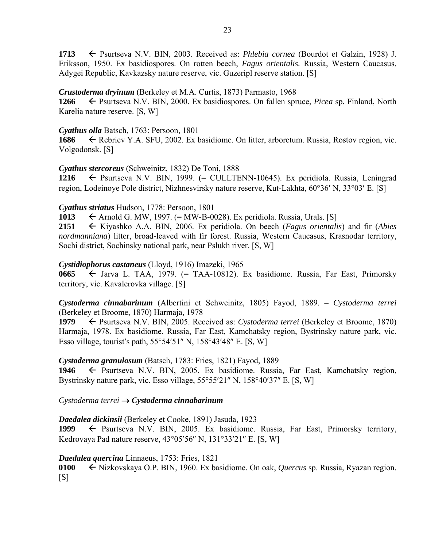**1713** ← Psurtseva N.V. BIN, 2003. Received as: *Phlebia cornea* (Bourdot et Galzin, 1928) J. Eriksson, 1950. Ex basidiospores. On rotten beech, *Fagus orientalis.* Russia, Western Caucasus, Adygei Republic, Kavkazsky nature reserve, vic. Guzeripl reserve station. [S]

### *Crustoderma dryinum* (Berkeley et M.A. Curtis, 1873) Parmasto, 1968

**1266** Psurtseva N.V. BIN, 2000. Ex basidiospores. On fallen spruce, *Picea* sp*.* Finland, North Karelia nature reserve. [S, W]

### *Cyathus olla* Batsch, 1763: Persoon, 1801

**1686** Rebriev Y.A. SFU, 2002. Ex basidiome. On litter, arboretum. Russia, Rostov region, vic. Volgodonsk. [S]

### *Cyathus stercoreus* (Schweinitz, 1832) De Toni, 1888

**1216** Psurtseva N.V. BIN, 1999. (= CULLTENN-10645). Ex peridiola. Russia, Leningrad region, Lodeinoye Pole district, Nizhnesvirsky nature reserve, Kut-Lakhta, 60°36' N, 33°03' E. [S]

# *Cyathus striatus* Hudson, 1778: Persoon, 1801

1013  $\leftarrow$  Arnold G. MW, 1997. (= MW-B-0028). Ex peridiola. Russia, Urals. [S]

**2151** Kiyashko A.A. BIN, 2006. Ex peridiola. On beech (*Fagus orientalis*) and fir (*Abies nordmanniana*) litter, broad-leaved with fir forest. Russia, Western Caucasus, Krasnodar territory, Sochi district, Sochinsky national park, near Pslukh river. [S, W]

### *Cystidiophorus castaneus* (Lloyd, 1916) Imazeki, 1965

0665 ← Jarva L. TAA, 1979. (= TAA-10812). Ex basidiome. Russia, Far East, Primorsky territory, vic. Kavalerovka village. [S]

*Cystoderma cinnabarinum* (Albertini et Schweinitz, 1805) Fayod, 1889. – *Cystoderma terrei* (Berkeley et Broome, 1870) Harmaja, 1978

**1979** ← Psurtseva N.V. BIN, 2005. Received as: *Cystoderma terrei* (Berkeley et Broome, 1870) Harmaja, 1978. Ex basidiome. Russia, Far East, Kamchatsky region, Bystrinsky nature park, vic. Esso village, tourist's path,  $55^{\circ}54'51''$  N,  $158^{\circ}43'48''$  E. [S, W]

# *Cystoderma granulosum* (Batsch, 1783: Fries, 1821) Fayod, 1889

**1946** Psurtseva N.V. BIN, 2005. Ex basidiome. Russia, Far East, Kamchatsky region, Bystrinsky nature park, vic. Esso village, 55°55'21" N, 158°40'37" E. [S, W]

# *Cystoderma terrei Cystoderma cinnabarinum*

*Daedalea dickinsii* (Berkeley et Cooke, 1891) Jasuda, 1923

1999 – Psurtseva N.V. BIN, 2005. Ex basidiome. Russia, Far East, Primorsky territory, Kedrovaya Pad nature reserve,  $43^{\circ}05'56''$  N,  $131^{\circ}33'21''$  E. [S, W]

# *Daedalea quercina* Linnaeus, 1753: Fries, 1821

**0100** Nizkovskaya O.P. BIN, 1960. Ex basidiome. On oak, *Quercus* sp. Russia, Ryazan region.  $[S]$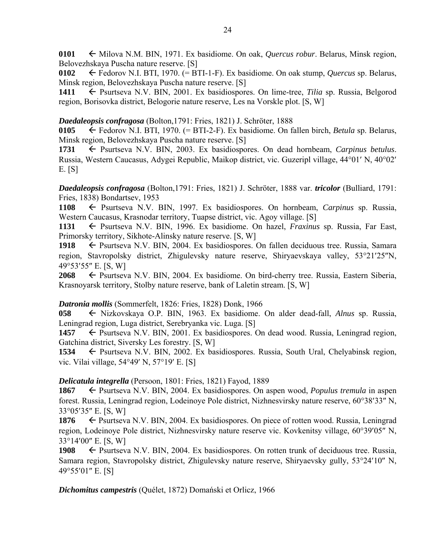0101  $\leftarrow$  Milova N.M. BIN, 1971. Ex basidiome. On oak, *Quercus robur*. Belarus, Minsk region, Belovezhskaya Puscha nature reserve. [S]

**0102** Fedorov N.I. BTI, 1970. (= BTI-1-F). Ex basidiome. On oak stump, *Quercus* sp. Belarus, Minsk region, Belovezhskaya Puscha nature reserve. [S]

1411  $\leftarrow$  Psurtseva N.V. BIN, 2001. Ex basidiospores. On lime-tree, *Tilia* sp. Russia, Belgorod region, Borisovka district, Belogorie nature reserve, Les na Vorskle plot. [S, W]

### *Daedaleopsis confragosa* (Bolton,1791: Fries, 1821) J. Schröter, 1888

**0105** Fedorov N.I. BTI, 1970. (= BTI-2-F). Ex basidiome. On fallen birch, *Betula* sp. Belarus, Minsk region, Belovezhskaya Puscha nature reserve. [S]

1731 Psurtseva N.V. BIN, 2003. Ex basidiospores. On dead hornbeam, *Carpinus betulus*. Russia, Western Caucasus, Adygei Republic, Maikop district, vic. Guzeripl village, 44°01′ N, 40°02′ E. [S]

*Daedaleopsis confragosa* (Bolton,1791: Fries, 1821) J. Schröter, 1888 var. *tricolor* (Bulliard, 1791: Fries, 1838) Bondartsev, 1953

**1108** Psurtseva N.V. BIN, 1997. Ex basidiospores. On hornbeam, *Carpinus* sp. Russia, Western Caucasus, Krasnodar territory, Tuapse district, vic. Agoy village. [S]

1131 Psurtseva N.V. BIN, 1996. Ex basidiome. On hazel, *Fraxinus* sp. Russia, Far East, Primorsky territory, Sikhote-Alinsky nature reserve. [S, W]

1918 – Psurtseva N.V. BIN, 2004. Ex basidiospores. On fallen deciduous tree. Russia, Samara region, Stavropolsky district, Zhigulevsky nature reserve, Shiryaevskaya valley, 53°21′25″N, 49°53'55" E. [S, W]

2068 **←** Psurtseva N.V. BIN, 2004. Ex basidiome. On bird-cherry tree. Russia, Eastern Siberia, Krasnoyarsk territory, Stolby nature reserve, bank of Laletin stream. [S, W]

# *Datronia mollis* (Sommerfelt, 1826: Fries, 1828) Donk, 1966

**058** Nizkovskaya O.P. BIN, 1963. Ex basidiome. On alder dead-fall, *Alnus* sp. Russia, Leningrad region, Luga district, Serebryanka vic. Luga. [S]

1457 Psurtseva N.V. BIN, 2001. Ex basidiospores. On dead wood. Russia, Leningrad region, Gatchina district, Siversky Les forestry. [S, W]

1534 Psurtseva N.V. BIN, 2002. Ex basidiospores. Russia, South Ural, Chelyabinsk region, vic. Vilai village,  $54^{\circ}49'$  N,  $57^{\circ}19'$  E. [S]

# *Delicatula integrella* (Persoon, 1801: Fries, 1821) Fayod, 1889

**1867** ► Psurtseva N.V. BIN, 2004. Ex basidiospores. On aspen wood, *Populus tremula* in aspen forest. Russia, Leningrad region, Lodeinoye Pole district, Nizhnesvirsky nature reserve, 60°38′33″ N, 33°05'35" E. [S, W]

**1876** ► Psurtseva N.V. BIN, 2004. Ex basidiospores. On piece of rotten wood. Russia, Leningrad region, Lodeinove Pole district, Nizhnesvirsky nature reserve vic. Kovkenitsy village, 60°39′05″ N,  $33^{\circ}14'00''$  E. [S, W]

**1908** ← Psurtseva N.V. BIN, 2004. Ex basidiospores. On rotten trunk of deciduous tree. Russia, Samara region, Stavropolsky district, Zhigulevsky nature reserve, Shiryaevsky gully, 53°24'10" N, 49°55'01" E. [S]

*Dichomitus campestris* (Quélet, 1872) Domański et Orlicz, 1966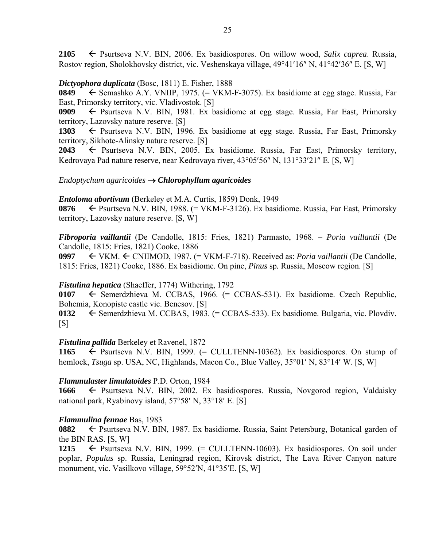**2105** Psurtseva N.V. BIN, 2006. Ex basidiospores. On willow wood, *Salix caprea*. Russia, Rostov region, Sholokhovsky district, vic. Veshenskaya village, 49°41'16" N, 41°42'36" E. [S, W]

### *Dictyophora duplicata* (Bosc, 1811) E. Fisher, 1888

**0849** Semashko A.Y. VNIIP, 1975. (= VKM-F-3075). Ex basidiome at egg stage. Russia, Far East, Primorsky territory, vic. Vladivostok. [S]

**0909**  $\leftarrow$  Psurtseva N.V. BIN, 1981. Ex basidiome at egg stage. Russia, Far East, Primorsky territory, Lazovsky nature reserve. [S]

1303  $\leftarrow$  Psurtseva N.V. BIN, 1996. Ex basidiome at egg stage. Russia, Far East, Primorsky territory, Sikhote-Alinsky nature reserve. [S]

**2043** ← Psurtseva N.V. BIN, 2005. Ex basidiome. Russia, Far East, Primorsky territory, Kedrovaya Pad nature reserve, near Kedrovaya river,  $43^{\circ}05'56''$  N,  $131^{\circ}33'21''$  E. [S, W]

### *Endoptychum agaricoides Chlorophyllum agaricoides*

*Entoloma abortivum* (Berkeley et M.A. Curtis, 1859) Donk, 1949

**0876** ← Psurtseva N.V. BIN, 1988. (= VKM-F-3126). Ex basidiome. Russia, Far East, Primorsky territory, Lazovsky nature reserve. [S, W]

*Fibroporia vaillantii* (De Candolle, 1815: Fries, 1821) Parmasto, 1968. – *Poria vaillantii* (De Candolle, 1815: Fries, 1821) Cooke, 1886

**0997** VKM. CNIIMOD, 1987. (= VKM-F-718). Received as: *Poria vaillantii* (De Candolle, 1815: Fries, 1821) Cooke, 1886. Ex basidiome. On pine, *Pinus* sp*.* Russia, Moscow region. [S]

### *Fistulina hepatica* (Shaeffer, 1774) Withering, 1792

0107  $\leftarrow$  Semerdzhieva M. CCBAS, 1966. (= CCBAS-531). Ex basidiome. Czech Republic, Bohemia, Konopiste castle vic. Benesov. [S]

**0132** ← Semerdzhieva M. CCBAS, 1983. (= CCBAS-533). Ex basidiome. Bulgaria, vic. Plovdiv.  $[S]$ 

### *Fistulina pallida* Berkeley et Ravenel, 1872

1165  $\leftarrow$  Psurtseva N.V. BIN, 1999. (= CULLTENN-10362). Ex basidiospores. On stump of hemlock, *Tsuga* sp. USA, NC, Highlands, Macon Co., Blue Valley, 35°01' N, 83°14' W. [S, W]

### *Flammulaster limulatoides* P.D. Orton, 1984

**1666** ← Psurtseva N.V. BIN, 2002. Ex basidiospores. Russia, Novgorod region, Valdaisky national park, Ryabinovy island,  $57°58'$  N,  $33°18'$  E. [S]

### *Flammulina fennae* Bas, 1983

**0882** ► Psurtseva N.V. BIN, 1987. Ex basidiome. Russia, Saint Petersburg, Botanical garden of the BIN RAS. [S, W]

**1215**  $\leftarrow$  Psurtseva N.V. BIN, 1999. (= CULLTENN-10603). Ex basidiospores. On soil under poplar, *Populus* sp. Russia, Leningrad region, Kirovsk district, The Lava River Canyon nature monument, vic. Vasilkovo village,  $59^{\circ}52'N$ ,  $41^{\circ}35'E$ . [S, W]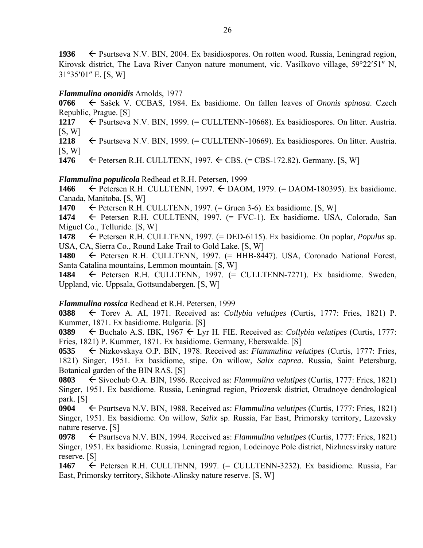1936  $\leftarrow$  Psurtseva N.V. BIN, 2004. Ex basidiospores. On rotten wood. Russia, Leningrad region, Kirovsk district, The Lava River Canyon nature monument, vic. Vasilkovo village, 59°22′51″ N,  $31^{\circ}35'01''$  E. [S, W]

### *Flammulina ononidis* Arnolds, 1977

**0766** Sašek V. CCBAS, 1984. Ex basidiome. On fallen leaves of *Ononis spinosa*. Czech Republic, Prague. [S]

1217  $\leftarrow$  Psurtseva N.V. BIN, 1999. (= CULLTENN-10668). Ex basidiospores. On litter. Austria.  $[S, W]$ 

1218  $\leftarrow$  Psurtseva N.V. BIN, 1999. (= CULLTENN-10669). Ex basidiospores. On litter. Austria.  $[S, W]$ 

**1476**  $\leftarrow$  Petersen R.H. CULLTENN, 1997.  $\leftarrow$  CBS. (= CBS-172.82). Germany. [S, W]

### *Flammulina populicola* Redhead et R.H. Petersen, 1999

**1466** Petersen R.H. CULLTENN, 1997. DAOM, 1979. (= DAOM-180395). Ex basidiome. Canada, Manitoba. [S, W]

**1470**  $\leftarrow$  Petersen R.H. CULLTENN, 1997. (= Gruen 3-6). Ex basidiome. [S, W]

1474  $\leftarrow$  Petersen R.H. CULLTENN, 1997. (= FVC-1). Ex basidiome. USA, Colorado, San Miguel Co., Telluride. [S, W]

**1478** Petersen R.H. CULLTENN, 1997. (= DED-6115). Ex basidiome. On poplar, *Populus* sp*.* USA, CA, Sierra Co., Round Lake Trail to Gold Lake. [S, W]

**1480** Petersen R.H. CULLTENN, 1997. (= HHB-8447). USA, Coronado National Forest, Santa Catalina mountains, Lemmon mountain. [S, W]

**1484** Petersen R.H. CULLTENN, 1997. (= CULLTENN-7271). Ex basidiome. Sweden, Uppland, vic. Uppsala, Gottsundabergen. [S, W]

### *Flammulina rossica* Redhead et R.H. Petersen, 1999

**0388** Torev A. AI, 1971. Received as: *Collybia velutipes* (Curtis, 1777: Fries, 1821) P. Kummer, 1871. Ex basidiome. Bulgaria. [S]

**0389**  $\leftarrow$  Buchalo A.S. IBK, 1967  $\leftarrow$  Lyr H. FIE. Received as: *Collybia velutipes* (Curtis, 1777: Fries, 1821) P. Kummer, 1871. Ex basidiome. Germany, Eberswalde. [S]

**0535** ← Nizkovskaya O.P. BIN, 1978. Received as: *Flammulina velutipes* (Curtis, 1777: Fries, 1821) Singer, 1951. Ex basidiome, stipe. On willow, *Salix caprea*. Russia, Saint Petersburg, Botanical garden of the BIN RAS. [S]

**0803** ← Sivochub O.A. BIN, 1986. Received as: *Flammulina velutipes* (Curtis, 1777: Fries, 1821) Singer, 1951. Ex basidiome. Russia, Leningrad region, Priozersk district, Otradnoye dendrological park. [S]

**0904** Psurtseva N.V. BIN, 1988. Received as: *Flammulina velutipes* (Curtis, 1777: Fries, 1821) Singer, 1951. Ex basidiome. On willow, *Salix* sp. Russia, Far East, Primorsky territory, Lazovsky nature reserve. [S]

**0978 ←** Psurtseva N.V. BIN, 1994. Received as: *Flammulina velutipes* (Curtis, 1777: Fries, 1821) Singer, 1951. Ex basidiome. Russia, Leningrad region, Lodeinoye Pole district, Nizhnesvirsky nature reserve. [S]

**1467** ← Petersen R.H. CULLTENN, 1997. (= CULLTENN-3232). Ex basidiome. Russia, Far East, Primorsky territory, Sikhote-Alinsky nature reserve. [S, W]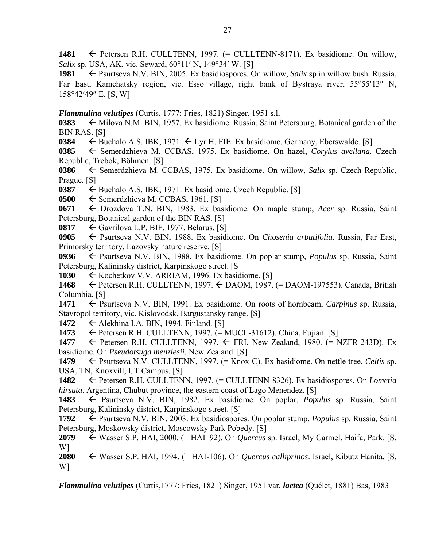1481 Petersen R.H. CULLTENN, 1997. (= CULLTENN-8171). Ex basidiome. On willow, *Salix sp. USA, AK, vic. Seward, 60<sup>o</sup>11' N, 149<sup>o</sup>34' W. [S]* 

1981 **Example 1981 Example 1981 Psurtseva N.V. BIN, 2005. Ex basidiospores. On willow,** *Salix* **sp in willow bush. Russia,** Far East, Kamchatsky region, vic. Esso village, right bank of Bystraya river,  $55^{\circ}55'13''$  N, 158°42'49" E. [S, W]

*Flammulina velutipes* (Curtis, 1777: Fries, 1821) Singer, 1951 s.l**.**

**0383**  $\leftarrow$  Milova N.M. BIN, 1957. Ex basidiome. Russia, Saint Petersburg, Botanical garden of the BIN RAS. [S]

**0384**  $\leftarrow$  Buchalo A.S. IBK, 1971.  $\leftarrow$  Lyr H. FIE. Ex basidiome. Germany, Eberswalde. [S]

**0385** ← Semerdzhieva M. CCBAS, 1975. Ex basidiome. On hazel, *Corylus avellana*. Czech Republic, Trebok, Böhmen. [S]

**0386** ← Semerdzhieva M. CCBAS, 1975. Ex basidiome. On willow, *Salix* sp. Czech Republic, Prague. [S]

**0387**  $\leftarrow$  Buchalo A.S. IBK, 1971. Ex basidiome. Czech Republic. [S]

 $0500 \leftarrow$  Semerdzhieva M. CCBAS, 1961. [S]

**0671** ← Drozdova T.N. BIN, 1983. Ex basidiome. On maple stump, *Acer* sp. Russia, Saint Petersburg, Botanical garden of the BIN RAS. [S]

**0817**  $\leftarrow$  Gavrilova L.P. BIF, 1977. Belarus. [S]

**0905** Psurtseva N.V. BIN, 1988. Ex basidiome. On *Chosenia arbutifolia*. Russia, Far East, Primorsky territory, Lazovsky nature reserve. [S]

**0936** Psurtseva N.V. BIN, 1988. Ex basidiome. On poplar stump, *Populus* sp. Russia, Saint Petersburg, Kalininsky district, Karpinskogo street. [S]

1030 Kochetkov V.V. ARRIAM, 1996. Ex basidiome. [S]

**1468** Petersen R.H. CULLTENN, 1997. DAOM, 1987. (= DAOM-197553). Canada, British Columbia. [S]

**1471** ← Psurtseva N.V. BIN, 1991. Ex basidiome. On roots of hornbeam, *Carpinus* sp. Russia, Stavropol territory, vic. Kislovodsk, Bargustansky range. [S]

**1472** Alekhina I.A. BIN, 1994. Finland. [S]

**1473** ← Petersen R.H. CULLTENN, 1997. (= MUCL-31612). China, Fujian. [S]

**1477**  $\leftarrow$  Petersen R.H. CULLTENN, 1997.  $\leftarrow$  FRI, New Zealand, 1980. (= NZFR-243D). Ex basidiome. On *Pseudotsuga menziesii*. New Zealand. [S]

**1479** ← Psurtseva N.V. CULLTENN, 1997. (= Knox-C). Ex basidiome. On nettle tree, *Celtis* sp. USA, TN, Knoxvill, UT Campus. [S]

**1482** Petersen R.H. CULLTENN, 1997. (= CULLTENN-8326). Ex basidiospores. On *Lometia hirsuta*. Argentina, Chubut province, the eastern coast of Lago Menendez. [S]

1483  $\leftarrow$  Psurtseva N.V. BIN, 1982. Ex basidiome. On poplar, *Populus* sp. Russia, Saint Petersburg, Kalininsky district, Karpinskogo street. [S]

**1792** ← Psurtseva N.V. BIN, 2003. Ex basidiospores. On poplar stump, *Populus* sp. Russia, Saint Petersburg, Moskowsky district, Moscowsky Park Pobedy. [S]

**2079** Wasser S.P. HAI, 2000. (= HAI–92). On *Quercus* sp. Israel, My Carmel, Haifa, Park. [S, W]

**2080** Wasser S.P. HAI, 1994. (= HAI-106). On *Quercus calliprinos*. Israel, Kibutz Hanita. [S, W]

*Flammulina velutipes* (Curtis,1777: Fries, 1821) Singer, 1951 var*. lactea* (Quélet, 1881) Bas, 1983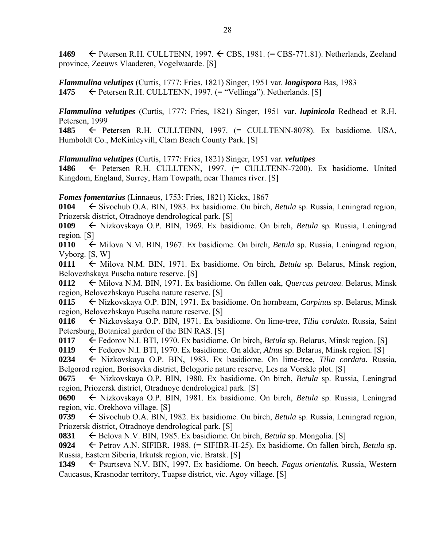**1469** Petersen R.H. CULLTENN, 1997. CBS, 1981. (= CBS-771.81). Netherlands, Zeeland province, Zeeuws Vlaaderen, Vogelwaarde. [S]

*Flammulina velutipes* (Curtis, 1777: Fries, 1821) Singer, 1951 var*. longispora* Bas, 1983 **1475**  $\leftarrow$  Petersen R.H. CULLTENN, 1997. (= "Vellinga"). Netherlands. [S]

*Flammulina velutipes* (Curtis, 1777: Fries, 1821) Singer, 1951 var. *lupinicola* Redhead et R.H. Petersen, 1999

**1485** Petersen R.H. CULLTENN, 1997. (= CULLTENN-8078). Ex basidiome. USA, Humboldt Co., McKinleyvill, Clam Beach County Park. [S]

*Flammulina velutipes* (Curtis, 1777: Fries, 1821) Singer, 1951 var*. velutipes*

1486 
Fetersen R.H. CULLTENN, 1997. (= CULLTENN-7200). Ex basidiome. United Kingdom, England, Surrey, Ham Towpath, near Thames river. [S]

*Fomes fomentarius* (Linnaeus, 1753: Fries, 1821) Kickx, 1867

**0104** Sivochub O.A. BIN, 1983. Ex basidiome. On birch, *Betula* sp. Russia, Leningrad region, Priozersk district, Otradnoye dendrological park. [S]

**0109** Nizkovskaya O.P. BIN, 1969. Ex basidiome. On birch, *Betula* sp*.* Russia, Leningrad region. [S]

**0110**  $\leftarrow$  Milova N.M. BIN, 1967. Ex basidiome. On birch, *Betula* sp. Russia, Leningrad region, Vyborg. [S, W]

0111  $\leftarrow$  Milova N.M. BIN, 1971. Ex basidiome. On birch, *Betula* sp. Belarus, Minsk region, Belovezhskaya Puscha nature reserve. [S]

**0112** Milova N.M. BIN, 1971. Ex basidiome. On fallen oak, *Quercus petraea*. Belarus, Minsk region, Belovezhskaya Puscha nature reserve. [S]

**0115** Nizkovskaya O.P. BIN, 1971. Ex basidiome. On hornbeam, *Carpinus* sp. Belarus, Minsk region, Belovezhskaya Puscha nature reserve. [S]

**0116** Nizkovskaya O.P. BIN, 1971. Ex basidiome. On lime-tree, *Tilia cordata*. Russia, Saint Petersburg, Botanical garden of the BIN RAS. [S]

**0117** Fedorov N.I. BTI, 1970. Ex basidiome. On birch, *Betula* sp. Belarus, Minsk region. [S]

**0119** Fedorov N.I. BTI, 1970. Ex basidiome. On alder, *Alnus* sp. Belarus, Minsk region. [S]

**0234** Nizkovskaya O.P. BIN, 1983. Ex basidiome. On lime-tree, *Tilia cordata*. Russia, Belgorod region, Borisovka district, Belogorie nature reserve, Les na Vorskle plot. [S]

**0675** Nizkovskaya O.P. BIN, 1980. Ex basidiome. On birch, *Betula* sp. Russia, Leningrad region, Priozersk district, Otradnoye dendrological park. [S]

**0690** Nizkovskaya O.P. BIN, 1981. Ex basidiome. On birch, *Betula* sp. Russia, Leningrad region, vic. Orekhovo village. [S]

**0739** Sivochub O.A. BIN, 1982. Ex basidiome. On birch, *Betula* sp. Russia, Leningrad region, Priozersk district, Otradnoye dendrological park. [S]

**0831** Belova N.V. BIN, 1985. Ex basidiome. On birch, *Betula* sp. Mongolia. [S]

**0924** Petrov A.N. SIFIBR, 1988. (= SIFIBR-H-25). Ex basidiome. On fallen birch, *Betula* sp. Russia, Eastern Siberia, Irkutsk region, vic. Bratsk. [S]

**1349** ← Psurtseva N.V. BIN, 1997. Ex basidiome. On beech, *Fagus orientalis*. Russia, Western Caucasus, Krasnodar territory, Tuapse district, vic. Agoy village. [S]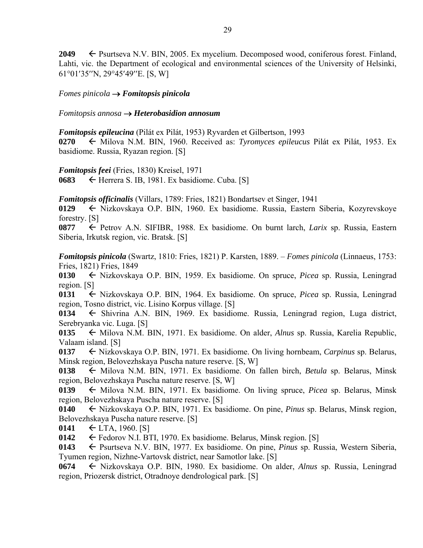**2049** ► Psurtseva N.V. BIN, 2005. Ex mycelium. Decomposed wood, coniferous forest. Finland, Lahti, vic. the Department of ecological and environmental sciences of the University of Helsinki, 61°01'35"N, 29°45'49"E. [S, W]

*Fomes pinicola Fomitopsis pinicola* 

*Fomitopsis annosa Heterobasidion annosum* 

*Fomitopsis epileucina* (Pilát ex Pilát, 1953) Ryvarden et Gilbertson, 1993

**0270** ← Milova N.M. BIN, 1960. Received as: *Tyromyces epileucus* Pilát ex Pilát, 1953. Ex basidiome. Russia, Ryazan region. [S]

*Fomitopsis feei* (Fries, 1830) Kreisel, 1971

0683  $\leftarrow$  Herrera S. IB, 1981. Ex basidiome. Cuba. [S]

*Fomitopsis officinalis* (Villars, 1789: Fries, 1821) Bondartsev et Singer, 1941

**0129** Nizkovskaya O.P. BIN, 1960. Ex basidiome. Russia, Eastern Siberia, Kozyrevskoye forestry. [S]

**0877** Petrov A.N. SIFIBR, 1988. Ex basidiome. On burnt larch, *Larix* sp. Russia, Eastern Siberia, Irkutsk region, vic. Bratsk. [S]

*Fomitopsis pinicola* (Swartz, 1810: Fries, 1821) P. Karsten, 1889. – *Fomes pinicola* (Linnaeus, 1753: Fries, 1821) Fries, 1849

**0130** Nizkovskaya O.P. BIN, 1959. Ex basidiome. On spruce, *Picea* sp. Russia, Leningrad region. [S]

**0131** Nizkovskaya O.P. BIN, 1964. Ex basidiome. On spruce, *Picea* sp. Russia, Leningrad region, Tosno district, vic. Lisino Korpus village. [S]

0134 
Shivrina A.N. BIN, 1969. Ex basidiome. Russia, Leningrad region, Luga district, Serebryanka vic. Luga. [S]

**0135** ← Milova N.M. BIN, 1971. Ex basidiome. On alder, *Alnus* sp. Russia, Karelia Republic, Valaam island. [S]

**0137** Nizkovskaya O.P. BIN, 1971. Ex basidiome. On living hornbeam, *Carpinus* sp. Belarus, Minsk region, Belovezhskaya Puscha nature reserve. [S, W]

0138  $\leftarrow$  Milova N.M. BIN, 1971. Ex basidiome. On fallen birch, *Betula* sp. Belarus, Minsk region, Belovezhskaya Puscha nature reserve. [S, W]

**0139**  $\leftarrow$  Milova N.M. BIN, 1971. Ex basidiome. On living spruce, *Picea* sp. Belarus, Minsk region, Belovezhskaya Puscha nature reserve. [S]

**0140** Nizkovskaya O.P. BIN, 1971. Ex basidiome. On pine, *Pinus* sp. Belarus, Minsk region, Belovezhskaya Puscha nature reserve. [S]

**0141**  $\leftarrow$  LTA, 1960. [S]

0142 Fedorov N.I. BTI, 1970. Ex basidiome. Belarus, Minsk region. [S]

**0143** Psurtseva N.V. BIN, 1977. Ex basidiome. On pine, *Pinus* sp. Russia, Western Siberia, Tyumen region, Nizhne-Vartovsk district, near Samotlor lake. [S]

**0674** Nizkovskaya O.P. BIN, 1980. Ex basidiome. On alder, *Alnus* sp. Russia, Leningrad region, Priozersk district, Otradnoye dendrological park. [S]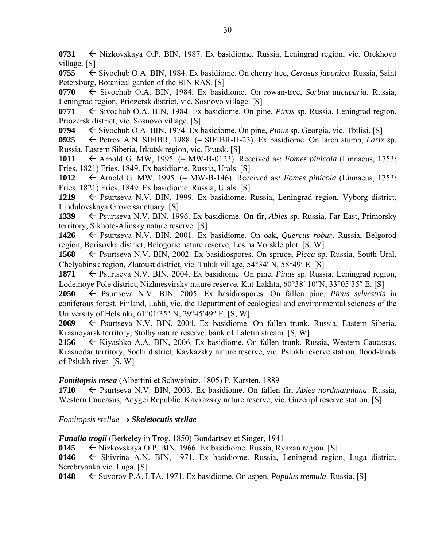**0731** Nizkovskaya O.P. BIN, 1987. Ex basidiome. Russia, Leningrad region, vic. Orekhovo village. [S]

**0755** ← Sivochub O.A. BIN, 1984. Ex basidiome. On cherry tree, *Cerasus japonica*. Russia, Saint Petersburg, Botanical garden of the BIN RAS. [S]

0770 Sivochub O.A. BIN, 1984. Ex basidiome. On rowan-tree, *Sorbus aucuparia*. Russia, Leningrad region, Priozersk district, vic. Sosnovo village. [S]

0771  $\leq$  Sivochub O.A. BIN, 1984. Ex basidiome. On pine, *Pinus* sp. Russia, Leningrad region, Priozersk district, vic. Sosnovo village. [S]

**0794** ← Sivochub O.A. BIN, 1974. Ex basidiome. On pine, *Pinus* sp. Georgia, vic. Tbilisi. [S]

**0925** Petrov A.N. SIFIBR, 1988. (= SIFIBR-H-23). Ex basidiome. On larch stump, *Larix* sp. Russia, Eastern Siberia, Irkutsk region, vic. Bratsk. [S]

**1011**  $\leftarrow$  Arnold G. MW, 1995. (= MW-B-0123). Received as: *Fomes pinicola* (Linnaeus, 1753: Fries, 1821) Fries, 1849. Ex basidiome. Russia, Urals. [S]

1012  $\leftarrow$  Arnold G. MW, 1995. (= MW-B-146). Received as: *Fomes pinicola* (Linnaeus, 1753: Fries, 1821) Fries, 1849. Ex basidiome. Russia, Urals. [S]

1219 – Psurtseva N.V. BIN, 1999. Ex basidiome. Russia, Leningrad region, Vyborg district, Lindulovskaya Grove sanctuary. [S]

**1339** ← Psurtseva N.V. BIN, 1996. Ex basidiome. On fir, *Abies* sp. Russia, Far East, Primorsky territory, Sikhote-Alinsky nature reserve. [S]

**1426** Psurtseva N.V. BIN, 2001. Ex basidiome. On oak, *Quercus robur*. Russia, Belgorod region, Borisovka district, Belogorie nature reserve, Les na Vorskle plot. [S, W]

**1568** ← Psurtseva N.V. BIN, 2002. Ex basidiospores. On spruce, *Picea* sp. Russia, South Ural, Chelyabinsk region, Zlatoust district, vic. Tuluk village,  $54^{\circ}34'$  N,  $58^{\circ}49'$  E. [S]

**1871** ← Psurtseva N.V. BIN, 2004. Ex basidiome. On pine, *Pinus* sp. Russia, Leningrad region, Lodeinove Pole district, Nizhnesvirsky nature reserve, Kut-Lakhta,  $60^{\circ}38'$  10"N,  $33^{\circ}05'35''$  E. [S]

**2050**  $\leftarrow$  Psurtseva N.V. BIN, 2005. Ex basidiospores. On fallen pine, *Pinus sylvestris* in coniferous forest. Finland, Lahti, vic. the Department of ecological and environmental sciences of the University of Helsinki,  $61^{\circ}01'35''$  N,  $29^{\circ}45'49''$  E. [S, W]

**2069** Psurtseva N.V. BIN, 2004. Ex basidiome. On fallen trunk. Russia, Eastern Siberia, Krasnoyarsk territory, Stolby nature reserve, bank of Laletin stream. [S, W]

**2156** Kiyashko A.A. BIN, 2006. Ex basidiome. On fallen trunk. Russia, Western Caucasus, Krasnodar territory, Sochi district, Kavkazsky nature reserve, vic. Pslukh reserve station, flood-lands of Pslukh river. [S, W]

### *Fomitopsis rosea* (Albertini et Schweinitz, 1805) P. Karsten, 1889

**1710** ← Psurtseva N.V. BIN, 2003. Ex basidiome. On fallen fir, *Abies nordmanniana*. Russia, Western Caucasus, Adygei Republic, Kavkazsky nature reserve, vic. Guzeripl reserve station. [S]

### *Fomitopsis stellae Skeletocutis stellae*

*Funalia trogii* (Berkeley in Trog, 1850) Bondartsev et Singer, 1941

**0145** Nizkovskaya O.P. BIN, 1966. Ex basidiome. Russia, Ryazan region. [S]

0146 
ightharpoonup Shivrina A.N. BIN, 1971. Ex basidiome. Russia, Leningrad region, Luga district, Serebryanka vic. Luga. [S]

**0148** Suvorov P.A. LTA, 1971. Ex basidiome. On aspen, *Populus tremula*. Russia. [S]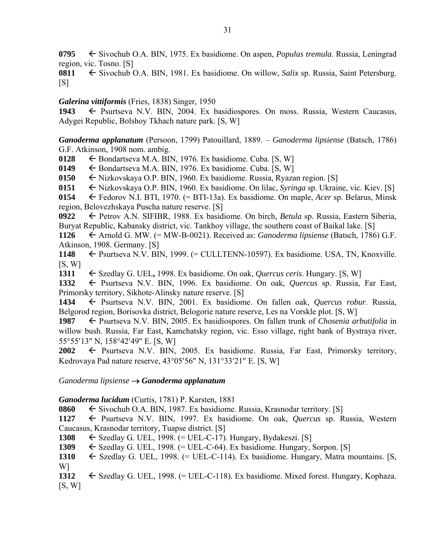**0795** ← Sivochub O.A. BIN, 1975. Ex basidiome. On aspen, *Populus tremula*. Russia, Leningrad region, vic. Tosno. [S]

**0811** ← Sivochub O.A. BIN, 1981. Ex basidiome. On willow, *Salix* sp. Russia, Saint Petersburg.  $[S]$ 

## *Galerina vittiformis* (Fries, 1838) Singer, 1950

1943 Psurtseva N.V. BIN, 2004. Ex basidiospores. On moss. Russia, Western Caucasus, Adygei Republic, Bolshoy Tkhach nature park. [S, W]

*Ganoderma applanatum* (Persoon, 1799) Patouillard, 1889. – *Ganoderma lipsiense* (Batsch, 1786) G.F. Atkinson, 1908 nom. ambig.

**0128**  $\leftarrow$  Bondartseva M.A. BIN, 1976. Ex basidiome. Cuba. [S, W]

**0149**  $\leftarrow$  Bondartseva M.A. BIN, 1976. Ex basidiome. Cuba. [S, W]

**0150** Nizkovskaya O.P. BIN, 1960. Ex basidiome. Russia, Ryazan region. [S]

**0151** Nizkovskaya O.P. BIN, 1960. Ex basidiome. On lilac, *Syringa* sp. Ukraine, vic. Kiev. [S]

**0154** Fedorov N.I. BTI, 1970. (= BTI-13a). Ex basidiome. On maple, *Acer* sp. Belarus, Minsk region, Belovezhskaya Puscha nature reserve. [S]

**0922** Petrov A.N. SIFIBR, 1988. Ex basidiome. On birch, *Betula* sp. Russia, Eastern Siberia, Buryat Republic, Kabansky district, vic. Tankhoy village, the southern coast of Baikal lake. [S]

**1126** Arnold G. MW. (= MW-B-0021). Received as: *Ganoderma lipsiense* (Batsch, 1786) G.F. Atkinson, 1908. Germany. [S]

**1148 ←** Psurtseva N.V. BIN, 1999. (= CULLTENN-10597). Ex basidiome. USA, TN, Knoxville.  $[S, W]$ 

1311 
Szedlay G. UEL, 1998. Ex basidiome. On oak, *Quercus ceris*. Hungary. [S, W]

**1332** Psurtseva N.V. BIN, 1996. Ex basidiome. On oak, *Quercus* sp. Russia, Far East, Primorsky territory, Sikhote-Alinsky nature reserve. [S]

1434  $\leftarrow$  Psurtseva N.V. BIN, 2001. Ex basidiome. On fallen oak, *Quercus robur*. Russia, Belgorod region, Borisovka district, Belogorie nature reserve, Les na Vorskle plot. [S, W]

**1987** ► Psurtseva N.V. BIN, 2005. Ex basidiospores. On fallen trunk of *Chosenia arbutifolia* in willow bush. Russia, Far East, Kamchatsky region, vic. Esso village, right bank of Bystraya river, 55°55'13" N, 158°42'49" E. [S, W]

**2002** Psurtseva N.V. BIN, 2005. Ex basidiome. Russia, Far East, Primorsky territory, Kedrovaya Pad nature reserve,  $43^{\circ}05'56''$  N,  $131^{\circ}33'21''$  E. [S, W]

# *Ganoderma lipsiense Ganoderma applanatum*

# *Ganoderma lucidum* (Curtis, 1781) P. Karsten, 1881

**0860** Sivochub O.A. BIN, 1987. Ex basidiome. Russia, Krasnodar territory. [S]

**1127** ← Psurtseva N.V. BIN, 1997. Ex basidiome. On oak, *Quercus* sp. Russia, Western Caucasus, Krasnodar territory, Tuapse district. [S]

1308  $\leftarrow$  Szedlay G. UEL, 1998.  $(=$  UEL-C-17). Hungary, Bydakeszi. [S]

1309  $\leftarrow$  Szedlay G. UEL, 1998. (= UEL-C-64). Ex basidiome. Hungary, Sorpon. [S]

1310  $\leftarrow$  Szedlay G. UEL, 1998. (= UEL-C-114). Ex basidiome. Hungary, Matra mountains. [S, W]

1312 
Szedlay G. UEL, 1998. (= UEL-C-118). Ex basidiome. Mixed forest. Hungary, Kophaza.  $[S, W]$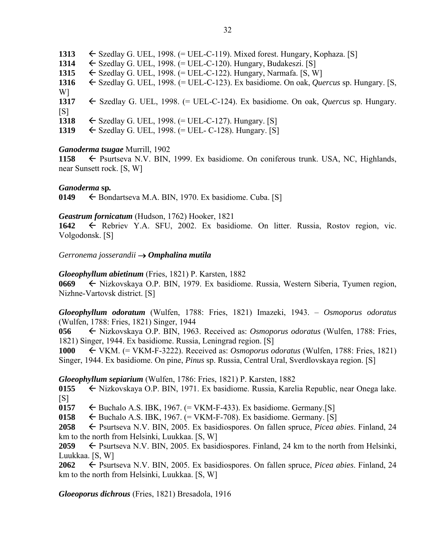$\leftarrow$  Szedlay G. UEL, 1998. (= UEL-C-119). Mixed forest. Hungary, Kophaza. [S]  $\leftarrow$  Szedlay G. UEL, 1998. (= UEL-C-120). Hungary, Budakeszi. [S]  $\leftarrow$  Szedlay G. UEL, 1998. (= UEL-C-122). Hungary, Narmafa. [S, W]<br>1316  $\leftarrow$  Szedlav G. UEL. 1998. (= UEL-C-123). Ex basidiome. On oak, *Que*  Szedlay G. UEL, 1998. (= UEL-C-123). Ex basidiome. On oak, *Quercus* sp. Hungary. [S, W]  $\leftarrow$  Szedlay G. UEL, 1998. (= UEL-C-124). Ex basidiome. On oak, *Quercus* sp. Hungary.  $[S]$  $\leftarrow$  Szedlay G. UEL, 1998. (= UEL-C-127). Hungary. [S] Szedlay G. UEL, 1998. (= UEL- C-128). Hungary. [S]

### *Ganoderma tsugae* Murrill, 1902

**1158** ← Psurtseva N.V. BIN, 1999. Ex basidiome. On coniferous trunk. USA, NC, Highlands, near Sunsett rock. [S, W]

### *Ganoderma* **sp***.*

**0149**  $\leftarrow$  Bondartseva M.A. BIN, 1970. Ex basidiome. Cuba. [S]

### *Geastrum fornicatum* (Hudson, 1762) Hooker, 1821

1642  $\leftarrow$  Rebriev Y.A. SFU, 2002. Ex basidiome. On litter. Russia, Rostov region, vic. Volgodonsk. [S]

*Gerronema josserandii Omphalina mutila* 

### *Gloeophyllum abietinum* (Fries, 1821) P. Karsten, 1882

**0669** Nizkovskaya O.P. BIN, 1979. Ex basidiome. Russia, Western Siberia, Tyumen region, Nizhne-Vartovsk district. [S]

*Gloeophyllum odoratum* (Wulfen, 1788: Fries, 1821) Imazeki, 1943. – *Osmoporus odoratus* (Wulfen, 1788: Fries, 1821) Singer, 1944

**056** Nizkovskaya O.P. BIN, 1963. Received as: *Osmoporus odoratus* (Wulfen, 1788: Fries, 1821) Singer, 1944. Ex basidiome. Russia, Leningrad region. [S]

**1000** VKM. (= VKM-F-3222). Received as: *Osmoporus odoratus* (Wulfen, 1788: Fries, 1821) Singer, 1944. Ex basidiome. On pine, *Pinus* sp. Russia, Central Ural, Sverdlovskaya region. [S]

### *Gloeophyllum sepiarium* (Wulfen, 1786: Fries, 1821) P. Karsten, 1882

**0155** ← Nizkovskaya O.P. BIN, 1971. Ex basidiome. Russia, Karelia Republic, near Onega lake.  $[S]$ 

0157  $\leftarrow$  Buchalo A.S. IBK, 1967. (= VKM-F-433). Ex basidiome. Germany. [S]

**0158**  $\leftarrow$  Buchalo A.S. IBK, 1967. (= VKM-F-708). Ex basidiome. Germany. [S]

**2058** Psurtseva N.V. BIN, 2005. Ex basidiospores. On fallen spruce, *Picea abies*. Finland, 24 km to the north from Helsinki, Luukkaa. [S, W]

**2059**  $\leftarrow$  Psurtseva N.V. BIN, 2005. Ex basidiospores. Finland, 24 km to the north from Helsinki, Luukkaa. [S, W]

**2062** Psurtseva N.V. BIN, 2005. Ex basidiospores. On fallen spruce, *Picea abies*. Finland, 24 km to the north from Helsinki, Luukkaa. [S, W]

*Gloeoporus dichrous* (Fries, 1821) Bresadola, 1916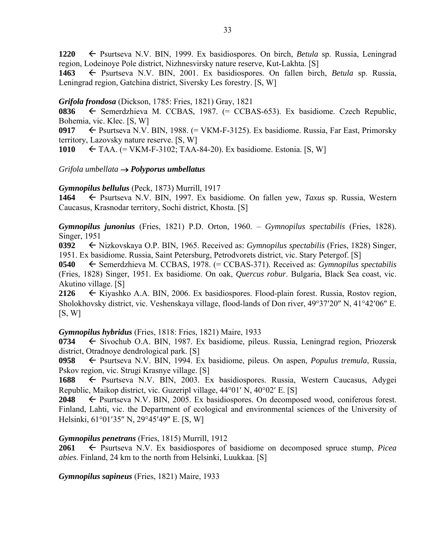**1220** Psurtseva N.V. BIN, 1999. Ex basidiospores. On birch, *Betula* sp. Russia, Leningrad region, Lodeinoye Pole district, Nizhnesvirsky nature reserve, Kut-Lakhta. [S]

**1463** Psurtseva N.V. BIN, 2001. Ex basidiospores. On fallen birch, *Betula* sp. Russia, Leningrad region, Gatchina district, Siversky Les forestry. [S, W]

*Grifola frondosa* (Dickson, 1785: Fries, 1821) Gray, 1821

0836  $\leftarrow$  Semerdzhieva M. CCBAS, 1987. (= CCBAS-653). Ex basidiome. Czech Republic, Bohemia, vic. Klec. [S, W]

**0917** Psurtseva N.V. BIN, 1988. (= VКМ-F-3125). Ex basidiome. Russia, Far East, Primorsky territory, Lazovsky nature reserve. [S, W]

**1010** TAA. (= VKM-F-3102; TAA-84-20). Ex basidiome. Estonia. [S, W]

*Grifola umbellata Polyporus umbellatus* 

### *Gymnopilus bellulus* (Peck, 1873) Murrill, 1917

**1464** Psurtseva N.V. BIN, 1997. Ex basidiome. On fallen yew, *Taxus* sp. Russia, Western Caucasus, Krasnodar territory, Sochi district, Khosta. [S]

*Gymnopilus junonius* (Fries, 1821) P.D. Orton, 1960. – *Gymnopilus spectabilis* (Fries, 1828). Singer, 1951

**0392** Nizkovskaya O.P. BIN, 1965. Received as: *Gymnopilus spectabilis* (Fries, 1828) Singer, 1951. Ex basidiome. Russia, Saint Petersburg, Petrodvorets district, vic. Stary Petergof. [S]

**0540** ← Semerdzhieva M. CCBAS, 1978. (= CCBAS-371). Received as: *Gymnopilus spectabilis* (Fries, 1828) Singer, 1951. Ex basidiome. On oak, *Quercus robur*. Bulgaria, Black Sea coast, vic. Akutino village. [S]

**2126** Kiyashko A.A. BIN, 2006. Ex basidiospores. Flood-plain forest. Russia, Rostov region, Sholokhovsky district, vic. Veshenskaya village, flood-lands of Don river, 49°37'20" N, 41°42'06" E.  $[S, W]$ 

*Gymnopilus hybridus* (Fries, 1818: Fries, 1821) Maire, 1933

**0734** ← Sivochub O.A. BIN, 1987. Ex basidiome, pileus. Russia, Leningrad region, Priozersk district, Otradnoye dendrological park. [S]

**0958** Psurtseva N.V. BIN, 1994. Ex basidiome, pileus. On aspen, *Populus tremula*, Russia, Pskov region, vic. Strugi Krasnye village. [S]

**1688** Psurtseva N.V. BIN, 2003. Ex basidiospores. Russia, Western Caucasus, Adygei Republic, Maikop district, vic. Guzeripl village,  $44^{\circ}01'$  N,  $40^{\circ}02'$  E. [S]

**2048** Psurtseva N.V. BIN, 2005. Ex basidiospores. On decomposed wood, coniferous forest. Finland, Lahti, vic. the Department of ecological and environmental sciences of the University of Helsinki, 61°01'35" N, 29°45'49" E. [S, W]

### *Gymnopilus penetrans* (Fries, 1815) Murrill, 1912

**2061** Psurtseva N.V. Ex basidiospores of basidiome on decomposed spruce stump, *Picea abies*. Finland, 24 km to the north from Helsinki, Luukkaa. [S]

*Gymnopilus sapineus* (Fries, 1821) Maire, 1933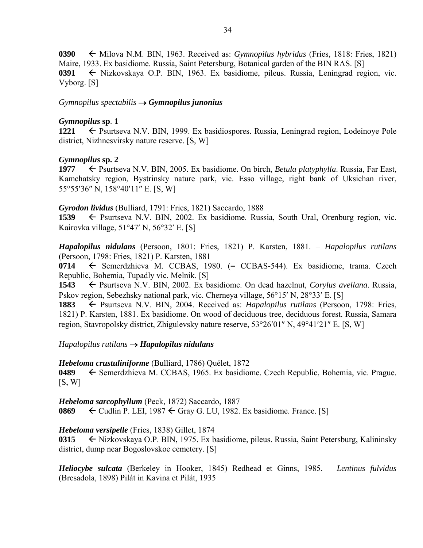**0390**  $\leftarrow$  Milova N.M. BIN, 1963. Received as: *Gymnopilus hybridus* (Fries, 1818: Fries, 1821) Maire, 1933. Ex basidiome. Russia, Saint Petersburg, Botanical garden of the BIN RAS. [S] **0391** ← Nizkovskaya O.P. BIN, 1963. Ex basidiome, pileus. Russia, Leningrad region, vic. Vyborg. [S]

*Gymnopilus spectabilis Gymnopilus junonius* 

### *Gymnopilus* **sp**. **1**

**1221** ← Psurtseva N.V. BIN, 1999. Ex basidiospores. Russia, Leningrad region, Lodeinoye Pole district, Nizhnesvirsky nature reserve. [S, W]

### *Gymnopilus* **sp. 2**

**1977** <del>←</del> Psurtseva N.V. BIN, 2005. Ex basidiome. On birch, *Betula platyphylla*. Russia, Far East, Kamchatsky region, Bystrinsky nature park, vic. Esso village, right bank of Uksichan river, 55°55′36″ N, 158°40′11″ E. [S, W]

### *Gyrodon lividus* (Bulliard, 1791: Fries, 1821) Saccardo, 1888

1539 Psurtseva N.V. BIN, 2002. Ex basidiome. Russia, South Ural, Orenburg region, vic. Kairovka village,  $51^{\circ}47'$  N,  $56^{\circ}32'$  E. [S]

*Hapalopilus nidulans* (Persoon, 1801: Fries, 1821) P. Karsten, 1881. – *Hapalopilus rutilans* (Persoon, 1798: Fries, 1821) P. Karsten, 1881

**0714 ←** Semerdzhieva M. CCBAS, 1980. (= CCBAS-544). Ex basidiome, trama. Czech Republic, Bohemia, Tupadly vic. Melnik. [S]

**1543** ← Psurtseva N.V. BIN, 2002. Ex basidiome. On dead hazelnut, *Corylus avellana*. Russia, Pskov region, Sebezhsky national park, vic. Cherneya village,  $56^{\circ}15'$  N,  $28^{\circ}33'$  E. [S]

1883 Psurtseva N.V. BIN, 2004. Received as: *Hapalopilus rutilans* (Persoon, 1798: Fries, 1821) P. Karsten, 1881. Ex basidiome. On wood of deciduous tree, deciduous forest. Russia, Samara region, Stavropolsky district, Zhigulevsky nature reserve,  $53^{\circ}26'01''$  N,  $49^{\circ}41'21''$  E. [S, W]

### *Hapalopilus rutilans Hapalopilus nidulans*

*Hebeloma crustuliniforme* (Bulliard, 1786) Quélet, 1872

**0489** Semerdzhieva M. CCBAS, 1965. Ex basidiome. Czech Republic, Bohemia, vic. Prague.  $[S, W]$ 

*Hebeloma sarcophyllum* (Peck, 1872) Saccardo, 1887 **0869**  $\leftarrow$  Cudlin P. LEI, 1987  $\leftarrow$  Gray G. LU, 1982. Ex basidiome. France. [S]

## *Hebeloma versipelle* (Fries, 1838) Gillet, 1874

**0315** Nizkovskaya O.P. BIN, 1975. Ex basidiome, pileus. Russia, Saint Petersburg, Kalininsky district, dump near Bogoslovskoe cemetery. [S]

*Heliocybe sulcata* (Berkeley in Hooker, 1845) Redhead et Ginns, 1985. – *Lentinus fulvidus* (Bresadola, 1898) Pilát in Kavina et Pilát, 1935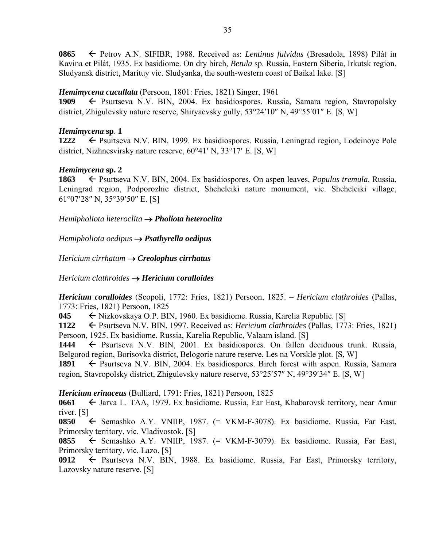**0865** Petrov A.N. SIFIBR, 1988. Received as: *Lentinus fulvidus* (Bresadola, 1898) Pilát in Kavina et Pilát, 1935. Ex basidiome. On dry birch, *Betula* sp. Russia, Eastern Siberia, Irkutsk region, Sludyansk district, Marituy vic. Sludyanka, the south-western coast of Baikal lake. [S]

## *Hemimycena cucullata* (Persoon, 1801: Fries, 1821) Singer, 1961

**1909** Psurtseva N.V. BIN, 2004. Ex basidiospores. Russia, Samara region, Stavropolsky district, Zhigulevsky nature reserve, Shiryaevsky gully,  $53^{\circ}24'10''$  N,  $49^{\circ}55'01''$  E. [S, W]

### *Hemimycena* **sp**. **1**

**1222** ← Psurtseva N.V. BIN, 1999. Ex basidiospores. Russia, Leningrad region, Lodeinoye Pole district, Nizhnesvirsky nature reserve,  $60^{\circ}41'$  N,  $33^{\circ}17'$  E. [S, W]

# *Hemimycena* **sp. 2**

**1863** ← Psurtseva N.V. BIN, 2004. Ex basidiospores. On aspen leaves, *Populus tremula*. Russia, Leningrad region, Podporozhie district, Shcheleiki nature monument, vic. Shcheleiki village,  $61^{\circ}07'28''$  N,  $35^{\circ}39'50''$  E. [S]

*Hemipholiota heteroclita Pholiota heteroclita* 

*Hemipholiota oedipus Psathyrella oedipus*

*Hericium cirrhatum Creolophus cirrhatus* 

*Hericium clathroides Hericium coralloides* 

*Hericium coralloides* (Scopoli, 1772: Fries, 1821) Persoon, 1825. – *Hericium clathroides* (Pallas, 1773: Fries, 1821) Persoon, 1825

**045** ← Nizkovskaya O.P. BIN, 1960. Ex basidiome. Russia, Karelia Republic. [S]

**1122** ← Psurtseva N.V. BIN, 1997. Received as: *Hericium clathroides* (Pallas, 1773: Fries, 1821) Persoon, 1925. Ex basidiome. Russia, Karelia Republic, Valaam island. [S]

1444  $\leftarrow$  Psurtseva N.V. BIN, 2001. Ex basidiospores. On fallen deciduous trunk. Russia, Belgorod region, Borisovka district, Belogorie nature reserve, Les na Vorskle plot. [S, W]

1891 Psurtseva N.V. BIN, 2004. Ex basidiospores. Birch forest with aspen. Russia, Samara region, Stavropolsky district, Zhigulevsky nature reserve,  $53^{\circ}25'57''$  N,  $49^{\circ}39'34''$  E. [S, W]

*Hericium erinaceus* (Bulliard, 1791: Fries, 1821) Persoon, 1825

**0661** ← Jarva L. TAA, 1979. Ex basidiome. Russia, Far East, Khabarovsk territory, near Amur river. [S]

**0850** ← Semashko A.Y. VNIIP, 1987. (= VKM-F-3078). Ex basidiome. Russia, Far East, Primorsky territory, vic. Vladivostok. [S]

**0855** Semashko A.Y. VNIIP, 1987. (= VKM-F-3079). Ex basidiome. Russia, Far East, Primorsky territory, vic. Lazo. [S]

0912 Psurtseva N.V. BIN, 1988. Ex basidiome. Russia, Far East, Primorsky territory, Lazovsky nature reserve. [S]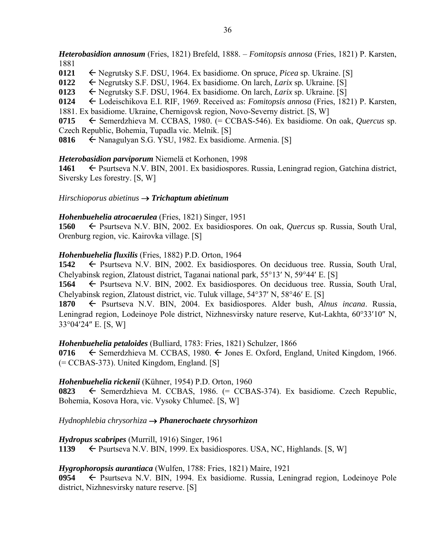*Heterobasidion annosum* (Fries, 1821) Brefeld, 1888. – *Fomitopsis annosa* (Fries, 1821) P. Karsten, 1881

**0121** Negrutsky S.F. DSU, 1964. Ex basidiome. On spruce, *Picea* sp. Ukraine. [S]

**0122** Negrutsky S.F. DSU, 1964. Ex basidiome. On larch, *Larix* sp*.* Ukraine. [S]

**0123** Negrutsky S.F. DSU, 1964. Ex basidiome. On larch, *Larix* sp. Ukraine. [S]

**0124** Lodeischikova E.I. RIF, 1969. Received as: *Fomitopsis annosa* (Fries, 1821) P. Karsten,

1881. Ex basidiome. Ukraine, Chernigovsk region, Novo-Severny district. [S, W]

**0715** ← Semerdzhieva M. CCBAS, 1980. (= CCBAS-546). Ex basidiome. On oak, *Quercus* sp. Czech Republic, Bohemia, Tupadla vic. Melnik. [S]

**0816** ← Nanagulyan S.G. YSU, 1982. Ex basidiome. Armenia. [S]

### *Heterobasidion parviporum* Niemelä et Korhonen, 1998

**1461** ← Psurtseva N.V. BIN, 2001. Ex basidiospores. Russia, Leningrad region, Gatchina district, Siversky Les forestry. [S, W]

### *Hirschioporus abietinus Trichaptum abietinum*

### *Hohenbuehelia atrocaerulea* (Fries, 1821) Singer, 1951

**1560** ← Psurtseva N.V. BIN, 2002. Ex basidiospores. On oak, *Quercus* sp. Russia, South Ural, Orenburg region, vic. Kairovka village. [S]

### *Hohenbuehelia fluxilis* (Fries, 1882) P.D. Orton, 1964

**1542** ← Psurtseva N.V. BIN, 2002. Ex basidiospores. On deciduous tree. Russia, South Ural, Chelyabinsk region, Zlatoust district, Taganai national park,  $55^{\circ}13'$  N,  $59^{\circ}44'$  E. [S]

**1564** Psurtseva N.V. BIN, 2002. Ex basidiospores. On deciduous tree. Russia, South Ural, Chelyabinsk region, Zlatoust district, vic. Tuluk village,  $54^{\circ}37'$  N,  $58^{\circ}46'$  E. [S]

**1870** ← Psurtseva N.V. BIN, 2004. Ex basidiospores. Alder bush, *Alnus incana*. Russia, Leningrad region, Lodeinoye Pole district, Nizhnesvirsky nature reserve, Kut-Lakhta, 60°33'10" N, 33°04'24" E. [S, W]

# *Hohenbuehelia petaloides* (Bulliard, 1783: Fries, 1821) Schulzer, 1866

**0716**  $\leftarrow$  Semerdzhieva M. CCBAS, 1980.  $\leftarrow$  Jones E. Oxford, England, United Kingdom, 1966. (= CCBAS-373). United Kingdom, England. [S]

# *Hohenbuehelia rickenii* (Kühner, 1954) P.D. Orton, 1960

**0823** ← Semerdzhieva M. CCBAS, 1986. (= CCBAS-374). Ex basidiome. Czech Republic, Bohemia, Kosova Hora, vic. Vysoky Chlumeč. [S, W]

# *Hydnophlebia chrysorhiza Phanerochaete chrysorhizon*

*Hydropus scabripes* (Murrill, 1916) Singer, 1961

1139 Psurtseva N.V. BIN, 1999. Ex basidiospores. USA, NC, Highlands. [S, W]

# *Hygrophoropsis aurantiaca* (Wulfen, 1788: Fries, 1821) Maire, 1921

**0954** Psurtseva N.V. BIN, 1994. Ex basidiome. Russia, Leningrad region, Lodeinoye Pole district, Nizhnesvirsky nature reserve. [S]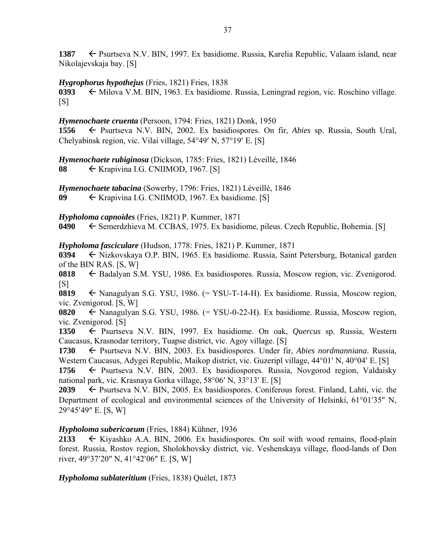**1387** ► Psurtseva N.V. BIN, 1997. Ex basidiome. Russia, Karelia Republic, Valaam island, near Nikolajevskaja bay. [S]

*Hygrophorus hypothejus* (Fries, 1821) Fries, 1838

0393  $\leftarrow$  Milova V.M. BIN, 1963. Ex basidiome. Russia, Leningrad region, vic. Roschino village.  $[S]$ 

*Hymenochaete cruenta* (Persoon, 1794: Fries, 1821) Donk, 1950

**1556** Psurtseva N.V. BIN, 2002. Ex basidiospores. On fir, *Abies* sp. Russia, South Ural, Chelyabinsk region, vic. Vilai village,  $54^{\circ}49'$  N,  $57^{\circ}19'$  E. [S]

*Hymenochaete rubiginosa* (Dickson, 1785: Fries, 1821) Léveillé, 1846 **08** ← Krapivina I.G. CNIIMOD, 1967. [S]

*Hymenochaete tabacina* (Sowerby, 1796: Fries, 1821) Léveillé, 1846 **09** ← Krapivina I.G. CNIIMOD, 1967. Ex basidiome. [S]

*Hypholoma capnoides* (Fries, 1821) P. Kummer, 1871

**0490** Semerdzhieva M. CCBAS, 1975. Ex basidiome, pileus. Czech Republic, Bohemia. [S]

*Hypholoma fasciculare* (Hudson, 1778: Fries, 1821) P. Kummer, 1871

**0394** Nizkovskaya O.P. BIN, 1965. Ex basidiome. Russia, Saint Petersburg, Botanical garden of the BIN RAS. [S, W]

**0818** Badalyan S.M. YSU, 1986. Ex basidiospores. Russia, Moscow region, vic. Zvenigorod.  $[S]$ 

**0819** Nanagulyan S.G. YSU, 1986. (= YSU-T-14-H). Ex basidiome. Russia, Moscow region, vic. Zvenigorod. [S, W]

**0820** Nanagulyan S.G. YSU, 1986. (= YSU-0-22-H). Ex basidiome. Russia, Moscow region, vic. Zvenigorod. [S]

1350  $\leftarrow$  Psurtseva N.V. BIN, 1997. Ex basidiome. On oak, *Quercus* sp. Russia, Western Caucasus, Krasnodar territory, Tuapse district, vic. Agoy village. [S]

**1730** Psurtseva N.V. BIN, 2003. Ex basidiospores. Under fir, *Abies nordmanniana*. Russia, Western Caucasus, Adygei Republic, Maikop district, vic. Guzeripl village, 44°01′ N, 40°04′ E. [S]

**1756** ← Psurtseva N.V. BIN, 2003. Ex basidiospores. Russia, Novgorod region, Valdaisky national park, vic. Krasnaya Gorka village, 58°06' N, 33°13' E. [S]

**2039**  $\leftarrow$  Psurtseva N.V. BIN, 2005. Ex basidiospores. Coniferous forest. Finland, Lahti, vic. the Department of ecological and environmental sciences of the University of Helsinki,  $61^{\circ}01'35''$  N, 29°45'49" E. [S, W]

# *Hypholoma subericaeum* (Fries, 1884) Kühner, 1936

2133  $\leftarrow$  Kiyashko A.A. BIN, 2006. Ex basidiospores. On soil with wood remains, flood-plain forest. Russia, Rostov region, Sholokhovsky district, vic. Veshenskaya village, flood-lands of Don river,  $49^{\circ}37'20''$  N,  $41^{\circ}42'06''$  E. [S, W]

*Hypholoma sublateritium* (Fries, 1838) Quélet, 1873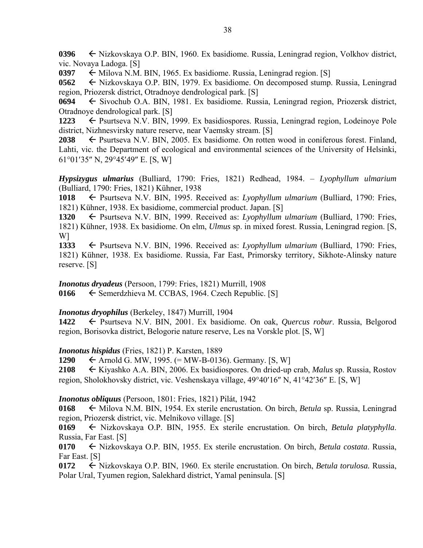**0396** ← Nizkovskaya O.P. BIN, 1960. Ex basidiome. Russia, Leningrad region, Volkhov district, vic. Novaya Ladoga. [S]

**0397**  $\leftarrow$  Milova N.M. BIN, 1965. Ex basidiome. Russia, Leningrad region. [S]

**0562** ← Nizkovskaya O.P. BIN, 1979. Ex basidiome. On decomposed stump. Russia, Leningrad region, Priozersk district, Otradnoye dendrological park. [S]

**0694** Sivochub O.A. BIN, 1981. Ex basidiome. Russia, Leningrad region, Priozersk district, Otradnoye dendrological park. [S]

**1223** ← Psurtseva N.V. BIN, 1999. Ex basidiospores. Russia, Leningrad region, Lodeinoye Pole district, Nizhnesvirsky nature reserve, near Vaemsky stream. [S]

**2038**  $\leftarrow$  Psurtseva N.V. BIN, 2005. Ex basidiome. On rotten wood in coniferous forest. Finland, Lahti, vic. the Department of ecological and environmental sciences of the University of Helsinki,  $61^{\circ}01'35''$  N,  $29^{\circ}45'49''$  E. [S, W]

*Hypsizygus ulmarius* (Bulliard, 1790: Fries, 1821) Redhead, 1984. – *Lyophyllum ulmarium* (Bulliard, 1790: Fries, 1821) Kühner, 1938

1018 F Psurtseva N.V. BIN, 1995. Received as: *Lyophyllum ulmarium* (Bulliard, 1790: Fries, 1821) Kühner, 1938. Ex basidiome, commercial product. Japan. [S]

**1320** ← Psurtseva N.V. BIN, 1999. Received as: *Lyophyllum ulmarium* (Bulliard, 1790: Fries, 1821) Kühner, 1938. Ex basidiome. On elm, *Ulmus* sp. in mixed forest. Russia, Leningrad region. [S, W]

1333  $\leftarrow$  Psurtseva N.V. BIN, 1996. Received as: *Lyophyllum ulmarium* (Bulliard, 1790: Fries, 1821) Kühner, 1938. Ex basidiome. Russia, Far East, Primorsky territory, Sikhote-Alinsky nature reserve. [S]

*Inonotus dryadeus* (Persoon, 1799: Fries, 1821) Murrill, 1908

0166  $\leftarrow$  Semerdzhieva M. CCBAS, 1964. Czech Republic. [S]

#### *Inonotus dryophilus* (Berkeley, 1847) Murrill, 1904

**1422** ← Psurtseva N.V. BIN, 2001. Ex basidiome. On oak, *Quercus robur*. Russia, Belgorod region, Borisovka district, Belogorie nature reserve, Les na Vorskle plot. [S, W]

#### *Inonotus hispidus* (Fries, 1821) P. Karsten, 1889

**1290** Arnold G. MW, 1995. (= MW-B-0136). Germany. [S, W]

**2108** Kiyashko A.A. BIN, 2006. Ex basidiospores. On dried-up crab, *Malus* sp. Russia, Rostov region, Sholokhovsky district, vic. Veshenskaya village,  $49^{\circ}40'16''$  N,  $41^{\circ}42'36''$  E. [S, W]

*Inonotus obliquus* (Persoon, 1801: Fries, 1821) Pilát, 1942

**0168** Milova N.M. BIN, 1954. Ex sterile encrustation. On birch, *Betula* sp. Russia, Leningrad region, Priozersk district, vic. Melnikovo village. [S]

**0169** Nizkovskaya O.P. BIN, 1955. Ex sterile encrustation. On birch, *Betula platyphylla*. Russia, Far East. [S]

**0170** Nizkovskaya O.P. BIN, 1955. Ex sterile encrustation. On birch, *Betula costata*. Russia, Far East. [S]

**0172** Nizkovskaya O.P. BIN, 1960. Ex sterile encrustation. On birch, *Betula torulosa.* Russia, Polar Ural, Tyumen region, Salekhard district, Yamal peninsula. [S]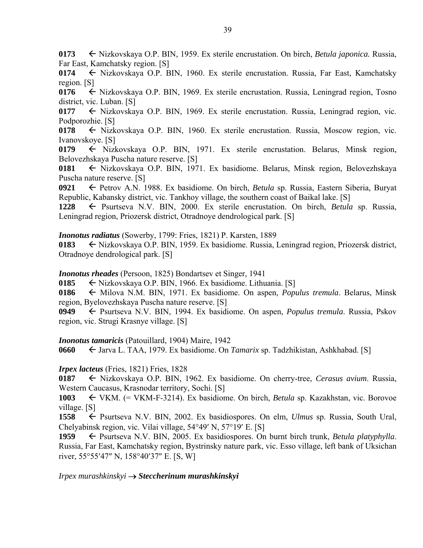**0173** ← Nizkovskaya O.P. BIN, 1959. Ex sterile encrustation. On birch, *Betula japonica*. Russia, Far East, Kamchatsky region. [S]

0174  $\leftarrow$  Nizkovskaya O.P. BIN, 1960. Ex sterile encrustation. Russia, Far East, Kamchatsky region. [S]

0176  $\leftarrow$  Nizkovskaya O.P. BIN, 1969. Ex sterile encrustation. Russia, Leningrad region, Tosno district, vic. Luban. [S]

0177  $\leftarrow$  Nizkovskaya O.P. BIN, 1969. Ex sterile encrustation. Russia, Leningrad region, vic. Podporozhie. [S]

**0178**  $\leftarrow$  Nizkovskaya O.P. BIN, 1960. Ex sterile encrustation. Russia, Moscow region, vic. Ivanovskoye. [S]

0179  $\leftarrow$  Nizkovskaya O.P. BIN, 1971. Ex sterile encrustation. Belarus, Minsk region, Belovezhskaya Puscha nature reserve. [S]

0181  $\leftarrow$  Nizkovskaya O.P. BIN, 1971. Ex basidiome. Belarus, Minsk region, Belovezhskaya Puscha nature reserve. [S]

**0921** Petrov A.N. 1988. Ex basidiome. On birch, *Betula* sp. Russia, Eastern Siberia, Buryat Republic, Kabansky district, vic. Tankhoy village, the southern coast of Baikal lake. [S]

**1228** Psurtseva N.V. BIN, 2000. Ex sterile encrustation. On birch, *Betula* sp. Russia, Leningrad region, Priozersk district, Otradnoye dendrological park. [S]

*Inonotus radiatus* (Sowerby, 1799: Fries, 1821) P. Karsten, 1889

**0183** ← Nizkovskaya O.P. BIN, 1959. Ex basidiome. Russia, Leningrad region, Priozersk district, Otradnoye dendrological park. [S]

*Inonotus rheades* (Persoon, 1825) Bondartsev et Singer, 1941

0185  $\leftarrow$  Nizkovskaya O.P. BIN, 1966. Ex basidiome. Lithuania. [S]

**0186** ← Milova N.M. BIN, 1971. Ex basidiome. On aspen, *Populus tremula*. Belarus, Minsk region, Byelovezhskaya Puscha nature reserve. [S]

**0949** Psurtseva N.V. BIN, 1994. Ex basidiome. On aspen, *Populus tremula*. Russia, Pskov region, vic. Strugi Krasnye village. [S]

# *Inonotus tamaricis* (Patouillard, 1904) Maire, 1942

**0660** Jarva L. TAA, 1979. Ex basidiome. On *Tamarix* sp. Tadzhikistan, Ashkhabad. [S]

# *Irpex lacteus* (Fries, 1821) Fries, 1828

**0187** Nizkovskaya O.P. BIN, 1962. Ex basidiome. On cherry-tree, *Cerasus avium*. Russia, Western Caucasus, Krasnodar territory, Sochi. [S]

**1003** VKM. (= VKM-F-3214). Ex basidiome. On birch, *Betula* sp. Kazakhstan, vic. Borovoe village. [S]

**1558** ← Psurtseva N.V. BIN, 2002. Ex basidiospores. On elm, *Ulmus* sp. Russia, South Ural, Chelyabinsk region, vic. Vilai village,  $54^{\circ}49'$  N,  $57^{\circ}19'$  E. [S]

1959  $\leftarrow$  Psurtseva N.V. BIN, 2005. Ex basidiospores. On burnt birch trunk, *Betula platyphylla*. Russia, Far East, Kamchatsky region, Bystrinsky nature park, vic. Esso village, left bank of Uksichan river,  $55^{\circ}55'47''$  N,  $158^{\circ}40'37''$  E. [S, W]

*Irpex murashkinskyi Steccherinum murashkinskyi*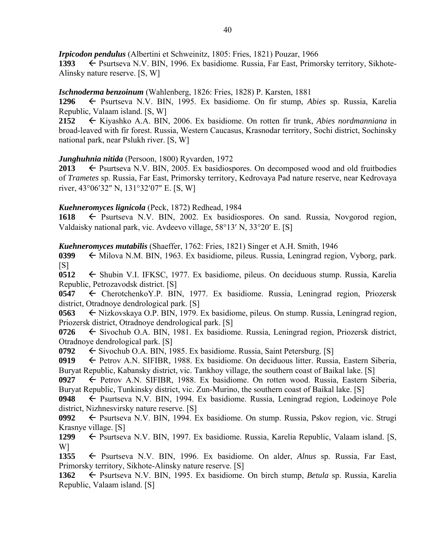*Irpicodon pendulus* (Albertini et Schweinitz, 1805: Fries, 1821) Pouzar, 1966

1393  $\leftarrow$  Psurtseva N.V. BIN, 1996. Ex basidiome. Russia, Far East, Primorsky territory, Sikhote-Alinsky nature reserve. [S, W]

# *Ischnoderma benzoinum* (Wahlenberg, 1826: Fries, 1828) P. Karsten, 1881

**1296** Psurtseva N.V. BIN, 1995. Ex basidiome. On fir stump, *Abies* sp. Russia, Karelia Republic, Valaam island. [S, W]

**2152** Kiyashko A.A. BIN, 2006. Ex basidiome. On rotten fir trunk, *Abies nordmanniana* in broad-leaved with fir forest. Russia, Western Caucasus, Krasnodar territory, Sochi district, Sochinsky national park, near Pslukh river. [S, W]

# *Junghuhnia nitida* (Persoon, 1800) Ryvarden, 1972

**2013**  $\leftarrow$  Psurtseva N.V. BIN, 2005. Ex basidiospores. On decomposed wood and old fruitbodies of *Trametes* sp. Russia, Far East, Primorsky territory, Kedrovaya Pad nature reserve, near Kedrovaya river,  $43^{\circ}06'32''$  N,  $131^{\circ}32'07''$  E. [S, W]

# *Kuehneromyces lignicola* (Peck, 1872) Redhead, 1984

1618 Psurtseva N.V. BIN, 2002. Ex basidiospores. On sand. Russia, Novgorod region, Valdaisky national park, vic. Avdeevo village,  $58^{\circ}13'$  N,  $33^{\circ}20'$  E. [S]

*Kuehneromyces mutabilis* (Shaeffer, 1762: Fries, 1821) Singer et A.H. Smith, 1946

0399  $\leftarrow$  Milova N.M. BIN, 1963. Ex basidiome, pileus. Russia, Leningrad region, Vyborg, park.  $[S]$ 

**0512** Shubin V.I. IFKSC, 1977. Ex basidiome, pileus. On deciduous stump. Russia, Karelia Republic, Petrozavodsk district. [S]

**0547** CherotchenkoY.P. BIN, 1977. Ex basidiome. Russia, Leningrad region, Priozersk district, Otradnoye dendrological park. [S]

**0563** ← Nizkovskaya O.P. BIN, 1979. Ex basidiome, pileus. On stump. Russia, Leningrad region, Priozersk district, Otradnoye dendrological park. [S]

0726 
Sivochub O.A. BIN, 1981. Ex basidiome. Russia, Leningrad region, Priozersk district, Otradnoye dendrological park. [S]

**0792** Sivochub O.A. BIN, 1985. Ex basidiome. Russia, Saint Petersburg. [S]

0919 Petrov A.N. SIFIBR, 1988. Ex basidiome. On deciduous litter. Russia, Eastern Siberia, Buryat Republic, Kabansky district, vic. Tankhoy village, the southern coast of Baikal lake. [S]

0927 Petrov A.N. SIFIBR, 1988. Ex basidiome. On rotten wood. Russia, Eastern Siberia, Buryat Republic, Tunkinsky district, vic. Zun-Murino, the southern coast of Baikal lake. [S]

**0948** Psurtseva N.V. BIN, 1994. Ex basidiome. Russia, Leningrad region, Lodeinoye Pole district, Nizhnesvirsky nature reserve. [S]

**0992** Psurtseva N.V. BIN, 1994. Ex basidiome. On stump. Russia, Pskov region, vic. Strugi Krasnye village. [S]

**1299** ← Psurtseva N.V. BIN, 1997. Ex basidiome. Russia, Karelia Republic, Valaam island. [S, W]

1355  $\leftarrow$  Psurtseva N.V. BIN, 1996. Ex basidiome. On alder, *Alnus* sp. Russia, Far East, Primorsky territory, Sikhote-Alinsky nature reserve. [S]

**1362** Psurtseva N.V. BIN, 1995. Ex basidiome. On birch stump, *Betula* sp. Russia, Karelia Republic, Valaam island. [S]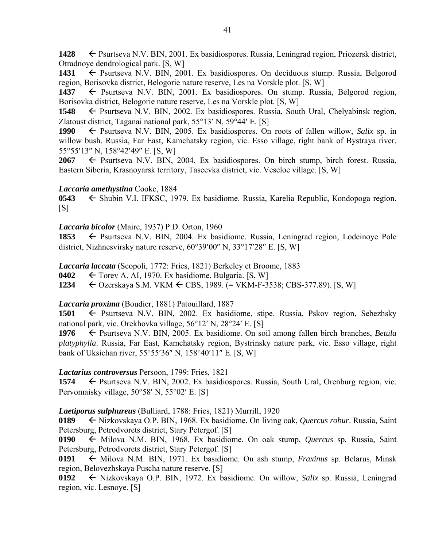1428 **F** Psurtseva N.V. BIN, 2001. Ex basidiospores. Russia, Leningrad region, Priozersk district, Otradnoye dendrological park. [S, W]

1431 Psurtseva N.V. BIN, 2001. Ex basidiospores. On deciduous stump. Russia, Belgorod region, Borisovka district, Belogorie nature reserve, Les na Vorskle plot. [S, W]

1437 Psurtseva N.V. BIN, 2001. Ex basidiospores. On stump. Russia, Belgorod region, Borisovka district, Belogorie nature reserve, Les na Vorskle plot. [S, W]

**1548** ← Psurtseva N.V. BIN, 2002. Ex basidiospores. Russia, South Ural, Chelyabinsk region, Zlatoust district, Taganai national park,  $55^{\circ}13'$  N,  $59^{\circ}44'$  E. [S]

1990 Psurtseva N.V. BIN, 2005. Ex basidiospores. On roots of fallen willow, *Salix* sp. in willow bush. Russia, Far East, Kamchatsky region, vic. Esso village, right bank of Bystraya river, 55°55'13" N, 158°42'49" E. [S, W]

2067  $\leftarrow$  Psurtseva N.V. BIN, 2004. Ex basidiospores. On birch stump, birch forest. Russia, Eastern Siberia, Krasnoyarsk territory, Taseevka district, vic. Veseloe village. [S, W]

#### *Laccaria amethystina* Cooke, 1884

**0543** ← Shubin V.I. IFKSC, 1979. Ex basidiome. Russia, Karelia Republic, Kondopoga region.  $[S]$ 

### *Laccaria bicolor* (Maire, 1937) P.D. Orton, 1960

1853 
F Psurtseva N.V. BIN, 2004. Ex basidiome. Russia, Leningrad region, Lodeinoye Pole district, Nizhnesvirsky nature reserve,  $60^{\circ}39'00''$  N,  $33^{\circ}17'28''$  E. [S, W]

*Laccaria laccata* (Scopoli, 1772: Fries, 1821) Berkeley et Broome, 1883

**0402**  $\leftarrow$  Torev A. AI, 1970. Ex basidiome. Bulgaria. [S, W]

**1234** Ozerskaya S.M. VKM CBS, 1989. (= VKM-F-3538; CBS-377.89). [S, W]

# *Laccaria proxima* (Boudier, 1881) Patouillard, 1887

**1501** Psurtseva N.V. BIN, 2002. Ex basidiome, stipe. Russia, Pskov region, Sebezhsky national park, vic. Orekhovka village, 56°12′ N, 28°24′ E. [S]

**1976** Psurtseva N.V. BIN, 2005. Ex basidiome. On soil among fallen birch branches, *Betula platyphylla*. Russia, Far East, Kamchatsky region, Bystrinsky nature park, vic. Esso village, right bank of Uksichan river,  $55^{\circ}55'36''$  N,  $158^{\circ}40'11''$  E. [S, W]

# *Lactarius controversus* Persoon, 1799: Fries, 1821

**1574** ← Psurtseva N.V. BIN, 2002. Ex basidiospores. Russia, South Ural, Orenburg region, vic. Pervomaisky village, 50°58′ N, 55°02′ E. [S]

# *Laetiporus sulphureus* (Bulliard, 1788: Fries, 1821) Murrill, 1920

**0189** Nizkovskaya O.P. BIN, 1968. Ex basidiome. On living oak, *Quercus robur*. Russia, Saint Petersburg, Petrodvorets district, Stary Petergof. [S]

0190  $\leftarrow$  Milova N.M. BIN, 1968. Ex basidiome. On oak stump, *Quercus* sp. Russia, Saint Petersburg, Petrodvorets district, Stary Petergof. [S]

**0191** Milova N.M. BIN, 1971. Ex basidiome. On ash stump, *Fraxinus* sp. Belarus, Minsk region, Belovezhskaya Puscha nature reserve. [S]

**0192** Nizkovskaya O.P. BIN, 1972. Ex basidiome. On willow, *Salix* sp. Russia, Leningrad region, vic. Lesnoye. [S]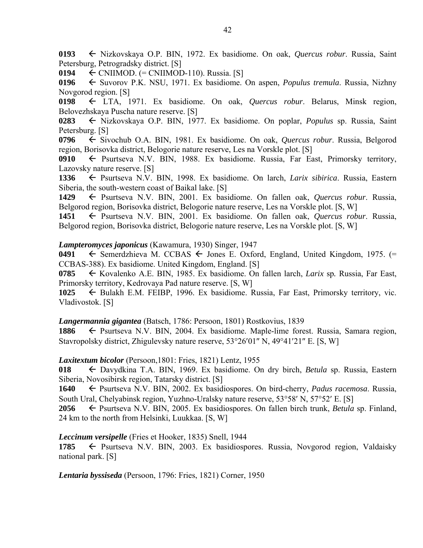**0193** Nizkovskaya O.P. BIN, 1972. Ex basidiome. On oak, *Quercus robur*. Russia, Saint Petersburg, Petrogradsky district. [S]

**0194** CNIIMOD. (= CNIIMOD-110). Russia. [S]

**0196** Suvorov P.K. NSU, 1971. Ex basidiome. On aspen, *Populus tremula*. Russia, Nizhny Novgorod region. [S]

**0198** LTA, 1971. Ex basidiome. On oak, *Quercus robur*. Belarus, Minsk region, Belovezhskaya Puscha nature reserve. [S]

0283  $\leftarrow$  Nizkovskaya O.P. BIN, 1977. Ex basidiome. On poplar, *Populus* sp. Russia, Saint Petersburg. [S]

**0796** ← Sivochub O.A. BIN, 1981. Ex basidiome. On oak, *Quercus robur*. Russia, Belgorod region, Borisovka district, Belogorie nature reserve, Les na Vorskle plot. [S]

0910  $\leftarrow$  Psurtseva N.V. BIN, 1988. Ex basidiome. Russia, Far East, Primorsky territory, Lazovsky nature reserve. [S]

**1336** Psurtseva N.V. BIN, 1998. Ex basidiome. On larch, *Larix sibirica*. Russia, Eastern Siberia, the south-western coast of Baikal lake. [S]

**1429** Psurtseva N.V. BIN, 2001. Ex basidiome. On fallen oak, *Quercus robur*. Russia, Belgorod region, Borisovka district, Belogorie nature reserve, Les na Vorskle plot. [S, W]

**1451** Psurtseva N.V. BIN, 2001. Ex basidiome. On fallen oak, *Quercus robur*. Russia, Belgorod region, Borisovka district, Belogorie nature reserve, Les na Vorskle plot. [S, W]

#### *Lampteromyces japonicus* (Kawamura, 1930) Singer, 1947

**0491**  $\leftarrow$  Semerdzhieva M. CCBAS  $\leftarrow$  Jones E. Oxford, England, United Kingdom, 1975. (= CCBAS-388). Ex basidiome. United Kingdom, England. [S]

**0785** Kovalenko A.E. BIN, 1985. Ex basidiome. On fallen larch, *Larix* sp*.* Russia, Far East, Primorsky territory, Kedrovaya Pad nature reserve. [S, W]

**1025** ← Bulakh E.M. FEIBP, 1996. Ex basidiome. Russia, Far East, Primorsky territory, vic. Vladivostok. [S]

*Langermannia gigantea* (Batsch, 1786: Persoon, 1801) Rostkovius, 1839

**1886** ← Psurtseva N.V. BIN, 2004. Ex basidiome. Maple-lime forest. Russia, Samara region, Stavropolsky district, Zhigulevsky nature reserve,  $53^{\circ}26'01''$  N,  $49^{\circ}41'21''$  E. [S, W]

*Laxitextum bicolor* (Persoon,1801: Fries, 1821) Lentz, 1955

**018** Davydkina T.A. BIN, 1969. Ex basidiome. On dry birch, *Betula* sp. Russia, Eastern Siberia, Novosibirsk region, Tatarsky district. [S]

**1640** Psurtseva N.V. BIN, 2002. Ex basidiospores. On bird-cherry, *Padus racemosa*. Russia, South Ural, Chelyabinsk region, Yuzhno-Uralsky nature reserve, 53°58′ N, 57°52′ E. [S]

**2056** Psurtseva N.V. BIN, 2005. Ex basidiospores. On fallen birch trunk, *Betula* sp. Finland, 24 km to the north from Helsinki, Luukkaa. [S, W]

*Leccinum versipelle* (Fries et Hooker, 1835) Snell, 1944

**1785** Psurtseva N.V. BIN, 2003. Ex basidiospores. Russia, Novgorod region, Valdaisky national park. [S]

*Lentaria byssiseda* (Persoon, 1796: Fries, 1821) Corner, 1950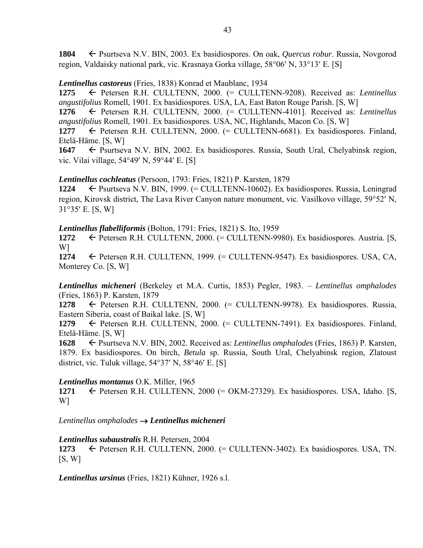**1804** Psurtseva N.V. BIN, 2003. Ex basidiospores. On oak, *Quercus robur*. Russia, Novgorod region, Valdaisky national park, vic. Krasnaya Gorka village, 58°06' N, 33°13' E. [S]

# *Lentinellus castoreus* (Fries, 1838) Konrad et Maublanc, 1934

**1275** Petersen R.H. CULLTENN, 2000. (= CULLTENN-9208). Received as: *Lentinellus angustifolius* Romell, 1901. Ex basidiospores. USA, LA, East Baton Rouge Parish. [S, W]

**1276** Petersen R.H. CULLTENN, 2000. (= CULLTENN-4101]. Received as: *Lentinellus angustifolius* Romell, 1901. Ex basidiospores. USA, NC, Highlands, Macon Co. [S, W]

1277 Petersen R.H. CULLTENN, 2000. (= CULLTENN-6681). Ex basidiospores. Finland, Etelä-Häme. [S, W]

1647 **F** Psurtseva N.V. BIN, 2002. Ex basidiospores. Russia, South Ural, Chelyabinsk region, vic. Vilai village,  $54^{\circ}49'$  N,  $59^{\circ}44'$  E. [S]

*Lentinellus cochleatus* (Persoon, 1793: Fries, 1821) P. Karsten, 1879

1224 **←** Psurtseva N.V. BIN, 1999. (= CULLTENN-10602). Ex basidiospores. Russia, Leningrad region, Kirovsk district, The Lava River Canyon nature monument, vic. Vasilkovo village, 59°52' N,  $31°35'$  E. [S, W]

# *Lentinellus flabelliformis* (Bolton, 1791: Fries, 1821) S. Ito, 1959

1272 Petersen R.H. CULLTENN, 2000. (= CULLTENN-9980). Ex basidiospores. Austria. [S, W]

1274  $\leftarrow$  Petersen R.H. CULLTENN, 1999.  $(=$  CULLTENN-9547). Ex basidiospores. USA, CA, Monterey Co. [S, W]

*Lentinellus micheneri* (Berkeley et M.A. Curtis, 1853) Pegler, 1983. – *Lentinellus omphalodes* (Fries, 1863) P. Karsten, 1879

1278  $\leftarrow$  Petersen R.H. CULLTENN, 2000.  $(=$  CULLTENN-9978). Ex basidiospores. Russia, Eastern Siberia, coast of Baikal lake. [S, W]

1279 Petersen R.H. CULLTENN, 2000. (= CULLTENN-7491). Ex basidiospores. Finland, Etelä-Häme. [S, W]

**1628** Psurtseva N.V. BIN, 2002. Received as: *Lentinellus omphalodes* (Fries, 1863) P. Karsten, 1879. Ex basidiospores. On birch, *Betula* sp. Russia, South Ural, Chelyabinsk region, Zlatoust district, vic. Tuluk village,  $54^{\circ}37'$  N,  $58^{\circ}46'$  E. [S]

# *Lentinellus montanus* O.K. Miller, 1965

1271  $\leftarrow$  Petersen R.H. CULLTENN, 2000 (= OKM-27329). Ex basidiospores. USA, Idaho. [S, W]

*Lentinellus omphalodes Lentinellus micheneri*

# *Lentinellus subaustralis* R.H. Petersen, 2004

1273  $\leftarrow$  Petersen R.H. CULLTENN, 2000.  $(=$  CULLTENN-3402). Ex basidiospores. USA, TN.  $[S, W]$ 

*Lentinellus ursinus* (Fries, 1821) Kühner, 1926 s.l.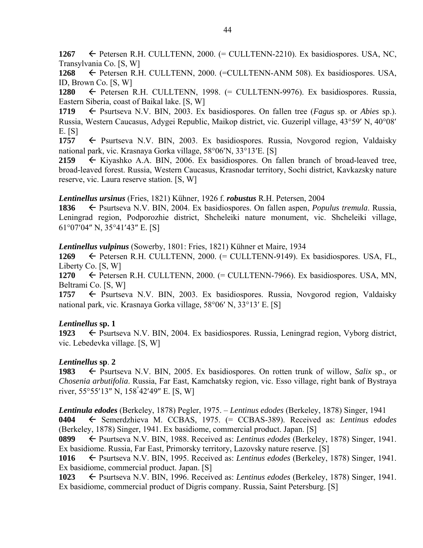1267  $\leftarrow$  Petersen R.H. CULLTENN, 2000.  $(=$  CULLTENN-2210). Ex basidiospores. USA, NC, Transylvania Co. [S, W]

**1268** Petersen R.H. CULLTENN, 2000. (=CULLTENN-ANM 508). Ex basidiospores. USA, ID, Brown Co. [S, W]

**1280** Petersen R.H. CULLTENN, 1998. (= CULLTENN-9976). Ex basidiospores. Russia, Eastern Siberia, coast of Baikal lake. [S, W]

**1719** Psurtseva N.V. BIN, 2003. Ex basidiospores. On fallen tree (*Fagus* sp. or *Abies* sp.). Russia, Western Caucasus, Adygei Republic, Maikop district, vic. Guzeripl village, 43°59' N, 40°08' E. [S]

1757  $\leftarrow$  Psurtseva N.V. BIN, 2003. Ex basidiospores. Russia, Novgorod region, Valdaisky national park, vic. Krasnaya Gorka village, 58°06'N, 33°13'E. [S]

**2159** Kiyashko A.A. BIN, 2006. Ex basidiospores. On fallen branch of broad-leaved tree, broad-leaved forest. Russia, Western Caucasus, Krasnodar territory, Sochi district, Kavkazsky nature reserve, vic. Laura reserve station. [S, W]

*Lentinellus ursinus* (Fries, 1821) Kühner, 1926 f. *robustus* R.H. Petersen, 2004

**1836** Psurtseva N.V. BIN, 2004. Ex basidiospores. On fallen aspen, *Populus tremula*. Russia, Leningrad region, Podporozhie district, Shcheleiki nature monument, vic. Shcheleiki village,  $61^{\circ}07'04''$  N,  $35^{\circ}41'43''$  E. [S]

*Lentinellus vulpinus* (Sowerby, 1801: Fries, 1821) Kühner et Maire, 1934

**1269** Petersen R.H. CULLTENN, 2000. (= CULLTENN-9149). Ex basidiospores. USA, FL, Liberty Co. [S, W]

1270  $\leftarrow$  Petersen R.H. CULLTENN, 2000.  $(=$  CULLTENN-7966). Ex basidiospores. USA, MN, Beltrami Co. [S, W]

1757  $\leftarrow$  Psurtseva N.V. BIN, 2003. Ex basidiospores. Russia, Novgorod region, Valdaisky national park, vic. Krasnaya Gorka village, 58°06' N, 33°13' E. [S]

# *Lentinellus* **sp. 1**

1923  $\leftarrow$  Psurtseva N.V. BIN, 2004. Ex basidiospores. Russia, Leningrad region, Vyborg district, vic. Lebedevka village. [S, W]

# *Lentinellus* **sp**. **2**

1983  $\leftarrow$  Psurtseva N.V. BIN, 2005. Ex basidiospores. On rotten trunk of willow, *Salix* sp., or *Chosenia arbutifolia*. Russia, Far East, Kamchatsky region, vic. Esso village, right bank of Bystraya river, 55°55'13" N, 158<sup>°</sup>42'49" E. [S, W]

*Lentinula edodes* (Berkeley, 1878) Pegler, 1975. – *Lentinus edodes* (Berkeley, 1878) Singer, 1941 **0404** Semerdzhieva M. CCBAS, 1975. (= CCBAS-389). Received as: *Lentinus edodes* (Berkeley, 1878) Singer, 1941. Ex basidiome, commercial product. Japan. [S]

**0899** Psurtseva N.V. BIN, 1988. Received as: *Lentinus edodes* (Berkeley, 1878) Singer, 1941. Ex basidiome. Russia, Far East, Primorsky territory, Lazovsky nature reserve. [S]

**1016** Psurtseva N.V. BIN, 1995. Received as: *Lentinus edodes* (Berkeley, 1878) Singer, 1941. Ex basidiome, commercial product. Japan. [S]

**1023** ← Psurtseva N.V. BIN, 1996. Received as: *Lentinus edodes* (Berkeley, 1878) Singer, 1941. Ex basidiome, commercial product of Digris company. Russia, Saint Petersburg. [S]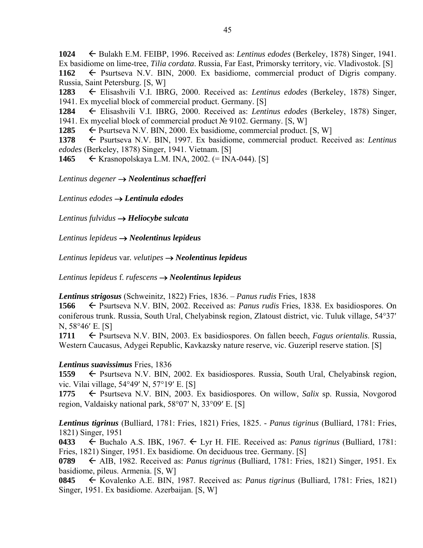**1024** Bulakh E.M. FEIBP, 1996. Received as: *Lentinus edodes* (Berkeley, 1878) Singer, 1941. Ex basidiome on lime-tree, *Tilia cordata*. Russia, Far East, Primorsky territory, vic. Vladivostok. [S] 1162 Psurtseva N.V. BIN, 2000. Ex basidiome, commercial product of Digris company. Russia, Saint Petersburg. [S, W]

**1283** Elisashvili V.I. IBRG, 2000. Received as: *Lentinus edodes* (Berkeley, 1878) Singer, 1941. Ex mycelial block of commercial product. Germany. [S]

**1284** Elisashvili V.I. IBRG, 2000. Received as: *Lentinus edodes* (Berkeley, 1878) Singer, 1941. Ex mycelial block of commercial product № 9102. Germany. [S, W]

**1285**  $\leftarrow$  Psurtseva N.V. BIN, 2000. Ex basidiome, commercial product. [S, W]

1378 Fsurtseva N.V. BIN, 1997. Ex basidiome, commercial product. Received as: *Lentinus edodes* (Berkeley, 1878) Singer, 1941. Vietnam. [S]

**1465** ← Krasnopolskaya L.M. INA, 2002. (= INA-044). [S]

*Lentinus degener Neolentinus schaefferi* 

*Lentinus edodes Lentinula edodes* 

*Lentinus fulvidus Heliocybe sulcata* 

*Lentinus lepideus Neolentinus lepideus* 

*Lentinus lepideus* var*. velutipes Neolentinus lepideus*

*Lentinus lepideus* f. *rufescens Neolentinus lepideus* 

*Lentinus strigosus* (Schweinitz, 1822) Fries, 1836. – *Panus rudis* Fries, 1838

**1566** Psurtseva N.V. BIN, 2002. Received as: *Panus rudis* Fries, 1838*.* Ex basidiospores. On coniferous trunk. Russia, South Ural, Chelyabinsk region, Zlatoust district, vic. Tuluk village, 5437 N, 58°46' E. [S]

**1711** ← Psurtseva N.V. BIN, 2003. Ex basidiospores. On fallen beech, *Fagus orientalis*. Russia, Western Caucasus, Adygei Republic, Kavkazsky nature reserve, vic. Guzeripl reserve station. [S]

#### *Lentinus suavissimus* Fries, 1836

1559  $\leftarrow$  Psurtseva N.V. BIN, 2002. Ex basidiospores. Russia, South Ural, Chelyabinsk region, vic. Vilai village, 54°49' N, 57°19' E. [S]

1775  $\leftarrow$  Psurtseva N.V. BIN, 2003. Ex basidiospores. On willow, *Salix* sp. Russia, Novgorod region, Valdaisky national park,  $58^{\circ}07'$  N,  $33^{\circ}09'$  E. [S]

*Lentinus tigrinus* (Bulliard, 1781: Fries, 1821) Fries, 1825. - *Panus tigrinus* (Bulliard, 1781: Fries, 1821) Singer, 1951

**0433**  $\leftarrow$  Buchalo A.S. IBK, 1967.  $\leftarrow$  Lyr H. FIE. Received as: *Panus tigrinus* (Bulliard, 1781: Fries, 1821) Singer, 1951. Ex basidiome. On deciduous tree. Germany. [S]

**0789** AIB, 1982. Received as: *Panus tigrinus* (Bulliard, 1781: Fries, 1821) Singer, 1951. Ex basidiome, pileus. Armenia. [S, W]

**0845** Kovalenko A.E. BIN, 1987. Received as: *Panus tigrinus* (Bulliard, 1781: Fries, 1821) Singer, 1951. Ex basidiome. Azerbaijan. [S, W]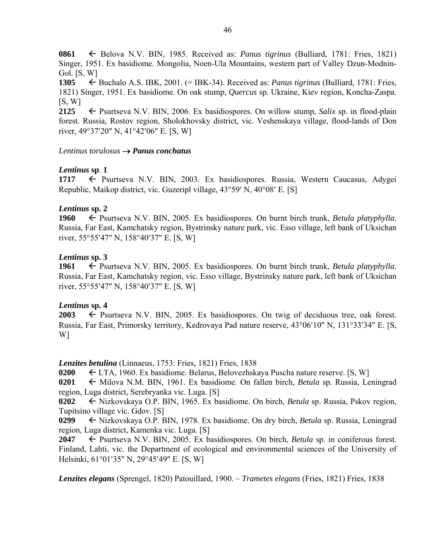**0861** ← Belova N.V. BIN, 1985. Received as: *Panus tigrinus* (Bulliard, 1781: Fries, 1821) Singer, 1951. Ex basidiome. Mongolia, Noen-Ula Mountains, western part of Valley Dzun-Modnin-Gol. [S, W]

**1305** Buchalo A.S. IBK, 2001. (= IBK-34). Received as: *Panus tigrinus* (Bulliard, 1781: Fries, 1821) Singer, 1951. Ex basidiome. On oak stump, *Quercus* sp. Ukraine, Kiev region, Koncha-Zaspa.  $[S, W]$ 

**2125**  $\leftarrow$  Psurtseva N.V. BIN, 2006. Ex basidiospores. On willow stump, *Salix* sp. in flood-plain forest. Russia, Rostov region, Sholokhovsky district, vic. Veshenskaya village, flood-lands of Don river,  $49^{\circ}37'20''$  N,  $41^{\circ}42'06''$  E. [S, W]

### *Lentinus torulosus Panus conchatus*

# *Lentinus* **sp**. **1**

**1717** Psurtseva N.V. BIN, 2003. Ex basidiospores. Russia, Western Caucasus, Adygei Republic, Maikop district, vic. Guzeripl village,  $43^{\circ}59'$  N,  $40^{\circ}08'$  E. [S]

# *Lentinus* **sp. 2**

**1960** ← Psurtseva N.V. BIN, 2005. Ex basidiospores. On burnt birch trunk, *Betula platyphylla*. Russia, Far East, Kamchatsky region, Bystrinsky nature park, vic. Esso village, left bank of Uksichan river,  $55^{\circ}55'47''$  N,  $158^{\circ}40'37''$  E. [S, W]

# *Lentinus* **sp. 3**

**1961** ← Psurtseva N.V. BIN, 2005. Ex basidiospores. On burnt birch trunk, *Betula platyphylla*. Russia, Far East, Kamchatsky region, vic. Esso village, Bystrinsky nature park, left bank of Uksichan river,  $55^{\circ}55'47''$  N,  $158^{\circ}40'37''$  E. [S, W]

# *Lentinus* **sp. 4**

**2003**  $\leftarrow$  Psurtseva N.V. BIN, 2005. Ex basidiospores. On twig of deciduous tree, oak forest. Russia, Far East, Primorsky territory, Kedrovaya Pad nature reserve, 43°06'10" N, 131°33'34" E. [S, W]

*Lenzites betulina* (Linnaeus, 1753: Fries, 1821) Fries, 1838

**0200** LTA, 1960. Ex basidiome. Belarus, Belovezhskaya Puscha nature reserve. [S, W]

**0201** ← Milova N.M. BIN, 1961. Ex basidiome. On fallen birch, *Betula* sp. Russia, Leningrad region, Luga district, Serebryanka vic. Luga. [S]

**0202** Nizkovskaya O.P. BIN, 1965. Ex basidiome. On birch, *Betula* sp. Russia, Pskov region, Tupitsino village vic. Gdov. [S]

**0299** Nizkovskaya O.P. BIN, 1978. Ex basidiome. On dry birch, *Betula* sp. Russia, Leningrad region, Luga district, Kamenka vic. Luga. [S]

**2047** Psurtseva N.V. BIN, 2005. Ex basidiospores. On birch, *Betula* sp. in coniferous forest. Finland, Lahti, vic. the Department of ecological and environmental sciences of the University of Helsinki, 61°01'35" N, 29°45'49" E. [S, W]

*Lenzites elegans* (Sprengel, 1820) Patouillard, 1900. – *Trametes elegans* (Fries, 1821) Fries, 1838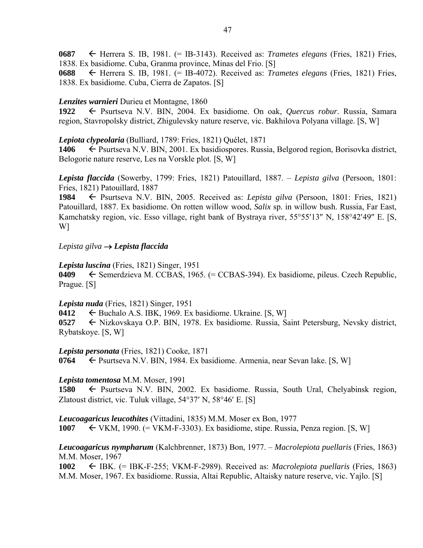**0687** Herrera S. IB, 1981. (= IB-3143). Received as: *Trametes elegans* (Fries, 1821) Fries, 1838. Ex basidiome. Cuba, Granma province, Minas del Frio. [S]

**0688** Herrera S. IB, 1981. (= IB-4072). Received as: *Trametes elegans* (Fries, 1821) Fries, 1838. Ex basidiome. Cuba, Cierra de Zapatos. [S]

#### *Lenzites warnieri* Durieu et Montagne, 1860

**1922** ← Psurtseva N.V. BIN, 2004. Ex basidiome. On oak, *Quercus robur*. Russia, Samara region, Stavropolsky district, Zhigulevsky nature reserve, vic. Bakhilova Polyana village. [S, W]

#### *Lepiota clypeolaria* (Bulliard, 1789: Fries, 1821) Quélet, 1871

**1406** ← Psurtseva N.V. BIN, 2001. Ex basidiospores. Russia, Belgorod region, Borisovka district, Belogorie nature reserve, Les na Vorskle plot. [S, W]

*Lepista flaccida* (Sowerby, 1799: Fries, 1821) Patouillard, 1887. – *Lepista gilva* (Persoon, 1801: Fries, 1821) Patouillard, 1887

**1984** Psurtseva N.V. BIN, 2005. Received as: *Lepista gilva* (Persoon, 1801: Fries, 1821) Patouillard, 1887. Ex basidiome. On rotten willow wood, *Salix* sp. in willow bush. Russia, Far East, Kamchatsky region, vic. Esso village, right bank of Bystraya river,  $55^{\circ}55'13''$  N,  $158^{\circ}42'49''$  E. [S, W]

#### *Lepista gilva Lepista flaccida*

#### *Lepista luscina* (Fries, 1821) Singer, 1951

**0409** Semerdzievа М. CCBAS, 1965. (= CCBAS-394). Ex bаsidiome, pileus. Czech Republic, Prague. [S]

#### *Lepista nuda* (Fries, 1821) Singer, 1951

**0412**  $\leftarrow$  Buchalo A.S. IBK, 1969. Ex basidiome. Ukraine. [S, W]

**0527** ← Nizkovskaya O.P. BIN, 1978. Ex basidiome. Russia, Saint Petersburg, Nevsky district, Rybatskoye. [S, W]

#### *Lepista personata* (Fries, 1821) Cooke, 1871

**0764** Psurtsevа N.V. BIN, 1984. Ex basidiome. Armenia, near Sevan lake. [S, W]

#### *Lepista tomentosa* M.M. Moser, 1991

**1580** ← Psurtseva N.V. BIN, 2002. Ex basidiome. Russia, South Ural, Chelyabinsk region, Zlatoust district, vic. Tuluk village,  $54^{\circ}37'$  N,  $58^{\circ}46'$  E. [S]

*Leucoagaricus leucothites* (Vittadini, 1835) M.M. Moser ex Bon, 1977

**1007** VKM, 1990. (= VKM-F-3303). Ex basidiome, stipe. Russia, Penza region. [S, W]

#### *Leucoagaricus nympharum* (Kalchbrenner, 1873) Bon, 1977. – *Macrolepiota puellaris* (Fries, 1863) M.M. Moser, 1967

**1002** ← IBK. (= IBK-F-255; VKM-F-2989). Received as: *Macrolepiota puellaris* (Fries, 1863) M.M. Moser, 1967. Ex basidiome. Russia, Altai Republic, Altaisky nature reserve, vic. Yajlo. [S]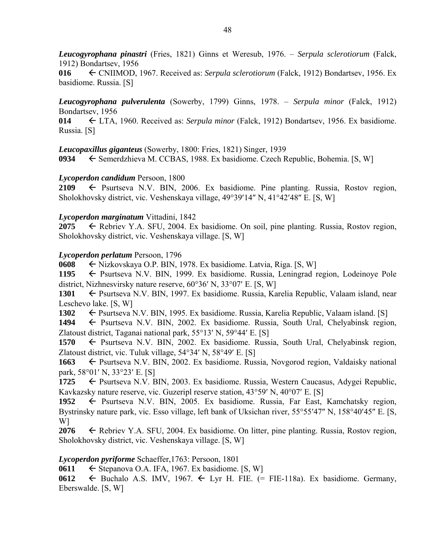*Leucogyrophana pinastri* (Fries, 1821) Ginns et Weresub, 1976. – *Serpula sclerotiorum* (Falck, 1912) Bondartsev, 1956

**016** CNIIMOD, 1967. Received as: *Serpula sclerotiorum* (Falck, 1912) Bondartsev, 1956. Ex basidiome. Russia. [S]

*Leucogyrophana pulverulenta* (Sowerby, 1799) Ginns, 1978. – *Serpula minor* (Falck, 1912) Bondartsev, 1956

**014** LTA, 1960. Received as: *Serpula minor* (Falck, 1912) Bondartsev, 1956. Ex basidiome. Russia. [S]

*Leucopaxillus giganteus* (Sowerby, 1800: Fries, 1821) Singer, 1939

**0934** ← Semerdzhieva M. CCBAS, 1988. Ex basidiome. Czech Republic, Bohemia. [S, W]

#### *Lycoperdon candidum* Persoon, 1800

2109  $\leftarrow$  Psurtseva N.V. BIN, 2006. Ex basidiome. Pine planting. Russia, Rostov region, Sholokhovsky district, vic. Veshenskaya village, 49°39'14" N, 41°42'48" E. [S, W]

#### *Lycoperdon marginatum* Vittadini, 1842

**2075**  $\leftarrow$  Rebriev Y.A. SFU, 2004. Ex basidiome. On soil, pine planting. Russia, Rostov region, Sholokhovsky district, vic. Veshenskaya village. [S, W]

#### *Lycoperdon perlatum* Persoon, 1796

**0608** ← Nizkovskaya O.P. BIN, 1978. Ex basidiome. Latvia, Riga. [S, W]

**1195** ← Psurtseva N.V. BIN, 1999. Ex basidiome. Russia, Leningrad region, Lodeinoye Pole district, Nizhnesvirsky nature reserve,  $60^{\circ}36'$  N,  $33^{\circ}07'$  E. [S, W]

**1301 ← Psurtseva N.V. BIN, 1997. Ex basidiome. Russia, Karelia Republic, Valaam island, near** Leschevo lake. [S, W]

1302 **E** Psurtseva N.V. BIN, 1995. Ex basidiome. Russia, Karelia Republic, Valaam island. [S]

1494  $\leftarrow$  Psurtseva N.V. BIN, 2002. Ex basidiome. Russia, South Ural, Chelyabinsk region, Zlatoust district, Taganai national park,  $55^{\circ}13'$  N,  $59^{\circ}44'$  E. [S]

1570  $\leftarrow$  Psurtseva N.V. BIN, 2002. Ex basidiome. Russia, South Ural, Chelyabinsk region, Zlatoust district, vic. Tuluk village,  $54^{\circ}34'$  N,  $58^{\circ}49'$  E. [S]

**1663** ← Psurtseva N.V. BIN, 2002. Ex basidiome. Russia, Novgorod region, Valdaisky national park,  $58^{\circ}01'$  N,  $33^{\circ}23'$  E. [S]

**1725** ← Psurtseva N.V. BIN, 2003. Ex basidiome. Russia, Western Caucasus, Adygei Republic, Kavkazsky nature reserve, vic. Guzeripl reserve station,  $43^{\circ}59'$  N,  $40^{\circ}07'$  E. [S]

1952  $\leftarrow$  Psurtseva N.V. BIN, 2005. Ex basidiome. Russia, Far East, Kamchatsky region, Bystrinsky nature park, vic. Esso village, left bank of Uksichan river, 55°55'47" N, 158°40'45" E. [S, W]

**2076** Rebriev Y.A. SFU, 2004. Ex basidiome. On litter, pine planting. Russia, Rostov region, Sholokhovsky district, vic. Veshenskaya village. [S, W]

#### *Lycoperdon pyriforme* Schaeffer,1763: Persoon, 1801

**0611**  $\leftarrow$  Stepanova O.A. IFA, 1967. Ex basidiome. [S, W]

0612  $\leftarrow$  Buchalo A.S. IMV, 1967.  $\leftarrow$  Lyr H. FIE. (= FIE-118a). Ex basidiome. Germany, Eberswalde. [S, W]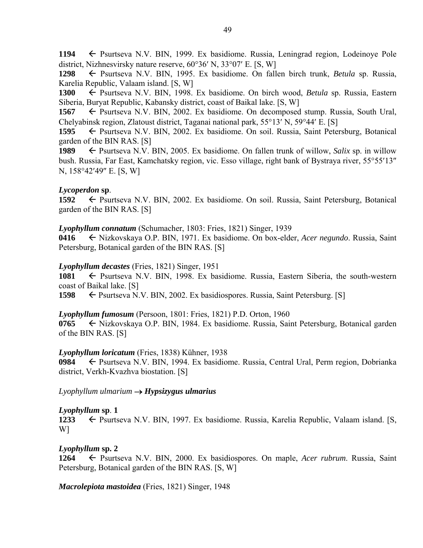**1194** Psurtseva N.V. BIN, 1999. Ex basidiome. Russia, Leningrad region, Lodeinoye Pole district, Nizhnesvirsky nature reserve,  $60^{\circ}36'$  N,  $33^{\circ}07'$  E. [S, W]

**1298** Psurtseva N.V. BIN, 1995. Ex basidiome. On fallen birch trunk, *Betula* sp. Russia, Karelia Republic, Valaam island. [S, W]

1300  $\leftarrow$  Psurtseva N.V. BIN, 1998. Ex basidiome. On birch wood, *Betula* sp. Russia, Eastern Siberia, Buryat Republic, Kabansky district, coast of Baikal lake. [S, W]

**1567** ► Psurtseva N.V. BIN, 2002. Ex basidiome. On decomposed stump. Russia, South Ural, Chelyabinsk region, Zlatoust district, Taganai national park, 55°13′ N, 59°44′ E. [S]

**1595** ← Psurtseva N.V. BIN, 2002. Ex basidiome. On soil. Russia, Saint Petersburg, Botanical garden of the BIN RAS. [S]

**1989**  $\leftarrow$  Psurtseva N.V. BIN, 2005. Ex basidiome. On fallen trunk of willow, *Salix* sp. in willow bush. Russia, Far East, Kamchatsky region, vic. Esso village, right bank of Bystraya river, 55°55'13" N, 158°42'49" E. [S, W]

### *Lycoperdon* **sp**.

**1592** ← Psurtseva N.V. BIN, 2002. Ex basidiome. On soil. Russia, Saint Petersburg, Botanical garden of the BIN RAS. [S]

#### *Lyophyllum connatum* (Schumacher, 1803: Fries, 1821) Singer, 1939

**0416** Nizkovskaya O.P. BIN, 1971. Ex basidiome. On box-elder, *Acer negundo*. Russia, Saint Petersburg, Botanical garden of the BIN RAS. [S]

### *Lyophyllum decastes* (Fries, 1821) Singer, 1951

1081 Psurtseva N.V. BIN, 1998. Ex basidiome. Russia, Eastern Siberia, the south-western coast of Baikal lake. [S]

**1598** Psurtseva N.V. BIN, 2002. Ex basidiospores. Russia, Saint Petersburg. [S]

#### *Lyophyllum fumosum* (Persoon, 1801: Fries, 1821) P.D. Orton, 1960

**0765** ← Nizkovskaya O.P. BIN, 1984. Ex basidiome. Russia, Saint Petersburg, Botanical garden of the BIN RAS. [S]

#### *Lyophyllum loricatum* (Fries, 1838) Kühner, 1938

**0984** Psurtseva N.V. BIN, 1994. Ex basidiome. Russia, Central Ural, Perm region, Dobrianka district, Verkh-Kvazhva biostation. [S]

 $L$ *yophyllum ulmarium*  $\rightarrow$  *Hypsizygus ulmarius* 

#### *Lyophyllum* **sp**. **1**

1233  $\leftarrow$  Psurtseva N.V. BIN, 1997. Ex basidiome. Russia, Karelia Republic, Valaam island. [S, W]

# *Lyophyllum* **sp. 2**

**1264** Psurtseva N.V. BIN, 2000. Ex basidiospores. On maple, *Acer rubrum*. Russia, Saint Petersburg, Botanical garden of the BIN RAS. [S, W]

*Macrolepiota mastoidea* (Fries, 1821) Singer, 1948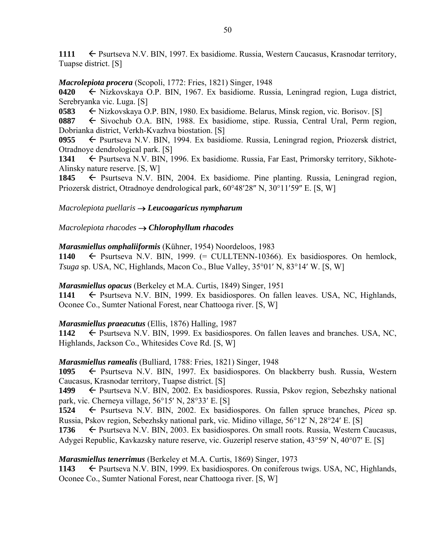1111  $\leftarrow$  Psurtseva N.V. BIN, 1997. Ex basidiome. Russia, Western Caucasus, Krasnodar territory, Tuapse district. [S]

# *Macrolepiota procera* (Scopoli, 1772: Fries, 1821) Singer, 1948

**0420** ← Nizkovskaya O.P. BIN, 1967. Ex basidiome. Russia, Leningrad region, Luga district, Serebryanka vic. Luga. [S]

**0583** ← Nizkovskaya O.P. BIN, 1980. Ex basidiome. Belarus, Minsk region, vic. Borisov. [S]

**0887** Sivochub O.A. BIN, 1988. Ex basidiome, stipe. Russia, Central Ural, Perm region, Dobrianka district, Verkh-Kvazhva biostation. [S]

0955  $\leftarrow$  Psurtseva N.V. BIN, 1994. Ex basidiome. Russia, Leningrad region, Priozersk district, Otradnoye dendrological park. [S]

**1341** ← Psurtseva N.V. BIN, 1996. Ex basidiome. Russia, Far East, Primorsky territory, Sikhote-Alinsky nature reserve. [S, W]

1845 
Furtseva N.V. BIN, 2004. Ex basidiome. Pine planting. Russia, Leningrad region, Priozersk district, Otradnoye dendrological park, 60°48'28" N, 30°11'59" E. [S, W]

# *Macrolepiota puellaris Leucoagaricus nympharum*

# *Macrolepiota rhacodes Chlorophyllum rhacodes*

*Marasmiellus omphaliiformis* (Kühner, 1954) Noordeloos, 1983

1140  $\leftarrow$  Psurtseva N.V. BIN, 1999.  $(=$  CULLTENN-10366). Ex basidiospores. On hemlock, *Tsuga* sp. USA, NC, Highlands, Macon Co., Blue Valley,  $35^{\circ}01'$  N,  $83^{\circ}14'$  W. [S, W]

# *Marasmiellus opacus* (Berkeley et M.A. Curtis, 1849) Singer, 1951

1141  $\leftarrow$  Psurtseva N.V. BIN, 1999. Ex basidiospores. On fallen leaves. USA, NC, Highlands, Oconee Co., Sumter National Forest, near Chattooga river. [S, W]

# *Marasmiellus praeacutus* (Ellis, 1876) Halling, 1987

1142  $\leftarrow$  Psurtseva N.V. BIN, 1999. Ex basidiospores. On fallen leaves and branches. USA, NC, Highlands, Jackson Co., Whitesides Cove Rd. [S, W]

# *Marasmiellus ramealis* (Bulliard, 1788: Fries, 1821) Singer, 1948

1095  $\leftarrow$  Psurtseva N.V. BIN, 1997. Ex basidiospores. On blackberry bush. Russia, Western Caucasus, Krasnodar territory, Tuapse district. [S]

**1499** ← Psurtseva N.V. BIN, 2002. Ex basidiospores. Russia, Pskov region, Sebezhsky national park, vic. Cherneya village,  $56^{\circ}15'$  N,  $28^{\circ}33'$  E. [S]

**1524** Psurtseva N.V. BIN, 2002. Ex basidiospores. On fallen spruce branches, *Picea* sp. Russia, Pskov region, Sebezhsky national park, vic. Midino village, 56°12′ N, 28°24′ E. [S]

**1736** ► Psurtseva N.V. BIN, 2003. Ex basidiospores. On small roots. Russia, Western Caucasus, Adygei Republic, Kavkazsky nature reserve, vic. Guzeripl reserve station,  $43^{\circ}59'$  N,  $40^{\circ}07'$  E. [S]

# *Marasmiellus tenerrimus* (Berkeley et M.A. Curtis, 1869) Singer, 1973

1143 **Example 1143** External Psurtseva N.V. BIN, 1999. Extendiospores. On coniferous twigs. USA, NC, Highlands, Oconee Co., Sumter National Forest, near Chattooga river. [S, W]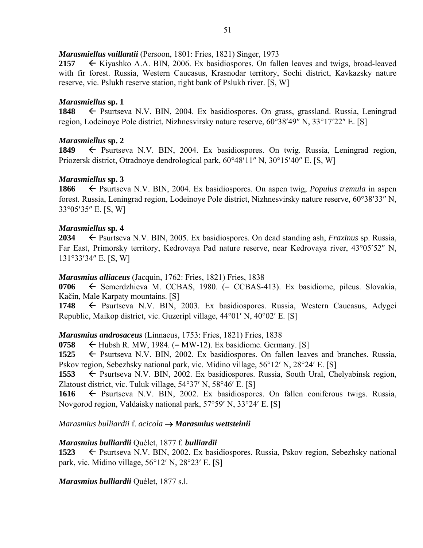#### *Marasmiellus vaillantii* (Persoon, 1801: Fries, 1821) Singer, 1973

2157  $\leftarrow$  Kiyashko A.A. BIN, 2006. Ex basidiospores. On fallen leaves and twigs, broad-leaved with fir forest. Russia, Western Caucasus, Krasnodar territory, Sochi district, Kavkazsky nature reserve, vic. Pslukh reserve station, right bank of Pslukh river. [S, W]

#### *Marasmiellus* **sp. 1**

**1848** ← Psurtseva N.V. BIN, 2004. Ex basidiospores. On grass, grassland. Russia, Leningrad region, Lodeinoye Pole district, Nizhnesvirsky nature reserve,  $60^{\circ}38'49''$  N,  $33^{\circ}17'22''$  E. [S]

### *Marasmiellus* **sp. 2**

1849 Psurtseva N.V. BIN, 2004. Ex basidiospores. On twig. Russia, Leningrad region, Priozersk district, Otradnoye dendrological park,  $60^{\circ}48'11''$  N,  $30^{\circ}15'40''$  E. [S, W]

### *Marasmiellus* **sp. 3**

**1866** ← Psurtseva N.V. BIN, 2004. Ex basidiospores. On aspen twig, *Populus tremula* in aspen forest. Russia, Leningrad region, Lodeinoye Pole district, Nizhnesvirsky nature reserve, 60°38′33″ N,  $33^{\circ}05'35''$  E. [S, W]

### *Marasmiellus* **sp***.* **4**

**2034** ► Psurtseva N.V. BIN, 2005. Ex basidiospores. On dead standing ash, *Fraxinus* sp. Russia, Far East, Primorsky territory, Kedrovaya Pad nature reserve, near Kedrovaya river, 43°05'52" N, 131°33′34″ E. [S, W]

#### *Marasmius alliaceus* (Jacquin, 1762: Fries, 1821) Fries, 1838

0706  $\leftarrow$  Semerdzhieva M. CCBAS, 1980. (= CCBAS-413). Ex basidiome, pileus. Slovakia, Kačin, Male Karpaty mountains. [S]

1748 Psurtseva N.V. BIN, 2003. Ex basidiospores. Russia, Western Caucasus, Adygei Republic, Maikop district, vic. Guzeripl village,  $44^{\circ}01'$  N,  $40^{\circ}02'$  E. [S]

#### *Marasmius androsaceus* (Linnaeus, 1753: Fries, 1821) Fries, 1838

**0758**  $\leftarrow$  Hubsh R. MW, 1984. (= MW-12). Ex basidiome. Germany. [S]

1525  $\leftarrow$  Psurtseva N.V. BIN, 2002. Ex basidiospores. On fallen leaves and branches. Russia, Pskov region, Sebezhsky national park, vic. Midino village, 56°12′ N, 28°24′ E. [S]

1553  $\leftarrow$  Psurtseva N.V. BIN, 2002. Ex basidiospores. Russia, South Ural, Chelyabinsk region, Zlatoust district, vic. Tuluk village,  $54^{\circ}37'$  N,  $58^{\circ}46'$  E. [S]

**1616** Psurtseva N.V. BIN, 2002. Ex basidiospores. On fallen coniferous twigs. Russia, Novgorod region, Valdaisky national park,  $57°59'$  N,  $33°24'$  E. [S]

*Marasmius bulliardii* f. *acicola Marasmius wettsteinii* 

#### *Marasmius bulliardii* Quélet, 1877 f*. bulliardii*

**1523** ← Psurtseva N.V. BIN, 2002. Ex basidiospores. Russia, Pskov region, Sebezhsky national park, vic. Midino village,  $56^{\circ}12'$  N,  $28^{\circ}23'$  E. [S]

# *Marasmius bulliardii* Quélet, 1877 s.l.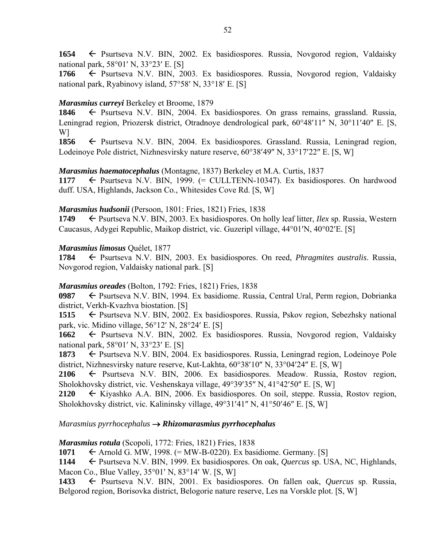1654  $\leftarrow$  Psurtseva N.V. BIN, 2002. Ex basidiospores. Russia, Novgorod region, Valdaisky national park,  $58^{\circ}01'$  N,  $33^{\circ}23'$  E. [S]

**1766** ← Psurtseva N.V. BIN, 2003. Ex basidiospores. Russia, Novgorod region, Valdaisky national park, Ryabinovy island,  $57°58'$  N,  $33°18'$  E. [S]

# *Marasmius curreyi* Berkeley et Broome, 1879

1846 
Fsurtseva N.V. BIN, 2004. Ex basidiospores. On grass remains, grassland. Russia, Leningrad region, Priozersk district, Otradnoye dendrological park,  $60^{\circ}48'11''$  N,  $30^{\circ}11'40''$  E. [S, W]

1856  $\leftarrow$  Psurtseva N.V. BIN, 2004. Ex basidiospores. Grassland. Russia, Leningrad region, Lodeinoye Pole district, Nizhnesvirsky nature reserve,  $60^{\circ}38'49''$  N,  $33^{\circ}17'22''$  E. [S, W]

# *Marasmius haematocephalus* (Montagne, 1837) Berkeley et M.A. Curtis, 1837

1177  $\leftarrow$  Psurtseva N.V. BIN, 1999. (= CULLTENN-10347). Ex basidiospores. On hardwood duff. USA, Highlands, Jackson Co., Whitesides Cove Rd. [S, W]

# *Marasmius hudsonii* (Persoon, 1801: Fries, 1821) Fries, 1838

**1749** ← Psurtseva N.V. BIN, 2003. Ex basidiospores. On holly leaf litter, *Ilex* sp. Russia, Western Caucasus, Adygei Republic, Maikop district, vic. Guzeripl village, 44°01'N, 40°02'E. [S]

# *Marasmius limosus* Quélet, 1877

**1784** Psurtseva N.V. BIN, 2003. Ex basidiospores. On reed, *Phragmites australis*. Russia, Novgorod region, Valdaisky national park. [S]

# *Marasmius oreades* (Bolton, 1792: Fries, 1821) Fries, 1838

**0987** ← Psurtseva N.V. BIN, 1994. Ex basidiome. Russia, Central Ural, Perm region, Dobrianka district, Verkh-Kvazhva biostation. [S]

**1515** ← Psurtseva N.V. BIN, 2002. Ex basidiospores. Russia, Pskov region, Sebezhsky national park, vic. Midino village,  $56^{\circ}12'$  N,  $28^{\circ}24'$  E. [S]

**1662** ← Psurtseva N.V. BIN, 2002. Ex basidiospores. Russia, Novgorod region, Valdaisky national park,  $58^{\circ}01'$  N,  $33^{\circ}23'$  E. [S]

1873 
Expediance Book Constanting and September 2004. Expediance States and September 2016. Lodeinoye Pole 1873 district, Nizhnesvirsky nature reserve, Kut-Lakhta,  $60^{\circ}38'10''$  N,  $33^{\circ}04'24''$  E. [S, W]

**2106** Psurtseva N.V. BIN, 2006. Ex basidiospores. Meadow. Russia, Rostov region, Sholokhovsky district, vic. Veshenskaya village,  $49^{\circ}39'35''$  N,  $41^{\circ}42'50''$  E. [S, W]

**2120** Kiyashko A.A. BIN, 2006. Ex basidiospores. On soil, steppe. Russia, Rostov region, Sholokhovsky district, vic. Kalininsky village, 49°31'41" N, 41°50'46" E. [S, W]

# *Marasmius pyrrhocephalus Rhizomarasmius pyrrhocephalus*

# *Marasmius rotula* (Scopoli, 1772: Fries, 1821) Fries, 1838

**1071**  $\leftarrow$  Arnold G. MW, 1998. (= MW-B-0220). Ex basidiome. Germany. [S]

**1144** Psurtseva N.V. BIN, 1999. Ex basidiospores. On oak*, Quercus* sp. USA, NC, Highlands, Macon Co., Blue Valley,  $35^{\circ}01'$  N,  $83^{\circ}14'$  W. [S, W]

1433 F Psurtseva N.V. BIN, 2001. Ex basidiospores. On fallen oak, *Quercus* sp. Russia, Belgorod region, Borisovka district, Belogorie nature reserve, Les na Vorskle plot. [S, W]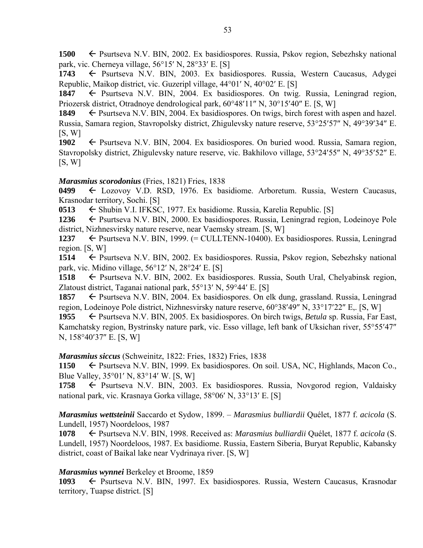**1500 ← Psurtseva N.V. BIN, 2002. Ex basidiospores. Russia, Pskov region, Sebezhsky national** park, vic. Cherneya village,  $56^{\circ}15'$  N,  $28^{\circ}33'$  E. [S]

1743 Psurtseva N.V. BIN, 2003. Ex basidiospores. Russia, Western Caucasus, Adygei Republic, Maikop district, vic. Guzeripl village,  $44^{\circ}01'$  N,  $40^{\circ}02'$  E. [S]

1847 Psurtseva N.V. BIN, 2004. Ex basidiospores. On twig. Russia, Leningrad region, Priozersk district, Otradnove dendrological park,  $60^{\circ}48'11''$  N,  $30^{\circ}15'40''$  E. [S, W]

1849 Psurtseva N.V. BIN, 2004. Ex basidiospores. On twigs, birch forest with aspen and hazel. Russia, Samara region, Stavropolsky district, Zhigulevsky nature reserve, 53°25′57″ N, 49°39′34″ E.  $[S, W]$ 

1902 Psurtseva N.V. BIN, 2004. Ex basidiospores. On buried wood. Russia, Samara region, Stavropolsky district, Zhigulevsky nature reserve, vic. Bakhilovo village, 53°24′55″ N, 49°35′52″ E.  $[S, W]$ 

### *Marasmius scorodonius* (Fries, 1821) Fries, 1838

**0499** Lozovoy V.D. RSD, 1976. Ex basidiome. Arboretum. Russia, Western Caucasus, Krasnodar territory, Sochi. [S]

**0513**  $\leftarrow$  Shubin V.I. IFKSC, 1977. Ex basidiome. Russia, Karelia Republic. [S]

1236 <del>←</del> Psurtseva N.V. BIN, 2000. Ex basidiospores. Russia, Leningrad region, Lodeinoye Pole district, Nizhnesvirsky nature reserve, near Vaemsky stream. [S, W]

**1237** ← Psurtseva N.V. BIN, 1999. (= CULLTENN-10400). Ex basidiospores. Russia, Leningrad region. [S, W]

**1514** ← Psurtseva N.V. BIN, 2002. Ex basidiospores. Russia, Pskov region, Sebezhsky national park, vic. Midino village,  $56^{\circ}12'$  N,  $28^{\circ}24'$  E. [S]

1518 ← Psurtseva N.V. BIN, 2002. Ex basidiospores. Russia, South Ural, Chelyabinsk region, Zlatoust district, Taganai national park, 55°13′ N, 59°44′ E. [S]

**1857** ► Psurtseva N.V. BIN, 2004. Ex basidiospores. On elk dung, grassland. Russia, Leningrad region, Lodeinoye Pole district, Nizhnesvirsky nature reserve,  $60^{\circ}38'49''$  N,  $33^{\circ}17'22''$  E,. [S, W]

1955  $\leftarrow$  Psurtseva N.V. BIN, 2005. Ex basidiospores. On birch twigs, *Betula* sp. Russia, Far East, Kamchatsky region, Bystrinsky nature park, vic. Esso village, left bank of Uksichan river, 55°55′47″ N, 158°40'37" E. [S, W]

#### *Marasmius siccus* (Schweinitz, 1822: Fries, 1832) Fries, 1838

**1150** ← Psurtseva N.V. BIN, 1999. Ex basidiospores. On soil. USA, NC, Highlands, Macon Co., Blue Valley,  $35^{\circ}01'$  N,  $83^{\circ}14'$  W. [S, W]

1758 – Psurtseva N.V. BIN, 2003. Ex basidiospores. Russia, Novgorod region, Valdaisky national park, vic. Krasnaya Gorka village, 58°06' N, 33°13' E. [S]

*Marasmius wettsteinii* Saccardo et Sydow, 1899. – *Marasmius bulliardii* Quélet, 1877 f. *acicola* (S. Lundell, 1957) Noordeloos, 1987

**1078** Psurtseva N.V. BIN, 1998. Received as: *Marasmius bulliardii* Quélet, 1877 f. *acicola* (S. Lundell, 1957) Noordeloos, 1987. Ex basidiome. Russia, Eastern Siberia, Buryat Republic, Kabansky district, coast of Baikal lake near Vydrinaya river. [S, W]

# *Marasmius wynnei* Berkeley et Broome, 1859

**1093** Psurtseva N.V. BIN, 1997. Ex basidiospores. Russia, Western Caucasus, Krasnodar territory, Tuapse district. [S]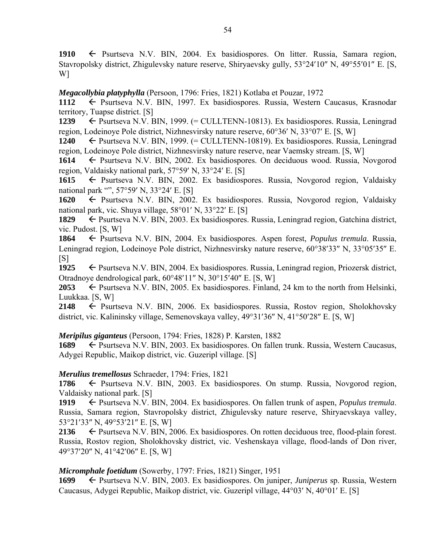1910  $\leftarrow$  Psurtseva N.V. BIN, 2004. Ex basidiospores. On litter. Russia, Samara region, Stavropolsky district, Zhigulevsky nature reserve, Shiryaevsky gully, 53°24'10" N, 49°55'01" E. [S, W]

*Megacollybia platyphylla* (Persoon, 1796: Fries, 1821) Kotlaba et Pouzar, 1972

1112  $\leftarrow$  Psurtseva N.V. BIN, 1997. Ex basidiospores. Russia, Western Caucasus, Krasnodar territory, Tuapse district. [S]

**1239** ← Psurtseva N.V. BIN, 1999. (= CULLTENN-10813). Ex basidiospores. Russia, Leningrad region, Lodeinoye Pole district, Nizhnesvirsky nature reserve,  $60^{\circ}36'$  N,  $33^{\circ}07'$  E. [S, W]

**1240** Psurtseva N.V. BIN, 1999. (= CULLTENN-10819). Ex basidiospores. Russia, Leningrad region, Lodeinoye Pole district, Nizhnesvirsky nature reserve, near Vaemsky stream. [S, W]

**1614** ← Psurtseva N.V. BIN, 2002. Ex basidiospores. On deciduous wood. Russia, Novgorod region, Valdaisky national park,  $57°59'$  N,  $33°24'$  E. [S]

**1615** Psurtseva N.V. BIN, 2002. Ex basidiospores. Russia, Novgorod region, Valdaisky national park "", 57°59' N, 33°24' E. [S]

**1620** ← Psurtseva N.V. BIN, 2002. Ex basidiospores. Russia, Novgorod region, Valdaisky national park, vic. Shuya village,  $58^{\circ}01'$  N,  $33^{\circ}22'$  E. [S]

**1829** ← Psurtseva N.V. BIN, 2003. Ex basidiospores. Russia, Leningrad region, Gatchina district, vic. Pudost. [S, W]

**1864** Psurtseva N.V. BIN, 2004. Ex basidiospores. Aspen forest, *Populus tremula*. Russia, Leningrad region, Lodeinove Pole district, Nizhnesvirsky nature reserve, 60°38'33" N, 33°05'35" E.  $[S]$ 

1925 
Psurtseva N.V. BIN, 2004. Ex basidiospores. Russia, Leningrad region, Priozersk district, Otradnoye dendrological park,  $60^{\circ}48'11''$  N,  $30^{\circ}15'40''$  E. [S, W]

2053  $\leftarrow$  Psurtseva N.V. BIN, 2005. Ex basidiospores. Finland, 24 km to the north from Helsinki, Luukkaa. [S, W]

2148 ← Psurtseva N.V. BIN, 2006. Ex basidiospores. Russia, Rostov region, Sholokhovsky district, vic. Kalininsky village, Semenovskaya valley,  $49^{\circ}31'36''$  N,  $41^{\circ}50'28''$  E. [S, W]

*Meripilus giganteus* (Persoon, 1794: Fries, 1828) P. Karsten, 1882

**1689** ← Psurtseva N.V. BIN, 2003. Ex basidiospores. On fallen trunk. Russia, Western Caucasus, Adygei Republic, Maikop district, vic. Guzeripl village. [S]

# *Merulius tremellosus* Schraeder, 1794: Fries, 1821

1786  $\leftarrow$  Psurtseva N.V. BIN, 2003. Ex basidiospores. On stump. Russia, Novgorod region, Valdaisky national park. [S]

**1919** ► Psurtseva N.V. BIN, 2004. Ex basidiospores. On fallen trunk of aspen, *Populus tremula*. Russia, Samara region, Stavropolsky district, Zhigulevsky nature reserve, Shiryaevskaya valley, 53°21′33″ N, 49°53′21″ E. [S, W]

2136  $\leftarrow$  Psurtseva N.V. BIN, 2006. Ex basidiospores. On rotten deciduous tree, flood-plain forest. Russia, Rostov region, Sholokhovsky district, vic. Veshenskaya village, flood-lands of Don river, 49°37'20" N, 41°42'06" E. [S, W]

*Micromphale foetidum* (Sowerby, 1797: Fries, 1821) Singer, 1951

**1699** Psurtseva N.V. BIN, 2003. Ex basidiospores. On juniper, *Juniperus* sp. Russia, Western Caucasus, Adygei Republic, Maikop district, vic. Guzeripl village,  $44^{\circ}03'$  N,  $40^{\circ}01'$  E. [S]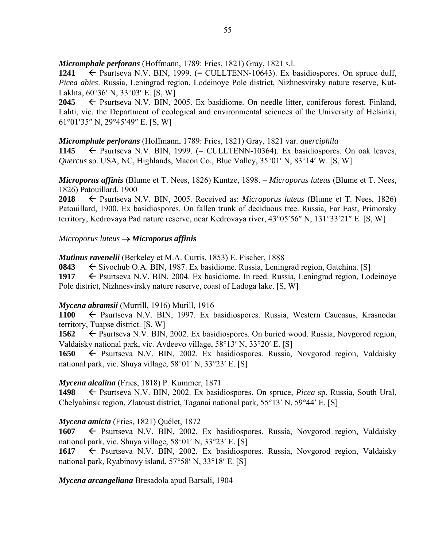*Micromphale perforans* (Hoffmann, 1789: Fries, 1821) Gray, 1821 s.l.

1241  $\leftarrow$  Psurtseva N.V. BIN, 1999. (= CULLTENN-10643). Ex basidiospores. On spruce duff, *Picea abies*. Russia, Leningrad region, Lodeinoye Pole district, Nizhnesvirsky nature reserve, Kut-Lakhta,  $60^{\circ}36'$  N,  $33^{\circ}03'$  E. [S, W]

2045 ← Psurtseva N.V. BIN, 2005. Ex basidiome. On needle litter, coniferous forest. Finland, Lahti, vic. the Department of ecological and environmental sciences of the University of Helsinki, 61°01'35" N, 29°45'49" E. [S, W]

*Micromphale perforans* (Hoffmann, 1789: Fries, 1821) Gray, 1821 var. *querciphila*

1145  $\leftarrow$  Psurtseva N.V. BIN, 1999.  $(=$  CULLTENN-10364). Ex basidiospores. On oak leaves, *Quercus sp.* USA, NC, Highlands, Macon Co., Blue Valley, 35°01' N, 83°14' W. [S, W]

*Microporus affinis* (Blume et T. Nees, 1826) Kuntze, 1898. – *Microporus luteus* (Blume et T. Nees, 1826) Patouillard, 1900

**2018** Psurtseva N.V. BIN, 2005. Received as: *Microporus luteus* (Blume et T. Nees, 1826) Patouillard, 1900. Ex basidiospores. On fallen trunk of deciduous tree. Russia, Far East, Primorsky territory, Kedrovaya Pad nature reserve, near Kedrovaya river,  $43^{\circ}05'56''$  N,  $131^{\circ}33'21''$  E. [S, W]

# *Microporus luteus Microporus affinis*

*Mutinus ravenelii* (Berkeley et M.A. Curtis, 1853) E. Fischer, 1888

**0843**  $\leftarrow$  Sivochub O.A. BIN, 1987. Ex basidiome. Russia, Leningrad region, Gatchina. [S]

1917  $\leftarrow$  Psurtseva N.V. BIN, 2004. Ex basidiome. In reed. Russia, Leningrad region, Lodeinoye Pole district, Nizhnesvirsky nature reserve, coast of Ladoga lake. [S, W]

# *Mycena abramsii* (Murrill, 1916) Murill, 1916

1100  $\leftarrow$  Psurtseva N.V. BIN, 1997. Ex basidiospores. Russia, Western Caucasus, Krasnodar territory, Tuapse district. [S, W]

**1562** ← Psurtseva N.V. BIN, 2002. Ex basidiospores. On buried wood. Russia, Novgorod region, Valdaisky national park, vic. Avdeevo village,  $58^{\circ}13'$  N,  $33^{\circ}20'$  E. [S]

**1650** ← Psurtseva N.V. BIN, 2002. Ex basidiospores. Russia, Novgorod region, Valdaisky national park, vic. Shuya village,  $58^{\circ}01'$  N,  $33^{\circ}23'$  E. [S]

# *Mycena alcalina* (Fries, 1818) P. Kummer, 1871

**1498** Psurtseva N.V. BIN, 2002. Ex basidiospores. On spruce, *Picea* sp. Russia, South Ural, Chelyabinsk region, Zlatoust district, Taganai national park,  $55^{\circ}13'$  N,  $59^{\circ}44'$  E. [S]

# *Mycena amicta* (Fries, 1821) Quélet, 1872

**1607** Psurtseva N.V. BIN, 2002. Ex basidiospores. Russia, Novgorod region, Valdaisky national park, vic. Shuya village,  $58^{\circ}01'$  N,  $33^{\circ}23'$  E. [S]

1617 **F** Psurtseva N.V. BIN, 2002. Ex basidiospores. Russia, Novgorod region, Valdaisky national park, Ryabinovy island,  $57°58'$  N,  $33°18'$  E. [S]

*Mycena arcangeliana* Bresadola apud Barsali, 1904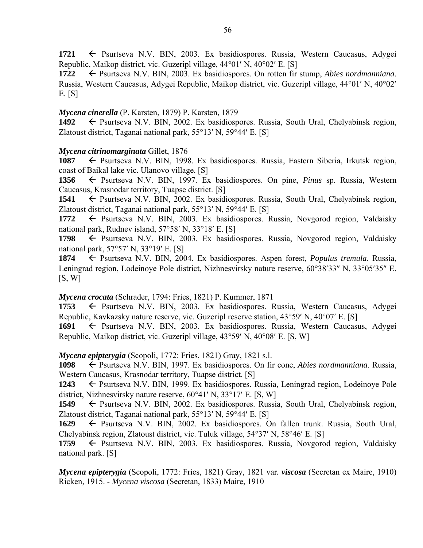1721  $\leftarrow$  Psurtseva N.V. BIN, 2003. Ex basidiospores. Russia, Western Caucasus, Adygei Republic, Maikop district, vic. Guzeripl village,  $44^{\circ}01'$  N,  $40^{\circ}02'$  E. [S]

**1722** Psurtseva N.V. BIN, 2003. Ex basidiospores. On rotten fir stump, *Abies nordmanniana*. Russia, Western Caucasus, Adygei Republic, Maikop district, vic. Guzeripl village, 44°01′ N, 40°02′ E. [S]

# *Mycena cinerella* (P. Karsten, 1879) P. Karsten, 1879

1492  $\leftarrow$  Psurtseva N.V. BIN, 2002. Ex basidiospores. Russia, South Ural, Chelyabinsk region, Zlatoust district, Taganai national park,  $55^{\circ}13'$  N,  $59^{\circ}44'$  E. [S]

# *Mycena citrinomarginata* Gillet, 1876

1087 – Psurtseva N.V. BIN, 1998. Ex basidiospores. Russia, Eastern Siberia, Irkutsk region, coast of Baikal lake vic. Ulanovo village. [S]

**1356** Psurtseva N.V. BIN, 1997. Ex basidiospores. On pine, *Pinus* sp. Russia, Western Caucasus, Krasnodar territory, Tuapse district. [S]

**1541** ← Psurtseva N.V. BIN, 2002. Ex basidiospores. Russia, South Ural, Chelyabinsk region, Zlatoust district, Taganai national park,  $55^{\circ}13'$  N,  $59^{\circ}44'$  E. [S]

1772  $\leftarrow$  Psurtseva N.V. BIN, 2003. Ex basidiospores. Russia, Novgorod region, Valdaisky national park, Rudney island,  $57^{\circ}58'$  N,  $33^{\circ}18'$  E. [S]

**1798** ← Psurtseva N.V. BIN, 2003. Ex basidiospores. Russia, Novgorod region, Valdaisky national park,  $57°57'$  N,  $33°19'$  E. [S]

**1874** Psurtseva N.V. BIN, 2004. Ex basidiospores. Aspen forest, *Populus tremula*. Russia, Leningrad region, Lodeinoye Pole district, Nizhnesvirsky nature reserve, 60°38′33″ N, 33°05′35″ E.  $[S, W]$ 

*Mycena crocata* (Schrader, 1794: Fries, 1821) P. Kummer, 1871

**1753** Psurtseva N.V. BIN, 2003. Ex basidiospores. Russia, Western Caucasus, Adygei Republic, Kavkazsky nature reserve, vic. Guzeripl reserve station,  $43^{\circ}59'$  N,  $40^{\circ}07'$  E. [S]

**1691 ← Psurtseva N.V. BIN, 2003. Ex basidiospores. Russia, Western Caucasus, Adygei** Republic, Maikop district, vic. Guzeripl village,  $43^{\circ}59'$  N,  $40^{\circ}08'$  E. [S, W]

*Mycena epipterygia* (Scopoli, 1772: Fries, 1821) Gray, 1821 s.l.

**1098** Psurtseva N.V. BIN, 1997. Ex basidiospores. On fir cone, *Abies nordmanniana*. Russia, Western Caucasus, Krasnodar territory, Tuapse district. [S]

**1243** ← Psurtseva N.V. BIN, 1999. Ex basidiospores. Russia, Leningrad region, Lodeinoye Pole district, Nizhnesvirsky nature reserve,  $60^{\circ}41'$  N,  $33^{\circ}17'$  E. [S, W]

1549 Psurtseva N.V. BIN, 2002. Ex basidiospores. Russia, South Ural, Chelyabinsk region, Zlatoust district, Taganai national park,  $55^{\circ}13'$  N,  $59^{\circ}44'$  E. [S]

1629  $\leftarrow$  Psurtseva N.V. BIN, 2002. Ex basidiospores. On fallen trunk. Russia, South Ural, Chelyabinsk region, Zlatoust district, vic. Tuluk village,  $54^{\circ}37'$  N,  $58^{\circ}46'$  E. [S]

1759 – Psurtseva N.V. BIN, 2003. Ex basidiospores. Russia, Novgorod region, Valdaisky national park. [S]

*Mycena epipterygia* (Scopoli, 1772: Fries, 1821) Gray, 1821 var*. viscosa* (Secretan ex Maire, 1910) Ricken, 1915. - *Mycena viscosa* (Secretan, 1833) Maire, 1910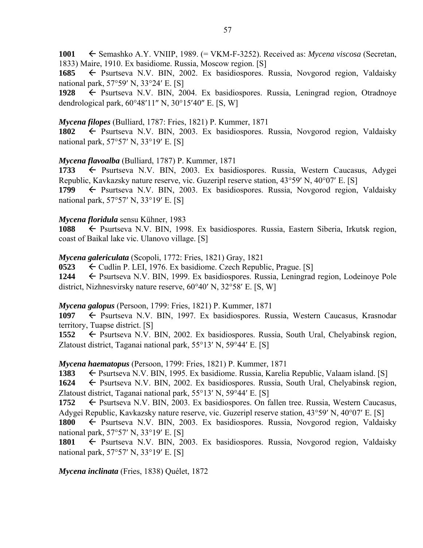**1001** ← Semashko A.Y. VNIIP, 1989. (= VKM-F-3252). Received as: *Mycena viscosa* (Secretan, 1833) Maire, 1910. Ex basidiome. Russia, Moscow region. [S]

**1685** ← Psurtseva N.V. BIN, 2002. Ex basidiospores. Russia, Novgorod region, Valdaisky national park,  $57°59'$  N,  $33°24'$  E. [S]

**1928** Psurtseva N.V. BIN, 2004. Ex basidiospores. Russia, Leningrad region, Otradnoye dendrological park,  $60^{\circ}48'11''$  N,  $30^{\circ}15'40''$  E. [S, W]

### *Mycena filopes* (Bulliard, 1787: Fries, 1821) P. Kummer, 1871

1802  $\leftarrow$  Psurtseva N.V. BIN, 2003. Ex basidiospores. Russia, Novgorod region, Valdaisky national park,  $57°57'$  N,  $33°19'$  E. [S]

### *Mycena flavoalba* (Bulliard, 1787) P. Kummer, 1871

**1733** Psurtseva N.V. BIN, 2003. Ex basidiospores. Russia, Western Caucasus, Adygei Republic, Kavkazsky nature reserve, vic. Guzeripl reserve station,  $43^{\circ}59'$  N,  $40^{\circ}07'$  E. [S] **1799** Psurtseva N.V. BIN, 2003. Ex basidiospores. Russia, Novgorod region, Valdaisky national park,  $57°57'$  N,  $33°19'$  E. [S]

### *Mycena floridula* sensu Kühner, 1983

1088 – Psurtseva N.V. BIN, 1998. Ex basidiospores. Russia, Eastern Siberia, Irkutsk region, coast of Baikal lake vic. Ulanovo village. [S]

#### *Mycena galericulata* (Scopoli, 1772: Fries, 1821) Gray, 1821

**0523**  $\leftarrow$  Cudlin P. LEI, 1976. Ex basidiome. Czech Republic, Prague. [S]

**1244** ← Psurtseva N.V. BIN, 1999. Ex basidiospores. Russia, Leningrad region, Lodeinoye Pole district, Nizhnesvirsky nature reserve,  $60^{\circ}40'$  N,  $32^{\circ}58'$  E, [S, W]

#### *Mycena galopus* (Persoon, 1799: Fries, 1821) P. Kummer, 1871

1097  $\leftarrow$  Psurtseva N.V. BIN, 1997. Ex basidiospores. Russia, Western Caucasus, Krasnodar territory, Tuapse district. [S]

**1552** ← Psurtseva N.V. BIN, 2002. Ex basidiospores. Russia, South Ural, Chelyabinsk region, Zlatoust district, Taganai national park,  $55^{\circ}13'$  N,  $59^{\circ}44'$  E. [S]

#### *Mycena haematopus* (Persoon, 1799: Fries, 1821) P. Kummer, 1871

1383 **Exteribar** External Russia, Karelia Republic, Valaam island. [S]

**1624** ← Psurtseva N.V. BIN, 2002. Ex basidiospores. Russia, South Ural, Chelyabinsk region, Zlatoust district, Taganai national park,  $55^{\circ}13'$  N,  $59^{\circ}44'$  E. [S]

**1752** ← Psurtseva N.V. BIN, 2003. Ex basidiospores. On fallen tree. Russia, Western Caucasus, Adygei Republic, Kavkazsky nature reserve, vic. Guzeripl reserve station,  $43^{\circ}59'$  N,  $40^{\circ}07'$  E. [S]

1800  $\leftarrow$  Psurtseva N.V. BIN, 2003. Ex basidiospores. Russia, Novgorod region, Valdaisky national park,  $57°57'$  N,  $33°19'$  E. [S]

1801 – Psurtseva N.V. BIN, 2003. Ex basidiospores. Russia, Novgorod region, Valdaisky national park,  $57°57'$  N,  $33°19'$  E. [S]

*Mycena inclinata* (Fries, 1838) Quélet, 1872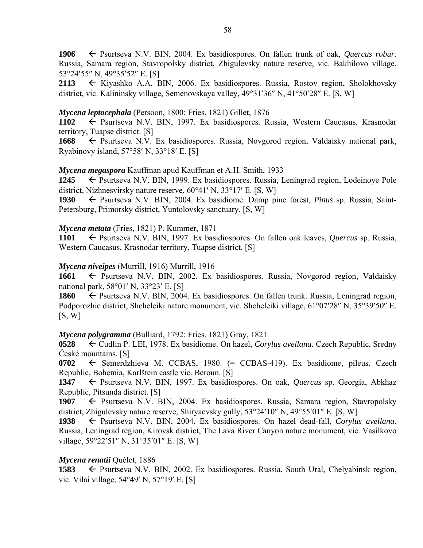**1906** Psurtseva N.V. BIN, 2004. Ex basidiospores. On fallen trunk of oak, *Quercus robur*. Russia, Samara region, Stavropolsky district, Zhigulevsky nature reserve, vic. Bakhilovo village, 53°24'55" N, 49°35'52" E. [S]

**2113** ← Kiyashko A.A. BIN, 2006. Ex basidiospores. Russia, Rostov region, Sholokhovsky district, vic. Kalininsky village, Semenovskaya valley, 49°31'36" N, 41°50'28" E. [S, W]

# *Mycena leptocephala* (Persoon, 1800: Fries, 1821) Gillet, 1876

**1102** Psurtseva N.V. BIN, 1997. Ex basidiospores. Russia, Western Caucasus, Krasnodar territory, Tuapse district. [S]

**1668** ← Psurtseva N.V. Ex basidiospores. Russia, Novgorod region, Valdaisky national park, Ryabinovy island,  $57^{\circ}58'$  N,  $33^{\circ}18'$  E. [S]

### *Mycena megaspora* Kauffman apud Kauffman et A.H. Smith, 1933

**1245** ← Psurtseva N.V. BIN, 1999. Ex basidiospores. Russia, Leningrad region, Lodeinoye Pole district, Nizhnesvirsky nature reserve,  $60^{\circ}41'$  N,  $33^{\circ}17'$  E. [S, W]

1930 – Psurtseva N.V. BIN, 2004. Ex basidiome. Damp pine forest, *Pinus* sp. Russia, Saint-Petersburg, Primorsky district, Yuntolovsky sanctuary. [S, W]

### *Mycena metata* (Fries, 1821) P. Kummer, 1871

**1101** Psurtseva N.V. BIN, 1997. Ex basidiospores. On fallen oak leaves, *Quercus* sp. Russia, Western Caucasus, Krasnodar territory, Tuapse district. [S]

### *Mycena niveipes* (Murrill, 1916) Murrill, 1916

1661 ← Psurtseva N.V. BIN, 2002. Ex basidiospores. Russia, Novgorod region, Valdaisky national park,  $58^{\circ}01'$  N,  $33^{\circ}23'$  E. [S]

**1860** ← Psurtseva N.V. BIN, 2004. Ex basidiospores. On fallen trunk. Russia, Leningrad region, Podporozhie district, Shcheleiki nature monument, vic. Shcheleiki village, 61°07'28" N, 35°39'50" E.  $[S, W]$ 

# *Mycena polygramma* (Bulliard, 1792: Fries, 1821) Gray, 1821

**0528** Cudlin P. LEI, 1978. Ex basidiome. On hazel, *Corylus avellana*. Czech Republic, Sredny České mountains. [S]

**0702** ← Semerdzhieva M. CCBAS, 1980. (= CCBAS-419). Ex basidiome, pileus. Czech Republic, Bohemia, Karlštein castle vic. Beroun. [S]

1347  $\leftarrow$  Psurtseva N.V. BIN, 1997. Ex basidiospores. On oak, *Quercus* sp. Georgia, Abkhaz Republic, Pitsunda district. [S]

1907  $\leftarrow$  Psurtseva N.V. BIN, 2004. Ex basidiospores. Russia, Samara region, Stavropolsky district, Zhigulevsky nature reserve, Shiryaevsky gully,  $53^{\circ}24'10''$  N,  $49^{\circ}55'01''$  E. [S, W]

**1938** Psurtseva N.V. BIN, 2004. Ex basidiospores. On hazel dead-fall, *Corylus avellana*. Russia, Leningrad region, Kirovsk district, The Lava River Canyon nature monument, vic. Vasilkovo village,  $59^{\circ}22'51''$  N,  $31^{\circ}35'01''$  E. [S, W]

# *Mycena renatii* Quélet, 1886

**1583** ← Psurtseva N.V. BIN, 2002. Ex basidiospores. Russia, South Ural, Chelyabinsk region, vic. Vilai village,  $54^{\circ}49'$  N,  $57^{\circ}19'$  E. [S]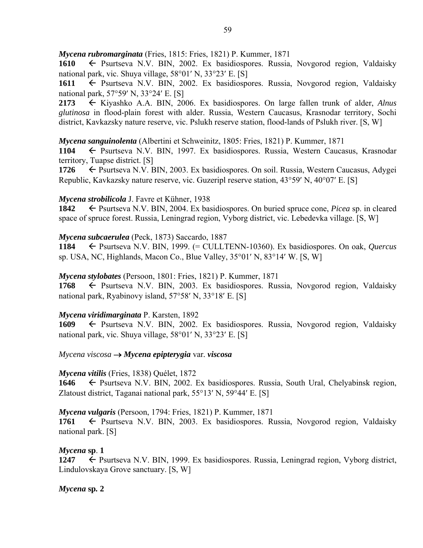*Mycena rubromarginata* (Fries, 1815: Fries, 1821) P. Kummer, 1871

1610 – Psurtseva N.V. BIN, 2002. Ex basidiospores. Russia, Novgorod region, Valdaisky national park, vic. Shuya village,  $58^{\circ}01'$  N,  $33^{\circ}23'$  E. [S]

1611 – Psurtseva N.V. BIN, 2002. Ex basidiospores. Russia, Novgorod region, Valdaisky national park,  $57°59'$  N,  $33°24'$  E. [S]

**2173** Kiyashko A.A. BIN, 2006. Ex basidiospores. On large fallen trunk of alder, *Alnus glutinosa* in flood-plain forest with alder. Russia, Western Caucasus, Krasnodar territory, Sochi district, Kavkazsky nature reserve, vic. Pslukh reserve station, flood-lands of Pslukh river. [S, W]

*Mycena sanguinolenta* (Albertini et Schweinitz, 1805: Fries, 1821) P. Kummer, 1871

**1104** Psurtseva N.V. BIN, 1997. Ex basidiospores. Russia, Western Caucasus, Krasnodar territory, Tuapse district. [S]

**1726** ← Psurtseva N.V. BIN, 2003. Ex basidiospores. On soil. Russia, Western Caucasus, Adygei Republic, Kavkazsky nature reserve, vic. Guzeripl reserve station,  $43^{\circ}59'$  N,  $40^{\circ}07'$  E. [S]

# *Mycena strobilicola* J. Favre et Kühner, 1938

**1842** ← Psurtseva N.V. BIN, 2004. Ex basidiospores. On buried spruce cone, *Picea* sp. in cleared space of spruce forest. Russia, Leningrad region, Vyborg district, vic. Lebedevka village. [S, W]

# *Mycena subcaerulea* (Peck, 1873) Saccardo, 1887

**1184** Psurtseva N.V. BIN, 1999. (= CULLTENN-10360). Ex basidiospores. On oak, *Quercus*  sp. USA, NC, Highlands, Macon Co., Blue Valley,  $35^{\circ}01'$  N,  $83^{\circ}14'$  W. [S, W]

*Mycena stylobates* (Persoon, 1801: Fries, 1821) P. Kummer, 1871

**1768** ← Psurtseva N.V. BIN, 2003. Ex basidiospores. Russia, Novgorod region, Valdaisky national park, Ryabinovy island,  $57^{\circ}58'$  N,  $33^{\circ}18'$  E. [S]

# *Mycena viridimarginata* P. Karsten, 1892

1609  $\leftarrow$  Psurtseva N.V. BIN, 2002. Ex basidiospores. Russia, Novgorod region, Valdaisky national park, vic. Shuya village,  $58^{\circ}01'$  N,  $33^{\circ}23'$  E. [S]

*Mycena viscosa Mycena epipterygia* var*. viscosa* 

# *Mycena vitilis* (Fries, 1838) Quélet, 1872

**1646** ← Psurtseva N.V. BIN, 2002. Ex basidiospores. Russia, South Ural, Chelyabinsk region, Zlatoust district, Taganai national park,  $55^{\circ}13'$  N,  $59^{\circ}44'$  E. [S]

*Mycena vulgaris* (Persoon, 1794: Fries, 1821) P. Kummer, 1871

**1761** ← Psurtseva N.V. BIN, 2003. Ex basidiospores. Russia, Novgorod region, Valdaisky national park. [S]

*Mycena* **sp**. **1** 

**1247** ► Psurtseva N.V. BIN, 1999. Ex basidiospores. Russia, Leningrad region, Vyborg district, Lindulovskaya Grove sanctuary. [S, W]

*Mycena* **sp***.* **2**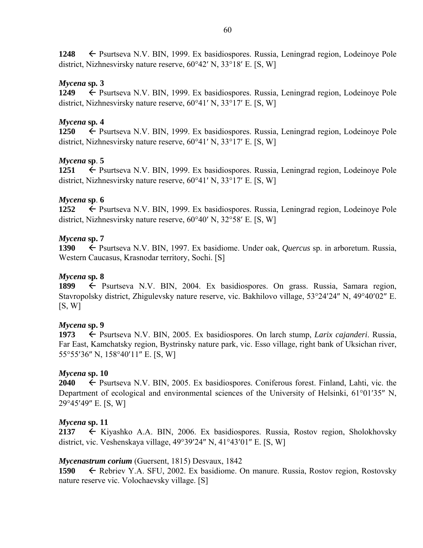**1248** ← Psurtseva N.V. BIN, 1999. Ex basidiospores. Russia, Leningrad region, Lodeinove Pole district, Nizhnesvirsky nature reserve,  $60^{\circ}42'$  N,  $33^{\circ}18'$  E. [S, W]

# *Mycena* **sp***.* **3**

**1249** Psurtseva N.V. BIN, 1999. Ex basidiospores. Russia, Leningrad region, Lodeinoye Pole district, Nizhnesvirsky nature reserve,  $60^{\circ}41'$  N,  $33^{\circ}17'$  E. [S, W]

# *Mycena* **sp***.* **4**

**1250** ← Psurtseva N.V. BIN, 1999. Ex basidiospores. Russia, Leningrad region, Lodeinoye Pole district, Nizhnesvirsky nature reserve,  $60^{\circ}41'$  N,  $33^{\circ}17'$  E. [S, W]

# *Mycena* **sp**. **5**

**1251 ← Psurtseva N.V. BIN, 1999. Ex basidiospores. Russia, Leningrad region, Lodeinoye Pole** district, Nizhnesvirsky nature reserve,  $60^{\circ}41'$  N,  $33^{\circ}17'$  E. [S, W]

# *Mycena* **sp**. **6**

**1252** ← Psurtseva N.V. BIN, 1999. Ex basidiospores. Russia, Leningrad region, Lodeinoye Pole district, Nizhnesvirsky nature reserve,  $60^{\circ}40'$  N,  $32^{\circ}58'$  E. [S, W]

# *Mycena* **sp. 7**

**1390** Psurtseva N.V. BIN, 1997. Ex basidiome. Under oak, *Quercus* sp. in arboretum. Russia, Western Caucasus, Krasnodar territory, Sochi. [S]

# *Mycena* **sp***.* **8**

1899 Psurtseva N.V. BIN, 2004. Ex basidiospores. On grass. Russia, Samara region, Stavropolsky district, Zhigulevsky nature reserve, vic. Bakhilovo village, 53°24'24" N, 49°40'02" E.  $[S, W]$ 

# *Mycena* **sp. 9**

**1973** ← Psurtseva N.V. BIN, 2005. Ex basidiospores. On larch stump, *Larix cajanderi*. Russia, Far East, Kamchatsky region, Bystrinsky nature park, vic. Esso village, right bank of Uksichan river, 55°55'36" N, 158°40'11" E. [S, W]

# *Mycena* **sp. 10**

**2040** ← Psurtseva N.V. BIN, 2005. Ex basidiospores. Coniferous forest. Finland, Lahti, vic. the Department of ecological and environmental sciences of the University of Helsinki,  $61^{\circ}01'35''$  N, 29°45'49" E. [S, W]

# *Mycena* **sp. 11**

**2137** ← Kiyashko A.A. BIN, 2006. Ex basidiospores. Russia, Rostov region, Sholokhovsky district, vic. Veshenskaya village,  $49^{\circ}39'24''$  N,  $41^{\circ}43'01''$  E. [S, W]

# *Mycenastrum corium* (Guersent, 1815) Desvaux, 1842

**1590** ← Rebriev Y.A. SFU, 2002. Ex basidiome. On manure. Russia, Rostov region, Rostovsky nature reserve vic. Volochaevsky village. [S]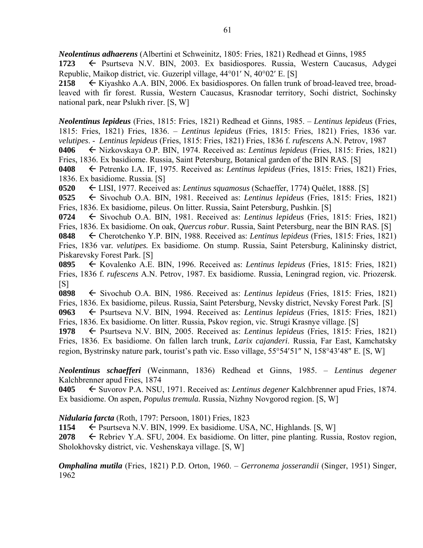*Neolentinus adhaerens* (Albertini et Schweinitz, 1805: Fries, 1821) Redhead et Ginns, 1985

**1723** ← Psurtseva N.V. BIN, 2003. Ex basidiospores. Russia, Western Caucasus, Adygei Republic, Maikop district, vic. Guzeripl village,  $44^{\circ}01'$  N,  $40^{\circ}02'$  E. [S]

2158 ← Kiyashko A.A. BIN, 2006. Ex basidiospores. On fallen trunk of broad-leaved tree, broadleaved with fir forest. Russia, Western Caucasus, Krasnodar territory, Sochi district, Sochinsky national park, near Pslukh river. [S, W]

*Neolentinus lepideus* (Fries, 1815: Fries, 1821) Redhead et Ginns, 1985. – *Lentinus lepideus* (Fries, 1815: Fries, 1821) Fries, 1836. – *Lentinus lepideus* (Fries, 1815: Fries, 1821) Fries, 1836 var*. velutipes*. - *Lentinus lepideus* (Fries, 1815: Fries, 1821) Fries, 1836 f. *rufescens* A.N. Petrov, 1987

**0406** Nizkovskaya O.P. BIN, 1974. Received as: *Lentinus lepideus* (Fries, 1815: Fries, 1821) Fries, 1836. Ex basidiome. Russia, Saint Petersburg, Botanical garden of the BIN RAS. [S]

**0408** Petrenko I.A. IF, 1975. Received as: *Lentinus lepideus* (Fries, 1815: Fries, 1821) Fries, 1836. Ex basidiome. Russia. [S]

**0520** LISI, 1977. Received as: *Lentinus squamosus* (Schaeffer, 1774) Quélet, 1888. [S]

**0525** ← Sivochub O.A. BIN, 1981. Received as: *Lentinus lepideus* (Fries, 1815: Fries, 1821) Fries, 1836. Ex basidiome, pileus. On litter. Russia, Saint Petersburg, Pushkin. [S]

**0724** Sivochub O.A. BIN, 1981. Received as: *Lentinus lepideus* (Fries, 1815: Fries, 1821) Fries, 1836. Ex basidiome. On oak, *Quercus robur*. Russia, Saint Petersburg, near the BIN RAS. [S]

**0848** Cherotchenko Y.P. BIN, 1988. Received as: *Lentinus lepideus* (Fries, 1815: Fries, 1821) Fries, 1836 var*. velutipes.* Ex basidiome. On stump. Russia, Saint Petersburg, Kalininsky district, Piskarevsky Forest Park. [S]

**0895** Kovalenko A.E. BIN, 1996. Received as: *Lentinus lepideus* (Fries, 1815: Fries, 1821) Fries, 1836 f. *rufescens* A.N. Petrov, 1987. Ex basidiome. Russia, Leningrad region, vic. Priozersk.  $[S]$ 

**0898** ← Sivochub O.A. BIN, 1986. Received as: *Lentinus lepideus* (Fries, 1815: Fries, 1821) Fries, 1836. Ex basidiome, pileus. Russia, Saint Petersburg, Nevsky district, Nevsky Forest Park. [S] **0963** Psurtseva N.V. BIN, 1994. Received as: *Lentinus lepideus* (Fries, 1815: Fries, 1821)

Fries, 1836. Ex basidiome. On litter. Russia, Pskov region, vic. Strugi Krasnye village. [S]

1978  $\leftarrow$  Psurtseva N.V. BIN, 2005. Received as: *Lentinus lepideus* (Fries, 1815: Fries, 1821) Fries, 1836. Ex basidiome. On fallen larch trunk, *Larix cajanderi*. Russia, Far East, Kamchatsky region, Bystrinsky nature park, tourist's path vic. Esso village,  $55^{\circ}54'51''$  N,  $158^{\circ}43'48''$  E. [S, W]

*Neolentinus schaefferi* (Weinmann, 1836) Redhead et Ginns, 1985. – *Lentinus degener* Kalchbrenner apud Fries, 1874

**0405** ← Suvorov P.A. NSU, 1971. Received as: *Lentinus degener* Kalchbrenner apud Fries, 1874. Ex basidiome. On aspen, *Populus tremula.* Russia, Nizhny Novgorod region. [S, W]

*Nidularia farcta* (Roth, 1797: Persoon, 1801) Fries, 1823

1154 Psurtseva N.V. BIN, 1999. Ex basidiome. USA, NC, Highlands. [S, W]

**2078** Rebriev Y.A. SFU, 2004. Ex basidiome. On litter, pine planting. Russia, Rostov region, Sholokhovsky district, vic. Veshenskaya village. [S, W]

*Omphalina mutila* (Fries, 1821) P.D. Orton, 1960. – *Gerronema josserandii* (Singer, 1951) Singer, 1962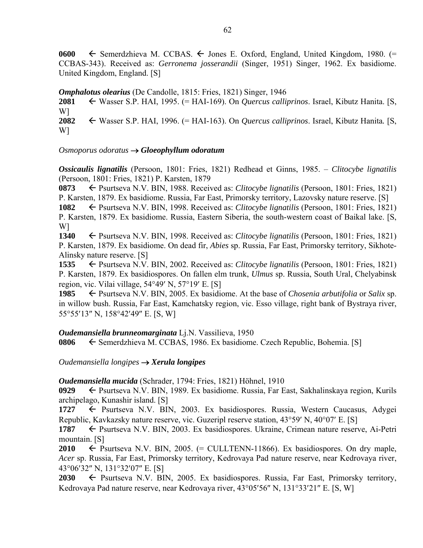0600  $\leftarrow$  Semerdzhieva M. CCBAS.  $\leftarrow$  Jones E. Oxford, England, United Kingdom, 1980. (= CCBAS-343). Received as: *Gerronema josserandii* (Singer, 1951) Singer, 1962. Ex basidiome. United Kingdom, England. [S]

*Omphalotus olearius* (De Candolle, 1815: Fries, 1821) Singer, 1946 **2081** Wasser S.P. HAI, 1995. (= HAI-169). On *Quercus calliprinos*. Israel, Kibutz Hanita. [S, W] **2082** Wasser S.P. HAI, 1996. (= HAI-163). On *Quercus calliprinos*. Israel, Kibutz Hanita*.* [S, W]

*Osmoporus odoratus Gloeophyllum odoratum* 

*Ossicaulis lignatilis* (Persoon, 1801: Fries, 1821) Redhead et Ginns, 1985. – *Clitocybe lignatilis* (Persoon, 1801: Fries, 1821) P. Karsten, 1879

**0873** ← Psurtseva N.V. BIN, 1988. Received as: *Clitocybe lignatilis* (Persoon, 1801: Fries, 1821) P. Karsten, 1879. Ex basidiome. Russia, Far East, Primorsky territory, Lazovsky nature reserve. [S]

**1082** Psurtseva N.V. BIN, 1998. Received as: *Clitocybe lignatilis* (Persoon, 1801: Fries, 1821) P. Karsten, 1879. Ex basidiome. Russia, Eastern Siberia, the south-western coast of Baikal lake. [S, W]

**1340** Psurtseva N.V. BIN, 1998. Received as: *Clitocybe lignatilis* (Persoon, 1801: Fries, 1821) P. Karsten, 1879. Ex basidiome. On dead fir, *Abies* sp. Russia, Far East, Primorsky territory, Sikhote-Alinsky nature reserve. [S]

**1535** ← Psurtseva N.V. BIN, 2002. Received as: *Clitocybe lignatilis* (Persoon, 1801: Fries, 1821) P. Karsten, 1879. Ex basidiospores. On fallen elm trunk, *Ulmus* sp. Russia, South Ural, Chelyabinsk region, vic. Vilai village,  $54^{\circ}49'$  N,  $57^{\circ}19'$  E. [S]

**1985**  $\leftarrow$  Psurtseva N.V. BIN, 2005. Ex basidiome. At the base of *Chosenia arbutifolia* or *Salix* sp. in willow bush. Russia, Far East, Kamchatsky region, vic. Esso village, right bank of Bystraya river, 55°55'13" N, 158°42'49" E. [S, W]

#### *Oudemansiella brunneomarginata* Lj.N. Vassilieva, 1950

**0806** ← Semerdzhieva M. CCBAS, 1986. Ex basidiome. Czech Republic, Bohemia. [S]

*Oudemansiella longipes Xerula longipes* 

#### *Oudemansiella mucida* (Schrader, 1794: Fries, 1821) Höhnel, 1910

**0929** ← Psurtseva N.V. BIN, 1989. Ex basidiome. Russia, Far East, Sakhalinskaya region, Kurils archipelago, Kunashir island. [S]

1727  $\leftarrow$  Psurtseva N.V. BIN, 2003. Ex basidiospores. Russia, Western Caucasus, Adygei Republic, Kavkazsky nature reserve, vic. Guzeripl reserve station,  $43^{\circ}59'$  N,  $40^{\circ}07'$  E. [S]

**1787** ← Psurtseva N.V. BIN, 2003. Ex basidiospores. Ukraine, Crimean nature reserve, Ai-Petri mountain. [S]

**2010**  $\leftarrow$  Psurtseva N.V. BIN, 2005. (= CULLTENN-11866). Ex basidiospores. On dry maple, *Acer* sp. Russia, Far East, Primorsky territory, Kedrovaya Pad nature reserve, near Kedrovaya river, 43°06'32" N, 131°32'07" E. [S]

2030 Psurtseva N.V. BIN, 2005. Ex basidiospores. Russia, Far East, Primorsky territory, Kedrovaya Pad nature reserve, near Kedrovaya river,  $43^{\circ}05'56''$  N,  $131^{\circ}33'21''$  E. [S, W]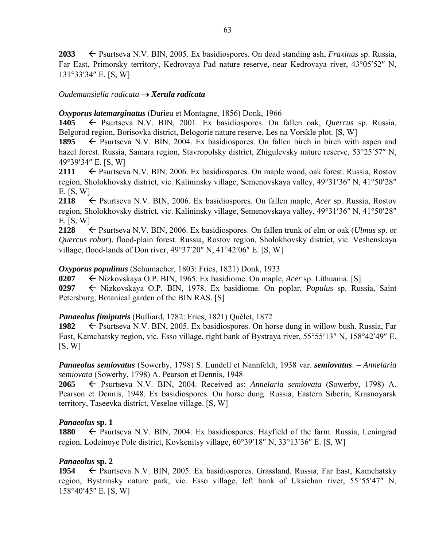**2033** <del>←</del> Psurtseva N.V. BIN, 2005. Ex basidiospores. On dead standing ash, *Fraxinus* sp. Russia, Far East, Primorsky territory, Kedrovaya Pad nature reserve, near Kedrovaya river, 43°05'52" N,  $131°33'34"$  E. [S, W]

### *Oudemansiella radicata Xerula radicata*

*Oxyporus latemarginatus* (Durieu et Montagne, 1856) Donk, 1966

**1405** Psurtseva N.V. BIN, 2001. Ex basidiospores. On fallen oak, *Quercus* sp. Russia, Belgorod region, Borisovka district, Belogorie nature reserve, Les na Vorskle plot. [S, W]

1895  $\leftarrow$  Psurtseva N.V. BIN, 2004. Ex basidiospores. On fallen birch in birch with aspen and hazel forest. Russia, Samara region, Stavropolsky district, Zhigulevsky nature reserve, 53°25′57″ N, 49°39′34″ E. [S, W]

**2111**  $\leftarrow$  Psurtseva N.V. BIN, 2006. Ex basidiospores. On maple wood, oak forest. Russia, Rostov region, Sholokhovsky district, vic. Kalininsky village, Semenovskaya valley, 49°31′36" N, 41°50′28" E. [S, W]

**2118** Psurtseva N.V. BIN, 2006. Ex basidiospores. On fallen maple, *Acer* sp. Russia, Rostov region, Sholokhovsky district, vic. Kalininsky village, Semenovskaya valley, 49°31′36" N, 41°50′28" E. [S, W]

**2128** Psurtseva N.V. BIN, 2006. Ex basidiospores. On fallen trunk of elm or oak (*Ulmus* sp. or *Quercus robur*), flood-plain forest. Russia, Rostov region, Sholokhovsky district, vic. Veshenskaya village, flood-lands of Don river,  $49^{\circ}37'20''$  N,  $41^{\circ}42'06''$  E. [S, W]

### *Oxyporus populinus* (Schumacher, 1803: Fries, 1821) Donk, 1933

**0207** ← Nizkovskaya O.P. BIN, 1965. Ex basidiome. On maple, *Acer* sp. Lithuania. [S]

**0297** Nizkovskaya O.P. BIN, 1978. Ex basidiome. On poplar, *Populus* sp. Russia, Saint Petersburg, Botanical garden of the BIN RAS. [S]

# *Panaeolus fimiputris* (Bulliard, 1782: Fries, 1821) Quélet, 1872

**1982** Psurtseva N.V. BIN, 2005. Ex basidiospores. On horse dung in willow bush. Russia, Far East, Kamchatsky region, vic. Esso village, right bank of Bystraya river, 55°55'13" N, 158°42'49" E.  $[S, W]$ 

*Panaeolus semiovatus* (Sowerby, 1798) S. Lundell et Nannfeldt, 1938 var. *semiovatus*. – *Annelaria semiovata* (Sowerby, 1798) A. Pearson et Dennis, 1948

**2065** Psurtseva N.V. BIN, 2004. Received as: *Annelaria semiovata* (Sowerby, 1798) A. Pearson et Dennis, 1948. Ex basidiospores. On horse dung. Russia, Eastern Siberia, Krasnoyarsk territory, Taseevka district, Veseloe village. [S, W]

# *Panaeolus* **sp. 1**

**1880**  $\leftarrow$  Psurtseva N.V. BIN, 2004. Ex basidiospores. Hayfield of the farm. Russia, Leningrad region, Lodeinoye Pole district, Kovkenitsy village,  $60^{\circ}39'18''$  N,  $33^{\circ}13'36''$  E. [S, W]

# *Panaeolus* **sp. 2**

**1954** ► Psurtseva N.V. BIN, 2005. Ex basidiospores. Grassland. Russia, Far East, Kamchatsky region, Bystrinsky nature park, vic. Esso village, left bank of Uksichan river, 55°55'47" N, 158°40'45" E. [S, W]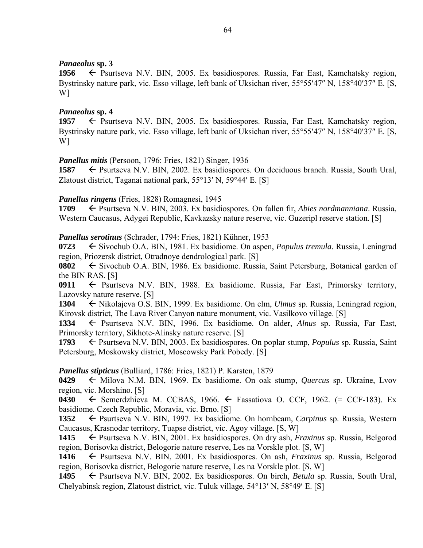### *Panaeolus* **sp. 3**

1956  $\leftarrow$  Psurtseva N.V. BIN, 2005. Ex basidiospores. Russia, Far East, Kamchatsky region, Bystrinsky nature park, vic. Esso village, left bank of Uksichan river, 55°55'47" N, 158°40'37" E. [S, W]

### *Panaeolus* **sp. 4**

1957 – Psurtseva N.V. BIN, 2005. Ex basidiospores. Russia, Far East, Kamchatsky region, Bystrinsky nature park, vic. Esso village, left bank of Uksichan river, 55°55'47" N, 158°40'37" E. [S, W]

### *Panellus mitis* (Persoon, 1796: Fries, 1821) Singer, 1936

**1587** ► Psurtseva N.V. BIN, 2002. Ex basidiospores. On deciduous branch. Russia, South Ural, Zlatoust district, Taganai national park,  $55^{\circ}13'$  N,  $59^{\circ}44'$  E. [S]

### *Panellus ringens* (Fries, 1828) Romagnesi, 1945

**1709** ← Psurtseva N.V. BIN, 2003. Ex basidiospores. On fallen fir, *Abies nordmanniana*. Russia, Western Caucasus, Adygei Republic, Kavkazsky nature reserve, vic. Guzeripl reserve station. [S]

### *Panellus serotinus* (Schrader, 1794: Fries, 1821) Kühner, 1953

**0723** ← Sivochub O.A. BIN, 1981. Ex basidiome. On aspen, *Populus tremula*. Russia, Leningrad region, Priozersk district, Otradnoye dendrological park. [S]

**0802**  $\leftarrow$  Sivochub O.A. BIN, 1986. Ex basidiome. Russia, Saint Petersburg, Botanical garden of the BIN RAS. [S]

0911  $\leftarrow$  Psurtseva N.V. BIN, 1988. Ex basidiome. Russia, Far East, Primorsky territory, Lazovsky nature reserve. [S]

**1304** Nikolajeva O.S. BIN, 1999. Ex basidiome. On elm, *Ulmus* sp. Russia, Leningrad region, Kirovsk district, The Lava River Canyon nature monument, vic. Vasilkovo village. [S]

1334  $\leftarrow$  Psurtseva N.V. BIN, 1996. Ex basidiome. On alder, *Alnus* sp. Russia, Far East, Primorsky territory, Sikhote-Alinsky nature reserve. [S]

**1793** ← Psurtseva N.V. BIN, 2003. Ex basidiospores. On poplar stump, *Populus* sp. Russia, Saint Petersburg, Moskowsky district, Moscowsky Park Pobedy. [S]

# *Panellus stipticus* (Bulliard, 1786: Fries, 1821) P. Karsten, 1879

**0429**  $\leftarrow$  Milova N.M. BIN, 1969. Ex basidiome. On oak stump, *Quercus* sp. Ukraine, Lvov region, vic. Morshino. [S]

**0430**  $\leftarrow$  Semerdzhieva M. CCBAS, 1966.  $\leftarrow$  Fassatiova O. CCF, 1962. (= CCF-183). Ex basidiome. Czech Republic, Moravia, vic. Brno. [S]

**1352** ← Psurtseva N.V. BIN, 1997. Ex basidiome. On hornbeam, *Carpinus* sp. Russia, Western Caucasus, Krasnodar territory, Tuapse district, vic. Agoy village. [S, W]

**1415** Psurtseva N.V. BIN, 2001. Ex basidiospores. On dry ash, *Fraxinus* sp*.* Russia, Belgorod region, Borisovka district, Belogorie nature reserve, Les na Vorskle plot. [S, W]

1416  $\leftarrow$  Psurtseva N.V. BIN, 2001. Ex basidiospores. On ash, *Fraxinus* sp. Russia, Belgorod region, Borisovka district, Belogorie nature reserve, Les na Vorskle plot. [S, W]

**1495** Psurtseva N.V. BIN, 2002. Ex basidiospores. On birch, *Betula* sp. Russia, South Ural, Chelyabinsk region, Zlatoust district, vic. Tuluk village,  $54^{\circ}13'$  N,  $58^{\circ}49'$  E. [S]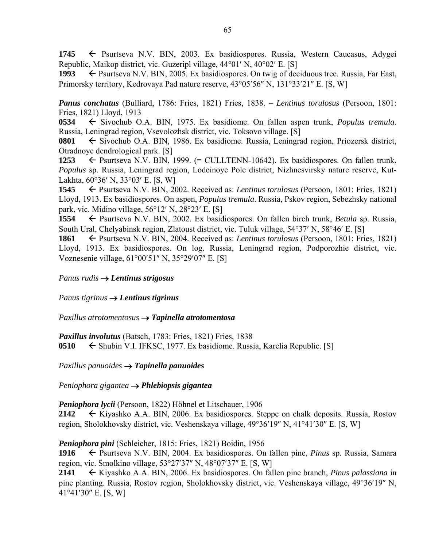**1745** ← Psurtseva N.V. BIN, 2003. Ex basidiospores. Russia, Western Caucasus, Adygei Republic, Maikop district, vic. Guzeripl village,  $44^{\circ}01'$  N,  $40^{\circ}02'$  E. [S]

1993  $\leftarrow$  Psurtseva N.V. BIN, 2005. Ex basidiospores. On twig of deciduous tree. Russia, Far East, Primorsky territory, Kedrovaya Pad nature reserve, 43°05'56" N, 131°33'21" E. [S, W]

*Panus conchatus* (Bulliard, 1786: Fries, 1821) Fries, 1838. – *Lentinus torulosus* (Persoon, 1801: Fries, 1821) Lloyd, 1913

**0534** ← Sivochub O.A. BIN, 1975. Ex basidiome. On fallen aspen trunk, *Populus tremula*. Russia, Leningrad region, Vsevolozhsk district, vic. Toksovo village. [S]

**0801** ← Sivochub O.A. BIN, 1986. Ex basidiome. Russia, Leningrad region, Priozersk district, Otradnoye dendrological park. [S]

1253  $\leftarrow$  Psurtseva N.V. BIN, 1999. (= CULLTENN-10642). Ex basidiospores. On fallen trunk, *Populus* sp. Russia, Leningrad region, Lodeinoye Pole district, Nizhnesvirsky nature reserve, Kut-Lakhta,  $60^{\circ}36'$  N,  $33^{\circ}03'$  E. [S, W]

**1545** Psurtseva N.V. BIN, 2002. Received as: *Lentinus torulosus* (Persoon, 1801: Fries, 1821) Lloyd, 1913. Ex basidiospores. On aspen, *Populus tremula*. Russia, Pskov region, Sebezhsky national park, vic. Midino village,  $56^{\circ}12'$  N,  $28^{\circ}23'$  E. [S]

**1554** Psurtseva N.V. BIN, 2002. Ex basidiospores. On fallen birch trunk, *Betula* sp. Russia, South Ural, Chelyabinsk region, Zlatoust district, vic. Tuluk village, 54°37' N, 58°46' E. [S]

**1861** Psurtseva N.V. BIN, 2004. Received as: *Lentinus torulosus* (Persoon, 1801: Fries, 1821) Lloyd, 1913. Ex basidiospores. On log. Russia, Leningrad region, Podporozhie district, vic. Voznesenie village, 61°00'51" N, 35°29'07" E. [S]

*Panus rudis Lentinus strigosus* 

*Panus tigrinus Lentinus tigrinus* 

*Paxillus atrotomentosus Tapinella atrotomentosa* 

*Paxillus involutus* (Batsch, 1783: Fries, 1821) Fries, 1838 **0510** Shubin V.I. IFKSC, 1977. Ex basidiome. Russia, Karelia Republic. [S]

*Paxillus panuoides Tapinella panuoides* 

*Peniophora gigantea Phlebiopsis gigantea* 

*Peniophora lycii* (Persoon, 1822) Höhnel et Litschauer, 1906

**2142**  $\leftarrow$  Kiyashko A.A. BIN, 2006. Ex basidiospores. Steppe on chalk deposits. Russia, Rostov region, Sholokhovsky district, vic. Veshenskaya village, 49°36'19" N, 41°41'30" E. [S, W]

*Peniophora pini* (Schleicher, 1815: Fries, 1821) Boidin, 1956

**1916** Psurtseva N.V. BIN, 2004. Ex basidiospores. On fallen pine, *Pinus* sp. Russia, Samara region, vic. Smolkino village,  $53^{\circ}27'37''$  N,  $48^{\circ}07'37''$  E. [S, W]

**2141** Kiyashko A.A. BIN, 2006. Ex basidiospores. On fallen pine branch, *Pinus palassiana* in pine planting. Russia, Rostov region, Sholokhovsky district, vic. Veshenskaya village, 49°36'19" N,  $41^{\circ}41'30''$  E. [S, W]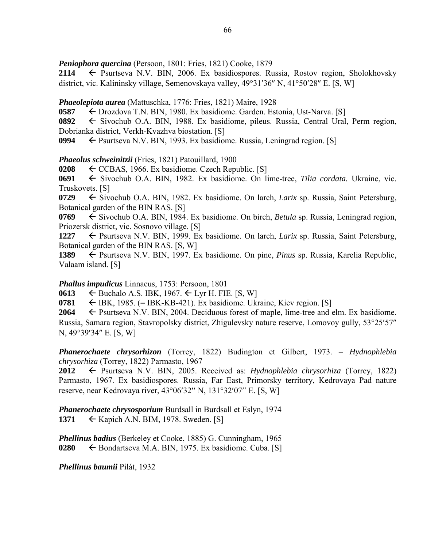*Peniophora quercina* (Persoon, 1801: Fries, 1821) Cooke, 1879

**2114**  $\leftarrow$  Psurtseva N.V. BIN, 2006. Ex basidiospores. Russia, Rostov region, Sholokhovsky district, vic. Kalininsky village, Semenovskaya valley,  $49^{\circ}31'36''$  N,  $41^{\circ}50'28''$  E. [S, W]

*Phaeolepiota aurea* (Mattuschka, 1776: Fries, 1821) Maire, 1928

**0587** Drozdova T.N. BIN, 1980. Ex basidiome. Garden. Estonia, Ust-Narva. [S]

**0892** ← Sivochub O.A. BIN, 1988. Ex basidiome, pileus. Russia, Central Ural, Perm region, Dobrianka district, Verkh-Kvazhva biostation. [S]

**0994** ► Psurtseva N.V. BIN, 1993. Ex basidiome. Russia, Leningrad region. [S]

*Phaeolus schweinitzii* (Fries, 1821) Patouillard, 1900

**0208**  $\leftarrow$  CCBAS, 1966. Ex basidiome. Czech Republic. [S]

**0691** ← Sivochub O.A. BIN, 1982. Ex basidiome. On lime-tree, *Tilia cordata*. Ukraine, vic. Truskovets. [S]

**0729** Sivochub O.A. BIN, 1982. Ex basidiome. On larch, *Larix* sp. Russia, Saint Petersburg, Botanical garden of the BIN RAS. [S]

**0769** Sivochub O.A. BIN, 1984. Ex basidiome. On birch, *Betula* sp. Russia, Leningrad region, Priozersk district, vic. Sosnovo village. [S]

1227 ← Psurtseva N.V. BIN, 1999. Ex basidiome. On larch, *Larix* sp. Russia, Saint Petersburg, Botanical garden of the BIN RAS. [S, W]

**1389** Psurtseva N.V. BIN, 1997. Ex basidiome. On pine, *Pinus* sp. Russia, Karelia Republic, Valaam island. [S]

*Phallus impudicus* Linnaeus, 1753: Persoon, 1801

**0613**  $\leftarrow$  Buchalo A.S. IBK, 1967.  $\leftarrow$  Lyr H. FIE. [S, W]

**0781**  $\leftarrow$  IBK, 1985. (= IBK-KB-421). Ex basidiome. Ukraine, Kiev region. [S]

**2064**  $\leftarrow$  Psurtseva N.V. BIN, 2004. Deciduous forest of maple, lime-tree and elm. Ex basidiome. Russia, Samara region, Stavropolsky district, Zhigulevsky nature reserve, Lomovoy gully, 53°25′57″ N, 49°39'34" E. [S, W]

*Phanerochaete chrysorhizon* (Torrey, 1822) Budington et Gilbert, 1973. – *Hydnophlebia chrysorhiza* (Torrey, 1822) Parmasto, 1967

**2012** Psurtseva N.V. BIN, 2005. Received as: *Hydnophlebia chrysorhiza* (Torrey, 1822) Parmasto, 1967. Ex basidiospores. Russia, Far East, Primorsky territory, Kedrovaya Pad nature reserve, near Kedrovaya river,  $43^{\circ}06'32''$  N,  $131^{\circ}32'07''$  E. [S, W]

*Phanerochaete chrysosporium* Burdsall in Burdsall et Eslyn, 1974 **1371** ← Kapich A.N. BIM, 1978. Sweden. [S]

*Phellinus badius* (Berkeley et Cooke, 1885) G. Cunningham, 1965 **0280**  $\leftarrow$  Bondartseva M.A. BIN, 1975. Ex basidiome. Cuba. [S]

*Phellinus baumii* Pilát, 1932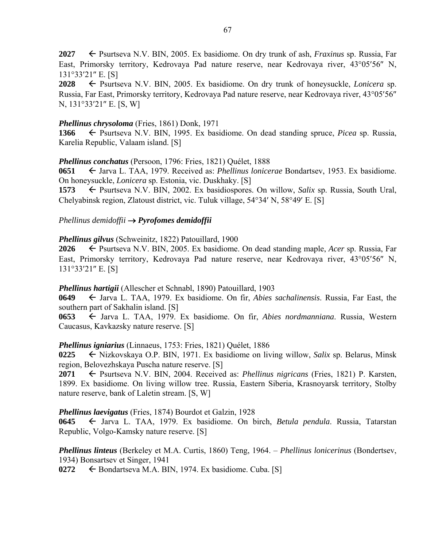**2027** ► Psurtseva N.V. BIN, 2005. Ex basidiome. On dry trunk of ash, *Fraxinus* sp. Russia, Far East, Primorsky territory, Kedrovaya Pad nature reserve, near Kedrovaya river, 43°05'56" N, 131°33'21″ E. [S]

**2028** Psurtseva N.V. BIN, 2005. Ex basidiome. On dry trunk of honeysuckle, *Lonicera* sp. Russia, Far East, Primorsky territory, Kedrovaya Pad nature reserve, near Kedrovaya river, 43°05'56" N, 131°33'21″ E. [S, W]

### *Phellinus chrysoloma* (Fries, 1861) Donk, 1971

**1366** Psurtseva N.V. BIN, 1995. Ex basidiome. On dead standing spruce, *Picea* sp. Russia, Karelia Republic, Valaam island. [S]

### *Phellinus conchatus* (Persoon, 1796: Fries, 1821) Quélet, 1888

**0651**  $\leftarrow$  Jarva L. TAA, 1979. Received as: *Phellinus lonicerae* Bondartsev, 1953. Ex basidiome. On honeysuckle, *Lonicera* sp. Estonia, vic. Duskhaky. [S]

**1573** ← Psurtseva N.V. BIN, 2002. Ex basidiospores. On willow, *Salix* sp. Russia, South Ural, Chelyabinsk region, Zlatoust district, vic. Tuluk village,  $54^{\circ}34'$  N,  $58^{\circ}49'$  E, [S]

### *Phellinus demidoffii Pyrofomes demidoffii*

### *Phellinus gilvus* (Schweinitz, 1822) Patouillard, 1900

**2026** Psurtseva N.V. BIN, 2005. Ex basidiome. On dead standing maple, *Acer* sp. Russia, Far East, Primorsky territory, Kedrovaya Pad nature reserve, near Kedrovaya river, 43°05'56" N, 131°33'21″ E. [S]

#### *Phellinus hartigii* (Allescher et Schnabl, 1890) Patouillard, 1903

**0649** Jarva L. TAA, 1979. Ex basidiome. On fir, *Abies sachalinensis*. Russia, Far East, the southern part of Sakhalin island. [S]

**0653** ← Jarva L. TAA, 1979. Ex basidiome. On fir, *Abies nordmanniana*. Russia, Western Caucasus, Kavkazsky nature reserve. [S]

# *Phellinus igniarius* (Linnaeus, 1753: Fries, 1821) Quélet, 1886

**0225** Nizkovskaya O.P. BIN, 1971. Ex basidiome on living willow, *Salix* sp. Belarus, Minsk region, Belovezhskaya Puscha nature reserve. [S]

**2071** ← Psurtseva N.V. BIN, 2004. Received as: *Phellinus nigricans* (Fries, 1821) P. Karsten, 1899. Ex basidiome. On living willow tree. Russia, Eastern Siberia, Krasnoyarsk territory, Stolby nature reserve, bank of Laletin stream. [S, W]

# *Phellinus laevigatus* (Fries, 1874) Bourdot et Galzin, 1928

**0645** Jarva L. TAA, 1979. Ex basidiome. On birch, *Betula pendula*. Russia, Tatarstan Republic, Volgo-Kamsky nature reserve. [S]

*Phellinus linteus* (Berkeley et M.A. Curtis, 1860) Teng, 1964. – *Phellinus lonicerinus* (Bondertsev, 1934) Bonsartsev et Singer, 1941

 $0272 \leftarrow$  Bondartseva M.A. BIN, 1974. Ex basidiome. Cuba. [S]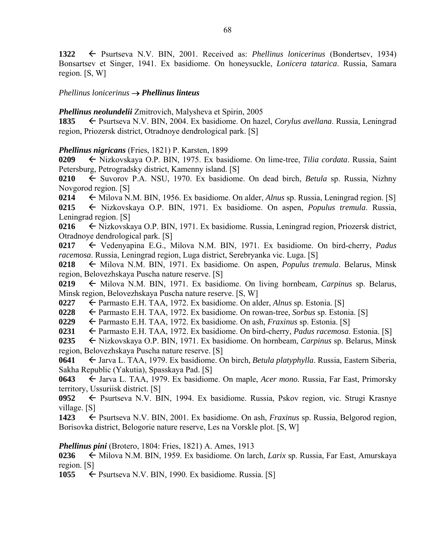**1322** Psurtseva N.V. BIN, 2001. Received as: *Phellinus lonicerinus* (Bondertsev, 1934) Bonsartsev et Singer, 1941. Ex basidiome. On honeysuckle, *Lonicera tatarica*. Russia, Samara region. [S, W]

### *Phellinus lonicerinus Phellinus linteus*

*Phellinus neolundelii* Zmitrovich, Malysheva et Spirin, 2005

**1835** ← Psurtseva N.V. BIN, 2004. Ex basidiome. On hazel, *Corylus avellana*. Russia, Leningrad region, Priozersk district, Otradnoye dendrological park. [S]

# *Phellinus nigricans* (Fries, 1821) P. Karsten, 1899

**0209** Nizkovskaya O.P. BIN, 1975. Ex basidiome. On lime-tree, *Tilia cordata*. Russia, Saint Petersburg, Petrogradsky district, Kamenny island. [S]

**0210** ← Suvorov P.A. NSU, 1970. Ex basidiome. On dead birch, *Betula* sp. Russia, Nizhny Novgorod region. [S]

0214  $\leftarrow$  Milova N.M. BIN, 1956. Ex basidiome. On alder, *Alnus* sp. Russia, Leningrad region. [S] **0215** Nizkovskaya O.P. BIN, 1971. Ex basidiome. On aspen, *Populus tremula*. Russia, Leningrad region. [S]

**0216** ← Nizkovskaya O.P. BIN, 1971. Ex basidiome. Russia, Leningrad region, Priozersk district, Otradnoye dendrological park. [S]

**0217** Vedenyapina E.G., Milova N.M. BIN, 1971. Ex basidiome. On bird-cherry, *Padus racemosa*. Russia, Leningrad region, Luga district, Serebryanka vic. Luga. [S]

**0218** ← Milova N.M. BIN, 1971. Ex basidiome. On aspen, *Populus tremula*. Belarus, Minsk region, Belovezhskaya Puscha nature reserve. [S]

0219  $\leftarrow$  Milova N.M. BIN, 1971. Ex basidiome. On living hornbeam, *Carpinus* sp. Belarus, Minsk region, Belovezhskaya Puscha nature reserve. [S, W]

**0227** Parmasto E.H. TAA, 1972. Ex basidiome. On alder, *Alnus* sp. Estonia. [S]

**0228** Parmasto E.H. TAA, 1972. Ex basidiome. On rowan-tree, *Sorbus* sp. Estonia. [S]

**0229** ► Parmasto E.H. TAA, 1972. Ex basidiome. On ash, *Fraxinus* sp. Estonia. [S]

**0231** ← Parmasto E.H. TAA, 1972. Ex basidiome. On bird-cherry, *Padus racemosa*. Estonia. [S]

**0235** ← Nizkovskaya O.P. BIN, 1971. Ex basidiome. On hornbeam, *Carpinus* sp. Belarus, Minsk region, Belovezhskaya Puscha nature reserve. [S]

0641 **← Jarva L. TAA, 1979. Ex basidiome. On birch,** *Betula platyphylla***. Russia, Eastern Siberia,** Sakha Republic (Yakutia), Spasskaya Pad. [S]

**0643** ← Jarva L. TAA, 1979. Ex basidiome. On maple, *Acer mono*. Russia, Far East, Primorsky territory, Ussuriisk district. [S]

0952 ← Psurtseva N.V. BIN, 1994. Ex basidiome. Russia, Pskov region, vic. Strugi Krasnye village. [S]

**1423** ← Psurtseva N.V. BIN, 2001. Ex basidiome. On ash, *Fraxinus* sp. Russia, Belgorod region, Borisovka district, Belogorie nature reserve, Les na Vorskle plot. [S, W]

*Phellinus pini* (Brotero, 1804: Fries, 1821) A. Ames, 1913

**0236** Milova N.M. BIN, 1959. Ex basidiome. On larch, *Larix* sp. Russia, Far East, Amurskaya region. [S]

**1055**  $\leftarrow$  Psurtseva N.V. BIN, 1990. Ex basidiome. Russia. [S]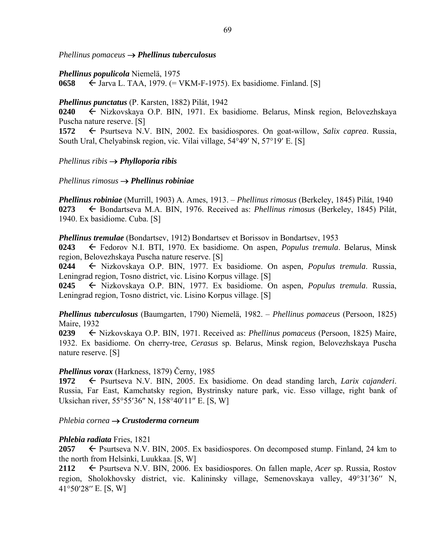*Phellinus pomaceus Phellinus tuberculosus* 

*Phellinus populicola* Niemelä, 1975

**0658** Jarva L. TAA, 1979. (= VKM-F-1975). Ex basidiome. Finland. [S]

#### *Phellinus punctatus* (P. Karsten, 1882) Pilát, 1942

**0240** Nizkovskaya O.P. BIN, 1971. Ex basidiome. Belarus, Minsk region, Belovezhskaya Puscha nature reserve. [S]

**1572** ← Psurtseva N.V. BIN, 2002. Ex basidiospores. On goat-willow, *Salix caprea*. Russia, South Ural, Chelyabinsk region, vic. Vilai village, 54°49' N, 57°19' E. [S]

*Phellinus ribis Phylloporia ribis* 

*Phellinus rimosus Phellinus robiniae* 

*Phellinus robiniae* (Murrill, 1903) A. Ames, 1913. – *Phellinus rimosus* (Berkeley, 1845) Pilát, 1940 0273 **←** Bondartseva M.A. BIN, 1976. Received as: *Phellinus rimosus* (Berkeley, 1845) Pilát, 1940. Ex basidiome. Cuba. [S]

*Phellinus tremulae* (Bondartsev, 1912) Bondartsev et Borissov in Bondartsev, 1953

**0243** Fedorov N.I. BTI, 1970. Ex basidiome. On aspen, *Populus tremula*. Belarus, Minsk region, Belovezhskaya Puscha nature reserve. [S]

**0244** Nizkovskaya O.P. BIN, 1977. Ex basidiome. On aspen, *Populus tremula*. Russia, Leningrad region, Tosno district, vic. Lisino Korpus village. [S]

**0245** Nizkovskaya O.P. BIN, 1977. Ex basidiome. On aspen, *Populus tremula*. Russia, Leningrad region, Tosno district, vic. Lisino Korpus village. [S]

*Phellinus tuberculosus* (Baumgarten, 1790) Niemelä, 1982. – *Phellinus pomaceus* (Persoon, 1825) Maire, 1932

**0239** Nizkovskaya O.P. BIN, 1971. Received as: *Phellinus pomaceus* (Persoon, 1825) Maire, 1932. Ex basidiome. On cherry-tree, *Cerasus* sp. Belarus, Minsk region, Belovezhskaya Puscha nature reserve. [S]

#### *Phellinus vorax* (Harkness, 1879) Černy, 1985

**1972** ← Psurtseva N.V. BIN, 2005. Ex basidiome. On dead standing larch, *Larix cajanderi*. Russia, Far East, Kamchatsky region, Bystrinsky nature park, vic. Esso village, right bank of Uksichan river, 55°55′36″ N, 158°40′11″ E. [S, W]

#### *Phlebia cornea Crustoderma corneum*

#### *Phlebia radiata* Fries, 1821

**2057**  $\leftarrow$  Psurtseva N.V. BIN, 2005. Ex basidiospores. On decomposed stump. Finland, 24 km to the north from Helsinki, Luukkaa. [S, W]

**2112** ← Psurtseva N.V. BIN, 2006. Ex basidiospores. On fallen maple, *Acer* sp. Russia, Rostov region, Sholokhovsky district, vic. Kalininsky village, Semenovskaya valley, 49°31'36" N,  $41^{\circ}50^{\prime}28^{\prime\prime}$  E. [S, W]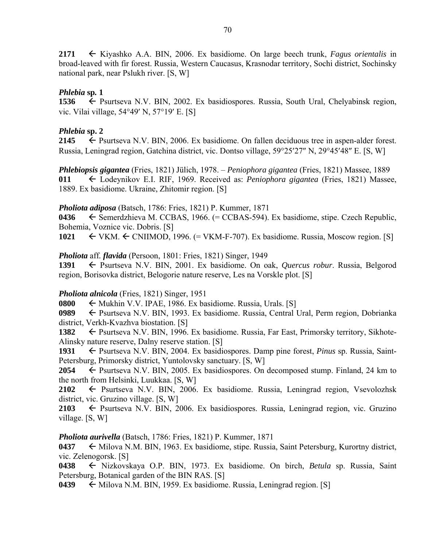**2171** Kiyashko A.A. BIN, 2006. Ex basidiome. On large beech trunk, *Fagus orientalis* in broad-leaved with fir forest. Russia, Western Caucasus, Krasnodar territory, Sochi district, Sochinsky national park, near Pslukh river. [S, W]

# *Phlebia* **sp***.* **1**

**1536** ← Psurtseva N.V. BIN, 2002. Ex basidiospores. Russia, South Ural, Chelyabinsk region, vic. Vilai village,  $54^{\circ}49'$  N,  $57^{\circ}19'$  E. [S]

### *Phlebia* **sp. 2**

**2145** ← Psurtseva N.V. BIN, 2006. Ex basidiome. On fallen deciduous tree in aspen-alder forest. Russia, Leningrad region, Gatchina district, vic. Dontso village, 59°25′27″ N, 29°45′48″ E. [S, W]

*Phlebiopsis gigantea* (Fries, 1821) Jülich, 1978. – *Peniophora gigantea* (Fries, 1821) Massee, 1889 **011** Lodeynikov E.I. RIF, 1969. Received as: *Peniophora gigantea* (Fries, 1821) Massee, 1889. Ex basidiome. Ukraine, Zhitomir region. [S]

### *Pholiota adiposa* (Batsch, 1786: Fries, 1821) P. Kummer, 1871

0436  $\leftarrow$  Semerdzhieva M. CCBAS, 1966. (= CCBAS-594). Ex basidiome, stipe. Czech Republic, Bohemia, Voznice vic. Dobris. [S]

1021  $\leftarrow$  VKM.  $\leftarrow$  CNIIMOD, 1996. (= VKM-F-707). Ex basidiome. Russia, Moscow region. [S]

### *Pholiota* aff*. flavida* (Persoon, 1801: Fries, 1821) Singer, 1949

1391 Psurtseva N.V. BIN, 2001. Ex basidiome. On oak, *Quercus robur*. Russia, Belgorod region, Borisovka district, Belogorie nature reserve, Les na Vorskle plot. [S]

#### *Pholiota alnicola* (Fries, 1821) Singer, 1951

**0800**  $\leftarrow$  Mukhin V.V. IPAE, 1986. Ex basidiome. Russia, Urals. [S]

**0989** ← Psurtseva N.V. BIN, 1993. Ex basidiome. Russia, Central Ural, Perm region, Dobrianka district, Verkh-Kvazhva biostation. [S]

**1382** ← Psurtseva N.V. BIN, 1996. Ex basidiome. Russia, Far East, Primorsky territory, Sikhote-Alinsky nature reserve, Dalny reserve station. [S]

**1931** ← Psurtseva N.V. BIN, 2004. Ex basidiospores. Damp pine forest, *Pinus* sp. Russia, Saint-Petersburg, Primorsky district, Yuntolovsky sanctuary. [S, W]

**2054**  $\leftarrow$  Psurtseva N.V. BIN, 2005. Ex basidiospores. On decomposed stump. Finland, 24 km to the north from Helsinki, Luukkaa. [S, W]

**2102** ← Psurtseva N.V. BIN, 2006. Ex basidiome. Russia, Leningrad region, Vsevolozhsk district, vic. Gruzino village. [S, W]

2103  $\leftarrow$  Psurtseva N.V. BIN, 2006. Ex basidiospores. Russia, Leningrad region, vic. Gruzino village. [S, W]

# *Pholiota aurivella* (Batsch, 1786: Fries, 1821) P. Kummer, 1871

0437 
Milova N.M. BIN, 1963. Ex basidiome, stipe. Russia, Saint Petersburg, Kurortny district, vic. Zelenogorsk. [S]

**0438** Nizkovskaya O.P. BIN, 1973. Ex basidiome. On birch, *Betula* sp. Russia, Saint Petersburg, Botanical garden of the BIN RAS. [S]

**0439**  $\leftarrow$  Milova N.M. BIN, 1959. Ex basidiome. Russia, Leningrad region. [S]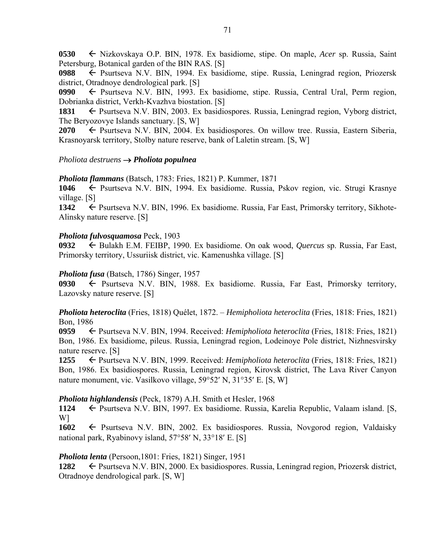**0530** Nizkovskaya O.P. BIN, 1978. Ex basidiome, stipe. On maple, *Acer* sp. Russia, Saint Petersburg, Botanical garden of the BIN RAS. [S]

**0988** Psurtseva N.V. BIN, 1994. Ex basidiome, stipe. Russia, Leningrad region, Priozersk district, Otradnoye dendrological park. [S]

0990  $\leftarrow$  Psurtseva N.V. BIN, 1993. Ex basidiome, stipe. Russia, Central Ural, Perm region, Dobrianka district, Verkh-Kvazhva biostation. [S]

1831 Psurtseva N.V. BIN, 2003. Ex basidiospores. Russia, Leningrad region, Vyborg district, The Beryozovye Islands sanctuary. [S, W]

**2070** ← Psurtseva N.V. BIN, 2004. Ex basidiospores. On willow tree. Russia, Eastern Siberia, Krasnoyarsk territory, Stolby nature reserve, bank of Laletin stream. [S, W]

### *Pholiota destruens Pholiota populnea*

*Pholiota flammans* (Batsch, 1783: Fries, 1821) P. Kummer, 1871

**1046** Psurtseva N.V. BIN, 1994. Ex basidiome. Russia, Pskov region, vic. Strugi Krasnye village. [S]

1342 **F** Psurtseva N.V. BIN, 1996. Ex basidiome. Russia, Far East, Primorsky territory, Sikhote-Alinsky nature reserve. [S]

### *Pholiota fulvosquamosa* Peck, 1903

**0932** Bulakh E.M. FEIBP, 1990. Ex basidiome. On oak wood, *Quercus* sp. Russia, Far East, Primorsky territory, Ussuriisk district, vic. Kamenushka village. [S]

#### *Pholiota fusa* (Batsch, 1786) Singer, 1957

**0930** Psurtseva N.V. BIN, 1988. Ex basidiome. Russia, Far East, Primorsky territory, Lazovsky nature reserve. [S]

*Pholiota heteroclita* (Fries, 1818) Quélet, 1872. – *Hemipholiota heteroclita* (Fries, 1818: Fries, 1821) Bon, 1986

**0959** Psurtseva N.V. BIN, 1994. Received: *Hemipholiota heteroclita* (Fries, 1818: Fries, 1821) Bon, 1986. Ex basidiome, pileus. Russia, Leningrad region, Lodeinoye Pole district, Nizhnesvirsky nature reserve. [S]

**1255** Psurtseva N.V. BIN, 1999. Received: *Hemipholiota heteroclita* (Fries, 1818: Fries, 1821) Bon, 1986. Ex basidiospores. Russia, Leningrad region, Kirovsk district, The Lava River Canyon nature monument, vic. Vasilkovo village, 59°52' N, 31°35' E. [S, W]

#### *Pholiota highlandensis* (Peck, 1879) A.H. Smith et Hesler, 1968

1124 Psurtseva N.V. BIN, 1997. Ex basidiome. Russia, Karelia Republic, Valaam island. [S, W]

**1602** ← Psurtseva N.V. BIN, 2002. Ex basidiospores. Russia, Novgorod region, Valdaisky national park, Ryabinovy island,  $57°58'$  N,  $33°18'$  E. [S]

#### *Pholiota lenta* (Persoon,1801: Fries, 1821) Singer, 1951

**1282** ← Psurtseva N.V. BIN, 2000. Ex basidiospores. Russia, Leningrad region, Priozersk district, Otradnoye dendrological park. [S, W]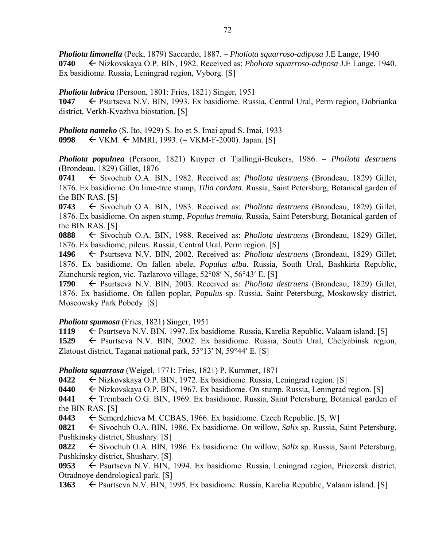*Pholiota limonella* (Peck, 1879) Saccardo, 1887. – *Pholiota squarroso-adiposa* J.E Lange, 1940 **0740** Nizkovskaya O.P. BIN, 1982. Received as: *Pholiota squarroso-adiposa* J.E Lange, 1940. Ex basidiome. Russia, Leningrad region, Vyborg. [S]

*Pholiota lubrica* (Persoon, 1801: Fries, 1821) Singer, 1951

1047 Psurtseva N.V. BIN, 1993. Ex basidiome. Russia, Central Ural, Perm region, Dobrianka district, Verkh-Kvazhva biostation. [S]

*Pholiota nameko* (S. Ito, 1929) S. Ito et S. Imai apud S. Imai, 1933 **0998** VKM. MMRI, 1993. (= VKM-F-2000). Japan. [S]

*Pholiota populnea* (Persoon, 1821) Kuyper et Tjallingii-Beukers, 1986. – *Pholiota destruens* (Brondeau, 1829) Gillet, 1876

**0741** ← Sivochub O.A. BIN, 1982. Received as: *Pholiota destruens* (Brondeau, 1829) Gillet, 1876. Ex basidiome. On lime-tree stump, *Tilia cordata*. Russia, Saint Petersburg, Botanical garden of the BIN RAS. [S]

**0743** ← Sivochub O.A. BIN, 1983. Received as: *Pholiota destruens* (Brondeau, 1829) Gillet, 1876. Ex basidiome. On aspen stump, *Populus tremula*. Russia, Saint Petersburg, Botanical garden of the BIN RAS. [S]

**0888** ← Sivochub O.A. BIN, 1988. Received as: *Pholiota destruens* (Brondeau, 1829) Gillet, 1876. Ex basidiome, pileus. Russia, Central Ural, Perm region. [S]

**1496** Psurtseva N.V. BIN, 2002. Received as: *Pholiota destruens* (Brondeau, 1829) Gillet, 1876. Ex basidiome. On fallen abele, *Populus alba*. Russia, South Ural, Bashkiria Republic, Zianchursk region, vic. Tazlarovo village,  $52^{\circ}08'$  N,  $56^{\circ}43'$  E. [S]

**1790** Psurtseva N.V. BIN, 2003. Received as: *Pholiota destruens* (Brondeau, 1829) Gillet, 1876. Ex basidiome. On fallen poplar, *Populus* sp. Russia, Saint Petersburg, Moskowsky district, Moscowsky Park Pobedy. [S]

#### *Pholiota spumosa* (Fries, 1821) Singer, 1951

1119 Psurtseva N.V. BIN, 1997. Ex basidiome. Russia, Karelia Republic, Valaam island. [S]

1529  $\leftarrow$  Psurtseva N.V. BIN, 2002. Ex basidiome. Russia, South Ural, Chelyabinsk region, Zlatoust district, Taganai national park,  $55^{\circ}13'$  N,  $59^{\circ}44'$  E. [S]

*Pholiota squarrosa* (Weigel, 1771: Fries, 1821) P. Kummer, 1871

**0422** ← Nizkovskaya O.P. BIN, 1972. Ex basidiome. Russia, Leningrad region. [S]

**0440** Nizkovskaya O.P. BIN, 1967. Ex basidiome. On stump. Russia, Leningrad region. [S]

**0441** Trembach O.G. BIN, 1969. Ex basidiome. Russia, Saint Petersburg, Botanical garden of the BIN RAS. [S]

**0443**  $\leftarrow$  Semerdzhieva M. CCBAS, 1966. Ex basidiome. Czech Republic. [S, W]

**0821** ← Sivochub O.A. BIN, 1986. Ex basidiome. On willow, *Salix* sp. Russia, Saint Petersburg, Pushkinsky district, Shushary. [S]

**0822** Sivochub O.A. BIN, 1986. Ex basidiome. On willow, *Salix* sp. Russia, Saint Petersburg, Pushkinsky district, Shushary. [S]

0953 
E Psurtseva N.V. BIN, 1994. Ex basidiome. Russia, Leningrad region, Priozersk district, Otradnoye dendrological park. [S]

**1363** ← Psurtseva N.V. BIN, 1995. Ex basidiome. Russia, Karelia Republic, Valaam island. [S]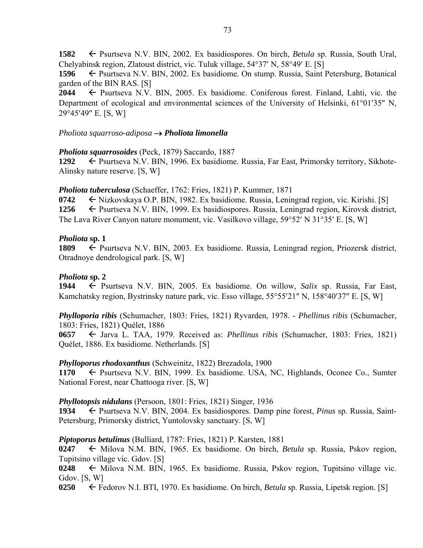**1582** ← Psurtseva N.V. BIN, 2002. Ex basidiospores. On birch, *Betula* sp. Russia, South Ural, Chelyabinsk region, Zlatoust district, vic. Tuluk village,  $54^{\circ}37'$  N,  $58^{\circ}49'$  E. [S]

**1596** ← Psurtseva N.V. BIN, 2002. Ex basidiome. On stump. Russia, Saint Petersburg, Botanical garden of the BIN RAS. [S]

2044 **← Psurtseva N.V. BIN, 2005. Ex basidiome. Coniferous forest. Finland, Lahti, vic. the** Department of ecological and environmental sciences of the University of Helsinki,  $61^{\circ}01'35''$  N, 29°45'49" E. [S, W]

### *Pholiota squarroso-adiposa Pholiota limonella*

### *Pholiota squarrosoides* (Peck, 1879) Saccardo, 1887

**1292** ← Psurtseva N.V. BIN, 1996. Ex basidiome. Russia, Far East, Primorsky territory, Sikhote-Alinsky nature reserve. [S, W]

*Pholiota tuberculosa* (Schaeffer, 1762: Fries, 1821) P. Kummer, 1871

**0742** ← Nizkovskaya O.P. BIN, 1982. Ex basidiome. Russia, Leningrad region, vic. Kirishi. [S] 1256 ← Psurtseva N.V. BIN, 1999. Ex basidiospores. Russia, Leningrad region, Kirovsk district, The Lava River Canyon nature monument, vic. Vasilkovo village,  $59^{\circ}52'$  N  $31^{\circ}35'$  E. [S, W]

### *Pholiota* **sp. 1**

1809 – Psurtseva N.V. BIN, 2003. Ex basidiome. Russia, Leningrad region, Priozersk district, Otradnoye dendrological park. [S, W]

### *Pholiota* **sp. 2**

1944  $\leftarrow$  Psurtseva N.V. BIN, 2005. Ex basidiome. On willow, *Salix* sp. Russia, Far East, Kamchatsky region, Bystrinsky nature park, vic. Esso village, 55°55'21" N, 158°40'37" E. [S, W]

*Phylloporia ribis* (Schumacher, 1803: Fries, 1821) Ryvarden, 1978. - *Phellinus ribis* (Schumacher, 1803: Fries, 1821) Quélet, 1886

**0657** ← Jarva L. TAA, 1979. Received as: *Phellinus ribis* (Schumacher, 1803: Fries, 1821) Quélet, 1886. Ex basidiome. Netherlands. [S]

### *Phylloporus rhodoxanthus* (Schweinitz, 1822) Brezadola, 1900

**1170** ← Psurtseva N.V. BIN, 1999. Ex basidiome. USA, NC, Highlands, Oconee Co., Sumter National Forest, near Chattooga river. [S, W]

### *Phyllotopsis nidulans* (Persoon, 1801: Fries, 1821) Singer, 1936

**1934** ← Psurtseva N.V. BIN, 2004. Ex basidiospores. Damp pine forest, *Pinus* sp. Russia, Saint-Petersburg, Primorsky district, Yuntolovsky sanctuary. [S, W]

### *Piptoporus betulinus* (Bulliard, 1787: Fries, 1821) P. Karsten, 1881

0247 Milova N.M. BIN, 1965. Ex basidiome. On birch, *Betula* sp. Russia, Pskov region, Tupitsino village vic. Gdov. [S]

 $0248 \leftarrow$  Milova N.M. BIN, 1965. Ex basidiome. Russia, Pskov region, Tupitsino village vic. Gdov. [S, W]

**0250** Fedorov N.I. BTI, 1970. Ex basidiome. On birch, *Betula* sp. Russia, Lipetsk region. [S]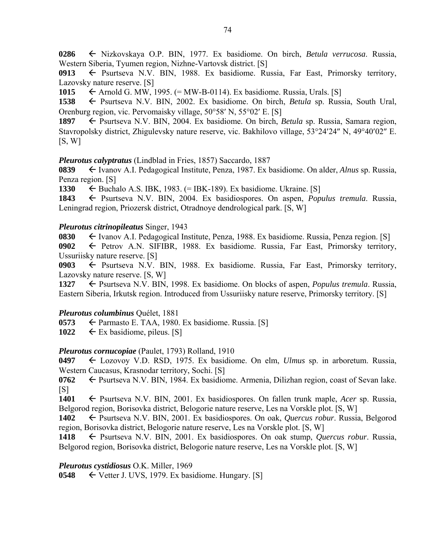**0286** Nizkovskaya O.P. BIN, 1977. Ex basidiome. On birch, *Betula verrucosa*. Russia, Western Siberia, Tyumen region, Nizhne-Vartovsk district. [S]

0913 Psurtseva N.V. BIN, 1988. Ex basidiome. Russia, Far East, Primorsky territory, Lazovsky nature reserve. [S]

1015  $\leftarrow$  Arnold G. MW, 1995. (= MW-B-0114). Ex basidiome. Russia, Urals. [S]

**1538** Psurtseva N.V. BIN, 2002. Ex basidiome. On birch, *Betula* sp. Russia, South Ural, Orenburg region, vic. Pervomaisky village,  $50^{\circ}58'$  N,  $55^{\circ}02'$  E. [S]

**1897** ← Psurtseva N.V. BIN, 2004. Ex basidiome. On birch, *Betula* sp. Russia, Samara region, Stavropolsky district, Zhigulevsky nature reserve, vic. Bakhilovo village, 53°24'24" N, 49°40'02" E.  $[S, W]$ 

### *Pleurotus calyptratus* (Lindblad in Fries, 1857) Saccardo, 1887

**0839** Ivanov A.I. Pedagogical Institute, Penza, 1987. Ex basidiome. On alder, *Alnus* sp. Russia, Penza region. [S]

1330  $\leftarrow$  Buchalo A.S. IBK, 1983. (= IBK-189). Ex basidiome. Ukraine. [S]

1843 
External Basediese Psurtseva N.V. BIN, 2004. Extensional Extension on aspen, *Populus tremula*. Russia, Leningrad region, Priozersk district, Otradnoye dendrological park. [S, W]

### *Pleurotus citrinopileatus* Singer, 1943

0830  $\leftarrow$  Ivanov A.I. Pedagogical Institute, Penza, 1988. Ex basidiome. Russia, Penza region. [S] 0902 Petrov A.N. SIFIBR, 1988. Ex basidiome. Russia, Far East, Primorsky territory,

Ussuriisky nature reserve. [S]

0903  $\leftarrow$  Psurtseva N.V. BIN, 1988. Ex basidiome. Russia, Far East, Primorsky territory, Lazovsky nature reserve. [S, W]

**1327** ► Psurtseva N.V. BIN, 1998. Ex basidiome. On blocks of aspen, *Populus tremula*. Russia, Eastern Siberia, Irkutsk region. Introduced from Ussuriisky nature reserve, Primorsky territory. [S]

## *Pleurotus columbinus* Quélet, 1881

**0573** ← Parmasto E. TAA, 1980. Ex basidiome. Russia. [S]

**1022**  $\leftarrow$  Ex basidiome, pileus. [S]

## *Pleurotus cornucopiae* (Paulet, 1793) Rolland, 1910

**0497** Lozovoy V.D. RSD, 1975. Ex basidiome. On elm, *Ulmus* sp. in arboretum. Russia, Western Caucasus, Krasnodar territory, Sochi. [S]

**0762** ► Psurtseva N.V. BIN, 1984. Ex basidiome. Armenia, Dilizhan region, coast of Sevan lake.  $[S]$ 

**1401** Psurtseva N.V. BIN, 2001. Ex basidiospores. On fallen trunk maple, *Acer* sp. Russia, Belgorod region, Borisovka district, Belogorie nature reserve, Les na Vorskle plot. [S, W]

**1402** ← Psurtseva N.V. BIN, 2001. Ex basidiospores. On oak, *Quercus robur*. Russia, Belgorod region, Borisovka district, Belogorie nature reserve, Les na Vorskle plot. [S, W]

**1418** ← Psurtseva N.V. BIN, 2001. Ex basidiospores. On oak stump, *Quercus robur*. Russia, Belgorod region, Borisovka district, Belogorie nature reserve, Les na Vorskle plot. [S, W]

### *Pleurotus cystidiosus* O.K. Miller, 1969

**0548**  $\leftarrow$  Vetter J. UVS, 1979. Ex basidiome. Hungary. [S]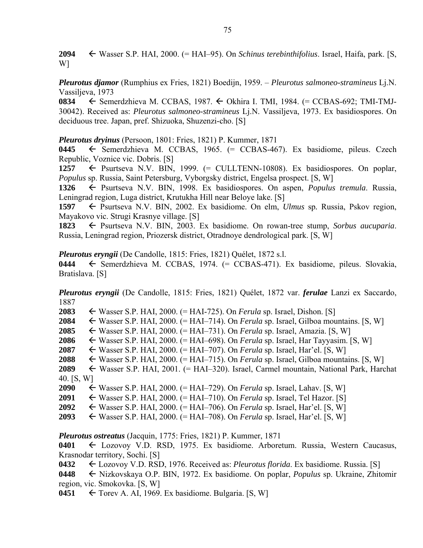**2094** Wasser S.P. HAI, 2000. (= HAI–95). On *Schinus terebinthifolius*. Israel, Haifa, park. [S, W]

*Pleurotus djamor* (Rumphius ex Fries, 1821) Boedijn, 1959. – *Pleurotus salmoneo-stramineus* Lj.N. Vassiljeva, 1973

**0834** Semerdzhieva M. CCBAS, 1987. Okhira I. TMI, 1984. (= CCBAS-692; TMI-TMJ-30042). Received as: *Pleurotus salmoneo-stramineus* Lj.N. Vassiljeva, 1973. Ex basidiospores. On deciduous tree. Japan, pref. Shizuoka, Shuzenzi-cho. [S]

*Pleurotus dryinus* (Persoon, 1801: Fries, 1821) P. Kummer, 1871

**0445** ← Semerdzhieva M. CCBAS, 1965. (= CCBAS-467). Ex basidiome, pileus. Czech Republic, Voznice vic. Dobris. [S]

1257  $\leftarrow$  Psurtseva N.V. BIN, 1999.  $(=$  CULLTENN-10808). Ex basidiospores. On poplar, *Populus* sp. Russia, Saint Petersburg, Vyborgsky district, Engelsa prospect. [S, W]

**1326** Psurtseva N.V. BIN, 1998. Ex basidiospores. On aspen, *Populus tremula*. Russia, Leningrad region, Luga district, Krutukha Hill near Beloye lake. [S]

**1597** ← Psurtseva N.V. BIN, 2002. Ex basidiome. On elm, *Ulmus* sp. Russia, Pskov region, Mayakovo vic. Strugi Krasnye village. [S]

**1823** ← Psurtseva N.V. BIN, 2003. Ex basidiome. On rowan-tree stump, *Sorbus aucuparia*. Russia, Leningrad region, Priozersk district, Otradnoye dendrological park. [S, W]

*Pleurotus eryngii* (De Candolle, 1815: Fries, 1821) Quélet, 1872 s.l.

**0444** ← Semerdzhieva M. CCBAS, 1974. (= CCBAS-471). Ex basidiome, pileus. Slovakia, Bratislava. [S]

*Pleurotus eryngii* (De Candolle, 1815: Fries, 1821) Quélet, 1872 var. *ferulae* Lanzi ex Saccardo, 1887

**2083** Wasser S.P. HAI, 2000. (= HAI-725). On *Ferula* sp. Israel, Dishon. [S]

**2084** Wasser S.P. HAI, 2000. (= HAI–714). On *Ferula* sp. Israel, Gilboa mountains. [S, W]

**2085** Wasser S.P. HAI, 2000. (= HAI–731). On *Ferula* sp. Israel, Amazia. [S, W]

**2086** Wasser S.P. HAI, 2000. (= HAI–698). On *Ferula* sp. Israel, Har Tayyasim. [S, W]

- **2087** Wasser S.P. HAI, 2000. (= HAI–707). On *Ferula* sp. Israel, Har'el. [S, W]
- **2088** Wasser S.P. HAI, 2000. (= HAI–715). On *Ferula* sp. Israel, Gilboa mountains. [S, W]

**2089** Wasser S.P. HAI, 2001. (= HAI–320). Israel, Carmel mountain, National Park, Harchat 40. [S, W]

**2090** Wasser S.P. HAI, 2000. (= HAI–729). On *Ferula* sp. Israel, Lahav. [S, W]

**2091** Wasser S.P. HAI, 2000. (= HAI–710). On *Ferula* sp. Israel, Tel Hazor. [S]

**2092** Wasser S.P. HAI, 2000. (= HAI–706). On *Ferula* sp. Israel, Har'el. [S, W]

**2093** Wasser S.P. HAI, 2000. (= HAI–708). On *Ferula* sp. Israel, Har'el. [S, W]

*Pleurotus ostreatus* (Jacquin, 1775: Fries, 1821) P. Kummer, 1871

**0401** Lozovoy V.D. RSD, 1975. Ex basidiome. Arboretum. Russia, Western Caucasus, Krasnodar territory, Sochi. [S]

**0432** Lozovoy V.D. RSD, 1976. Received as: *Pleurotus florida*. Ex basidiome. Russia. [S]

**0448** Nizkovskaya O.P. BIN, 1972. Ex basidiome. On poplar, *Populus* sp. Ukraine, Zhitomir region, vic. Smokovka. [S, W]

**0451**  $\leftarrow$  Torev A. AI, 1969. Ex basidiome. Bulgaria. [S, W]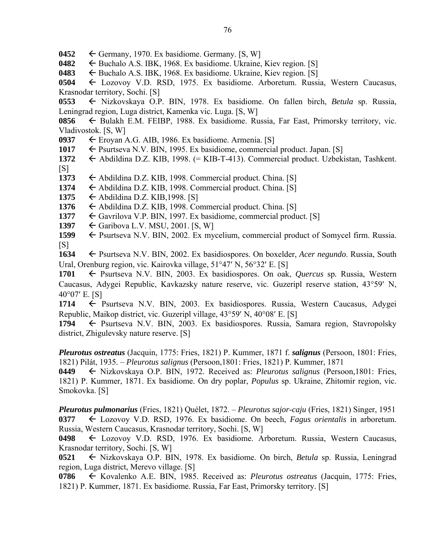$0452 \leftarrow$  Germany, 1970. Ex basidiome. Germany. [S, W]

**0482**  $\leftarrow$  Buchalo A.S. IBK, 1968. Ex basidiome. Ukraine, Kiev region. [S]

**0483**  $\leftarrow$  Buchalo A.S. IBK, 1968. Ex basidiome. Ukraine, Kiev region. [S]

**0504** Lozovoy V.D. RSD, 1975. Ex basidiome. Arboretum. Russia, Western Caucasus, Krasnodar territory, Sochi. [S]

**0553** ← Nizkovskaya O.P. BIN, 1978. Ex basidiome. On fallen birch, *Betula* sp. Russia, Leningrad region, Luga district, Kamenka vic. Luga. [S, W]

**0856** ← Bulakh E.M. FEIBP, 1988. Ex basidiome. Russia, Far East, Primorsky territory, vic. Vladivostok. [S, W]

**0937** Eroyan A.G. AIB, 1986. Ex basidiome. Armenia. [S]

1017 Psurtseva N.V. BIN, 1995. Ex basidiome, commercial product. Japan. [S]

**1372** Abdildina D.Z. KIB, 1998. (= KIB-T-413). Commercial product. Uzbekistan, Tashkent.  $[S]$ 

1373  $\leftarrow$  Abdildina D.Z. KIB, 1998. Commercial product. China. [S]

1374  $\leftarrow$  Abdildina D.Z. KIB, 1998. Commercial product. China. [S]

**1375** ← Abdildina D.Z. KIB,1998. [S]

1376  $\leftarrow$  Abdildina D.Z. KIB, 1998. Commercial product. China. [S]

1377 Gavrilova V.P. BIN, 1997. Ex basidiome, commercial product. [S]

**1397** Garibova L.V. MSU, 2001. [S, W]

1599 Psurtseva N.V. BIN, 2002. Ex mycelium, commercial product of Somycel firm. Russia.  $[S]$ 

**1634** ← Psurtseva N.V. BIN, 2002. Ex basidiospores. On boxelder, *Acer negundo*. Russia, South Ural, Orenburg region, vic. Kairovka village,  $51^{\circ}47'$  N,  $56^{\circ}32'$  E. [S]

**1701** ← Psurtseva N.V. BIN, 2003. Ex basidiospores. On oak, *Quercus* sp. Russia, Western Caucasus, Adygei Republic, Kavkazsky nature reserve, vic. Guzeripl reserve station, 43°59' N,  $40^{\circ}07'$  E. [S]

**1714** ← Psurtseva N.V. BIN, 2003. Ex basidiospores. Russia, Western Caucasus, Adygei Republic, Maikop district, vic. Guzeripl village,  $43^{\circ}59'$  N,  $40^{\circ}08'$  E. [S]

1794  $\leftarrow$  Psurtseva N.V. BIN, 2003. Ex basidiospores. Russia, Samara region, Stavropolsky district, Zhigulevsky nature reserve. [S]

*Pleurotus ostreatus* (Jacquin, 1775: Fries, 1821) P. Kummer, 1871 f. *salignus* (Persoon, 1801: Fries, 1821) Pilát, 1935. – *Pleurotus salignus* (Persoon,1801: Fries, 1821) P. Kummer, 1871

**0449** Nizkovskaya O.P. BIN, 1972. Received as: *Pleurotus salignus* (Persoon,1801: Fries, 1821) P. Kummer, 1871. Ex basidiome. On dry poplar, *Populus* sp. Ukraine, Zhitomir region, vic. Smokovka. [S]

*Pleurotus pulmonarius* (Fries, 1821) Quélet, 1872. – *Pleurotus sajor-caju* (Fries, 1821) Singer, 1951 **0377**  Lozovoy V.D. RSD, 1976. Ex basidiome. On beech, *Fagus orientalis* in arboretum. Russia, Western Caucasus, Krasnodar territory, Sochi. [S, W]

**0498** Lozovoy V.D. RSD, 1976. Ex basidiome. Arboretum. Russia, Western Caucasus, Krasnodar territory, Sochi. [S, W]

**0521** Nizkovskaya O.P. BIN, 1978. Ex basidiome. On birch, *Betula* sp. Russia, Leningrad region, Luga district, Merevo village. [S]

**0786** Kovalenko A.E. BIN, 1985. Received as: *Pleurotus ostreatus* (Jacquin, 1775: Fries, 1821) P. Kummer, 1871. Ex basidiome. Russia, Far East, Primorsky territory. [S]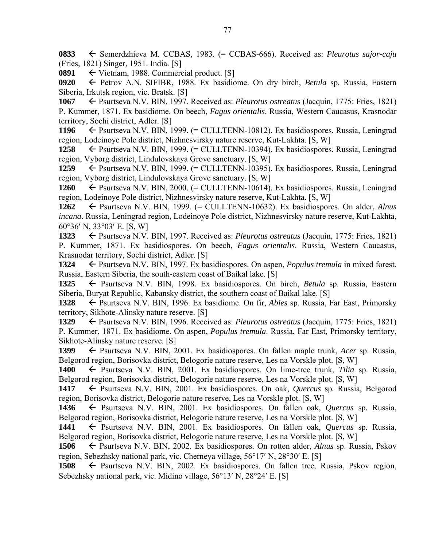**0833** Semerdzhieva M. CCBAS, 1983. (= CCBAS-666). Received as: *Pleurotus sajor-caju* (Fries, 1821) Singer, 1951. India. [S]

0891  $\leftarrow$  Vietnam, 1988. Commercial product. [S]

**0920** Petrov A.N. SIFIBR, 1988. Ex basidiome. On dry birch, *Betula* sp. Russia, Eastern Siberia, Irkutsk region, vic. Bratsk. [S]

**1067** Psurtseva N.V. BIN, 1997. Received as: *Pleurotus ostreatus* (Jacquin, 1775: Fries, 1821)

P. Kummer, 1871. Ex basidiome. On beech, *Fagus orientalis*. Russia, Western Caucasus, Krasnodar territory, Sochi district, Adler. [S]

**1196** Psurtseva N.V. BIN, 1999. (= CULLTENN-10812). Ex basidiospores. Russia, Leningrad region, Lodeinoye Pole district, Nizhnesvirsky nature reserve, Kut-Lakhta. [S, W]

**1258** ← Psurtseva N.V. BIN, 1999. (= CULLTENN-10394). Ex basidiospores. Russia, Leningrad region, Vyborg district, Lindulovskaya Grove sanctuary. [S, W]

**1259** ← Psurtseva N.V. BIN, 1999. (= CULLTENN-10395). Ex basidiospores. Russia, Leningrad region, Vyborg district, Lindulovskaya Grove sanctuary. [S, W]

**1260** ← Psurtseva N.V. BIN, 2000. (= CULLTENN-10614). Ex basidiospores. Russia, Leningrad region, Lodeinoye Pole district, Nizhnesvirsky nature reserve, Kut-Lakhta. [S, W]

**1262** Psurtseva N.V. BIN, 1999. (= CULLTENN-10632). Ex basidiospores. On alder, *Alnus incana*. Russia, Leningrad region, Lodeinoye Pole district, Nizhnesvirsky nature reserve, Kut-Lakhta,  $60^{\circ}36'$  N,  $33^{\circ}03'$  E. [S, W]

**1323** ← Psurtseva N.V. BIN, 1997. Received as: *Pleurotus ostreatus* (Jacquin, 1775: Fries, 1821) P. Kummer, 1871. Ex basidiospores. On beech, *Fagus orientalis*. Russia, Western Caucasus, Krasnodar territory, Sochi district, Adler. [S]

**1324** ← Psurtseva N.V. BIN, 1997. Ex basidiospores. On aspen, *Populus tremula* in mixed forest. Russia, Eastern Siberia, the south-eastern coast of Baikal lake. [S]

**1325** Psurtseva N.V. BIN, 1998. Ex basidiospores. On birch, *Betula* sp. Russia, Eastern Siberia, Buryat Republic, Kabansky district, the southern coast of Baikal lake. [S]

**1328** Psurtseva N.V. BIN, 1996. Ex basidiome. On fir, *Abies* sp. Russia, Far East, Primorsky territory, Sikhote-Alinsky nature reserve. [S]

**1329** Psurtseva N.V. BIN, 1996. Received as: *Pleurotus ostreatus* (Jacquin, 1775: Fries, 1821) P. Kummer, 1871. Ex basidiome. On aspen, *Populus tremula*. Russia, Far East, Primorsky territory, Sikhote-Alinsky nature reserve. [S]

1399  $\leftarrow$  Psurtseva N.V. BIN, 2001. Ex basidiospores. On fallen maple trunk, *Acer* sp. Russia, Belgorod region, Borisovka district, Belogorie nature reserve, Les na Vorskle plot. [S, W]

**1400** Psurtseva N.V. BIN, 2001. Ex basidiospores. On lime-tree trunk, *Tilia* sp. Russia, Belgorod region, Borisovka district, Belogorie nature reserve, Les na Vorskle plot. [S, W]

1417  $\leftarrow$  Psurtseva N.V. BIN, 2001. Ex basidiospores. On oak, *Quercus* sp. Russia, Belgorod region, Borisovka district, Belogorie nature reserve, Les na Vorskle plot. [S, W]

**1436** Psurtseva N.V. BIN, 2001. Ex basidiospores. On fallen oak, *Quercus* sp*.* Russia, Belgorod region, Borisovka district, Belogorie nature reserve, Les na Vorskle plot. [S, W]

1441  $\leftarrow$  Psurtseva N.V. BIN, 2001. Ex basidiospores. On fallen oak, *Quercus* sp. Russia, Belgorod region, Borisovka district, Belogorie nature reserve, Les na Vorskle plot. [S, W]

**1506** Psurtseva N.V. BIN, 2002. Ex basidiospores. On rotten alder, *Alnus* sp. Russia, Pskov region, Sebezhsky national park, vic. Cherneya village, 56°17′ N, 28°30′ E. [S]

1508  $\leftarrow$  Psurtseva N.V. BIN, 2002. Ex basidiospores. On fallen tree. Russia, Pskov region, Sebezhsky national park, vic. Midino village,  $56^{\circ}13'$  N,  $28^{\circ}24'$  E. [S]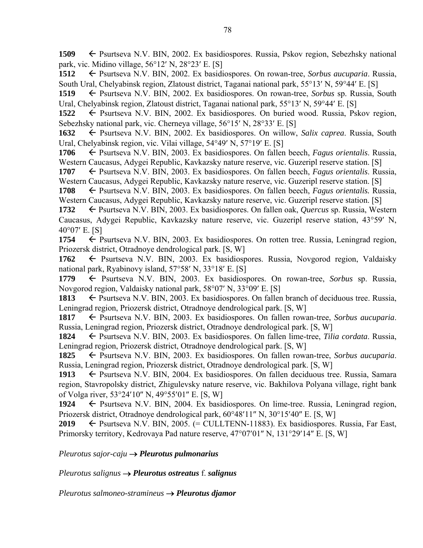**1509** ← Psurtseva N.V. BIN, 2002. Ex basidiospores. Russia, Pskov region, Sebezhsky national park, vic. Midino village,  $56^{\circ}12'$  N,  $28^{\circ}23'$  E. [S]

**1512** ← Psurtseva N.V. BIN, 2002. Ex basidiospores. On rowan-tree, *Sorbus aucuparia*. Russia, South Ural, Chelyabinsk region, Zlatoust district, Taganai national park,  $55^{\circ}13'$  N,  $59^{\circ}44'$  E. [S]

1519 – Psurtseva N.V. BIN, 2002. Ex basidiospores. On rowan-tree, *Sorbus* sp. Russia, South Ural, Chelyabinsk region, Zlatoust district, Taganai national park,  $55^{\circ}13'$  N,  $59^{\circ}44'$  E. [S]

**1522** ← Psurtseva N.V. BIN, 2002. Ex basidiospores. On buried wood. Russia, Pskov region, Sebezhsky national park, vic. Cherneya village,  $56^{\circ}15'$  N,  $28^{\circ}33'$  E. [S]

1632 Psurtseva N.V. BIN, 2002. Ex basidiospores. On willow, *Salix caprea*. Russia, South Ural, Chelyabinsk region, vic. Vilai village, 54°49' N, 57°19' E. [S]

**1706** Psurtseva N.V. BIN, 2003. Ex basidiospores. On fallen beech, *Fagus orientalis*. Russia, Western Caucasus, Adygei Republic, Kavkazsky nature reserve, vic. Guzeripl reserve station. [S]

**1707** ← Psurtseva N.V. BIN, 2003. Ex basidiospores. On fallen beech, *Fagus orientalis*. Russia, Western Caucasus, Adygei Republic, Kavkazsky nature reserve, vic. Guzeripl reserve station. [S]

**1708** ← Psurtseva N.V. BIN, 2003. Ex basidiospores. On fallen beech, *Fagus orientalis*. Russia, Western Caucasus, Adygei Republic, Kavkazsky nature reserve, vic. Guzeripl reserve station. [S]

**1732** ← Psurtseva N.V. BIN, 2003. Ex basidiospores. On fallen oak, *Quercus* sp. Russia, Western Caucasus, Adygei Republic, Kavkazsky nature reserve, vic. Guzeripl reserve station, 43°59' N,  $40^{\circ}07'$  E. [S]

1754 
Psurtseva N.V. BIN, 2003. Ex basidiospores. On rotten tree. Russia, Leningrad region, Priozersk district, Otradnoye dendrological park. [S, W]

**1762** ← Psurtseva N.V. BIN, 2003. Ex basidiospores. Russia, Novgorod region, Valdaisky national park, Ryabinovy island,  $57°58'$  N,  $33°18'$  E. [S]

1779 Psurtseva N.V. BIN, 2003. Ex basidiospores. On rowan-tree, *Sorbus* sp. Russia, Novgorod region, Valdaisky national park,  $58^{\circ}07'$  N,  $33^{\circ}09'$  E. [S]

1813  $\leftarrow$  Psurtseva N.V. BIN, 2003. Ex basidiospores. On fallen branch of deciduous tree. Russia, Leningrad region, Priozersk district, Otradnoye dendrological park. [S, W]

1817  $\leftarrow$  Psurtseva N.V. BIN, 2003. Ex basidiospores. On fallen rowan-tree, *Sorbus aucuparia*. Russia, Leningrad region, Priozersk district, Otradnoye dendrological park. [S, W]

**1824** Psurtseva N.V. BIN, 2003. Ex basidiospores. On fallen lime-tree, *Tilia cordata*. Russia, Leningrad region, Priozersk district, Otradnoye dendrological park. [S, W]

**1825** Psurtseva N.V. BIN, 2003. Ex basidiospores. On fallen rowan-tree, *Sorbus aucuparia*. Russia, Leningrad region, Priozersk district, Otradnoye dendrological park. [S, W]

1913 Psurtseva N.V. BIN, 2004. Ex basidiospores. On fallen deciduous tree. Russia, Samara region, Stavropolsky district, Zhigulevsky nature reserve, vic. Bakhilova Polyana village, right bank of Volga river,  $53^{\circ}24'10''$  N,  $49^{\circ}55'01''$  E. [S, W]

1924 Psurtseva N.V. BIN, 2004. Ex basidiospores. On lime-tree. Russia, Leningrad region, Priozersk district, Otradnoye dendrological park,  $60^{\circ}48'11''$  N,  $30^{\circ}15'40''$  E. [S, W]

**2019**  $\leftarrow$  Psurtseva N.V. BIN, 2005. (= CULLTENN-11883). Ex basidiospores. Russia, Far East, Primorsky territory, Kedrovaya Pad nature reserve, 47°07'01" N, 131°29'14" E. [S, W]

*Pleurotus sajor-caju Pleurotus pulmonarius* 

*Pleurotus salignus Pleurotus ostreatus* f. *salignus*

*Pleurotus salmoneo-stramineus Pleurotus djamor*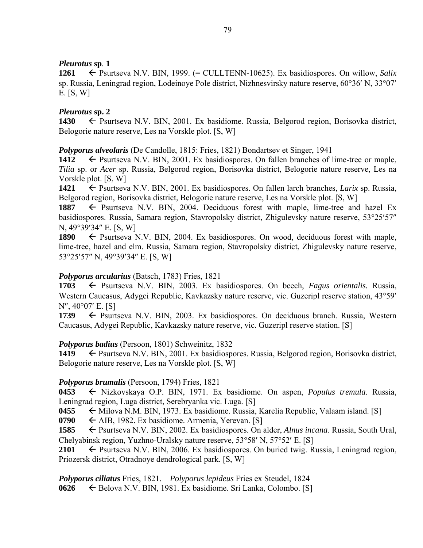## *Pleurotus* **sp**. **1**

**1261** Psurtseva N.V. BIN, 1999. (= CULLTENN-10625). Ex basidiospores. On willow, *Salix*  sp. Russia, Leningrad region, Lodeinoye Pole district, Nizhnesvirsky nature reserve,  $60^{\circ}36'$  N,  $33^{\circ}07'$ E. [S, W]

### *Pleurotus* **sp. 2**

1430 Psurtseva N.V. BIN, 2001. Ex basidiome. Russia, Belgorod region, Borisovka district, Belogorie nature reserve, Les na Vorskle plot. [S, W]

*Polyporus alveolaris* (De Candolle, 1815: Fries, 1821) Bondartsev et Singer, 1941

1412  $\leftarrow$  Psurtseva N.V. BIN, 2001. Ex basidiospores. On fallen branches of lime-tree or maple, *Tilia* sp. or *Acer* sp. Russia, Belgorod region, Borisovka district, Belogorie nature reserve, Les na Vorskle plot. [S, W]

**1421** ← Psurtseva N.V. BIN, 2001. Ex basidiospores. On fallen larch branches, *Larix* sp. Russia, Belgorod region, Borisovka district, Belogorie nature reserve, Les na Vorskle plot. [S, W]

1887  $\leftarrow$  Psurtseva N.V. BIN, 2004. Deciduous forest with maple, lime-tree and hazel Ex basidiospores. Russia, Samara region, Stavropolsky district, Zhigulevsky nature reserve, 53°25′57″  $N, 49^{\circ}39'34''$  E. [S, W]

**1890**  $\leftarrow$  Psurtseva N.V. BIN, 2004. Ex basidiospores. On wood, deciduous forest with maple, lime-tree, hazel and elm. Russia, Samara region, Stavropolsky district, Zhigulevsky nature reserve, 53°25'57" N, 49°39'34" E. [S, W]

## *Polyporus arcularius* (Batsch, 1783) Fries, 1821

**1703** Psurtseva N.V. BIN, 2003. Ex basidiospores. On beech, *Fagus orientalis.* Russia, Western Caucasus, Adygei Republic, Kavkazsky nature reserve, vic. Guzeripl reserve station, 43°59'  $N''$ , 40 $^{\circ}07'$  E. [S]

1739 Psurtseva N.V. BIN, 2003. Ex basidiospores. On deciduous branch. Russia, Western Caucasus, Adygei Republic, Kavkazsky nature reserve, vic. Guzeripl reserve station. [S]

## *Polyporus badius* (Persoon, 1801) Schweinitz, 1832

**1419** ← Psurtseva N.V. BIN, 2001. Ex basidiospores. Russia, Belgorod region, Borisovka district, Belogorie nature reserve, Les na Vorskle plot. [S, W]

### *Polyporus brumalis* (Persoon, 1794) Fries, 1821

**0453** Nizkovskaya O.P. BIN, 1971. Ex basidiome. On aspen, *Populus tremula*. Russia, Leningrad region, Luga district, Serebryanka vic. Luga. [S]

**0455** ← Milova N.M. BIN, 1973. Ex basidiome. Russia, Karelia Republic, Valaam island. [S]

**0790**  $\leftarrow$  AIB, 1982. Ex basidiome. Armenia, Yerevan. [S]

**1585** ← Psurtseva N.V. BIN, 2002. Ex basidiospores. On alder, *Alnus incana*. Russia, South Ural, Chelyabinsk region, Yuzhno-Uralsky nature reserve, 53°58′ N, 57°52′ E. [S]

**2101**  $\leftarrow$  Psurtseva N.V. BIN, 2006. Ex basidiospores. On buried twig. Russia, Leningrad region, Priozersk district, Otradnoye dendrological park. [S, W]

*Polyporus ciliatus* Fries, 1821. – *Polyporus lepideus* Fries ex Steudel, 1824

**0626** Belova N.V. BIN, 1981. Ex basidiome. Sri Lanka, Colombo. [S]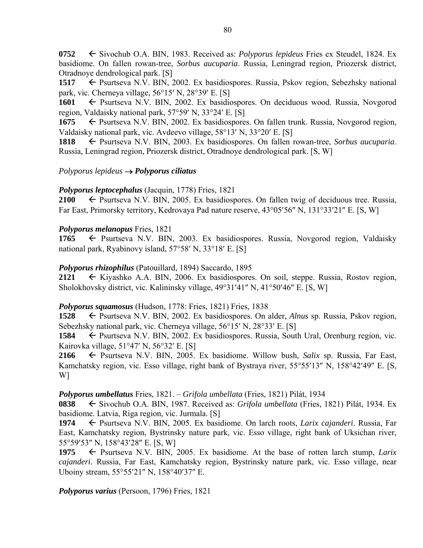**0752** ← Sivochub O.A. BIN, 1983. Received as: *Polyporus lepideus* Fries ex Steudel, 1824. Ex basidiome. On fallen rowan-tree, *Sorbus aucuparia*. Russia, Leningrad region, Priozersk district, Otradnoye dendrological park. [S]

**1517** ← Psurtseva N.V. BIN, 2002. Ex basidiospores. Russia, Pskov region, Sebezhsky national park, vic. Cherneya village,  $56^{\circ}15'$  N,  $28^{\circ}39'$  E. [S]

**1601** ← Psurtseva N.V. BIN, 2002. Ex basidiospores. On deciduous wood. Russia, Novgorod region, Valdaisky national park,  $57^{\circ}59'$  N,  $33^{\circ}24'$  E. [S]

**1675** ← Psurtseva N.V. BIN, 2002. Ex basidiospores. On fallen trunk. Russia, Novgorod region, Valdaisky national park, vic. Avdeevo village,  $58^{\circ}13'$  N,  $33^{\circ}20'$  E. [S]

**1818** Psurtseva N.V. BIN, 2003. Ex basidiospores. On fallen rowan-tree, *Sorbus aucuparia*. Russia, Leningrad region, Priozersk district, Otradnoye dendrological park. [S, W]

### *Polyporus lepideus Polyporus ciliatus*

### *Polyporus leptocephalus* (Jacquin, 1778) Fries, 1821

**2100**  $\leftarrow$  Psurtseva N.V. BIN, 2005. Ex basidiospores. On fallen twig of deciduous tree. Russia, Far East, Primorsky territory, Kedrovaya Pad nature reserve, 43°05'56" N, 131°33'21" E. [S, W]

### *Polyporus melanopus* Fries, 1821

**1765** ← Psurtseva N.V. BIN, 2003. Ex basidiospores. Russia, Novgorod region, Valdaisky national park, Ryabinovy island,  $57^{\circ}58'$  N,  $33^{\circ}18'$  E. [S]

### *Polyporus rhizophilus* (Patouillard, 1894) Saccardo, 1895

**2121** Kiyashko A.A. BIN, 2006. Ex basidiospores. On soil, steppe. Russia, Rostov region, Sholokhovsky district, vic. Kalininsky village,  $49^{\circ}31'41''$  N,  $41^{\circ}50'46''$  E. [S, W]

### *Polyporus squamosus* (Hudson, 1778: Fries, 1821) Fries, 1838

**1528** ← Psurtseva N.V. BIN, 2002. Ex basidiospores. On alder, *Alnus* sp. Russia, Pskov region, Sebezhsky national park, vic. Cherneya village,  $56^{\circ}15'$  N,  $28^{\circ}33'$  E. [S]

**1584** ← Psurtseva N.V. BIN, 2002. Ex basidiospores. Russia, South Ural, Orenburg region, vic. Kairovka village,  $51^{\circ}47'$  N,  $56^{\circ}32'$  E. [S]

**2166** Psurtseva N.V. BIN, 2005. Ex basidiome. Willow bush, *Salix* sp. Russia, Far East, Kamchatsky region, vic. Esso village, right bank of Bystraya river,  $55^{\circ}55'13''$  N,  $158^{\circ}42'49''$  E. [S, W]

### *Polyporus umbellatus* Fries, 1821. – *Grifola umbellata* (Fries, 1821) Pilát, 1934

**0838** Sivochub O.A. BIN, 1987. Received as: *Grifola umbellata* (Fries, 1821) Pilát, 1934. Ex basidiome. Latvia, Riga region, vic. Jurmala. [S]

**1974** ← Psurtseva N.V. BIN, 2005. Ex basidiome. On larch roots, *Larix cajanderi*. Russia, Far East, Kamchatsky region, Bystrinsky nature park, vic. Esso village, right bank of Uksichan river, 55°59′53″ N, 158°43′28″ E. [S, W]

1975  $\leftarrow$  Psurtseva N.V. BIN, 2005. Ex basidiome. At the base of rotten larch stump, *Larix cajanderi*. Russia, Far East, Kamchatsky region, Bystrinsky nature park, vic. Esso village, near Uboiny stream, 55°55'21" N, 158°40'37" E.

*Polyporus varius* (Persoon, 1796) Fries, 1821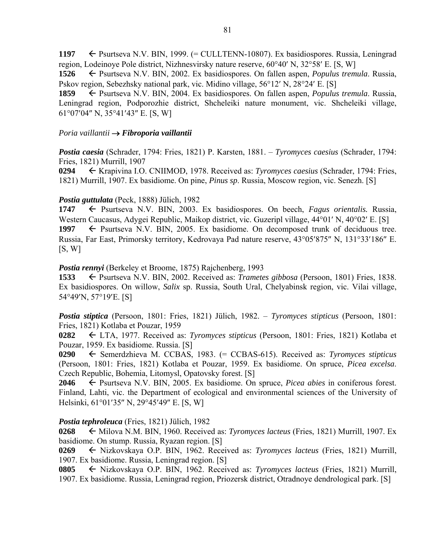1197 – Psurtseva N.V. BIN, 1999. (= CULLTENN-10807). Ex basidiospores. Russia, Leningrad region, Lodeinoye Pole district, Nizhnesvirsky nature reserve,  $60^{\circ}40'$  N,  $32^{\circ}58'$  E. [S, W]

**1526** Psurtseva N.V. BIN, 2002. Ex basidiospores. On fallen aspen, *Populus tremula*. Russia, Pskov region, Sebezhsky national park, vic. Midino village, 56°12′ N, 28°24′ E. [S]

**1859** ← Psurtseva N.V. BIN, 2004. Ex basidiospores. On fallen aspen, *Populus tremula*. Russia, Leningrad region, Podporozhie district, Shcheleiki nature monument, vic. Shcheleiki village,  $61^{\circ}07'04''$  N,  $35^{\circ}41'43''$  E. [S, W]

### *Poria vaillantii Fibroporia vaillantii*

*Postia caesia* (Schrader, 1794: Fries, 1821) P. Karsten, 1881. – *Tyromyces caesius* (Schrader, 1794: Fries, 1821) Murrill, 1907

**0294** Krapivina I.O. CNIIMOD, 1978. Received as: *Tyromyces caesius* (Schrader, 1794: Fries, 1821) Murrill, 1907. Ex basidiome. On pine, *Pinus sp*. Russia, Moscow region, vic. Senezh. [S]

### *Postia guttulata* (Peck, 1888) Jülich, 1982

1747  $\leftarrow$  Psurtseva N.V. BIN, 2003. Ex basidiospores. On beech, *Fagus orientalis*. Russia, Western Caucasus, Adygei Republic, Maikop district, vic. Guzeripl village, 44°01′ N, 40°02′ E. [S] 1997  $\leftarrow$  Psurtseva N.V. BIN, 2005. Ex basidiome. On decomposed trunk of deciduous tree. Russia, Far East, Primorsky territory, Kedrovaya Pad nature reserve, 43°05'875" N, 131°33'186" E.  $[S, W]$ 

### *Postia rennyi* (Berkeley et Broome, 1875) Rajchenberg, 1993

**1533** ← Psurtseva N.V. BIN, 2002. Received as: *Trametes gibbosa* (Persoon, 1801) Fries, 1838. Ex basidiospores. On willow, *Salix* sp. Russia, South Ural, Chelyabinsk region, vic. Vilai village, 54°49'N, 57°19'E. [S]

*Postia stiptica* (Persoon, 1801: Fries, 1821) Jülich, 1982. – *Tyromyces stipticus* (Persoon, 1801: Fries, 1821) Kotlaba et Pouzar, 1959

**0282** LTA, 1977. Received as: *Tyromyces stipticus* (Persoon, 1801: Fries, 1821) Kotlaba et Pouzar, 1959. Ex basidiome. Russia. [S]

**0290** Semerdzhieva M. CCBAS, 1983. (= CCBAS-615). Received as: *Tyromyces stipticus* (Persoon, 1801: Fries, 1821) Kotlaba et Pouzar, 1959. Ex basidiome. On spruce, *Picea excelsa*. Czech Republic, Bohemia, Litomysl, Opatovsky forest. [S]

**2046** Psurtseva N.V. BIN, 2005. Ex basidiome. On spruce, *Picea abies* in coniferous forest. Finland, Lahti, vic. the Department of ecological and environmental sciences of the University of Helsinki, 61°01′35″ N, 29°45′49″ E. [S, W]

### *Postia tephroleuca* (Fries, 1821) Jülich, 1982

**0268** Milova N.M. BIN, 1960. Received as: *Tyromyces lacteus* (Fries, 1821) Murrill, 1907. Ex basidiome. On stump. Russia, Ryazan region. [S]

**0269** Nizkovskaya O.P. BIN, 1962. Received as: *Tyromyces lacteus* (Fries, 1821) Murrill, 1907. Ex basidiome. Russia, Leningrad region. [S]

**0805** Nizkovskaya O.P. BIN, 1962. Received as: *Tyromyces lacteus* (Fries, 1821) Murrill, 1907. Ex basidiome. Russia, Leningrad region, Priozersk district, Otradnoye dendrological park. [S]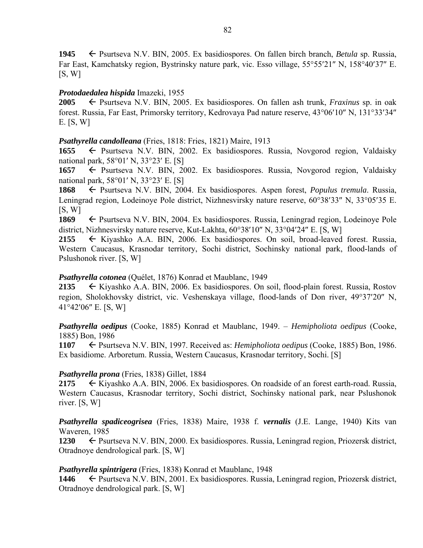**1945** ← Psurtseva N.V. BIN, 2005. Ex basidiospores. On fallen birch branch, *Betula* sp. Russia, Far East, Kamchatsky region, Bystrinsky nature park, vic. Esso village, 55°55′21″ N, 158°40′37″ E.  $[S, W]$ 

## *Protodaedalea hispida* Imazeki, 1955

**2005** Psurtseva N.V. BIN, 2005. Ex basidiospores. On fallen ash trunk, *Fraxinus* sp. in oak forest. Russia, Far East, Primorsky territory, Kedrovaya Pad nature reserve, 43°06'10" N, 131°33'34" E. [S, W]

## *Psathyrella candolleana* (Fries, 1818: Fries, 1821) Maire, 1913

**1655** ← Psurtseva N.V. BIN, 2002. Ex basidiospores. Russia, Novgorod region, Valdaisky national park,  $58^{\circ}01'$  N,  $33^{\circ}23'$  E. [S]

**1657** ← Psurtseva N.V. BIN, 2002. Ex basidiospores. Russia, Novgorod region, Valdaisky national park,  $58^{\circ}01'$  N,  $33^{\circ}23'$  E. [S]

**1868** Psurtseva N.V. BIN, 2004. Ex basidiospores. Aspen forest, *Populus tremula*. Russia, Leningrad region, Lodeinoye Pole district, Nizhnesvirsky nature reserve, 60°38′33″ N, 33°05′35 E.  $[S, W]$ 

**1869** ← Psurtseva N.V. BIN, 2004. Ex basidiospores. Russia, Leningrad region, Lodeinoye Pole district, Nizhnesvirsky nature reserve, Kut-Lakhta,  $60^{\circ}38'10''$  N,  $33^{\circ}04'24''$  E. [S, W]

2155  $\leftarrow$  Kiyashko A.A. BIN, 2006. Ex basidiospores. On soil, broad-leaved forest. Russia, Western Caucasus, Krasnodar territory, Sochi district, Sochinsky national park, flood-lands of Pslushonok river. [S, W]

## *Psathyrella cotonea* (Quélet, 1876) Konrad et Maublanc, 1949

2135 ← Kiyashko A.A. BIN, 2006. Ex basidiospores. On soil, flood-plain forest. Russia, Rostov region, Sholokhovsky district, vic. Veshenskaya village, flood-lands of Don river, 49°37'20" N,  $41^{\circ}42'06''$  E. [S, W]

*Psathyrella oedipus* (Cooke, 1885) Konrad et Maublanc, 1949. – *Hemipholiota oedipus* (Cooke, 1885) Bon, 1986

**1107** <del>←</del> Psurtseva N.V. BIN, 1997. Received as: *Hemipholiota oedipus* (Cooke, 1885) Bon, 1986. Ex basidiome. Arboretum. Russia, Western Caucasus, Krasnodar territory, Sochi. [S]

## *Psathyrella prona* (Fries, 1838) Gillet, 1884

2175 ← Kiyashko A.A. BIN, 2006. Ex basidiospores. On roadside of an forest earth-road. Russia, Western Caucasus, Krasnodar territory, Sochi district, Sochinsky national park, near Pslushonok river. [S, W]

*Psathyrella spadiceogrisea* (Fries, 1838) Maire, 1938 f. *vernalis* (J.E. Lange, 1940) Kits van Waveren, 1985

**1230** ← Psurtseva N.V. BIN, 2000. Ex basidiospores. Russia, Leningrad region, Priozersk district, Otradnoye dendrological park. [S, W]

### *Psathyrella spintrigera* (Fries, 1838) Konrad et Maublanc, 1948

**1446** ← Psurtseva N.V. BIN, 2001. Ex basidiospores. Russia, Leningrad region, Priozersk district, Otradnoye dendrological park. [S, W]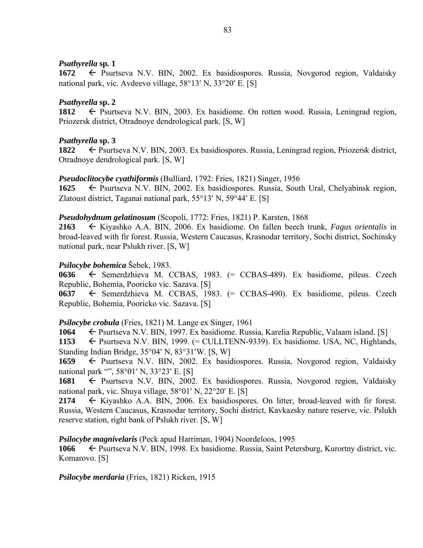### *Psathyrella* **sp***.* **1**

1672 – Psurtseva N.V. BIN, 2002. Ex basidiospores. Russia, Novgorod region, Valdaisky national park, vic. Avdeevo village,  $58^{\circ}13'$  N,  $33^{\circ}20'$  E. [S]

## *Psathyrella* **sp. 2**

1812  $\leftarrow$  Psurtseva N.V. BIN, 2003. Ex basidiome. On rotten wood. Russia, Leningrad region, Priozersk district, Otradnoye dendrological park. [S, W]

## *Psathyrella* **sp. 3**

**1822 ←** Psurtseva N.V. BIN, 2003. Ex basidiospores. Russia, Leningrad region, Priozersk district, Otradnoye dendrological park. [S, W]

### *Pseudoclitocybe cyathiformis* (Bulliard, 1792: Fries, 1821) Singer, 1956

**1625** ← Psurtseva N.V. BIN, 2002. Ex basidiospores. Russia, South Ural, Chelyabinsk region, Zlatoust district, Taganai national park,  $55^{\circ}13'$  N,  $59^{\circ}44'$  E. [S]

### *Pseudohydnum gelatinosum* (Scopoli, 1772: Fries, 1821) P. Karsten, 1868

**2163** Kiyashko A.A. BIN, 2006. Ex basidiome. On fallen beech trunk, *Fagus orientalis* in broad-leaved with fir forest. Russia, Western Caucasus, Krasnodar territory, Sochi district, Sochinsky national park, near Pslukh river. [S, W]

### *Psilocybe bohemica* Šebek, 1983.

**0636** ← Semerdzhieva M. CCBAS, 1983. (= CCBAS-489). Ex basidiome, pileus. Czech Republic, Bohemia, Pooricko vic. Sazava. [S]

 $0637 \leftarrow$  Semerdzhieva M. CCBAS, 1983. (= CCBAS-490). Ex basidiome, pileus. Czech Republic, Bohemia, Pooricko vic. Sazava. [S]

## *Psilocybe crobula* (Fries, 1821) M. Lange ex Singer, 1961

**1064** ← Psurtseva N.V. BIN, 1997. Ex basidiome. Russia, Karelia Republic, Valaam island. [S]

**1153** ← Psurtseva N.V. BIN, 1999. (= CULLTENN-9339). Ex basidiome. USA, NC, Highlands, Standing Indian Bridge,  $35^{\circ}04'$  N,  $83^{\circ}31'$ W. [S, W]

**1659** Psurtseva N.V. BIN, 2002. Ex basidiospores. Russia, Novgorod region, Valdaisky national park "",  $58^{\circ}01'$  N,  $33^{\circ}23'$  E. [S]

**1681** ← Psurtseva N.V. BIN, 2002. Ex basidiospores. Russia, Novgorod region, Valdaisky national park, vic. Shuya village,  $58^{\circ}01'$  N,  $22^{\circ}20'$  E. [S]

**2174** Kiyashko A.A. BIN, 2006. Ex basidiospores. On litter, broad-leaved with fir forest. Russia, Western Caucasus, Krasnodar territory, Sochi district, Kavkazsky nature reserve, vic. Pslukh reserve station, right bank of Pslukh river. [S, W]

### *Psilocybe magnivelaris* (Peck apud Harriman, 1904) Noordeloos, 1995

**1066** ← Psurtseva N.V. BIN, 1998. Ex basidiome. Russia, Saint Petersburg, Kurortny district, vic. Komarovo. [S]

*Psilocybe merdaria* (Fries, 1821) Ricken, 1915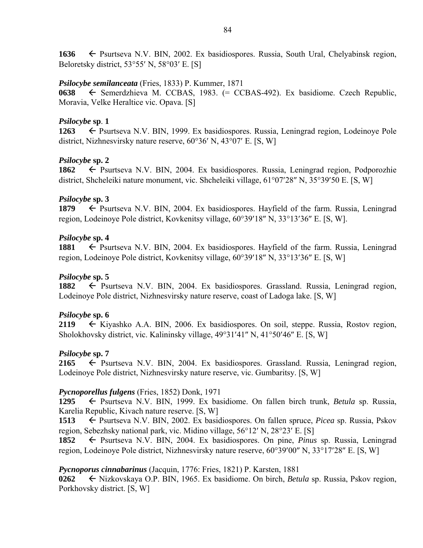1636  $\leftarrow$  Psurtseva N.V. BIN, 2002. Ex basidiospores. Russia, South Ural, Chelyabinsk region, Beloretsky district,  $53^{\circ}55'$  N,  $58^{\circ}03'$  E. [S]

### *Psilocybe semilanceata* (Fries, 1833) P. Kummer, 1871

0638  $\leftarrow$  Semerdzhieva M. CCBAS, 1983. (= CCBAS-492). Ex basidiome. Czech Republic, Moravia, Velke Heraltice vic. Opava. [S]

### *Psilocybe* **sp**. **1**

**1263** ► Psurtseva N.V. BIN, 1999. Ex basidiospores. Russia, Leningrad region, Lodeinoye Pole district, Nizhnesvirsky nature reserve,  $60^{\circ}36'$  N,  $43^{\circ}07'$  E. [S, W]

## *Psilocybe* **sp. 2**

**1862** ← Psurtseva N.V. BIN, 2004. Ex basidiospores. Russia, Leningrad region, Podporozhie district, Shcheleiki nature monument, vic. Shcheleiki village,  $61^{\circ}07'28''$  N,  $35^{\circ}39'50$  E. [S, W]

### *Psilocybe* **sp. 3**

**1879** ► Psurtseva N.V. BIN, 2004. Ex basidiospores. Hayfield of the farm. Russia, Leningrad region, Lodeinoye Pole district, Kovkenitsy village,  $60^{\circ}39'18''$  N,  $33^{\circ}13'36''$  E. [S, W].

### *Psilocybe* **sp. 4**

1881 Psurtseva N.V. BIN, 2004. Ex basidiospores. Hayfield of the farm. Russia, Leningrad region, Lodeinoye Pole district, Kovkenitsy village,  $60^{\circ}39'18''$  N,  $33^{\circ}13'36''$  E. [S, W]

## *Psilocybe* **sp. 5**

1882 <del>C</del> Psurtseva N.V. BIN, 2004. Ex basidiospores. Grassland. Russia. Leningrad region, Lodeinoye Pole district, Nizhnesvirsky nature reserve, coast of Ladoga lake. [S, W]

## *Psilocybe* **sp. 6**

**2119** Kiyashko A.A. BIN, 2006. Ex basidiospores. On soil, steppe. Russia, Rostov region, Sholokhovsky district, vic. Kalininsky village,  $49^{\circ}31'41''$  N,  $41^{\circ}50'46''$  E. [S, W]

## *Psilocybe* **sp. 7**

**2165**  $\leftarrow$  Psurtseva N.V. BIN, 2004. Ex basidiospores. Grassland. Russia, Leningrad region, Lodeinoye Pole district, Nizhnesvirsky nature reserve, vic. Gumbaritsy. [S, W]

## *Pycnoporellus fulgens* (Fries, 1852) Donk, 1971

**1295** Psurtseva N.V. BIN, 1999. Ex basidiome. On fallen birch trunk, *Betula* sp. Russia, Karelia Republic, Kivach nature reserve. [S, W]

**1513** ← Psurtseva N.V. BIN, 2002. Ex basidiospores. On fallen spruce, *Picea* sp. Russia, Pskov region, Sebezhsky national park, vic. Midino village,  $56^{\circ}12'$  N,  $28^{\circ}23'$  E. [S]

**1852** Psurtseva N.V. BIN, 2004. Ex basidiospores. On pine, *Pinus* sp. Russia, Leningrad region, Lodeinoye Pole district, Nizhnesvirsky nature reserve, 60°39′00" N, 33°17′28" E. [S, W]

### *Pycnoporus cinnabarinus* (Jacquin, 1776: Fries, 1821) P. Karsten, 1881

**0262** Nizkovskaya O.P. BIN, 1965. Ex basidiome. On birch, *Betula* sp. Russia, Pskov region, Porkhovsky district. [S, W]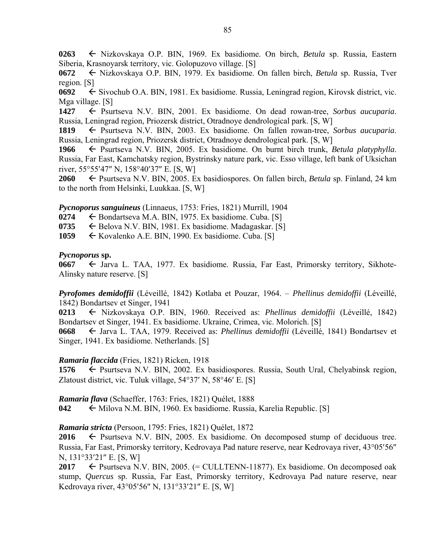**0263** Nizkovskaya O.P. BIN, 1969. Ex basidiome. On birch, *Betula* sp. Russia, Eastern Siberia, Krasnoyarsk territory, vic. Golopuzovo village. [S]

**0672** Nizkovskaya O.P. BIN, 1979. Ex basidiome. On fallen birch, *Betula* sp. Russia, Tver region. [S]

**0692** Sivochub O.A. BIN, 1981. Ex basidiome. Russia, Leningrad region, Kirovsk district, vic. Mga village. [S]

**1427** ← Psurtseva N.V. BIN, 2001. Ex basidiome. On dead rowan-tree, *Sorbus aucuparia*. Russia, Leningrad region, Priozersk district, Otradnoye dendrological park. [S, W]

**1819** Psurtseva N.V. BIN, 2003. Ex basidiome. On fallen rowan-tree, *Sorbus aucuparia*. Russia, Leningrad region, Priozersk district, Otradnoye dendrological park. [S, W]

**1966** Psurtseva N.V. BIN, 2005. Ex basidiome. On burnt birch trunk, *Betula platyphylla*. Russia, Far East, Kamchatsky region, Bystrinsky nature park, vic. Esso village, left bank of Uksichan river,  $55^{\circ}55'47''$  N,  $158^{\circ}40'37''$  E. [S, W]

**2060** ← Psurtseva N.V. BIN, 2005. Ex basidiospores. On fallen birch, *Betula* sp. Finland, 24 km to the north from Helsinki, Luukkaa. [S, W]

## *Pycnoporus sanguineus* (Linnaeus, 1753: Fries, 1821) Murrill, 1904

0274  $\leftarrow$  Bondartseva M.A. BIN, 1975. Ex basidiome. Cuba. [S]

**0735**  $\leftarrow$  Belova N.V. BIN, 1981. Ex basidiome. Madagaskar. [S]

1059 Kovalenko A.E. BIN, 1990. Ex basidiome. Cuba. [S]

### *Pycnoporus* **sp.**

**0667**  $\leftarrow$  Jarva L. TAA, 1977. Ex basidiome. Russia, Far East, Primorsky territory, Sikhote-Alinsky nature reserve. [S]

*Pyrofomes demidoffii* (Léveillé, 1842) Kotlaba et Pouzar, 1964. – *Phellinus demidoffii* (Léveillé, 1842) Bondartsev et Singer, 1941

**0213** Nizkovskaya O.P. BIN, 1960. Received as: *Phellinus demidoffii* (Léveillé, 1842) Bondartsev et Singer, 1941. Ex basidiome. Ukraine, Crimea, vic. Molorich. [S]

**0668** Jarva L. TAA, 1979. Received as: *Phellinus demidoffii* (Léveillé, 1841) Bondartsev et Singer, 1941. Ex basidiome. Netherlands. [S]

## *Ramaria flaccida* (Fries, 1821) Ricken, 1918

1576  $\leftarrow$  Psurtseva N.V. BIN, 2002. Ex basidiospores. Russia, South Ural, Chelyabinsk region, Zlatoust district, vic. Tuluk village,  $54^{\circ}37'$  N,  $58^{\circ}46'$  E. [S]

*Ramaria flava* (Schaeffer, 1763: Fries, 1821) Quélet, 1888

**042** Milova N.M. BIN, 1960. Ex basidiome. Russia, Karelia Republic. [S]

## *Ramaria stricta* (Persoon, 1795: Fries, 1821) Quélet, 1872

**2016**  $\leftarrow$  Psurtseva N.V. BIN, 2005. Ex basidiome. On decomposed stump of deciduous tree. Russia, Far East, Primorsky territory, Kedrovaya Pad nature reserve, near Kedrovaya river, 43°05'56" N, 131°33'21″ E. [S, W]

**2017**  $\leftarrow$  Psurtseva N.V. BIN, 2005. (= CULLTENN-11877). Ex basidiome. On decomposed oak stump, *Quercus* sp. Russia, Far East, Primorsky territory, Kedrovaya Pad nature reserve, near Kedrovaya river, 43°05'56" N, 131°33'21" E. [S, W]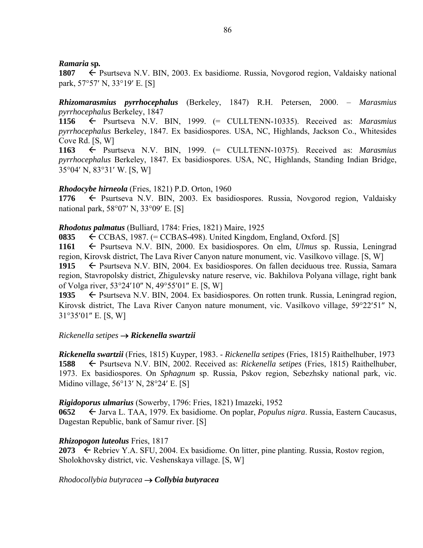### *Ramaria* **sp***.*

**1807** ← Psurtseva N.V. BIN, 2003. Ex basidiome. Russia, Novgorod region, Valdaisky national park,  $57°57'$  N,  $33°19'$  E. [S]

## *Rhizomarasmius pyrrhocephalus* (Berkeley, 1847) R.H. Petersen, 2000. – *Marasmius pyrrhocephalus* Berkeley, 1847

**1156** Psurtseva N.V. BIN, 1999. (= CULLTENN-10335). Received as: *Marasmius pyrrhocephalus* Berkeley, 1847. Ex basidiospores. USA, NC, Highlands, Jackson Co., Whitesides Cove Rd. [S, W]

**1163** Psurtseva N.V. BIN, 1999. (= CULLTENN-10375). Received as: *Marasmius pyrrhocephalus* Berkeley, 1847. Ex basidiospores. USA, NC, Highlands, Standing Indian Bridge, 35°04' N, 83°31' W. [S, W]

### *Rhodocybe hirneola* (Fries, 1821) P.D. Orton, 1960

1776  $\leftarrow$  Psurtseva N.V. BIN, 2003. Ex basidiospores. Russia, Novgorod region, Valdaisky national park, 58°07' N, 33°09' E. [S]

### *Rhodotus palmatus* (Bulliard, 1784: Fries, 1821) Maire, 1925

**0835**  $\leftarrow$  CCBAS, 1987. (= CCBAS-498). United Kingdom, England, Oxford. [S]

**1161** Psurtseva N.V. BIN, 2000. Ex basidiospores. On elm, *Ulmus* sp. Russia, Leningrad region, Kirovsk district, The Lava River Canyon nature monument, vic. Vasilkovo village. [S, W]

1915  $\leftarrow$  Psurtseva N.V. BIN, 2004. Ex basidiospores. On fallen deciduous tree. Russia, Samara region, Stavropolsky district, Zhigulevsky nature reserve, vic. Bakhilova Polyana village, right bank of Volga river, 53°24'10" N, 49°55'01" E. [S, W]

1935  $\leftarrow$  Psurtseva N.V. BIN, 2004. Ex basidiospores. On rotten trunk. Russia, Leningrad region, Kirovsk district, The Lava River Canyon nature monument, vic. Vasilkovo village, 59°22′51″ N,  $31^{\circ}35'01''$  E. [S, W]

### *Rickenella setipes Rickenella swartzii*

*Rickenella swartzii* (Fries, 1815) Kuyper, 1983. - *Rickenella setipes* (Fries, 1815) Raithelhuber, 1973 **1588** Psurtseva N.V. BIN, 2002. Received as: *Rickenella setipes* (Fries, 1815) Raithelhuber, 1973. Ex basidiospores. On *Sphagnum* sp. Russia, Pskov region, Sebezhsky national park, vic. Midino village,  $56^{\circ}13'$  N,  $28^{\circ}24'$  E. [S]

### *Rigidoporus ulmarius* (Sowerby, 1796: Fries, 1821) Imazeki, 1952

**0652** Jarva L. TAA, 1979. Ex basidiome. On poplar, *Populus nigra*. Russia, Eastern Caucasus, Dagestan Republic, bank of Samur river. [S]

### *Rhizopogon luteolus* Fries, 1817

**2073**  $\leftarrow$  Rebriev Y.A. SFU, 2004. Ex basidiome. On litter, pine planting. Russia, Rostov region, Sholokhovsky district, vic. Veshenskaya village. [S, W]

*Rhodocollybia butyracea Collybia butyracea*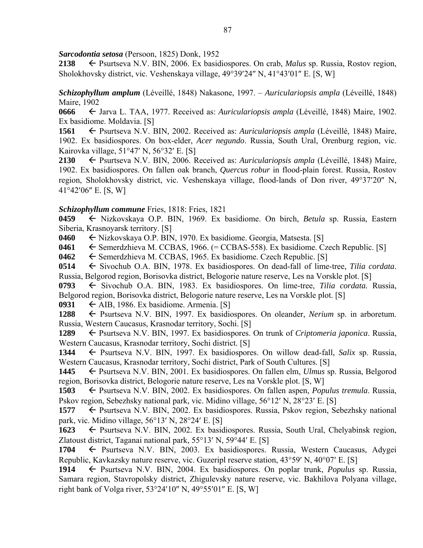*Sarcodontia setosa* (Persoon, 1825) Donk, 1952

**2138** Psurtseva N.V. BIN, 2006. Ex basidiospores. On crab, *Malus* sp. Russia, Rostov region, Sholokhovsky district, vic. Veshenskaya village, 49°39'24" N, 41°43'01" E. [S, W]

*Schizophyllum amplum* (Léveillé, 1848) Nakasone, 1997. – *Auriculariopsis ampla* (Léveillé, 1848) Maire, 1902

**0666** Jarva L. TAA, 1977. Received as: *Auriculariopsis ampla* (Léveillé, 1848) Maire, 1902. Ex basidiome. Moldavia. [S]

**1561** Psurtseva N.V. BIN, 2002. Received as: *Auriculariopsis ampla* (Léveillé, 1848) Maire, 1902. Ex basidiospores. On box-elder, *Acer negundo*. Russia, South Ural, Orenburg region, vic. Kairovka village,  $51^{\circ}47'$  N,  $56^{\circ}32'$  E. [S]

**2130** Psurtseva N.V. BIN, 2006. Received as: *Auriculariopsis ampla* (Léveillé, 1848) Maire, 1902. Ex basidiospores. On fallen oak branch, *Quercus robur* in flood-plain forest. Russia, Rostov region, Sholokhovsky district, vic. Veshenskaya village, flood-lands of Don river, 49°37'20" N, 41°42′06″ E. [S, W]

## *Schizophyllum commune* Fries, 1818: Fries, 1821

**0459** Nizkovskaya O.P. BIN, 1969. Ex basidiome. On birch, *Betula* sp. Russia, Eastern Siberia, Krasnoyarsk territory. [S]

**0460** Nizkovskaya O.P. BIN, 1970. Ex basidiome. Georgia, Matsesta. [S]

**0461** ← Semerdzhieva M. CCBAS, 1966. (= CCBAS-558). Ex basidiome. Czech Republic. [S]

**0462** Semerdzhieva M. CCBAS, 1965. Ex basidiome. Czech Republic. [S]

**0514** ← Sivochub O.A. BIN, 1978. Ex basidiospores. On dead-fall of lime-tree, *Tilia cordata*. Russia, Belgorod region, Borisovka district, Belogorie nature reserve, Les na Vorskle plot. [S]

0793 Sivochub O.A. BIN, 1983. Ex basidiospores. On lime-tree, *Tilia cordata*. Russia, Belgorod region, Borisovka district, Belogorie nature reserve, Les na Vorskle plot. [S]

**0931**  $\leftarrow$  AIB, 1986. Ex basidiome. Armenia. [S]

**1288** Psurtseva N.V. BIN, 1997. Ex basidiospores. On oleander, *Nerium* sp. in arboretum. Russia, Western Caucasus, Krasnodar territory, Sochi. [S]

**1289** ← Psurtseva N.V. BIN, 1997. Ex basidiospores. On trunk of *Criptomeria japonica*. Russia, Western Caucasus, Krasnodar territory, Sochi district. [S]

**1344** Psurtseva N.V. BIN, 1997. Ex basidiospores. On willow dead-fall, *Salix* sp. Russia, Western Caucasus, Krasnodar territory, Sochi district, Park of South Cultures. [S]

**1445** Psurtseva N.V. BIN, 2001. Ex basidiospores. On fallen elm, *Ulmus* sp. Russia, Belgorod region, Borisovka district, Belogorie nature reserve, Les na Vorskle plot. [S, W]

**1503** ← Psurtseva N.V. BIN, 2002. Ex basidiospores. On fallen aspen, *Populus tremula*. Russia, Pskov region, Sebezhsky national park, vic. Midino village, 56°12′ N, 28°23′ E. [S]

**1577** ← Psurtseva N.V. BIN, 2002. Ex basidiospores. Russia, Pskov region, Sebezhsky national park, vic. Midino village,  $56^{\circ}13'$  N,  $28^{\circ}24'$  E. [S]

1623  $\leftarrow$  Psurtseva N.V. BIN, 2002. Ex basidiospores. Russia, South Ural, Chelyabinsk region, Zlatoust district, Taganai national park,  $55^{\circ}13'$  N,  $59^{\circ}44'$  E. [S]

**1704** Psurtseva N.V. BIN, 2003. Ex basidiospores. Russia, Western Caucasus, Adygei Republic, Kavkazsky nature reserve, vic. Guzeripl reserve station,  $43^{\circ}59'$  N,  $40^{\circ}07'$  E. [S]

**1914** Psurtseva N.V. BIN, 2004. Ex basidiospores. On poplar trunk, *Populus* sp. Russia, Samara region, Stavropolsky district, Zhigulevsky nature reserve, vic. Bakhilova Polyana village, right bank of Volga river,  $53^{\circ}24'10''$  N,  $49^{\circ}55'01''$  E. [S, W]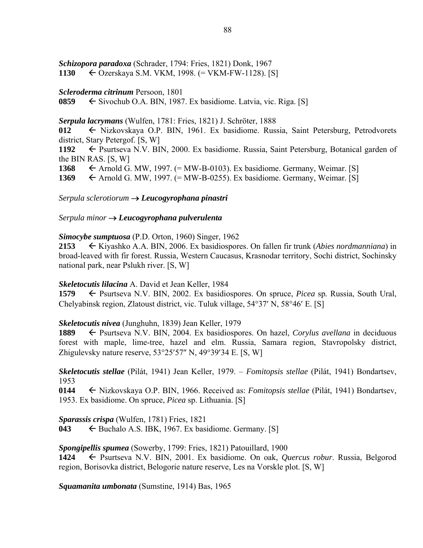# *Schizopora paradoxa* (Schrader, 1794: Fries, 1821) Donk, 1967

## **1130** Ozerskaya S.M. VKM, 1998. (= VKM-FW-1128). [S]

## *Scleroderma citrinum* Persoon, 1801

**0859** Sivochub O.A. BIN, 1987. Ex basidiome. Latvia, vic. Riga. [S]

## *Serpula lacrymans* (Wulfen, 1781: Fries, 1821) J. Schröter, 1888

**012** Nizkovskaya O.P. BIN, 1961. Ex basidiome. Russia, Saint Petersburg, Petrodvorets district, Stary Petergof. [S, W]

1192 Psurtseva N.V. BIN, 2000. Ex basidiome. Russia, Saint Petersburg, Botanical garden of the BIN RAS. [S, W]

1368  $\leftarrow$  Arnold G. MW, 1997. (= MW-B-0103). Ex basidiome. Germany, Weimar. [S]

1369  $\leftarrow$  Arnold G. MW, 1997. (= MW-B-0255). Ex basidiome. Germany, Weimar. [S]

*Serpula sclerotiorum Leucogyrophana pinastri* 

## *Serpula minor Leucogyrophana pulverulenta*

## *Simocybe sumptuosa* (P.D. Orton, 1960) Singer, 1962

**2153** Kiyashko A.A. BIN, 2006. Ex basidiospores. On fallen fir trunk (*Abies nordmanniana*) in broad-leaved with fir forest. Russia, Western Caucasus, Krasnodar territory, Sochi district, Sochinsky national park, near Pslukh river. [S, W]

## *Skeletocutis lilacina* A. David et Jean Keller, 1984

**1579** ← Psurtseva N.V. BIN, 2002. Ex basidiospores. On spruce, *Picea* sp. Russia, South Ural, Chelyabinsk region, Zlatoust district, vic. Tuluk village,  $54^{\circ}37'$  N,  $58^{\circ}46'$  E. [S]

## *Skeletocutis nivea* (Junghuhn, 1839) Jean Keller, 1979

**1889** ← Psurtseva N.V. BIN, 2004. Ex basidiospores. On hazel, *Corylus avellana* in deciduous forest with maple, lime-tree, hazel and elm. Russia, Samara region, Stavropolsky district, Zhigulevsky nature reserve,  $53^{\circ}25'57''$  N,  $49^{\circ}39'34$  E. [S, W]

*Skeletocutis stellae* (Pilát, 1941) Jean Keller, 1979. – *Fomitopsis stellae* (Pilát, 1941) Bondartsev, 1953

**0144** Nizkovskaya O.P. BIN, 1966. Received as: *Fomitopsis stellae* (Pilát, 1941) Bondartsev, 1953. Ex basidiome. On spruce, *Picea* sp. Lithuania. [S]

*Sparassis crispa* (Wulfen, 1781) Fries, 1821

**043**  $\leftarrow$  Buchalo A.S. IBK, 1967. Ex basidiome. Germany. [S]

*Spongipellis spumea* (Sowerby, 1799: Fries, 1821) Patouillard, 1900

**1424** Psurtseva N.V. BIN, 2001. Ex basidiome. On oak, *Quercus robur*. Russia, Belgorod region, Borisovka district, Belogorie nature reserve, Les na Vorskle plot. [S, W]

*Squamanita umbonata* (Sumstine, 1914) Bas, 1965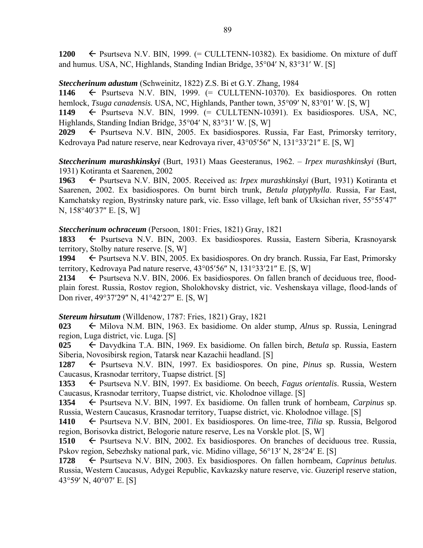1200  $\leftarrow$  Psurtseva N.V. BIN, 1999. (= CULLTENN-10382). Ex basidiome. On mixture of duff and humus. USA, NC, Highlands, Standing Indian Bridge,  $35^{\circ}04'$  N,  $83^{\circ}31'$  W. [S]

### *Steccherinum adustum* (Schweinitz, 1822) Z.S. Bi et G.Y. Zhang, 1984

1146  $\leftarrow$  Psurtseva N.V. BIN, 1999.  $(=$  CULLTENN-10370). Ex basidiospores. On rotten hemlock, *Tsuga canadensis*. USA, NC, Highlands, Panther town, 35°09' N, 83°01' W. [S, W]

1149  $\leftarrow$  Psurtseva N.V. BIN, 1999.  $(=$  CULLTENN-10391). Ex basidiospores. USA, NC, Highlands, Standing Indian Bridge,  $35^{\circ}04'$  N,  $83^{\circ}31'$  W. [S, W]

**2029** ← Psurtseva N.V. BIN, 2005. Ex basidiospores. Russia, Far East, Primorsky territory, Kedrovaya Pad nature reserve, near Kedrovaya river, 43°05'56" N, 131°33'21" E. [S, W]

*Steccherinum murashkinskyi* (Burt, 1931) Maas Geesteranus, 1962. – *Irpex murashkinskyi* (Burt, 1931) Kotiranta et Saarenen, 2002

**1963** Psurtseva N.V. BIN, 2005. Received as: *Irpex murashkinskyi* (Burt, 1931) Kotiranta et Saarenen, 2002. Ex basidiospores. On burnt birch trunk, *Betula platyphylla*. Russia, Far East, Kamchatsky region, Bystrinsky nature park, vic. Esso village, left bank of Uksichan river, 55°55'47" N, 158°40'37" E. IS, W1

### *Steccherinum ochraceum* (Persoon, 1801: Fries, 1821) Gray, 1821

1833  $\leftarrow$  Psurtseva N.V. BIN, 2003. Ex basidiospores. Russia, Eastern Siberia, Krasnoyarsk territory, Stolby nature reserve. [S, W]

**1994** ► Psurtseva N.V. BIN, 2005. Ex basidiospores. On dry branch. Russia, Far East, Primorsky territory, Kedrovaya Pad nature reserve,  $43^{\circ}05'56''$  N,  $131^{\circ}33'21''$  E. [S, W]

**2134** ← Psurtseva N.V. BIN, 2006. Ex basidiospores. On fallen branch of deciduous tree, floodplain forest. Russia, Rostov region, Sholokhovsky district, vic. Veshenskaya village, flood-lands of Don river,  $49^{\circ}37'29''$  N,  $41^{\circ}42'27''$  E. [S, W]

## *Stereum hirsutum* (Willdenow, 1787: Fries, 1821) Gray, 1821

**023** ← Milova N.M. BIN, 1963. Ex basidiome. On alder stump, *Alnus* sp. Russia, Leningrad region, Luga district, vic. Luga. [S]

**025** Davydkina T.A. BIN, 1969. Ex basidiome. On fallen birch, *Betula* sp. Russia, Eastern Siberia, Novosibirsk region, Tatarsk near Kazachii headland. [S]

**1287** Psurtseva N.V. BIN, 1997. Ex basidiospores. On pine, *Pinus* sp. Russia, Western Caucasus, Krasnodar territory, Tuapse district. [S]

**1353** ← Psurtseva N.V. BIN, 1997. Ex basidiome. On beech, *Fagus orientalis*. Russia, Western Caucasus, Krasnodar territory, Tuapse district, vic. Kholodnoe village. [S]

**1354** Psurtseva N.V. BIN, 1997. Ex basidiome. On fallen trunk of hornbeam, *Carpinus* sp. Russia, Western Caucasus, Krasnodar territory, Tuapse district, vic. Kholodnoe village. [S]

**1410** ← Psurtseva N.V. BIN, 2001. Ex basidiospores. On lime-tree, *Tilia* sp. Russia, Belgorod region, Borisovka district, Belogorie nature reserve, Les na Vorskle plot. [S, W]

1510  $\leftarrow$  Psurtseva N.V. BIN, 2002. Ex basidiospores. On branches of deciduous tree. Russia, Pskov region, Sebezhsky national park, vic. Midino village, 56°13′ N, 28°24′ E. [S]

**1728** ← Psurtseva N.V. BIN, 2003. Ex basidiospores. On fallen hornbeam, *Caprinus betulus*. Russia, Western Caucasus, Adygei Republic, Kavkazsky nature reserve, vic. Guzeripl reserve station, 43°59' N, 40°07' E, [S]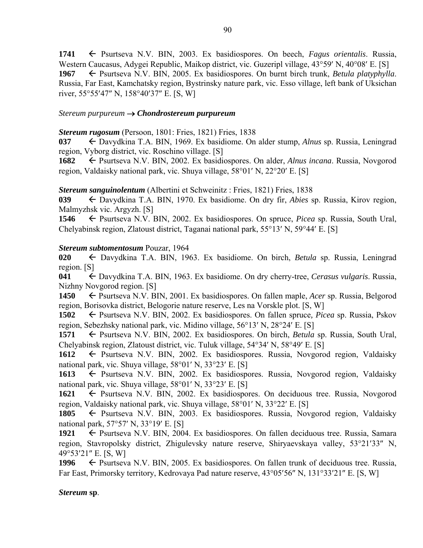1741 <del>C</del> Psurtseva N.V. BIN, 2003. Ex basidiospores. On beech, *Fagus orientalis*. Russia, Western Caucasus, Adygei Republic, Maikop district, vic. Guzeripl village, 43°59' N, 40°08' E. [S] **1967** ← Psurtseva N.V. BIN, 2005. Ex basidiospores. On burnt birch trunk, *Betula platyphylla*. Russia, Far East, Kamchatsky region, Bystrinsky nature park, vic. Esso village, left bank of Uksichan river,  $55^{\circ}55'47''$  N,  $158^{\circ}40'37''$  E. [S, W]

### *Stereum purpureum Chondrostereum purpureum*

### *Stereum rugosum* (Persoon, 1801: Fries, 1821) Fries, 1838

**037** Davydkina T.A. BIN, 1969. Ex basidiome. On alder stump, *Alnus* sp. Russia, Leningrad region, Vyborg district, vic. Roschino village. [S]

**1682** ← Psurtseva N.V. BIN, 2002. Ex basidiospores. On alder, *Alnus incana*. Russia, Novgorod region, Valdaisky national park, vic. Shuya village,  $58^{\circ}01'$  N,  $22^{\circ}20'$  E. [S]

## *Stereum sanguinolentum* (Albertini et Schweinitz : Fries, 1821) Fries, 1838

**039** Davydkina T.A. BIN, 1970. Ex basidiome. On dry fir, *Abies* sp. Russia, Kirov region, Malmyzhsk vic. Argyzh. [S]

**1546** Psurtseva N.V. BIN, 2002. Ex basidiospores. On spruce, *Picea* sp. Russia, South Ural, Chelyabinsk region, Zlatoust district, Taganai national park,  $55^{\circ}13'$  N,  $59^{\circ}44'$  E. [S]

### *Stereum subtomentosum* Pouzar, 1964

**020** Davydkina T.A. BIN, 1963. Ex basidiome. On birch, *Betula* sp. Russia, Leningrad region. [S]

**041** Davydkina T.A. BIN, 1963. Ex basidiome. On dry cherry-tree, *Cerasus vulgaris*. Russia, Nizhny Novgorod region. [S]

**1450** ← Psurtseva N.V. BIN, 2001. Ex basidiospores. On fallen maple, *Acer* sp. Russia, Belgorod region, Borisovka district, Belogorie nature reserve, Les na Vorskle plot. [S, W]

**1502** ← Psurtseva N.V. BIN, 2002. Ex basidiospores. On fallen spruce, *Picea* sp. Russia, Pskov region, Sebezhsky national park, vic. Midino village, 56°13′ N, 28°24′ E. [S]

**1571** ← Psurtseva N.V. BIN, 2002. Ex basidiospores. On birch, *Betula* sp. Russia, South Ural, Chelyabinsk region, Zlatoust district, vic. Tuluk village, 54°34' N, 58°49' E. [S]

1612 Psurtseva N.V. BIN, 2002. Ex basidiospores. Russia, Novgorod region, Valdaisky national park, vic. Shuya village,  $58^{\circ}01'$  N,  $33^{\circ}23'$  E. [S]

1613 Psurtseva N.V. BIN, 2002. Ex basidiospores. Russia, Novgorod region, Valdaisky national park, vic. Shuya village,  $58°01'$  N,  $33°23'$  E. [S]

1621 ← Psurtseva N.V. BIN, 2002. Ex basidiospores. On deciduous tree. Russia, Novgorod region, Valdaisky national park, vic. Shuya village,  $58^{\circ}01'$  N,  $33^{\circ}22'$  E. [S]

1805  $\leftarrow$  Psurtseva N.V. BIN, 2003. Ex basidiospores. Russia, Novgorod region, Valdaisky national park,  $57°57'$  N,  $33°19'$  E. [S]

1921 Psurtseva N.V. BIN, 2004. Ex basidiospores. On fallen deciduous tree. Russia, Samara region, Stavropolsky district, Zhigulevsky nature reserve, Shiryaevskaya valley, 53°21′33″ N, 49°53'21" E. [S, W]

1996  $\leftarrow$  Psurtseva N.V. BIN, 2005. Ex basidiospores. On fallen trunk of deciduous tree. Russia, Far East, Primorsky territory, Kedrovaya Pad nature reserve, 43°05'56" N, 131°33'21" E. [S, W]

## *Stereum* **sp**.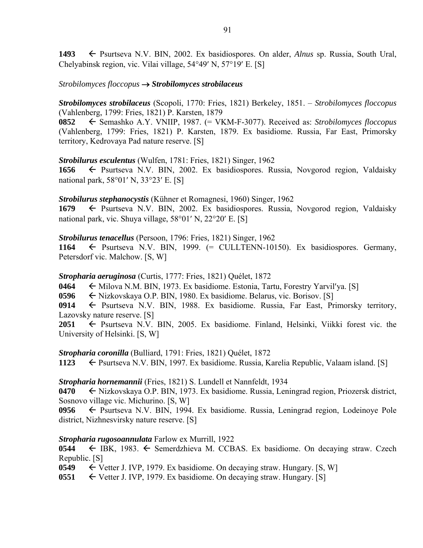1493 **F** Psurtseva N.V. BIN, 2002. Ex basidiospores. On alder, *Alnus* sp. Russia, South Ural, Chelyabinsk region, vic. Vilai village,  $54^{\circ}49'$  N,  $57^{\circ}19'$  E. [S]

## *Strobilomyces floccopus Strobilomyces strobilaceus*

*Strobilomyces strobilaceus* (Scopoli, 1770: Fries, 1821) Berkeley, 1851. – *Strobilomyces floccopus* (Vahlenberg, 1799: Fries, 1821) P. Karsten, 1879

**0852** Semashko A.Y. VNIIP, 1987. (= VKM-F-3077). Received as: *Strobilomyces floccopus* (Vahlenberg, 1799: Fries, 1821) P. Karsten, 1879. Ex basidiome. Russia, Far East, Primorsky territory, Kedrovaya Pad nature reserve. [S]

### *Strobilurus esculentus* (Wulfen, 1781: Fries, 1821) Singer, 1962

**1656** ← Psurtseva N.V. BIN, 2002. Ex basidiospores. Russia, Novgorod region, Valdaisky national park,  $58^{\circ}01'$  N,  $33^{\circ}23'$  E. [S]

### *Strobilurus stephanocystis* (Kühner et Romagnesi, 1960) Singer, 1962

**1679** ← Psurtseva N.V. BIN, 2002. Ex basidiospores. Russia, Novgorod region, Valdaisky national park, vic. Shuya village,  $58^{\circ}01'$  N,  $22^{\circ}20'$  E. [S]

### *Strobilurus tenacellus* (Persoon, 1796: Fries, 1821) Singer, 1962

1164  $\leftarrow$  Psurtseva N.V. BIN, 1999.  $(=$  CULLTENN-10150). Ex basidiospores. Germany, Petersdorf vic. Malchow. [S, W]

## *Stropharia aeruginosa* (Curtis, 1777: Fries, 1821) Quélet, 1872

**0464** Milova N.M. BIN, 1973. Ex basidiome. Estonia, Tartu, Forestry Yarvilya. [S]

**0596** ← Nizkovskaya O.P. BIN, 1980. Ex basidiome. Belarus, vic. Borisov. [S]

0914 
Fe Psurtseva N.V. BIN, 1988. Ex basidiome. Russia, Far East, Primorsky territory, Lazovsky nature reserve. [S]

**2051**  $\leftarrow$  Psurtseva N.V. BIN, 2005. Ex basidiome. Finland, Helsinki, Viikki forest vic. the University of Helsinki. [S, W]

## *Stropharia coronilla* (Bulliard, 1791: Fries, 1821) Quélet, 1872

1123 **Exteribure** Psurtseva N.V. BIN, 1997. Ex basidiome. Russia, Karelia Republic, Valaam island. [S]

### *Stropharia hornemannii* (Fries, 1821) S. Lundell et Nannfeldt, 1934

**0470** ← Nizkovskaya O.P. BIN, 1973. Ex basidiome. Russia, Leningrad region, Priozersk district, Sosnovo village vic. Michurino. [S, W]

**0956** Psurtseva N.V. BIN, 1994. Ex basidiome. Russia, Leningrad region, Lodeinoye Pole district, Nizhnesvirsky nature reserve. [S]

## *Stropharia rugosoannulata* Farlow ex Murrill, 1922

**0544** ← IBK, 1983. ← Semerdzhieva M. CCBAS. Ex basidiome. On decaying straw. Czech Republic. [S]

**0549** Vetter J. IVP, 1979. Ex basidiome. On decaying straw. Hungary. [S, W]

**0551**  $\leftarrow$  Vetter J. IVP, 1979. Ex basidiome. On decaying straw. Hungary. [S]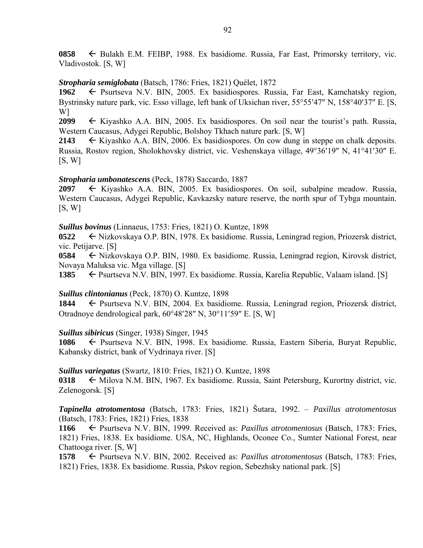**0858** ← Bulakh E.M. FEIBP, 1988. Ex basidiome. Russia, Far East, Primorsky territory, vic. Vladivostok. [S, W]

### *Stropharia semiglobata* (Batsch, 1786: Fries, 1821) Quélet, 1872

1962 – Psurtseva N.V. BIN, 2005. Ex basidiospores. Russia, Far East, Kamchatsky region, Bystrinsky nature park, vic. Esso village, left bank of Uksichan river, 55°55'47" N, 158°40'37" E. [S, W]

**2099**  $\leftarrow$  Kiyashko A.A. BIN, 2005. Ex basidiospores. On soil near the tourist's path. Russia, Western Caucasus, Adygei Republic, Bolshoy Tkhach nature park. [S, W]

**2143**  $\leftarrow$  Kiyashko A.A. BIN, 2006. Ex basidiospores. On cow dung in steppe on chalk deposits. Russia, Rostov region, Sholokhovsky district, vic. Veshenskaya village, 49°36'19" N, 41°41'30" E.  $[S, W]$ 

### *Stropharia umbonatescens* (Peck, 1878) Saccardo, 1887

**2097** ← Kiyashko A.A. BIN, 2005. Ex basidiospores. On soil, subalpine meadow. Russia, Western Caucasus, Adygei Republic, Kavkazsky nature reserve, the north spur of Tybga mountain. [S, W]

### *Suillus bovinus* (Linnaeus, 1753: Fries, 1821) O. Kuntze, 1898

**0522** ← Nizkovskaya O.P. BIN, 1978. Ex basidiome. Russia, Leningrad region, Priozersk district, vic. Petijarve. [S]

**0584** ← Nizkovskaya O.P. BIN, 1980. Ex basidiome. Russia, Leningrad region, Kirovsk district, Novaya Maluksa vic. Mga village. [S]

1385  $\leftarrow$  Psurtseva N.V. BIN, 1997. Ex basidiome. Russia, Karelia Republic, Valaam island. [S]

## *Suillus clintonianus* (Peck, 1870) O. Kuntze, 1898

**1844** ← Psurtseva N.V. BIN, 2004. Ex basidiome. Russia, Leningrad region, Priozersk district, Otradnoye dendrological park, 60°48'28" N, 30°11'59" E. [S, W]

### *Suillus sibiricus* (Singer, 1938) Singer, 1945

**1086** Psurtseva N.V. BIN, 1998. Ex basidiome. Russia, Eastern Siberia, Buryat Republic, Kabansky district, bank of Vydrinaya river. [S]

*Suillus variegatus* (Swartz, 1810: Fries, 1821) O. Kuntze, 1898

**0318** Milova N.M. BIN, 1967. Ex basidiome. Russia, Saint Petersburg, Kurortny district, vic. Zelenogorsk. [S]

*Tapinella atrotomentosa* (Batsch, 1783: Fries, 1821) Šutara, 1992. – *Paxillus atrotomentosus* (Batsch, 1783: Fries, 1821) Fries, 1838

**1166** Psurtseva N.V. BIN, 1999. Received as: *Paxillus atrotomentosus* (Batsch, 1783: Fries, 1821) Fries, 1838. Ex basidiome. USA, NC, Highlands, Oconee Co., Sumter National Forest, near Chattooga river. [S, W]

**1578** Psurtseva N.V. BIN, 2002. Received as: *Paxillus atrotomentosus* (Batsch, 1783: Fries, 1821) Fries, 1838. Ex basidiome. Russia, Pskov region, Sebezhsky national park. [S]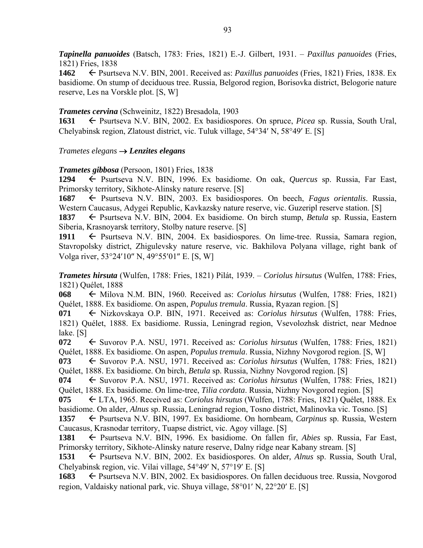*Tapinella panuoides* (Batsch, 1783: Fries, 1821) E.-J. Gilbert, 1931. – *Paxillus panuoides* (Fries, 1821) Fries, 1838

**1462** Psurtseva N.V. BIN, 2001. Received as: *Paxillus panuoides* (Fries, 1821) Fries, 1838. Ex basidiome. On stump of deciduous tree. Russia, Belgorod region, Borisovka district, Belogorie nature reserve, Les na Vorskle plot. [S, W]

### *Trametes cervina* (Schweinitz, 1822) Bresadola, 1903

**1631** ← Psurtseva N.V. BIN, 2002. Ex basidiospores. On spruce, *Picea* sp. Russia, South Ural, Chelyabinsk region, Zlatoust district, vic. Tuluk village,  $54^{\circ}34'$  N,  $58^{\circ}49'$  E. [S]

### *Trametes elegans Lenzites elegans*

*Trametes gibbosa* (Persoon, 1801) Fries, 1838

**1294** Psurtseva N.V. BIN, 1996. Ex basidiome. On oak, *Quercus* sp. Russia, Far East, Primorsky territory, Sikhote-Alinsky nature reserve. [S]

**1687** Psurtseva N.V. BIN, 2003. Ex basidiospores. On beech, *Fagus orientalis*. Russia, Western Caucasus, Adygei Republic, Kavkazsky nature reserve, vic. Guzeripl reserve station. [S]

**1837** ← Psurtseva N.V. BIN, 2004. Ex basidiome. On birch stump, *Betula* sp. Russia, Eastern Siberia, Krasnoyarsk territory, Stolby nature reserve. [S]

1911 
Ferrists Psurtseva N.V. BIN, 2004. Ex basidiospores. On lime-tree. Russia, Samara region, Stavropolsky district, Zhigulevsky nature reserve, vic. Bakhilova Polyana village, right bank of Volga river, 53°24'10" N, 49°55'01" E. [S, W]

*Trametes hirsuta* (Wulfen, 1788: Fries, 1821) Pilát, 1939. – *Coriolus hirsutus* (Wulfen, 1788: Fries, 1821) Quélet, 1888

**068** ← Milova N.M. BIN, 1960. Received as: *Coriolus hirsutus* (Wulfen, 1788: Fries, 1821) Quélet, 1888. Ex basidiome. On aspen, *Populus tremula*. Russia, Ryazan region. [S]

071  $\leftarrow$  Nizkovskaya O.P. BIN, 1971. Received as: *Coriolus hirsutus* (Wulfen, 1788: Fries, 1821) Quélet, 1888. Ex basidiome. Russia, Leningrad region, Vsevolozhsk district, near Mednoe lake. [S]

**072** ← Suvorov P.A. NSU, 1971. Received as: *Coriolus hirsutus* (Wulfen, 1788: Fries, 1821) Quélet, 1888. Ex basidiome. On aspen, *Populus tremula*. Russia, Nizhny Novgorod region. [S, W]

**073** ← Suvorov P.A. NSU, 1971. Received as: *Coriolus hirsutus* (Wulfen, 1788: Fries, 1821) Quélet, 1888. Ex basidiome. On birch, *Betula* sp. Russia, Nizhny Novgorod region. [S]

**074** ← Suvorov P.A. NSU, 1971. Received as: *Coriolus hirsutus* (Wulfen, 1788: Fries, 1821) Quélet, 1888. Ex basidiome. On lime-tree, *Tilia cordata*. Russia, Nizhny Novgorod region. [S]

**075** LTA, 1965. Received as: *Coriolus hirsutus* (Wulfen, 1788: Fries, 1821) Quélet, 1888. Ex basidiome. On alder, *Alnus* sp. Russia, Leningrad region, Tosno district, Malinovka vic. Tosno. [S]

**1357** ► Psurtseva N.V. BIN, 1997. Ex basidiome. On hornbeam, *Carpinus* sp. Russia, Western Caucasus, Krasnodar territory, Tuapse district, vic. Agoy village. [S]

**1381** Psurtseva N.V. BIN, 1996. Ex basidiome. On fallen fir, *Abies* sp. Russia, Far East, Primorsky territory, Sikhote-Alinsky nature reserve, Dalny ridge near Kabany stream. [S]

1531  $\leftarrow$  Psurtseva N.V. BIN, 2002. Ex basidiospores. On alder, *Alnus* sp. Russia, South Ural, Chelyabinsk region, vic. Vilai village,  $54^{\circ}49'$  N,  $57^{\circ}19'$  E. [S]

**1683** ← Psurtseva N.V. BIN, 2002. Ex basidiospores. On fallen deciduous tree. Russia, Novgorod region, Valdaisky national park, vic. Shuya village,  $58^{\circ}01'$  N,  $22^{\circ}20'$  E. [S]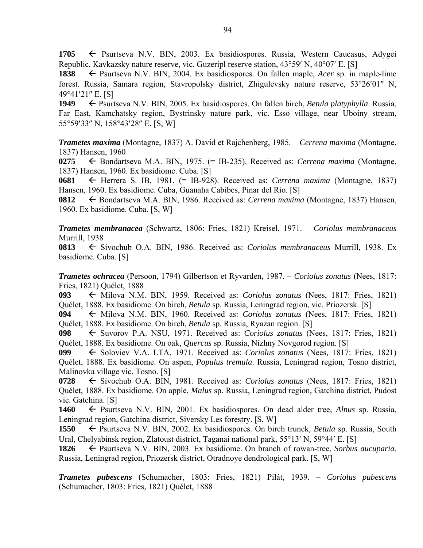**1705** Psurtseva N.V. BIN, 2003. Ex basidiospores. Russia, Western Caucasus, Adygei Republic, Kavkazsky nature reserve, vic. Guzeripl reserve station,  $43^{\circ}59'$  N,  $40^{\circ}07'$  E. [S]

1838  $\leftarrow$  Psurtseva N.V. BIN, 2004. Ex basidiospores. On fallen maple, *Acer* sp. in maple-lime forest. Russia, Samara region, Stavropolsky district, Zhigulevsky nature reserve, 53°26'01" N, 49°41′21″ E. [S]

**1949** <del>←</del> Psurtseva N.V. BIN, 2005. Ex basidiospores. On fallen birch, *Betula platyphylla*. Russia, Far East, Kamchatsky region, Bystrinsky nature park, vic. Esso village, near Uboiny stream, 55°59'33" N, 158°43'28" E. [S, W]

*Trametes maxima* (Montagne, 1837) A. David et Rajchenberg, 1985. – *Cerrena maxima* (Montagne, 1837) Hansen, 1960

**0275** ← Bondartseva M.A. BIN, 1975. (= IB-235). Received as: *Cerrena maxima* (Montagne, 1837) Hansen, 1960. Ex basidiome. Cuba. [S]

**0681** Herrera S. IB, 1981. (= IB-928). Received as: *Cerrena maxima* (Montagne, 1837) Hansen, 1960. Ex basidiome. Cuba, Guanaha Cabibes, Pinar del Rio. [S]

**0812** Bondartseva M.A. BIN, 1986. Received as: *Cerrena maxima* (Montagne, 1837) Hansen, 1960. Ex basidiome. Cuba. [S, W]

*Trametes membranacea* (Schwartz, 1806: Fries, 1821) Kreisel, 1971. – *Coriolus membranaceus* Murrill, 1938

**0813** ← Sivochub O.A. BIN, 1986. Received as: *Coriolus membranaceus* Murrill, 1938. Ex basidiome. Cuba. [S]

*Trametes ochracea* (Persoon, 1794) Gilbertson et Ryvarden, 1987. – *Coriolus zonatus* (Nees, 1817: Fries, 1821) Quélet, 1888

**093** Milova N.M. BIN, 1959. Received as: *Coriolus zonatus* (Nees, 1817: Fries, 1821) Quélet, 1888. Ex basidiome. On birch, *Betula* sp. Russia, Leningrad region, vic. Priozersk. [S]

**094** ← Milova N.M. BIN, 1960. Received as: *Coriolus zonatus* (Nees, 1817: Fries, 1821) Quélet, 1888. Ex basidiome. On birch, *Betula* sp. Russia, Ryazan region. [S]

**098** ← Suvorov P.A. NSU, 1971. Received as: *Coriolus zonatus* (Nees, 1817: Fries, 1821) Quélet, 1888. Ex basidiome. On oak, *Quercus* sp. Russia, Nizhny Novgorod region. [S]

**099** ← Soloviev V.A. LTA, 1971. Received as: *Coriolus zonatus* (Nees, 1817: Fries, 1821) Quélet, 1888. Ex basidiome. On aspen, *Populus tremula*. Russia, Leningrad region, Tosno district, Malinovka village vic. Tosno. [S]

**0728** ← Sivochub O.A. BIN, 1981. Received as: *Coriolus zonatus* (Nees, 1817: Fries, 1821) Quélet, 1888. Ex basidiome. On apple, *Malus* sp. Russia, Leningrad region, Gatchina district, Pudost vic. Gatchina. [S]

**1460** Psurtseva N.V. BIN, 2001. Ex basidiospores. On dead alder tree, *Alnus* sp. Russia, Leningrad region, Gatchina district, Siversky Les forestry. [S, W]

**1550** ← Psurtseva N.V. BIN, 2002. Ex basidiospores. On birch trunck, *Betula* sp. Russia, South Ural, Chelyabinsk region, Zlatoust district, Taganai national park,  $55^{\circ}13'$  N,  $59^{\circ}44'$  E. [S]

**1826** Psurtseva N.V. BIN, 2003. Ex basidiome. On branch of rowan-tree, *Sorbus aucuparia*. Russia, Leningrad region, Priozersk district, Otradnoye dendrological park. [S, W]

*Trametes pubescens* (Schumacher, 1803: Fries, 1821) Pilát, 1939. – *Coriolus pubescens* (Schumacher, 1803: Fries, 1821) Quélet, 1888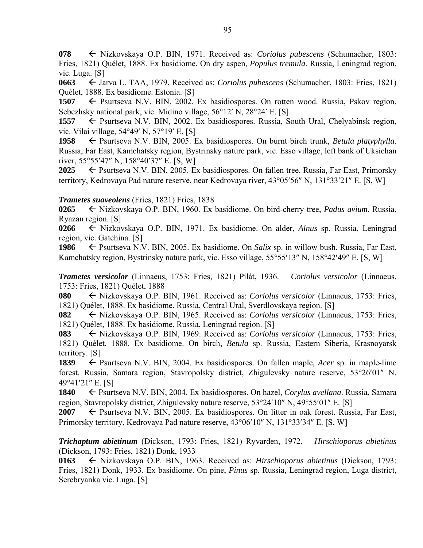**078** Nizkovskaya O.P. BIN, 1971. Received as: *Coriolus pubescens* (Schumacher, 1803: Fries, 1821) Quélet, 1888. Ex basidiome. On dry aspen, *Populus tremula*. Russia, Leningrad region, vic. Luga. [S]

**0663** ← Jarva L. TAA, 1979. Received as: *Coriolus pubescens* (Schumacher, 1803: Fries, 1821) Quélet, 1888. Ex basidiome. Estonia. [S]

**1507** ← Psurtseva N.V. BIN, 2002. Ex basidiospores. On rotten wood. Russia, Pskov region, Sebezhsky national park, vic. Midino village,  $56^{\circ}12'$  N,  $28^{\circ}24'$  E. [S]

1557  $\leftarrow$  Psurtseva N.V. BIN, 2002. Ex basidiospores. Russia, South Ural, Chelyabinsk region, vic. Vilai village,  $54^{\circ}49'$  N,  $57^{\circ}19'$  E. [S]

1958  $\leftarrow$  Psurtseva N.V. BIN, 2005. Ex basidiospores. On burnt birch trunk, *Betula platyphylla*. Russia, Far East, Kamchatsky region, Bystrinsky nature park, vic. Esso village, left bank of Uksichan river,  $55^{\circ}55'47''$  N,  $158^{\circ}40'37''$  E. [S, W]

**2025** ← Psurtseva N.V. BIN, 2005. Ex basidiospores. On fallen tree. Russia, Far East, Primorsky territory, Kedrovaya Pad nature reserve, near Kedrovaya river,  $43^{\circ}05'56''$  N,  $131^{\circ}33'21''$  E. [S, W]

### *Trametes suaveolens* (Fries, 1821) Fries, 1838

**0265** Nizkovskaya O.P. BIN, 1960. Ex basidiome. On bird-cherry tree, *Padus avium*. Russia, Ryazan region. [S]

**0266** Nizkovskaya O.P. BIN, 1971. Ex basidiome. On alder, *Alnus* sp. Russia, Leningrad region, vic. Gatchina. [S]

**1986** ► Psurtseva N.V. BIN, 2005. Ex basidiome. On *Salix* sp. in willow bush. Russia, Far East, Kamchatsky region, Bystrinsky nature park, vic. Esso village, 55°55'13" N, 158°42'49" E. [S, W]

*Trametes versicolor* (Linnaeus, 1753: Fries, 1821) Pilát, 1936. – *Coriolus versicolor* (Linnaeus, 1753: Fries, 1821) Quélet, 1888

**080** Nizkovskaya O.P. BIN, 1961. Received as: *Coriolus versicolor* (Linnaeus, 1753: Fries, 1821) Quélet, 1888. Ex basidiome. Russia, Central Ural, Sverdlovskaya region. [S]

**082** Nizkovskaya O.P. BIN, 1965. Received as: *Coriolus versicolor* (Linnaeus, 1753: Fries, 1821) Quélet, 1888. Ex basidiome. Russia, Leningrad region. [S]

**083** Nizkovskaya O.P. BIN, 1969. Received as: *Coriolus versicolor* (Linnaeus, 1753: Fries, 1821) Quélet, 1888. Ex basidiome. On birch, *Betula* sp. Russia, Eastern Siberia, Krasnoyarsk territory. [S]

1839 F Psurtseva N.V. BIN, 2004. Ex basidiospores. On fallen maple, *Acer* sp. in maple-lime forest. Russia, Samara region, Stavropolsky district, Zhigulevsky nature reserve, 53°26'01" N, 49°41'21" E. [S]

**1840** ← Psurtseva N.V. BIN, 2004. Ex basidiospores. On hazel, *Corylus avellana*. Russia, Samara region, Stavropolsky district, Zhigulevsky nature reserve, 53°24'10" N, 49°55'01" E. [S]

**2007** ← Psurtseva N.V. BIN, 2005. Ex basidiospores. On litter in oak forest. Russia, Far East, Primorsky territory, Kedrovaya Pad nature reserve, 43°06'10" N, 131°33'34" E. [S, W]

*Trichaptum abietinum* (Dickson, 1793: Fries, 1821) Ryvarden, 1972. – *Hirschioporus abietinus* (Dickson, 1793: Fries, 1821) Donk, 1933

**0163** Nizkovskaya O.P. BIN, 1963. Received as: *Hirschioporus abietinus* (Dickson, 1793: Fries, 1821) Donk, 1933. Ex basidiome. On pine, *Pinus* sp. Russia, Leningrad region, Luga district, Serebryanka vic. Luga. [S]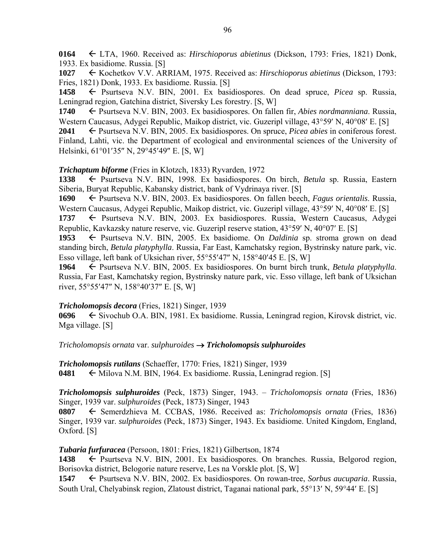**0164** LTA, 1960. Received as: *Hirschioporus abietinus* (Dickson, 1793: Fries, 1821) Donk, 1933. Ex basidiome. Russia. [S]

**1027** Kochetkov V.V. ARRIAM, 1975. Received as: *Hirschioporus abietinus* (Dickson, 1793: Fries, 1821) Donk, 1933. Ex basidiome. Russia. [S]

**1458** Psurtseva N.V. BIN, 2001. Ex basidiospores. On dead spruce, *Picea* sp. Russia, Leningrad region, Gatchina district, Siversky Les forestry. [S, W]

**1740** ← Psurtseva N.V. BIN, 2003. Ex basidiospores. On fallen fir, *Abies nordmanniana*. Russia, Western Caucasus, Adygei Republic, Maikop district, vic. Guzeripl village, 43°59' N, 40°08' E. [S]

**2041**  $\leftarrow$  Psurtseva N.V. BIN, 2005. Ex basidiospores. On spruce, *Picea abies* in coniferous forest. Finland, Lahti, vic. the Department of ecological and environmental sciences of the University of Helsinki, 61°01'35" N, 29°45'49" E. [S, W]

*Trichaptum biforme* (Fries in Klotzch, 1833) Ryvarden, 1972

**1338** Psurtseva N.V. BIN, 1998. Ex basidiospores. On birch, *Betula* sp. Russia, Eastern Siberia, Buryat Republic, Kabansky district, bank of Vydrinaya river. [S]

**1690** Psurtseva N.V. BIN, 2003. Ex basidiospores. On fallen beech, *Fagus orientalis*. Russia, Western Caucasus, Adygei Republic, Maikop district, vic. Guzeripl village, 43°59' N, 40°08' E. [S]

1737 Psurtseva N.V. BIN, 2003. Ex basidiospores. Russia, Western Caucasus, Adygei Republic, Kavkazsky nature reserve, vic. Guzeripl reserve station,  $43^{\circ}59'$  N,  $40^{\circ}07'$  E. [S]

1953 F Psurtseva N.V. BIN, 2005. Ex basidiome. On *Daldinia* sp. stroma grown on dead standing birch, *Betula platyphylla*. Russia, Far East, Kamchatsky region, Bystrinsky nature park, vic. Esso village, left bank of Uksichan river,  $55^{\circ}55'47''$  N,  $158^{\circ}40'45$  E. [S, W]

**1964** ← Psurtseva N.V. BIN, 2005. Ex basidiospores. On burnt birch trunk, *Betula platyphylla*. Russia, Far East, Kamchatsky region, Bystrinsky nature park, vic. Esso village, left bank of Uksichan river, 55°55'47" N, 158°40'37" E. [S, W]

### *Tricholomopsis decora* (Fries, 1821) Singer, 1939

**0696** Sivochub O.A. BIN, 1981. Ex basidiome. Russia, Leningrad region, Kirovsk district, vic. Mga village. [S]

*Tricholomopsis ornata* var. *sulphuroides Tricholomopsis sulphuroides* 

*Tricholomopsis rutilans* (Schaeffer, 1770: Fries, 1821) Singer, 1939 **0481**  $\leftarrow$  Milova N.M. BIN, 1964. Ex basidiome. Russia, Leningrad region. [S]

*Tricholomopsis sulphuroides* (Peck, 1873) Singer, 1943. – *Tricholomopsis ornata* (Fries, 1836) Singer, 1939 var. *sulphuroides* (Peck, 1873) Singer, 1943

**0807** Semerdzhieva M. CCBAS, 1986. Received as: *Tricholomopsis ornata* (Fries, 1836) Singer, 1939 var. *sulphuroides* (Peck, 1873) Singer, 1943. Ex basidiome. United Kingdom, England, Oxford. [S]

*Tubaria furfuracea* (Persoon, 1801: Fries, 1821) Gilbertson, 1874

1438 Psurtseva N.V. BIN, 2001. Ex basidiospores. On branches. Russia, Belgorod region, Borisovka district, Belogorie nature reserve, Les na Vorskle plot. [S, W]

**1547** ← Psurtseva N.V. BIN, 2002. Ex basidiospores. On rowan-tree, *Sorbus aucuparia*. Russia, South Ural, Chelyabinsk region, Zlatoust district, Taganai national park,  $55^{\circ}13'$  N,  $59^{\circ}44'$  E. [S]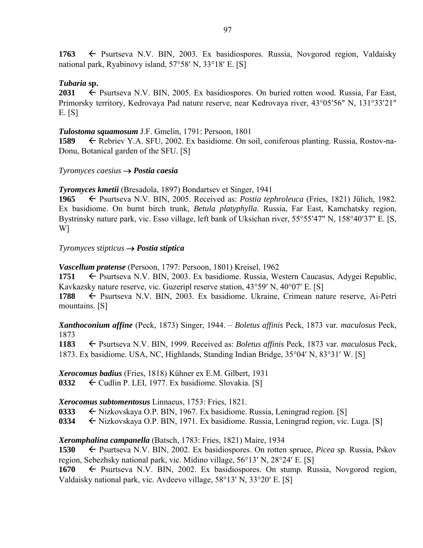1763 **F** Psurtseva N.V. BIN, 2003. Ex basidiospores. Russia, Novgorod region, Valdaisky national park, Ryabinovy island,  $57°58'$  N,  $33°18'$  E. [S]

## *Tubaria* **sp.**

**2031**  $\leftarrow$  Psurtseva N.V. BIN, 2005. Ex basidiospores. On buried rotten wood. Russia, Far East, Primorsky territory, Kedrovaya Pad nature reserve, near Kedrovaya river, 43°05'56" N, 131°33'21" E. [S]

### *Tulostoma squamosum* J.F. Gmelin, 1791: Persoon, 1801

**1589** Rebriev Y.A. SFU, 2002. Ex basidiome. On soil, coniferous planting. Russia, Rostov-na-Donu, Botanical garden of the SFU. [S]

### *Tyromyces caesius Postia caesia*

*Tyromyces kmetii* (Bresadola, 1897) Bondartsev et Singer, 1941

**1965** Psurtseva N.V. BIN, 2005. Received as: *Postia tephroleuca* (Fries, 1821) Jülich, 1982. Ex basidiome. On burnt birch trunk, *Betula platyphylla*. Russia, Far East, Kamchatsky region, Bystrinsky nature park, vic. Esso village, left bank of Uksichan river, 55°55'47" N, 158°40'37" E. [S, W]

### *Tyromyces stipticus Postia stiptica*

*Vascellum pratense* (Persoon, 1797: Persoon, 1801) Kreisel, 1962

**1751** ← Psurtseva N.V. BIN, 2003. Ex basidiome. Russia, Western Caucasus, Adygei Republic, Kavkazsky nature reserve, vic. Guzeripl reserve station,  $43^{\circ}59'$  N,  $40^{\circ}07'$  E. [S]

**1788** ← Psurtseva N.V. BIN, 2003. Ex basidiome. Ukraine, Crimean nature reserve, Ai-Petri mountains. [S]

*Xanthoconium affine* (Peck, 1873) Singer, 1944. – *Boletus affinis* Peck, 1873 var*. maculosus* Peck, 1873

**1183** ← Psurtseva N.V. BIN, 1999. Received as: *Boletus affinis* Peck, 1873 var. *maculosus* Peck, 1873. Ex basidiome. USA, NC, Highlands, Standing Indian Bridge,  $35^{\circ}04'$  N,  $83^{\circ}31'$  W. [S]

*Xerocomus badius* (Fries, 1818) Kühner ex E.M. Gilbert, 1931

**0332**  $\leftarrow$  Cudlin P. LEI, 1977. Ex basidiome. Slovakia. [S]

## *Xerocomus subtomentosus* Linnaeus, 1753: Fries, 1821.

0333  $\leftarrow$  Nizkovskaya O.P. BIN, 1967. Ex basidiome. Russia, Leningrad region. [S]

**0334** Nizkovskaya O.P. BIN, 1971. Ex basidiome. Russia, Leningrad region, vic. Luga. [S]

## *Xeromphalina campanella* (Batsch, 1783: Fries, 1821) Maire, 1934

**1530** ← Psurtseva N.V. BIN, 2002. Ex basidiospores. On rotten spruce, *Picea* sp. Russia, Pskov region, Sebezhsky national park, vic. Midino village, 56°13′ N, 28°24′ E. [S]

**1670** ← Psurtseva N.V. BIN, 2002. Ex basidiospores. On stump. Russia, Novgorod region, Valdaisky national park, vic. Avdeevo village,  $58^{\circ}13'$  N,  $33^{\circ}20'$  E. [S]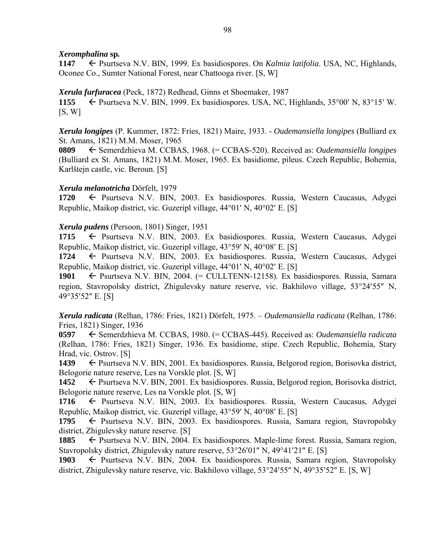### *Xeromphalina* **sp***.*

**1147** ← Psurtseva N.V. BIN, 1999. Ex basidiospores. On *Kalmia latifolia*. USA, NC, Highlands, Oconee Co., Sumter National Forest, near Chattooga river. [S, W]

### *Xerula furfuracea* (Peck, 1872) Redhead, Ginns et Shoemaker, 1987

1155  $\leftarrow$  Psurtseva N.V. BIN, 1999. Ex basidiospores. USA, NC, Highlands, 35 $^{\circ}$ 00' N, 83 $^{\circ}$ 15' W.  $[S, W]$ 

*Xerula longipes* (P. Kummer, 1872: Fries, 1821) Maire, 1933. - *Oudemansiella longipes* (Bulliard ex St. Amans, 1821) M.M. Moser, 1965

**0809** Semerdzhieva M. CCBAS, 1968. (= CCBAS-520). Received as: *Oudemansiella longipes* (Bulliard ex St. Amans, 1821) M.M. Moser, 1965. Ex basidiome, pileus. Czech Republic, Bohemia, Karlštejn castle, vic. Beroun. [S]

### *Xerula melanotricha* Dörfelt, 1979

**1720** Psurtseva N.V. BIN, 2003. Ex basidiospores. Russia, Western Caucasus, Adygei Republic, Maikop district, vic. Guzeripl village,  $44^{\circ}01'$  N,  $40^{\circ}02'$  E. [S]

### *Xerula pudens* (Persoon, 1801) Singer, 1951

1715 Psurtseva N.V. BIN, 2003. Ex basidiospores. Russia, Western Caucasus, Adygei Republic, Maikop district, vic. Guzeripl village,  $43^{\circ}59'$  N,  $40^{\circ}08'$  E. [S]

**1724** ← Psurtseva N.V. BIN, 2003. Ex basidiospores. Russia, Western Caucasus, Adygei Republic, Maikop district, vic. Guzeripl village,  $44^{\circ}01'$  N,  $40^{\circ}02'$  E. [S]

**1901** Psurtseva N.V. BIN, 2004. (= CULLTENN-12158). Ex basidiospores. Russia, Samara region, Stavropolsky district, Zhigulevsky nature reserve, vic. Bakhilovo village, 53°24′55″ N, 49°35'52" E. [S]

*Xerula radicata* (Relhan, 1786: Fries, 1821) Dörfelt, 1975. – *Oudemansiella radicata* (Relhan, 1786: Fries, 1821) Singer, 1936

**0597** Semerdzhieva M. CCBAS, 1980. (= CCBAS-445). Received as: *Oudemansiella radicata* (Relhan, 1786: Fries, 1821) Singer, 1936. Ex basidiome, stipe. Czech Republic, Bohemia, Stary Hrad, vic. Ostrov. [S]

1439 **F** Psurtseva N.V. BIN, 2001. Ex basidiospores. Russia, Belgorod region, Borisovka district, Belogorie nature reserve, Les na Vorskle plot. [S, W]

**1452** ← Psurtseva N.V. BIN, 2001. Ex basidiospores. Russia, Belgorod region, Borisovka district, Belogorie nature reserve, Les na Vorskle plot. [S, W]

**1716** Psurtseva N.V. BIN, 2003. Ex basidiospores. Russia, Western Caucasus, Adygei Republic, Maikop district, vic. Guzeripl village,  $43^{\circ}59'$  N,  $40^{\circ}08'$  E. [S]

1795  $\leftarrow$  Psurtseva N.V. BIN, 2003. Ex basidiospores. Russia, Samara region, Stavropolsky district, Zhigulevsky nature reserve. [S]

**1885** ← Psurtseva N.V. BIN, 2004. Ex basidiospores. Maple-lime forest. Russia, Samara region, Stavropolsky district, Zhigulevsky nature reserve,  $53^{\circ}26'01''$  N,  $49^{\circ}41'21''$  E. [S]

1903  $\leftarrow$  Psurtseva N.V. BIN, 2004. Ex basidiospores. Russia, Samara region, Stavropolsky district, Zhigulevsky nature reserve, vic. Bakhilovo village,  $53^{\circ}24'55''$  N,  $49^{\circ}35'52''$  E. [S, W]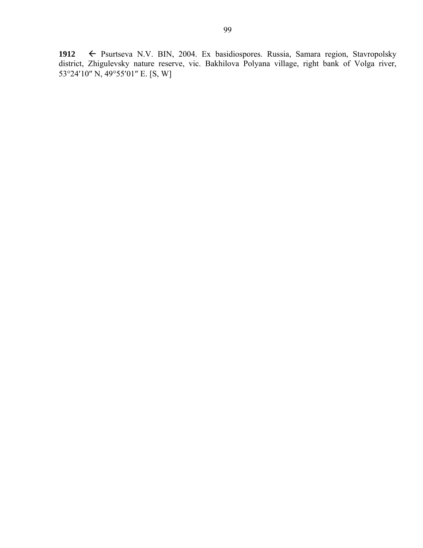**1912** Psurtseva N.V. BIN, 2004. Ex basidiospores. Russia, Samara region, Stavropolsky district, Zhigulevsky nature reserve, vic. Bakhilova Polyana village, right bank of Volga river, 53°24'10" N, 49°55'01" E. [S, W]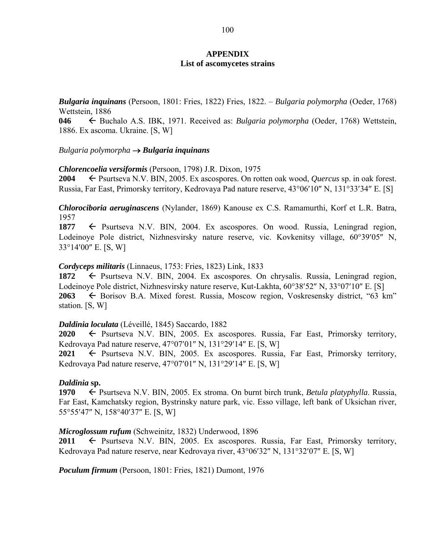### **APPENDIX List of ascomycetes strains**

*Bulgaria inquinans* (Persoon, 1801: Fries, 1822) Fries, 1822. – *Bulgaria polymorpha* (Oeder, 1768) Wettstein, 1886

**046** Buchalo A.S. IBK, 1971. Received as: *Bulgaria polymorpha* (Oeder, 1768) Wettstein, 1886. Ex ascoma. Ukraine. [S, W]

### *Bulgaria polymorpha Bulgaria inquinans*

### *Chlorencoelia versiformis* (Persoon, 1798) J.R. Dixon, 1975

**2004** ► Psurtseva N.V. BIN, 2005. Ex ascospores. On rotten oak wood, *Quercus* sp. in oak forest. Russia, Far East, Primorsky territory, Kedrovaya Pad nature reserve, 43°06'10" N, 131°33'34" E. [S]

*Chlorociboria aeruginascens* (Nylander, 1869) Kanouse ex C.S. Ramamurthi, Korf et L.R. Batra, 1957

1877  $\leftarrow$  Psurtseva N.V. BIN, 2004. Ex ascospores. On wood. Russia, Leningrad region, Lodeinoye Pole district, Nizhnesvirsky nature reserve, vic. Kovkenitsy village, 60°39'05" N,  $33^{\circ}14'00''$  E. [S, W]

### *Cordyceps militaris* (Linnaeus, 1753: Fries, 1823) Link, 1833

1872 Psurtseva N.V. BIN, 2004. Ex ascospores. On chrysalis. Russia, Leningrad region, Lodeinove Pole district, Nizhnesvirsky nature reserve, Kut-Lakhta,  $60^{\circ}38'52''$  N,  $33^{\circ}07'10''$  E. [S] **2063** ← Borisov B.A. Mixed forest. Russia, Moscow region, Voskresensky district, "63 km" station. [S, W]

### *Daldinia loculata* (Léveillé, 1845) Saccardo, 1882

**2020**  $\leftarrow$  Psurtseva N.V. BIN, 2005. Ex ascospores. Russia, Far East, Primorsky territory, Kedrovaya Pad nature reserve,  $47^{\circ}07'01''$  N,  $131^{\circ}29'14''$  E. [S, W]

 $2021 \leftarrow$  Psurtseva N.V. BIN, 2005. Ex ascospores. Russia, Far East, Primorsky territory, Kedrovaya Pad nature reserve,  $47^{\circ}07'01''$  N,  $131^{\circ}29'14''$  E. [S, W]

### *Daldinia* **sp.**

**1970** ← Psurtseva N.V. BIN, 2005. Ex stroma. On burnt birch trunk, *Betula platyphylla*. Russia, Far East, Kamchatsky region, Bystrinsky nature park, vic. Esso village, left bank of Uksichan river, 55°55'47" N, 158°40'37" E. [S, W]

#### *Microglossum rufum* (Schweinitz, 1832) Underwood, 1896

**2011**  $\leftarrow$  Psurtseva N.V. BIN, 2005. Ex ascospores. Russia, Far East, Primorsky territory, Kedrovaya Pad nature reserve, near Kedrovaya river,  $43^{\circ}06'32''$  N,  $131^{\circ}32'07''$  E. [S, W]

*Poculum firmum* (Persoon, 1801: Fries, 1821) Dumont, 1976